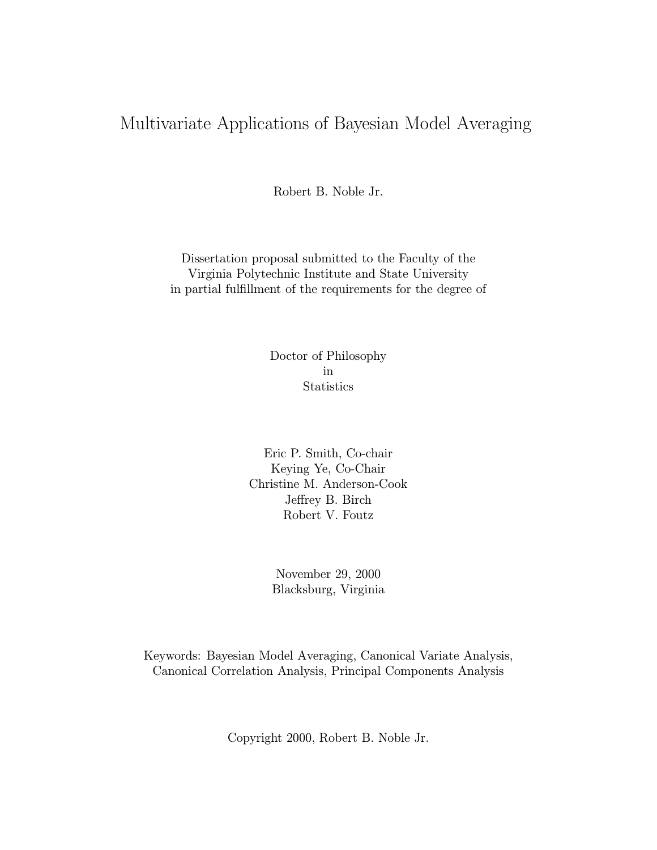## Multivariate Applications of Bayesian Model Averaging

Robert B. Noble Jr.

Dissertation proposal submitted to the Faculty of the Virginia Polytechnic Institute and State University in partial fulfillment of the requirements for the degree of

> Doctor of Philosophy in **Statistics**

Eric P. Smith, Co-chair Keying Ye, Co-Chair Christine M. Anderson-Cook Jeffrey B. Birch Robert V. Foutz

> November 29, 2000 Blacksburg, Virginia

Keywords: Bayesian Model Averaging, Canonical Variate Analysis, Canonical Correlation Analysis, Principal Components Analysis

Copyright 2000, Robert B. Noble Jr.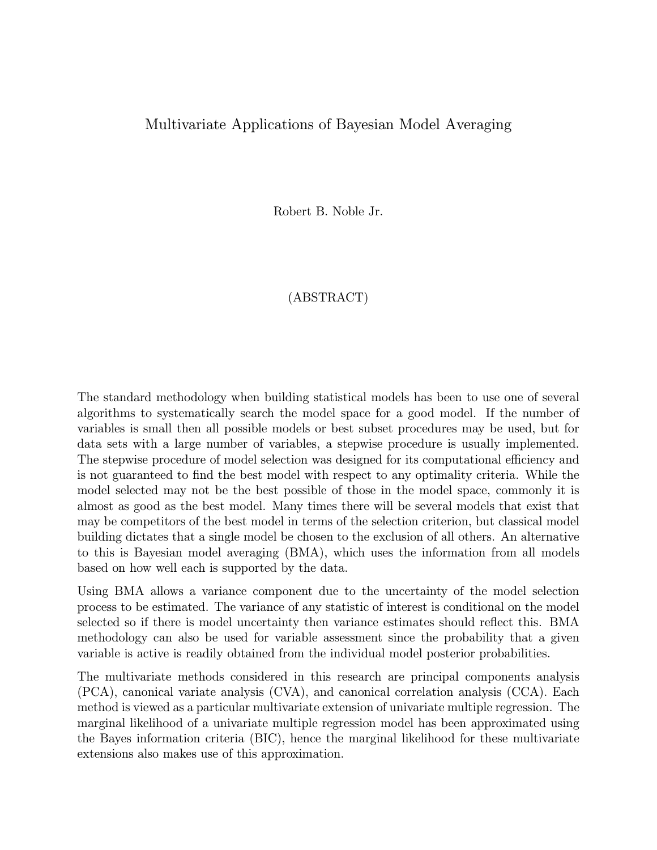#### Multivariate Applications of Bayesian Model Averaging

Robert B. Noble Jr.

#### (ABSTRACT)

The standard methodology when building statistical models has been to use one of several algorithms to systematically search the model space for a good model. If the number of variables is small then all possible models or best subset procedures may be used, but for data sets with a large number of variables, a stepwise procedure is usually implemented. The stepwise procedure of model selection was designed for its computational efficiency and is not guaranteed to find the best model with respect to any optimality criteria. While the model selected may not be the best possible of those in the model space, commonly it is almost as good as the best model. Many times there will be several models that exist that may be competitors of the best model in terms of the selection criterion, but classical model building dictates that a single model be chosen to the exclusion of all others. An alternative to this is Bayesian model averaging (BMA), which uses the information from all models based on how well each is supported by the data.

Using BMA allows a variance component due to the uncertainty of the model selection process to be estimated. The variance of any statistic of interest is conditional on the model selected so if there is model uncertainty then variance estimates should reflect this. BMA methodology can also be used for variable assessment since the probability that a given variable is active is readily obtained from the individual model posterior probabilities.

The multivariate methods considered in this research are principal components analysis (PCA), canonical variate analysis (CVA), and canonical correlation analysis (CCA). Each method is viewed as a particular multivariate extension of univariate multiple regression. The marginal likelihood of a univariate multiple regression model has been approximated using the Bayes information criteria (BIC), hence the marginal likelihood for these multivariate extensions also makes use of this approximation.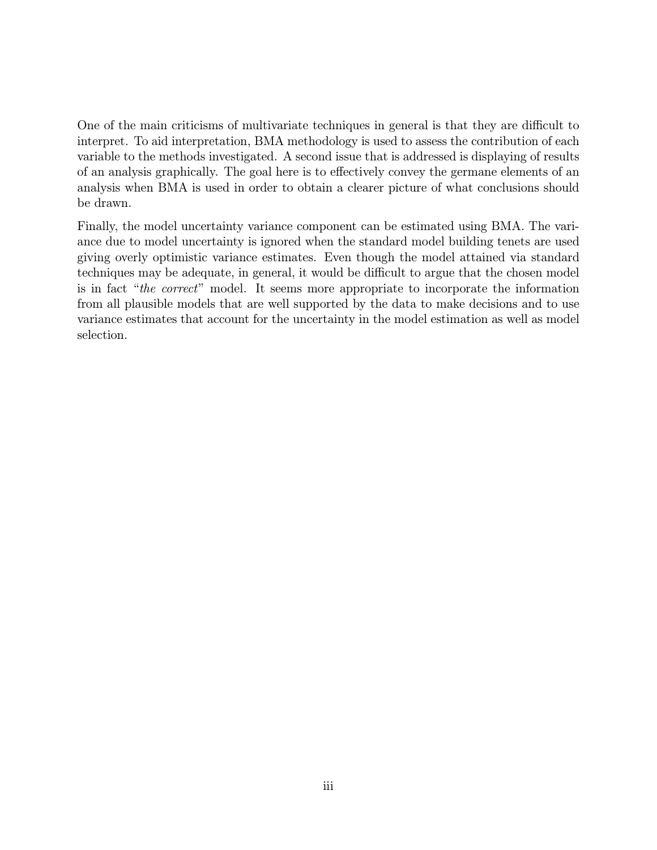One of the main criticisms of multivariate techniques in general is that they are difficult to interpret. To aid interpretation, BMA methodology is used to assess the contribution of each variable to the methods investigated. A second issue that is addressed is displaying of results of an analysis graphically. The goal here is to effectively convey the germane elements of an analysis when BMA is used in order to obtain a clearer picture of what conclusions should be drawn.

Finally, the model uncertainty variance component can be estimated using BMA. The variance due to model uncertainty is ignored when the standard model building tenets are used giving overly optimistic variance estimates. Even though the model attained via standard techniques may be adequate, in general, it would be difficult to argue that the chosen model is in fact "the correct" model. It seems more appropriate to incorporate the information from all plausible models that are well supported by the data to make decisions and to use variance estimates that account for the uncertainty in the model estimation as well as model selection.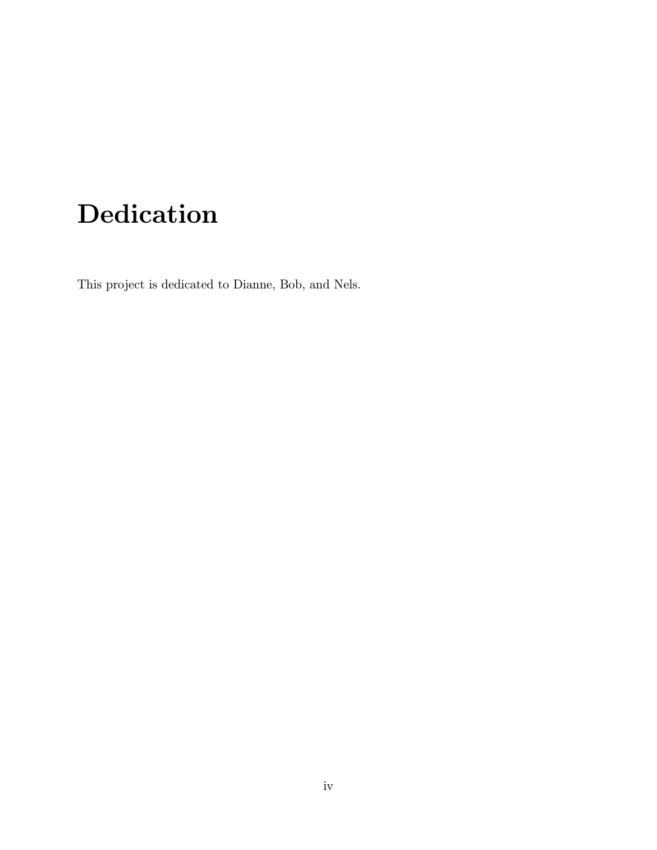# Dedication

This project is dedicated to Dianne, Bob, and Nels.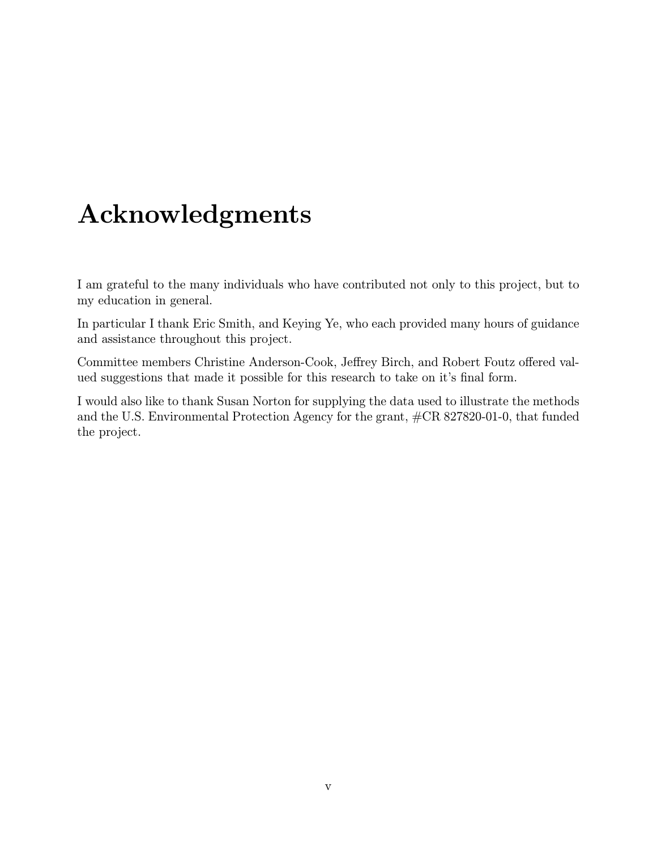## Acknowledgments

I am grateful to the many individuals who have contributed not only to this project, but to my education in general.

In particular I thank Eric Smith, and Keying Ye, who each provided many hours of guidance and assistance throughout this project.

Committee members Christine Anderson-Cook, Jeffrey Birch, and Robert Foutz offered valued suggestions that made it possible for this research to take on it's final form.

I would also like to thank Susan Norton for supplying the data used to illustrate the methods and the U.S. Environmental Protection Agency for the grant, #CR 827820-01-0, that funded the project.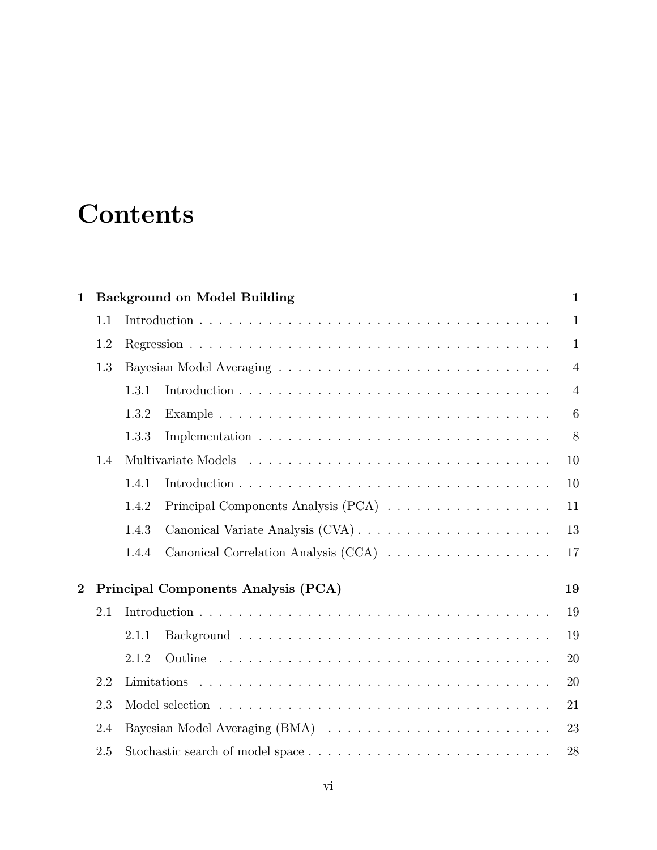# **Contents**

| $\mathbf{1}$   |     |       | <b>Background on Model Building</b>  | $\mathbf{1}$    |
|----------------|-----|-------|--------------------------------------|-----------------|
|                | 1.1 |       |                                      | $\mathbf{1}$    |
|                | 1.2 |       |                                      | $\mathbf{1}$    |
|                | 1.3 |       |                                      | $\overline{4}$  |
|                |     | 1.3.1 |                                      | $\overline{4}$  |
|                |     | 1.3.2 |                                      | $6\phantom{1}6$ |
|                |     | 1.3.3 |                                      | 8               |
|                | 1.4 |       |                                      | 10              |
|                |     | 1.4.1 |                                      | 10              |
|                |     | 1.4.2 | Principal Components Analysis (PCA)  | 11              |
|                |     | 1.4.3 |                                      | 13              |
|                |     | 1.4.4 | Canonical Correlation Analysis (CCA) | 17              |
| $\overline{2}$ |     |       | Principal Components Analysis (PCA)  | 19              |
|                | 2.1 |       |                                      | 19              |
|                |     | 2.1.1 |                                      | 19              |
|                |     | 2.1.2 |                                      | 20              |
|                | 2.2 |       |                                      | 20              |
|                | 2.3 |       |                                      | 21              |
|                | 2.4 |       |                                      | 23              |
|                | 2.5 |       |                                      | 28              |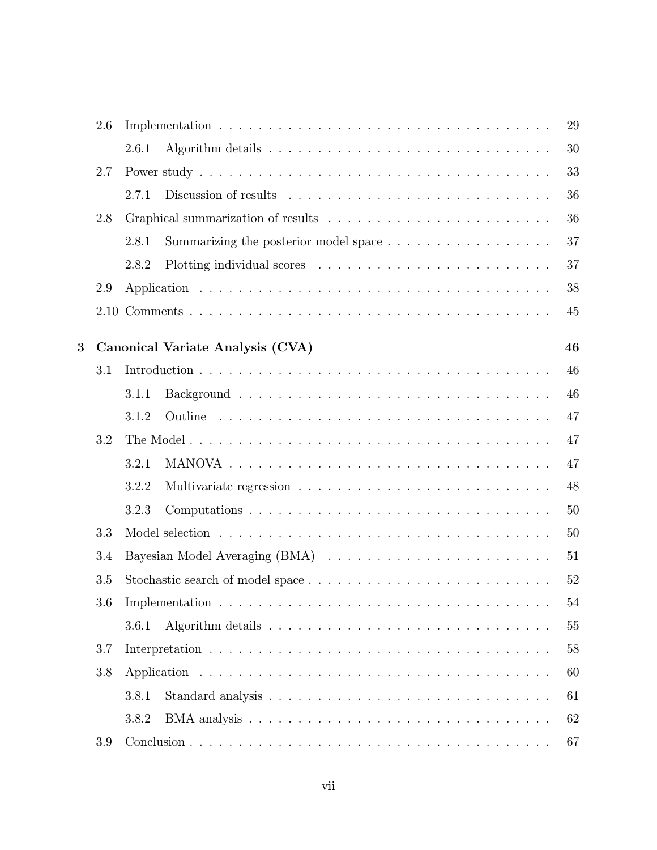|   | 2.6 | 29                                                                                               |
|---|-----|--------------------------------------------------------------------------------------------------|
|   |     | 30<br>2.6.1                                                                                      |
|   | 2.7 | 33                                                                                               |
|   |     | 36<br>2.7.1                                                                                      |
|   | 2.8 | 36                                                                                               |
|   |     | 37<br>Summarizing the posterior model space $\ldots \ldots \ldots \ldots \ldots \ldots$<br>2.8.1 |
|   |     | 37<br>2.8.2                                                                                      |
|   | 2.9 | 38                                                                                               |
|   |     | 45                                                                                               |
| 3 |     | Canonical Variate Analysis (CVA)<br>46                                                           |
|   | 3.1 | 46                                                                                               |
|   |     | 46<br>3.1.1                                                                                      |
|   |     | 47<br>3.1.2                                                                                      |
|   | 3.2 | 47                                                                                               |
|   |     | 47<br>3.2.1                                                                                      |
|   |     | 48<br>3.2.2                                                                                      |
|   |     | 50<br>3.2.3                                                                                      |
|   |     |                                                                                                  |
|   | 3.3 | 50                                                                                               |
|   | 3.4 | 51                                                                                               |
|   | 3.5 | 52                                                                                               |
|   | 3.6 | 54                                                                                               |
|   |     | 55<br>3.6.1                                                                                      |
|   | 3.7 | 58                                                                                               |
|   | 3.8 | 60                                                                                               |
|   |     | 61<br>3.8.1                                                                                      |
|   |     | 62<br>3.8.2                                                                                      |
|   | 3.9 | 67                                                                                               |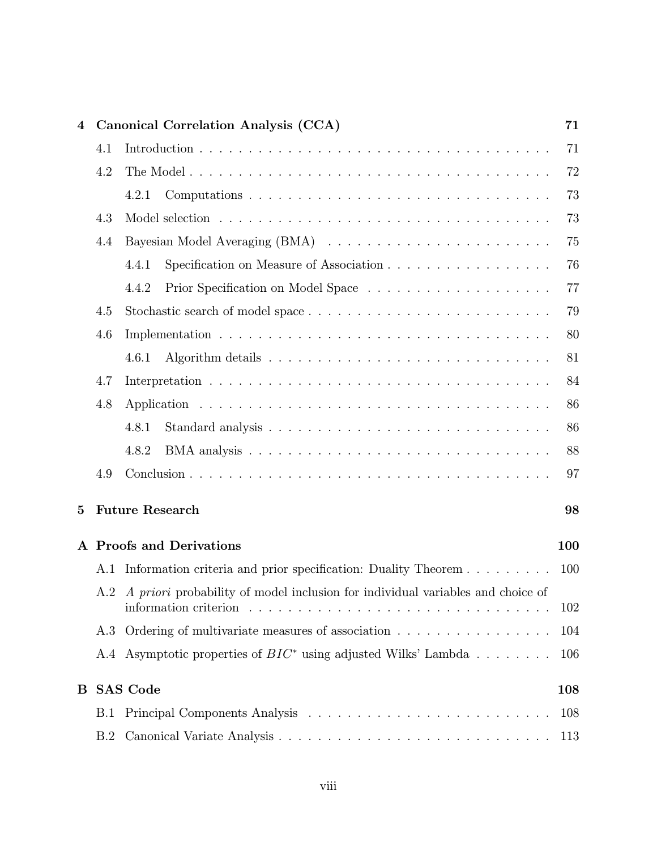| $\overline{\mathbf{4}}$ |     | Canonical Correlation Analysis (CCA)                                                                                                                                                    | 71  |
|-------------------------|-----|-----------------------------------------------------------------------------------------------------------------------------------------------------------------------------------------|-----|
|                         | 4.1 |                                                                                                                                                                                         | 71  |
|                         | 4.2 |                                                                                                                                                                                         | 72  |
|                         |     | 4.2.1                                                                                                                                                                                   | 73  |
|                         | 4.3 |                                                                                                                                                                                         | 73  |
|                         | 4.4 |                                                                                                                                                                                         | 75  |
|                         |     | Specification on Measure of Association<br>4.4.1                                                                                                                                        | 76  |
|                         |     | 4.4.2                                                                                                                                                                                   | 77  |
|                         | 4.5 |                                                                                                                                                                                         | 79  |
|                         | 4.6 |                                                                                                                                                                                         | 80  |
|                         |     | 4.6.1                                                                                                                                                                                   | 81  |
|                         | 4.7 |                                                                                                                                                                                         | 84  |
|                         | 4.8 |                                                                                                                                                                                         | 86  |
|                         |     | 4.8.1                                                                                                                                                                                   | 86  |
|                         |     | 4.8.2                                                                                                                                                                                   | 88  |
|                         | 4.9 |                                                                                                                                                                                         | 97  |
| $\bf{5}$                |     | <b>Future Research</b>                                                                                                                                                                  | 98  |
|                         |     | A Proofs and Derivations                                                                                                                                                                | 100 |
|                         | A.1 | Information criteria and prior specification: Duality Theorem                                                                                                                           | 100 |
|                         | A.2 | A priori probability of model inclusion for individual variables and choice of<br>information criterion $\dots \dots \dots \dots \dots \dots \dots \dots \dots \dots \dots \dots \dots$ | 102 |
|                         | A.3 | Ordering of multivariate measures of association                                                                                                                                        | 104 |
|                         | A.4 | Asymptotic properties of $BIC^*$ using adjusted Wilks' Lambda                                                                                                                           | 106 |
| B                       |     | <b>SAS Code</b>                                                                                                                                                                         | 108 |
|                         | B.1 |                                                                                                                                                                                         | 108 |
|                         | B.2 |                                                                                                                                                                                         | 113 |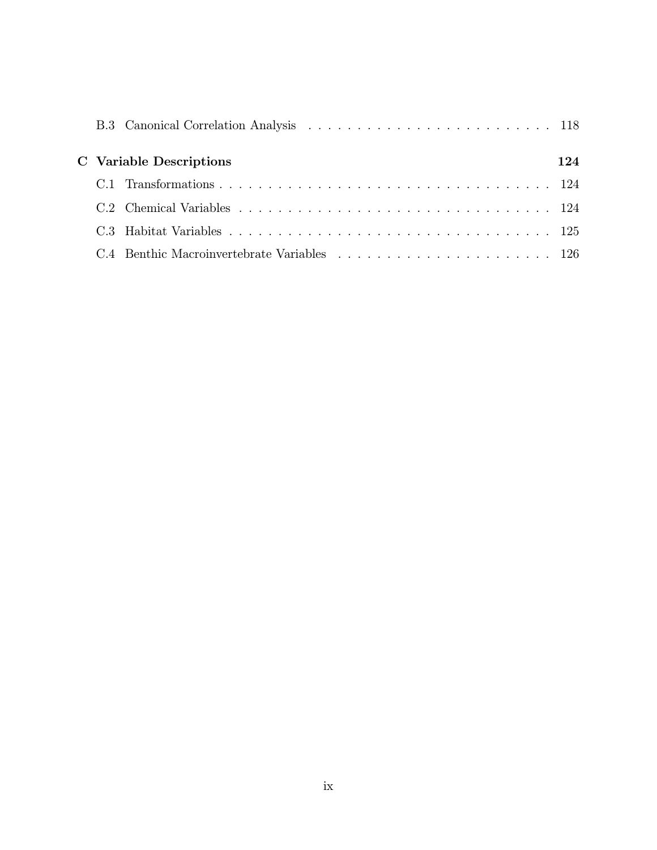|  | <b>C</b> Variable Descriptions | 124 |
|--|--------------------------------|-----|
|  |                                |     |
|  |                                |     |
|  |                                |     |
|  |                                |     |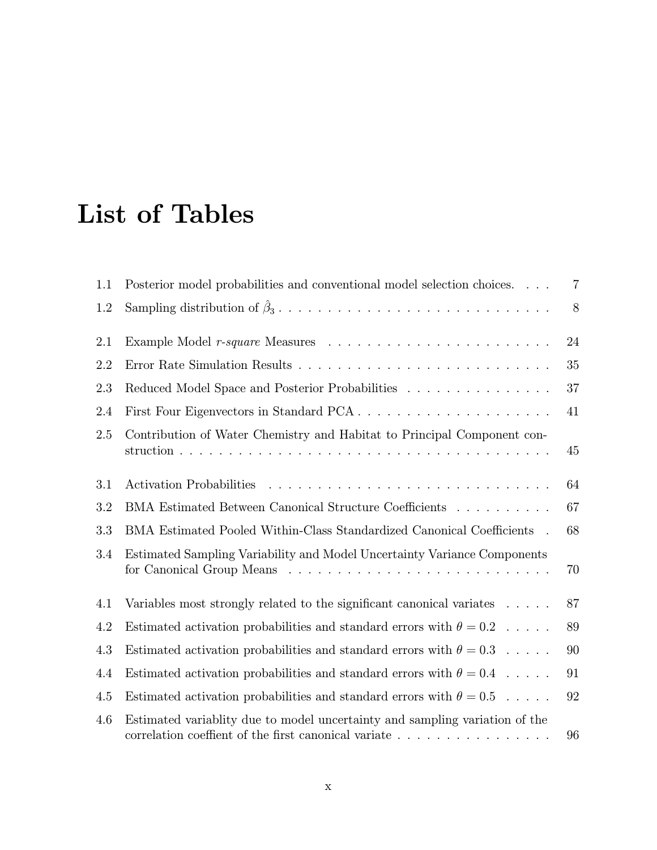# List of Tables

| 1.1 | Posterior model probabilities and conventional model selection choices.     | $\overline{7}$ |
|-----|-----------------------------------------------------------------------------|----------------|
| 1.2 |                                                                             | 8              |
| 2.1 |                                                                             | 24             |
| 2.2 |                                                                             | 35             |
| 2.3 | Reduced Model Space and Posterior Probabilities                             | 37             |
| 2.4 | First Four Eigenvectors in Standard PCA                                     | 41             |
| 2.5 | Contribution of Water Chemistry and Habitat to Principal Component con-     | 45             |
| 3.1 |                                                                             | 64             |
| 3.2 | BMA Estimated Between Canonical Structure Coefficients                      | 67             |
| 3.3 | BMA Estimated Pooled Within-Class Standardized Canonical Coefficients .     | 68             |
| 3.4 | Estimated Sampling Variability and Model Uncertainty Variance Components    | 70             |
| 4.1 | Variables most strongly related to the significant canonical variates       | 87             |
| 4.2 | Estimated activation probabilities and standard errors with $\theta = 0.2$  | 89             |
| 4.3 | Estimated activation probabilities and standard errors with $\theta = 0.3$  | 90             |
| 4.4 | Estimated activation probabilities and standard errors with $\theta = 0.4$  | 91             |
| 4.5 | Estimated activation probabilities and standard errors with $\theta = 0.5$  | 92             |
| 4.6 | Estimated variablity due to model uncertainty and sampling variation of the | 96             |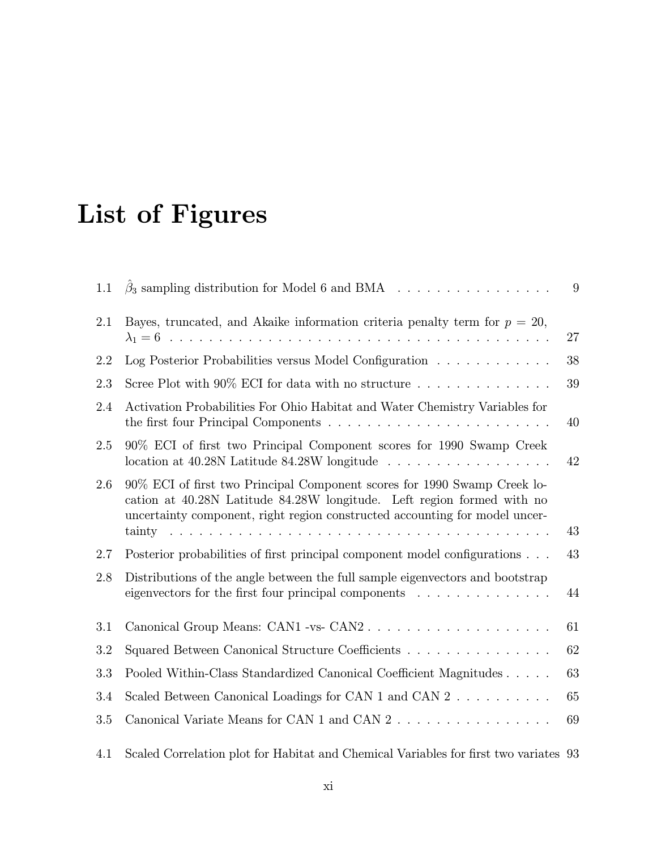# List of Figures

| 1.1 | $\beta_3$ sampling distribution for Model 6 and BMA                                                                                                                                                                               | 9  |
|-----|-----------------------------------------------------------------------------------------------------------------------------------------------------------------------------------------------------------------------------------|----|
| 2.1 | Bayes, truncated, and Akaike information criteria penalty term for $p = 20$ ,                                                                                                                                                     | 27 |
| 2.2 | Log Posterior Probabilities versus Model Configuration                                                                                                                                                                            | 38 |
| 2.3 | Scree Plot with $90\%$ ECI for data with no structure                                                                                                                                                                             | 39 |
| 2.4 | Activation Probabilities For Ohio Habitat and Water Chemistry Variables for                                                                                                                                                       | 40 |
| 2.5 | 90% ECI of first two Principal Component scores for 1990 Swamp Creek<br>location at $40.28N$ Latitude $84.28W$ longitude                                                                                                          | 42 |
| 2.6 | 90% ECI of first two Principal Component scores for 1990 Swamp Creek lo-<br>cation at 40.28N Latitude 84.28W longitude. Left region formed with no<br>uncertainty component, right region constructed accounting for model uncer- | 43 |
| 2.7 | Posterior probabilities of first principal component model configurations                                                                                                                                                         | 43 |
| 2.8 | Distributions of the angle between the full sample eigenvectors and bootstrap<br>eigenvectors for the first four principal components $\ldots \ldots \ldots \ldots$                                                               | 44 |
| 3.1 | Canonical Group Means: CAN1 -vs- CAN2                                                                                                                                                                                             | 61 |
| 3.2 | Squared Between Canonical Structure Coefficients                                                                                                                                                                                  | 62 |
| 3.3 | Pooled Within-Class Standardized Canonical Coefficient Magnitudes                                                                                                                                                                 | 63 |
| 3.4 | Scaled Between Canonical Loadings for CAN 1 and CAN $2 \ldots \ldots \ldots$                                                                                                                                                      | 65 |
| 3.5 |                                                                                                                                                                                                                                   | 69 |
| 4.1 | Scaled Correlation plot for Habitat and Chemical Variables for first two variates 93                                                                                                                                              |    |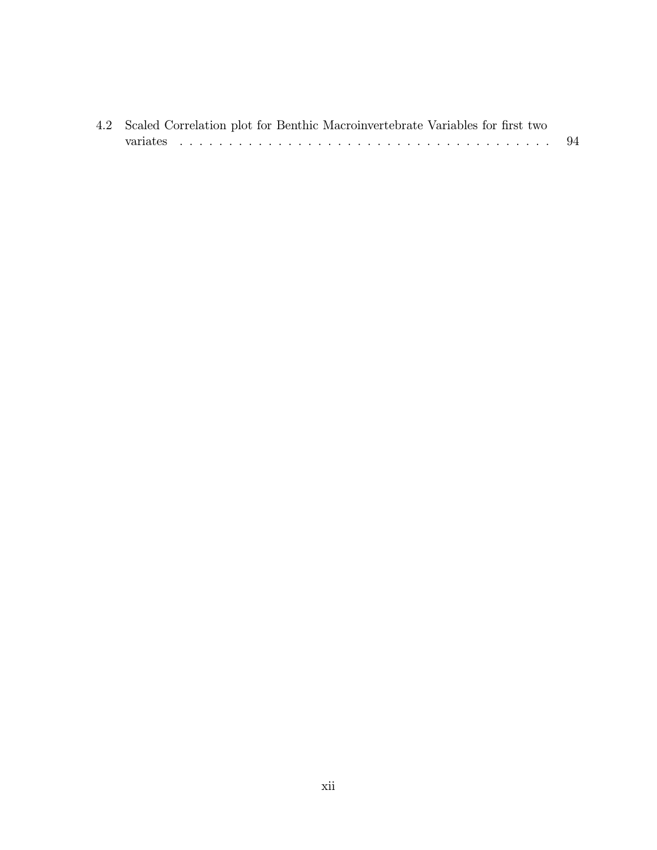| 4.2 Scaled Correlation plot for Benthic Macroinvertebrate Variables for first two |     |
|-----------------------------------------------------------------------------------|-----|
|                                                                                   | -94 |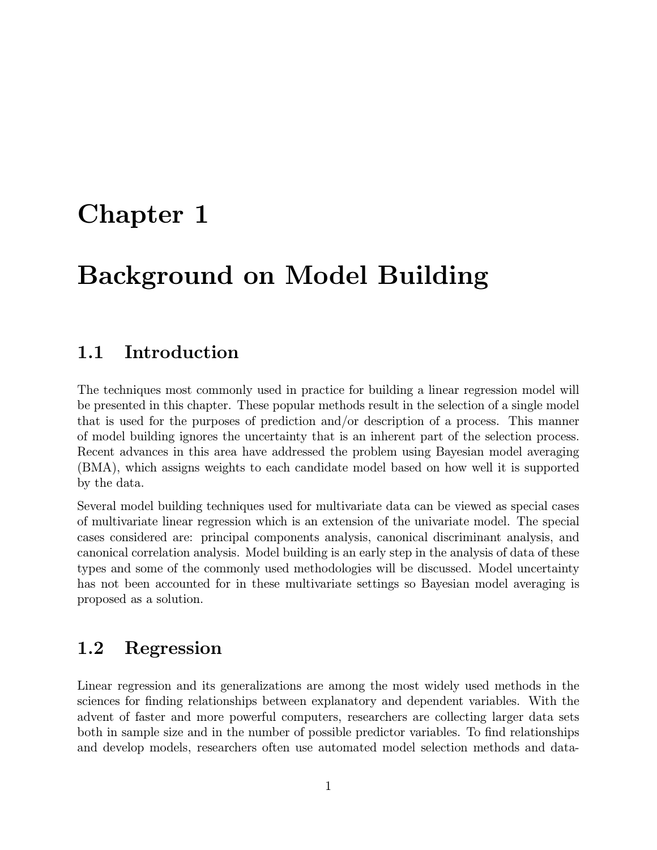## Chapter 1

## Background on Model Building

## 1.1 Introduction

The techniques most commonly used in practice for building a linear regression model will be presented in this chapter. These popular methods result in the selection of a single model that is used for the purposes of prediction and/or description of a process. This manner of model building ignores the uncertainty that is an inherent part of the selection process. Recent advances in this area have addressed the problem using Bayesian model averaging (BMA), which assigns weights to each candidate model based on how well it is supported by the data.

Several model building techniques used for multivariate data can be viewed as special cases of multivariate linear regression which is an extension of the univariate model. The special cases considered are: principal components analysis, canonical discriminant analysis, and canonical correlation analysis. Model building is an early step in the analysis of data of these types and some of the commonly used methodologies will be discussed. Model uncertainty has not been accounted for in these multivariate settings so Bayesian model averaging is proposed as a solution.

### 1.2 Regression

Linear regression and its generalizations are among the most widely used methods in the sciences for finding relationships between explanatory and dependent variables. With the advent of faster and more powerful computers, researchers are collecting larger data sets both in sample size and in the number of possible predictor variables. To find relationships and develop models, researchers often use automated model selection methods and data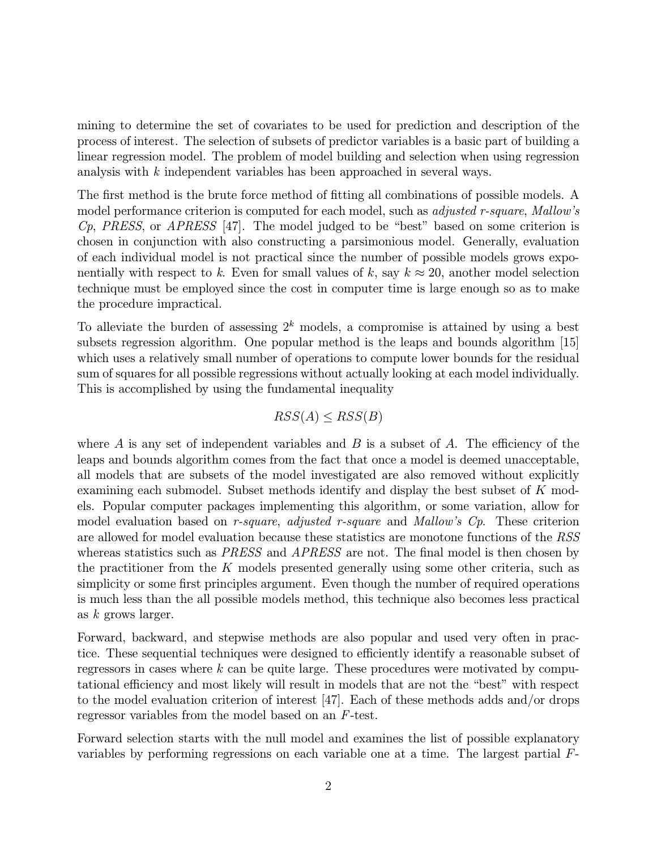mining to determine the set of covariates to be used for prediction and description of the process of interest. The selection of subsets of predictor variables is a basic part of building a linear regression model. The problem of model building and selection when using regression analysis with k independent variables has been approached in several ways.

The first method is the brute force method of fitting all combinations of possible models. A model performance criterion is computed for each model, such as *adjusted r-square*, Mallow's Cp, PRESS, or APRESS [47]. The model judged to be "best" based on some criterion is chosen in conjunction with also constructing a parsimonious model. Generally, evaluation of each individual model is not practical since the number of possible models grows exponentially with respect to k. Even for small values of k, say  $k \approx 20$ , another model selection technique must be employed since the cost in computer time is large enough so as to make the procedure impractical.

To alleviate the burden of assessing  $2^k$  models, a compromise is attained by using a best subsets regression algorithm. One popular method is the leaps and bounds algorithm [15] which uses a relatively small number of operations to compute lower bounds for the residual sum of squares for all possible regressions without actually looking at each model individually. This is accomplished by using the fundamental inequality

#### $RSS(A) \leq RSS(B)$

where A is any set of independent variables and B is a subset of A. The efficiency of the leaps and bounds algorithm comes from the fact that once a model is deemed unacceptable, all models that are subsets of the model investigated are also removed without explicitly examining each submodel. Subset methods identify and display the best subset of  $K$  models. Popular computer packages implementing this algorithm, or some variation, allow for model evaluation based on r-square, adjusted r-square and Mallow's  $C_p$ . These criterion are allowed for model evaluation because these statistics are monotone functions of the RSS whereas statistics such as *PRESS* and *APRESS* are not. The final model is then chosen by the practitioner from the K models presented generally using some other criteria, such as simplicity or some first principles argument. Even though the number of required operations is much less than the all possible models method, this technique also becomes less practical as k grows larger.

Forward, backward, and stepwise methods are also popular and used very often in practice. These sequential techniques were designed to efficiently identify a reasonable subset of regressors in cases where  $k$  can be quite large. These procedures were motivated by computational efficiency and most likely will result in models that are not the "best" with respect to the model evaluation criterion of interest [47]. Each of these methods adds and/or drops regressor variables from the model based on an F-test.

Forward selection starts with the null model and examines the list of possible explanatory variables by performing regressions on each variable one at a time. The largest partial F-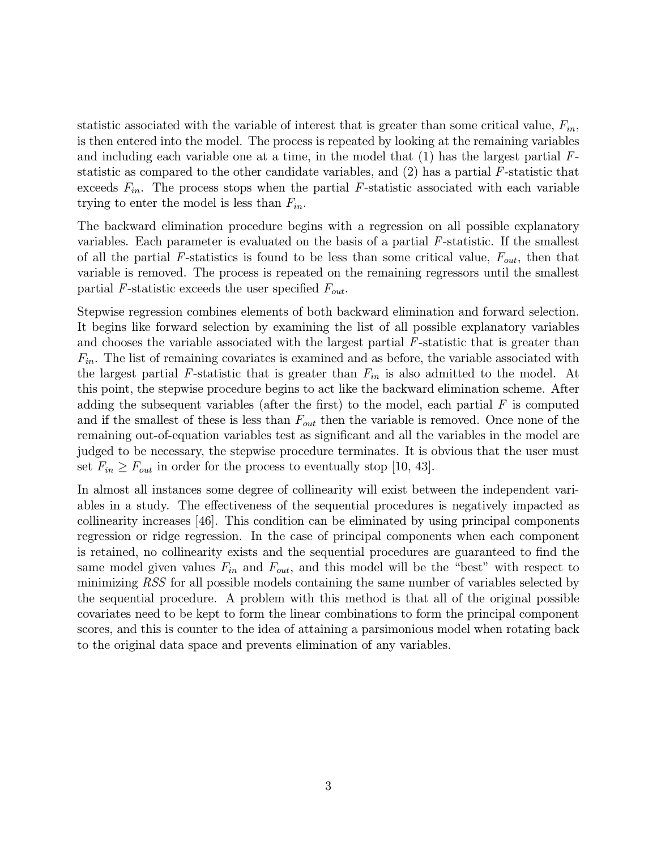statistic associated with the variable of interest that is greater than some critical value,  $F_{in}$ , is then entered into the model. The process is repeated by looking at the remaining variables and including each variable one at a time, in the model that  $(1)$  has the largest partial  $F$ statistic as compared to the other candidate variables, and (2) has a partial F-statistic that exceeds  $F_{in}$ . The process stops when the partial F-statistic associated with each variable trying to enter the model is less than  $F_{in}$ .

The backward elimination procedure begins with a regression on all possible explanatory variables. Each parameter is evaluated on the basis of a partial  $F$ -statistic. If the smallest of all the partial F-statistics is found to be less than some critical value,  $F_{out}$ , then that variable is removed. The process is repeated on the remaining regressors until the smallest partial F-statistic exceeds the user specified  $F_{out}$ .

Stepwise regression combines elements of both backward elimination and forward selection. It begins like forward selection by examining the list of all possible explanatory variables and chooses the variable associated with the largest partial F-statistic that is greater than  $F_{in}$ . The list of remaining covariates is examined and as before, the variable associated with the largest partial F-statistic that is greater than  $F_{in}$  is also admitted to the model. At this point, the stepwise procedure begins to act like the backward elimination scheme. After adding the subsequent variables (after the first) to the model, each partial  $F$  is computed and if the smallest of these is less than  $F_{out}$  then the variable is removed. Once none of the remaining out-of-equation variables test as significant and all the variables in the model are judged to be necessary, the stepwise procedure terminates. It is obvious that the user must set  $F_{in} \geq F_{out}$  in order for the process to eventually stop [10, 43].

In almost all instances some degree of collinearity will exist between the independent variables in a study. The effectiveness of the sequential procedures is negatively impacted as collinearity increases [46]. This condition can be eliminated by using principal components regression or ridge regression. In the case of principal components when each component is retained, no collinearity exists and the sequential procedures are guaranteed to find the same model given values  $F_{in}$  and  $F_{out}$ , and this model will be the "best" with respect to minimizing RSS for all possible models containing the same number of variables selected by the sequential procedure. A problem with this method is that all of the original possible covariates need to be kept to form the linear combinations to form the principal component scores, and this is counter to the idea of attaining a parsimonious model when rotating back to the original data space and prevents elimination of any variables.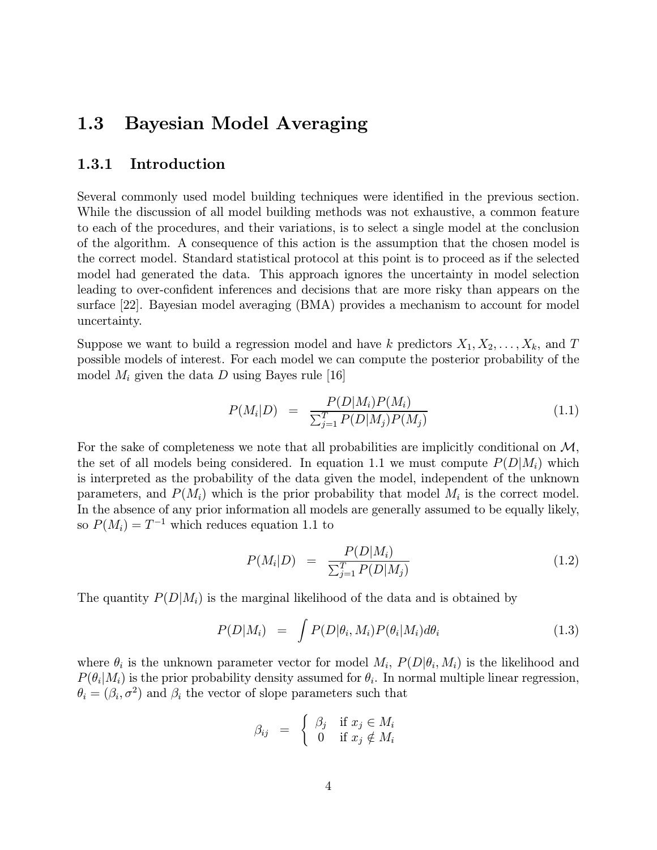## 1.3 Bayesian Model Averaging

#### 1.3.1 Introduction

Several commonly used model building techniques were identified in the previous section. While the discussion of all model building methods was not exhaustive, a common feature to each of the procedures, and their variations, is to select a single model at the conclusion of the algorithm. A consequence of this action is the assumption that the chosen model is the correct model. Standard statistical protocol at this point is to proceed as if the selected model had generated the data. This approach ignores the uncertainty in model selection leading to over-confident inferences and decisions that are more risky than appears on the surface [22]. Bayesian model averaging (BMA) provides a mechanism to account for model uncertainty.

Suppose we want to build a regression model and have k predictors  $X_1, X_2, \ldots, X_k$ , and T possible models of interest. For each model we can compute the posterior probability of the model  $M_i$  given the data D using Bayes rule [16]

$$
P(M_i|D) = \frac{P(D|M_i)P(M_i)}{\sum_{j=1}^{T} P(D|M_j)P(M_j)}
$$
(1.1)

For the sake of completeness we note that all probabilities are implicitly conditional on  $\mathcal{M}$ , the set of all models being considered. In equation 1.1 we must compute  $P(D|M_i)$  which is interpreted as the probability of the data given the model, independent of the unknown parameters, and  $P(M_i)$  which is the prior probability that model  $M_i$  is the correct model. In the absence of any prior information all models are generally assumed to be equally likely, so  $P(M_i) = T^{-1}$  which reduces equation 1.1 to

$$
P(M_i|D) = \frac{P(D|M_i)}{\sum_{j=1}^{T} P(D|M_j)}
$$
(1.2)

The quantity  $P(D|M_i)$  is the marginal likelihood of the data and is obtained by

$$
P(D|M_i) = \int P(D|\theta_i, M_i) P(\theta_i|M_i) d\theta_i \qquad (1.3)
$$

where  $\theta_i$  is the unknown parameter vector for model  $M_i$ ,  $P(D|\theta_i, M_i)$  is the likelihood and  $P(\theta_i|M_i)$  is the prior probability density assumed for  $\theta_i$ . In normal multiple linear regression,  $\theta_i = (\beta_i, \sigma^2)$  and  $\beta_i$  the vector of slope parameters such that

$$
\beta_{ij} = \begin{cases} \beta_j & \text{if } x_j \in M_i \\ 0 & \text{if } x_j \notin M_i \end{cases}
$$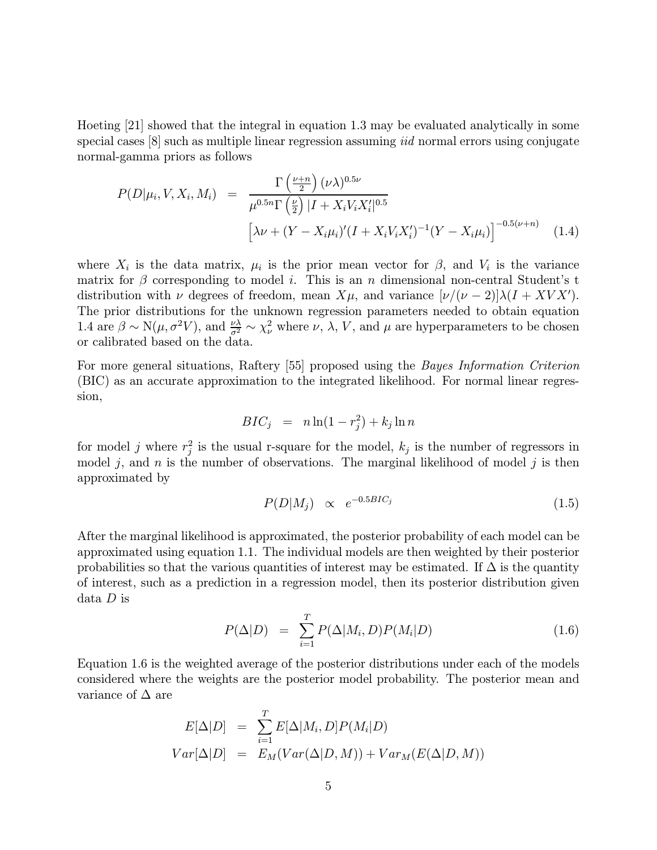Hoeting [21] showed that the integral in equation 1.3 may be evaluated analytically in some special cases [8] such as multiple linear regression assuming *iid* normal errors using conjugate normal-gamma priors as follows

$$
P(D|\mu_i, V, X_i, M_i) = \frac{\Gamma(\frac{\nu+n}{2}) (\nu \lambda)^{0.5\nu}}{\mu^{0.5n} \Gamma(\frac{\nu}{2}) |I + X_i V_i X_i'|^{0.5}} \left[ \lambda \nu + (Y - X_i \mu_i)' (I + X_i V_i X_i')^{-1} (Y - X_i \mu_i) \right]^{-0.5(\nu+n)} \quad (1.4)
$$

where  $X_i$  is the data matrix,  $\mu_i$  is the prior mean vector for  $\beta$ , and  $V_i$  is the variance matrix for  $\beta$  corresponding to model *i*. This is an *n* dimensional non-central Student's t distribution with  $\nu$  degrees of freedom, mean  $X\mu$ , and variance  $[\nu/(\nu-2)]\lambda(I+XVX')$ . The prior distributions for the unknown regression parameters needed to obtain equation 1.4 are  $\beta \sim N(\mu, \sigma^2 V)$ , and  $\frac{\nu \lambda}{\sigma^2} \sim \chi^2_{\nu}$  where  $\nu$ ,  $\lambda$ ,  $V$ , and  $\mu$  are hyperparameters to be chosen or calibrated based on the data.

For more general situations, Raftery [55] proposed using the *Bayes Information Criterion* (BIC) as an accurate approximation to the integrated likelihood. For normal linear regression,

$$
BIC_j = n \ln(1 - r_j^2) + k_j \ln n
$$

for model j where  $r_j^2$  is the usual r-square for the model,  $k_j$  is the number of regressors in model j, and n is the number of observations. The marginal likelihood of model j is then approximated by

$$
P(D|M_j) \propto e^{-0.5BIC_j} \tag{1.5}
$$

After the marginal likelihood is approximated, the posterior probability of each model can be approximated using equation 1.1. The individual models are then weighted by their posterior probabilities so that the various quantities of interest may be estimated. If  $\Delta$  is the quantity of interest, such as a prediction in a regression model, then its posterior distribution given data D is

$$
P(\Delta|D) = \sum_{i=1}^{T} P(\Delta|M_i, D) P(M_i|D)
$$
\n(1.6)

Equation 1.6 is the weighted average of the posterior distributions under each of the models considered where the weights are the posterior model probability. The posterior mean and variance of  $\Delta$  are

$$
E[\Delta|D] = \sum_{i=1}^{T} E[\Delta|M_i, D] P(M_i|D)
$$
  
 
$$
Var[\Delta|D] = E_M(Var(\Delta|D, M)) + Var_M(E(\Delta|D, M))
$$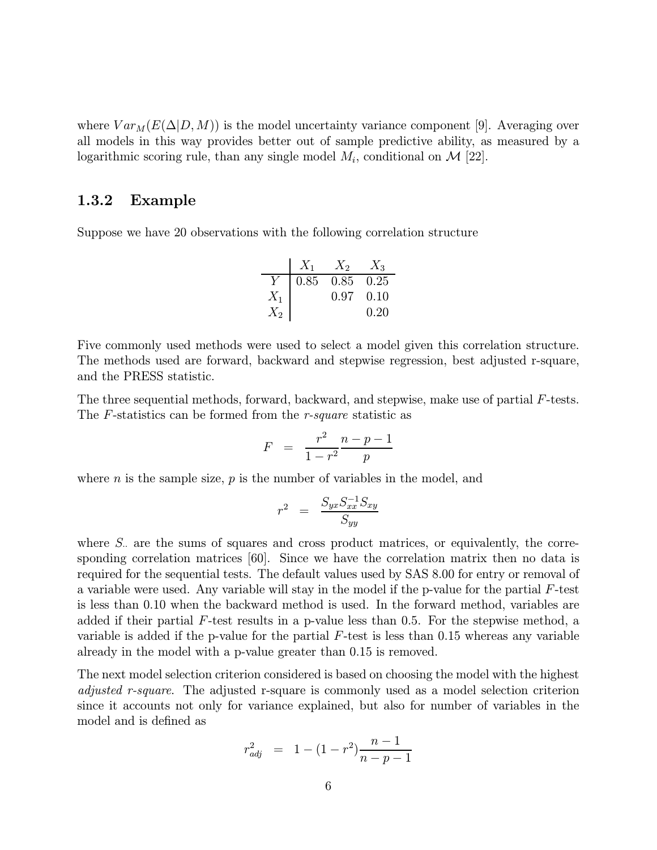where  $Var_M(E(\Delta|D,M))$  is the model uncertainty variance component [9]. Averaging over all models in this way provides better out of sample predictive ability, as measured by a logarithmic scoring rule, than any single model  $M_i$ , conditional on  $\mathcal{M}$  [22].

#### 1.3.2 Example

Suppose we have 20 observations with the following correlation structure

$$
\begin{array}{c|cc}\n & X_1 & X_2 & X_3 \\
\hline\nY & 0.85 & 0.85 & 0.25 \\
X_1 & 0.97 & 0.10 \\
X_2 & 0.20 & \\
\end{array}
$$

Five commonly used methods were used to select a model given this correlation structure. The methods used are forward, backward and stepwise regression, best adjusted r-square, and the PRESS statistic.

The three sequential methods, forward, backward, and stepwise, make use of partial F-tests. The F-statistics can be formed from the r-square statistic as

$$
F = \frac{r^2}{1 - r^2} \frac{n - p - 1}{p}
$$

where  $n$  is the sample size,  $p$  is the number of variables in the model, and

$$
r^2 = \frac{S_{yx}S_{xx}^{-1}S_{xy}}{S_{yy}}
$$

where  $S<sub>·</sub>$  are the sums of squares and cross product matrices, or equivalently, the corresponding correlation matrices [60]. Since we have the correlation matrix then no data is required for the sequential tests. The default values used by SAS 8.00 for entry or removal of a variable were used. Any variable will stay in the model if the p-value for the partial  $F$ -test is less than 0.10 when the backward method is used. In the forward method, variables are added if their partial  $F$ -test results in a p-value less than 0.5. For the stepwise method, a variable is added if the p-value for the partial  $F$ -test is less than 0.15 whereas any variable already in the model with a p-value greater than 0.15 is removed.

The next model selection criterion considered is based on choosing the model with the highest diffusted r-square. The adjusted r-square is commonly used as a model selection criterion since it accounts not only for variance explained, but also for number of variables in the model and is defined as

$$
r_{adj}^2 = 1 - (1 - r^2) \frac{n - 1}{n - p - 1}
$$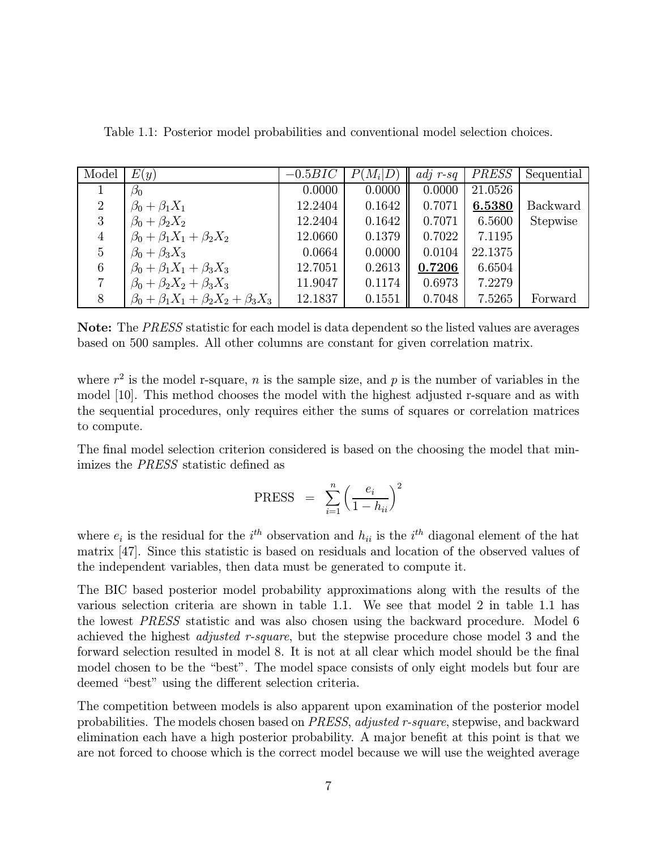| Model          | E(y)                                                | $-0.5BIC$ | $P(M_i D)$ | $adj \; r-sq$ | <i>PRESS</i> | Sequential      |
|----------------|-----------------------------------------------------|-----------|------------|---------------|--------------|-----------------|
|                | $\beta_0$                                           | 0.0000    | 0.0000     | 0.0000        | 21.0526      |                 |
| $\overline{2}$ | $\beta_0 + \beta_1 X_1$                             | 12.2404   | 0.1642     | 0.7071        | 6.5380       | <b>Backward</b> |
| 3              | $\beta_0 + \beta_2 X_2$                             | 12.2404   | 0.1642     | 0.7071        | 6.5600       | Stepwise        |
| $\overline{4}$ | $\beta_0 + \beta_1 X_1 + \beta_2 X_2$               | 12.0660   | 0.1379     | 0.7022        | 7.1195       |                 |
| 5              | $\beta_0 + \beta_3 X_3$                             | 0.0664    | 0.0000     | 0.0104        | 22.1375      |                 |
| 6              | $\beta_0 + \beta_1 X_1 + \beta_3 X_3$               | 12.7051   | 0.2613     | 0.7206        | 6.6504       |                 |
|                | $\beta_0 + \beta_2 X_2 + \beta_3 X_3$               | 11.9047   | 0.1174     | 0.6973        | 7.2279       |                 |
| 8              | $\beta_0 + \beta_1 X_1 + \beta_2 X_2 + \beta_3 X_3$ | 12.1837   | 0.1551     | 0.7048        | 7.5265       | Forward         |

Table 1.1: Posterior model probabilities and conventional model selection choices.

Note: The PRESS statistic for each model is data dependent so the listed values are averages based on 500 samples. All other columns are constant for given correlation matrix.

where  $r^2$  is the model r-square, n is the sample size, and p is the number of variables in the model [10]. This method chooses the model with the highest adjusted r-square and as with the sequential procedures, only requires either the sums of squares or correlation matrices to compute.

The final model selection criterion considered is based on the choosing the model that minimizes the PRESS statistic defined as

$$
\text{PRESS} = \sum_{i=1}^{n} \left( \frac{e_i}{1 - h_{ii}} \right)^2
$$

where  $e_i$  is the residual for the  $i^{th}$  observation and  $h_{ii}$  is the  $i^{th}$  diagonal element of the hat matrix [47]. Since this statistic is based on residuals and location of the observed values of the independent variables, then data must be generated to compute it.

The BIC based posterior model probability approximations along with the results of the various selection criteria are shown in table 1.1. We see that model 2 in table 1.1 has the lowest PRESS statistic and was also chosen using the backward procedure. Model 6 achieved the highest adjusted r-square, but the stepwise procedure chose model 3 and the forward selection resulted in model 8. It is not at all clear which model should be the final model chosen to be the "best". The model space consists of only eight models but four are deemed "best" using the different selection criteria.

The competition between models is also apparent upon examination of the posterior model probabilities. The models chosen based on PRESS, adjusted r-square, stepwise, and backward elimination each have a high posterior probability. A major benefit at this point is that we are not forced to choose which is the correct model because we will use the weighted average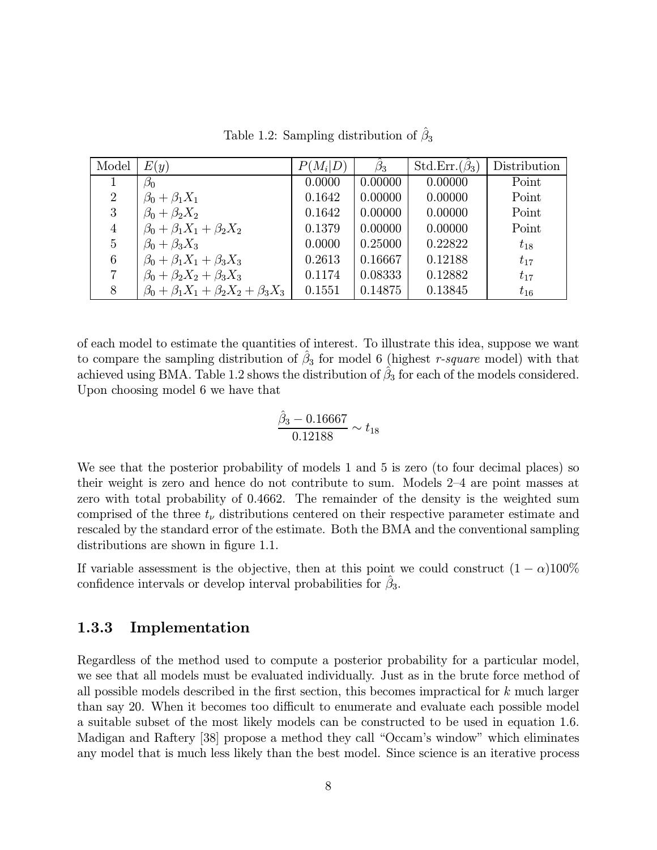| Model          | E(y)                                                | $P(M_i D)$ | $\hat{\beta}_3$ | Std.Err. $(\hat{\beta}_3)$ | Distribution |
|----------------|-----------------------------------------------------|------------|-----------------|----------------------------|--------------|
|                | $\beta_0$                                           | 0.0000     | 0.00000         | 0.00000                    | Point        |
| $\overline{2}$ | $\beta_0 + \beta_1 X_1$                             | 0.1642     | 0.00000         | 0.00000                    | Point        |
| 3              | $\beta_0 + \beta_2 X_2$                             | 0.1642     | 0.00000         | 0.00000                    | Point        |
| 4              | $\beta_0 + \beta_1 X_1 + \beta_2 X_2$               | 0.1379     | 0.00000         | 0.00000                    | Point        |
| 5              | $\beta_0 + \beta_3 X_3$                             | 0.0000     | 0.25000         | 0.22822                    | $t_{18}$     |
| 6              | $\beta_0 + \beta_1 X_1 + \beta_3 X_3$               | 0.2613     | 0.16667         | 0.12188                    | $t_{17}$     |
|                | $\beta_0 + \beta_2 X_2 + \beta_3 X_3$               | 0.1174     | 0.08333         | 0.12882                    | $t_{17}$     |
| 8              | $\beta_0 + \beta_1 X_1 + \beta_2 X_2 + \beta_3 X_3$ | 0.1551     | 0.14875         | 0.13845                    | $t_{16}$     |

Table 1.2: Sampling distribution of  $\hat{\beta}_3$ 

of each model to estimate the quantities of interest. To illustrate this idea, suppose we want to compare the sampling distribution of  $\beta_3$  for model 6 (highest r-square model) with that achieved using BMA. Table 1.2 shows the distribution of  $\beta_3$  for each of the models considered. Upon choosing model 6 we have that

$$
\frac{\hat{\beta}_3 - 0.16667}{0.12188} \sim t_{18}
$$

We see that the posterior probability of models 1 and 5 is zero (to four decimal places) so their weight is zero and hence do not contribute to sum. Models 2—4 are point masses at zero with total probability of 0.4662. The remainder of the density is the weighted sum comprised of the three  $t_{\nu}$  distributions centered on their respective parameter estimate and rescaled by the standard error of the estimate. Both the BMA and the conventional sampling distributions are shown in figure 1.1.

If variable assessment is the objective, then at this point we could construct  $(1 - \alpha)100\%$ confidence intervals or develop interval probabilities for  $\beta_3$ .

#### 1.3.3 Implementation

Regardless of the method used to compute a posterior probability for a particular model, we see that all models must be evaluated individually. Just as in the brute force method of all possible models described in the first section, this becomes impractical for  $k$  much larger than say 20. When it becomes too difficult to enumerate and evaluate each possible model a suitable subset of the most likely models can be constructed to be used in equation 1.6. Madigan and Raftery [38] propose a method they call "Occam's window" which eliminates any model that is much less likely than the best model. Since science is an iterative process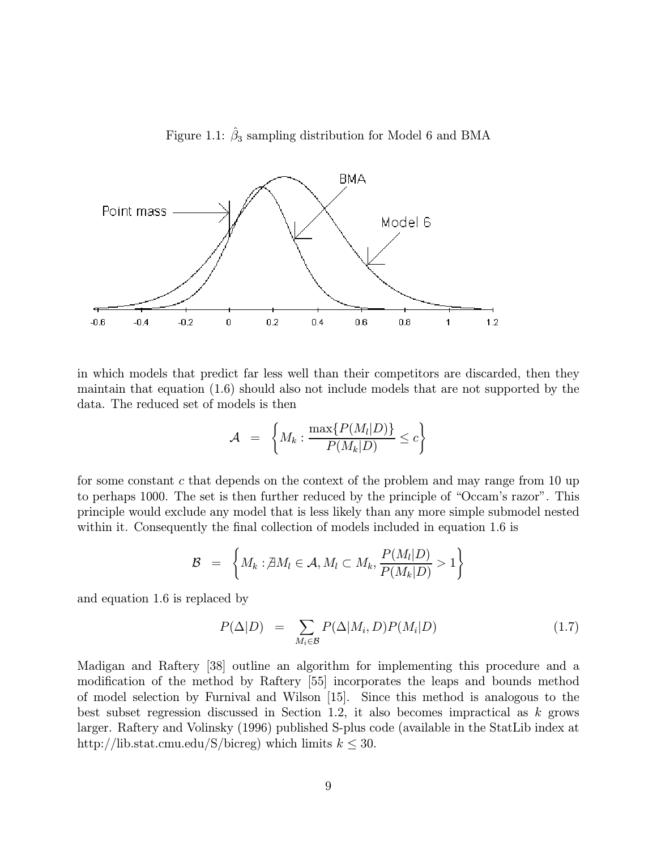



in which models that predict far less well than their competitors are discarded, then they maintain that equation (1.6) should also not include models that are not supported by the data. The reduced set of models is then

$$
\mathcal{A} = \left\{ M_k : \frac{\max\{P(M_l|D)\}}{P(M_k|D)} \leq c \right\}
$$

for some constant c that depends on the context of the problem and may range from 10 up to perhaps 1000. The set is then further reduced by the principle of "Occam's razor". This principle would exclude any model that is less likely than any more simple submodel nested within it. Consequently the final collection of models included in equation 1.6 is

$$
\mathcal{B} = \left\{ M_k : \nexists M_l \in \mathcal{A}, M_l \subset M_k, \frac{P(M_l|D)}{P(M_k|D)} > 1 \right\}
$$

and equation 1.6 is replaced by

$$
P(\Delta|D) = \sum_{M_i \in \mathcal{B}} P(\Delta|M_i, D) P(M_i|D) \tag{1.7}
$$

Madigan and Raftery [38] outline an algorithm for implementing this procedure and a modification of the method by Raftery [55] incorporates the leaps and bounds method of model selection by Furnival and Wilson [15]. Since this method is analogous to the best subset regression discussed in Section 1.2, it also becomes impractical as  $k$  grows larger. Raftery and Volinsky (1996) published S-plus code (available in the StatLib index at http://lib.stat.cmu.edu/S/bicreg) which limits  $k \leq 30$ .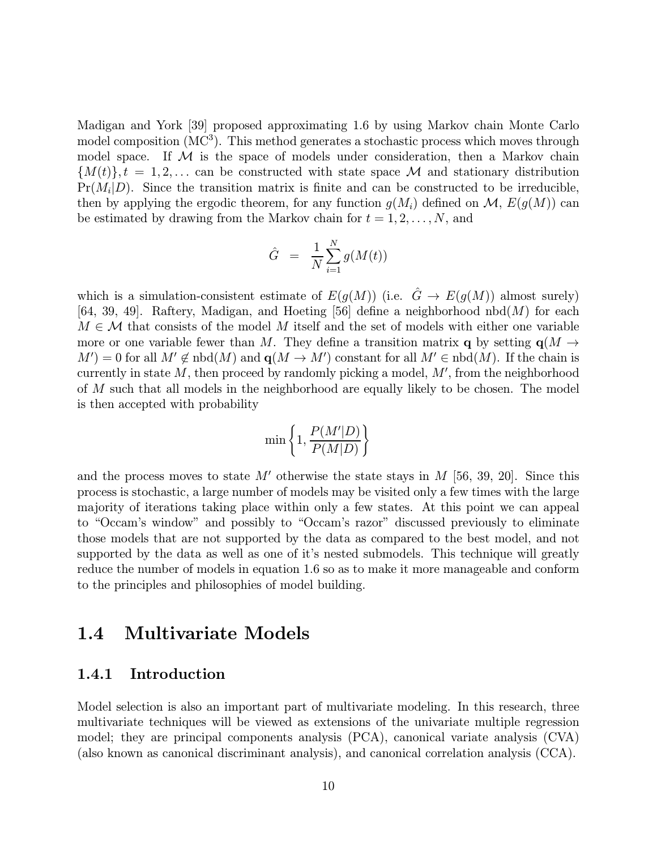Madigan and York [39] proposed approximating 1.6 by using Markov chain Monte Carlo model composition  $(MC<sup>3</sup>)$ . This method generates a stochastic process which moves through model space. If  $M$  is the space of models under consideration, then a Markov chain  ${M(t)}$ ,  $t = 1, 2, \ldots$  can be constructed with state space M and stationary distribution  $Pr(M_i|D)$ . Since the transition matrix is finite and can be constructed to be irreducible, then by applying the ergodic theorem, for any function  $g(M_i)$  defined on  $\mathcal{M}, E(g(M))$  can be estimated by drawing from the Markov chain for  $t = 1, 2, \ldots, N$ , and

$$
\hat{G} \;\; = \;\; \frac{1}{N} \sum_{i=1}^N g(M(t))
$$

which is a simulation-consistent estimate of  $E(g(M))$  (i.e.  $\hat{G} \to E(g(M))$  almost surely) [64, 39, 49]. Raftery, Madigan, and Hoeting [56] define a neighborhood nbd $(M)$  for each  $M \in \mathcal{M}$  that consists of the model M itself and the set of models with either one variable more or one variable fewer than M. They define a transition matrix q by setting  $q(M \rightarrow$  $M'$ ) = 0 for all  $M' \notin \text{nbd}(M)$  and  $q(M \to M')$  constant for all  $M' \in \text{nbd}(M)$ . If the chain is currently in state  $M$ , then proceed by randomly picking a model,  $M'$ , from the neighborhood of M such that all models in the neighborhood are equally likely to be chosen. The model is then accepted with probability

$$
\min\left\{1,\frac{P(M'|D)}{P(M|D)}\right\}
$$

and the process moves to state M' otherwise the state stays in M [56, 39, 20]. Since this process is stochastic, a large number of models may be visited only a few times with the large majority of iterations taking place within only a few states. At this point we can appeal to "Occam's window" and possibly to "Occam's razor" discussed previously to eliminate those models that are not supported by the data as compared to the best model, and not supported by the data as well as one of it's nested submodels. This technique will greatly reduce the number of models in equation 1.6 so as to make it more manageable and conform to the principles and philosophies of model building.

### 1.4 Multivariate Models

#### 1.4.1 Introduction

Model selection is also an important part of multivariate modeling. In this research, three multivariate techniques will be viewed as extensions of the univariate multiple regression model; they are principal components analysis (PCA), canonical variate analysis (CVA) (also known as canonical discriminant analysis), and canonical correlation analysis (CCA).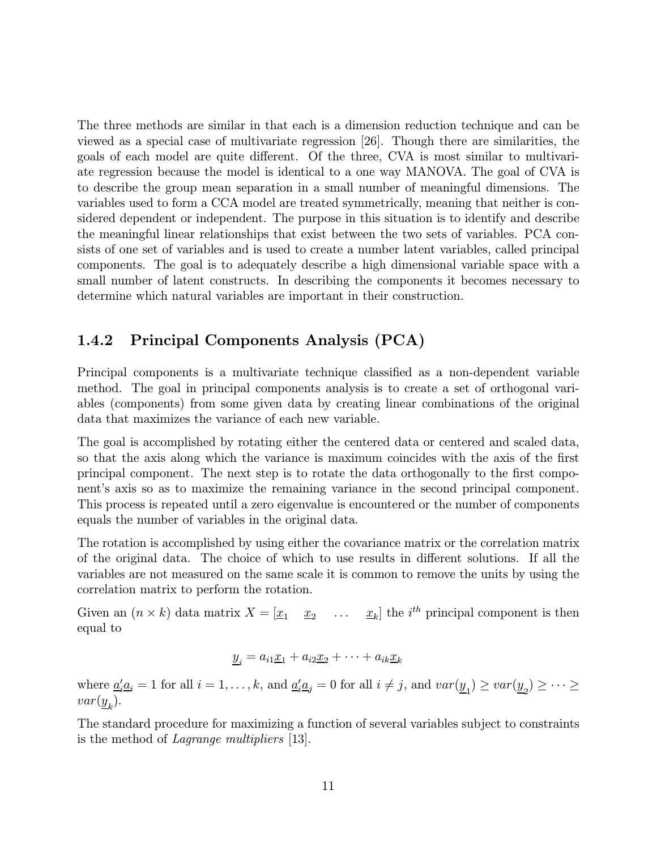The three methods are similar in that each is a dimension reduction technique and can be viewed as a special case of multivariate regression [26]. Though there are similarities, the goals of each model are quite different. Of the three, CVA is most similar to multivariate regression because the model is identical to a one way MANOVA. The goal of CVA is to describe the group mean separation in a small number of meaningful dimensions. The variables used to form a CCA model are treated symmetrically, meaning that neither is considered dependent or independent. The purpose in this situation is to identify and describe the meaningful linear relationships that exist between the two sets of variables. PCA consists of one set of variables and is used to create a number latent variables, called principal components. The goal is to adequately describe a high dimensional variable space with a small number of latent constructs. In describing the components it becomes necessary to determine which natural variables are important in their construction.

### 1.4.2 Principal Components Analysis (PCA)

Principal components is a multivariate technique classified as a non-dependent variable method. The goal in principal components analysis is to create a set of orthogonal variables (components) from some given data by creating linear combinations of the original data that maximizes the variance of each new variable.

The goal is accomplished by rotating either the centered data or centered and scaled data, so that the axis along which the variance is maximum coincides with the axis of the first principal component. The next step is to rotate the data orthogonally to the first component's axis so as to maximize the remaining variance in the second principal component. This process is repeated until a zero eigenvalue is encountered or the number of components equals the number of variables in the original data.

The rotation is accomplished by using either the covariance matrix or the correlation matrix of the original data. The choice of which to use results in different solutions. If all the variables are not measured on the same scale it is common to remove the units by using the correlation matrix to perform the rotation.

Given an  $(n \times k)$  data matrix  $X = \begin{bmatrix} x_1 & x_2 & \dots & x_k \end{bmatrix}$  the  $i^{th}$  principal component is then equal to

$$
\underline{y}_i = a_{i1}\underline{x}_1 + a_{i2}\underline{x}_2 + \cdots + a_{ik}\underline{x}_k
$$

where  $\underline{a}'_i \underline{a}_i = 1$  for all  $i = 1, ..., k$ , and  $\underline{a}'_i \underline{a}_j = 0$  for all  $i \neq j$ , and  $var(\underline{y}_1) \geq var(\underline{y}_2) \geq \cdots \geq$  $var(y_{k}).$ 

The standard procedure for maximizing a function of several variables subject to constraints is the method of Lagrange multipliers [13].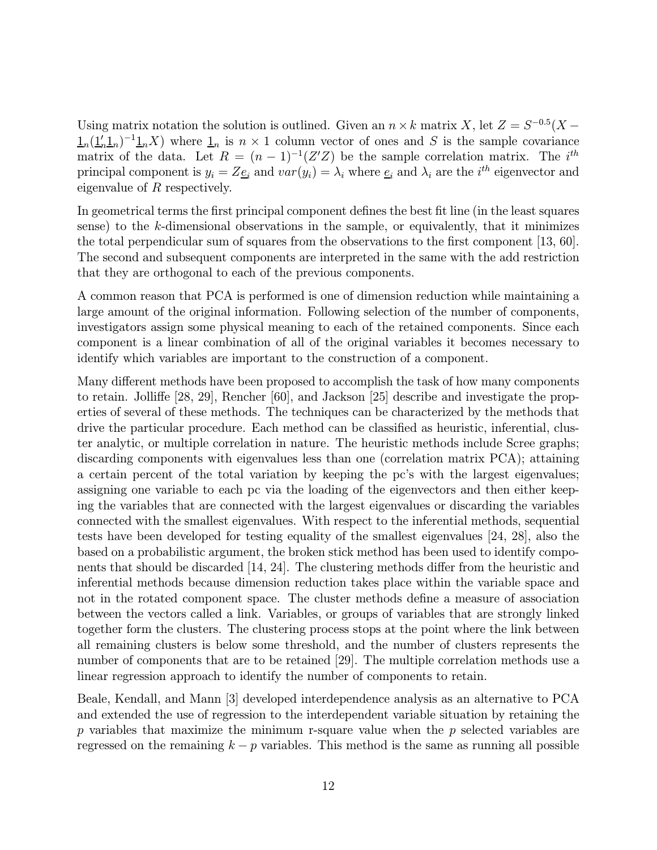Using matrix notation the solution is outlined. Given an  $n \times k$  matrix X, let  $Z = S^{-0.5}(X \frac{1}{n}(\frac{1}{n}\mathbf{1}_n)^{-1}\mathbf{1}_nX$  where  $\frac{1}{n}$  is  $n \times 1$  column vector of ones and S is the sample covariance matrix of the data. Let  $R = (n-1)^{-1}(Z'Z)$  be the sample correlation matrix. The i<sup>th</sup> principal component is  $y_i = Z_{\underline{e}_i}$  and  $var(y_i) = \lambda_i$  where  $\underline{e}_i$  and  $\lambda_i$  are the  $i^{th}$  eigenvector and eigenvalue of R respectively.

In geometrical terms the first principal component defines the best fit line (in the least squares sense) to the  $k$ -dimensional observations in the sample, or equivalently, that it minimizes the total perpendicular sum of squares from the observations to the first component [13, 60]. The second and subsequent components are interpreted in the same with the add restriction that they are orthogonal to each of the previous components.

A common reason that PCA is performed is one of dimension reduction while maintaining a large amount of the original information. Following selection of the number of components, investigators assign some physical meaning to each of the retained components. Since each component is a linear combination of all of the original variables it becomes necessary to identify which variables are important to the construction of a component.

Many different methods have been proposed to accomplish the task of how many components to retain. Jolliffe [28, 29], Rencher [60], and Jackson [25] describe and investigate the properties of several of these methods. The techniques can be characterized by the methods that drive the particular procedure. Each method can be classified as heuristic, inferential, cluster analytic, or multiple correlation in nature. The heuristic methods include Scree graphs; discarding components with eigenvalues less than one (correlation matrix PCA); attaining a certain percent of the total variation by keeping the pc's with the largest eigenvalues; assigning one variable to each pc via the loading of the eigenvectors and then either keeping the variables that are connected with the largest eigenvalues or discarding the variables connected with the smallest eigenvalues. With respect to the inferential methods, sequential tests have been developed for testing equality of the smallest eigenvalues [24, 28], also the based on a probabilistic argument, the broken stick method has been used to identify components that should be discarded [14, 24]. The clustering methods differ from the heuristic and inferential methods because dimension reduction takes place within the variable space and not in the rotated component space. The cluster methods define a measure of association between the vectors called a link. Variables, or groups of variables that are strongly linked together form the clusters. The clustering process stops at the point where the link between all remaining clusters is below some threshold, and the number of clusters represents the number of components that are to be retained [29]. The multiple correlation methods use a linear regression approach to identify the number of components to retain.

Beale, Kendall, and Mann [3] developed interdependence analysis as an alternative to PCA and extended the use of regression to the interdependent variable situation by retaining the p variables that maximize the minimum r-square value when the  $p$  selected variables are regressed on the remaining  $k - p$  variables. This method is the same as running all possible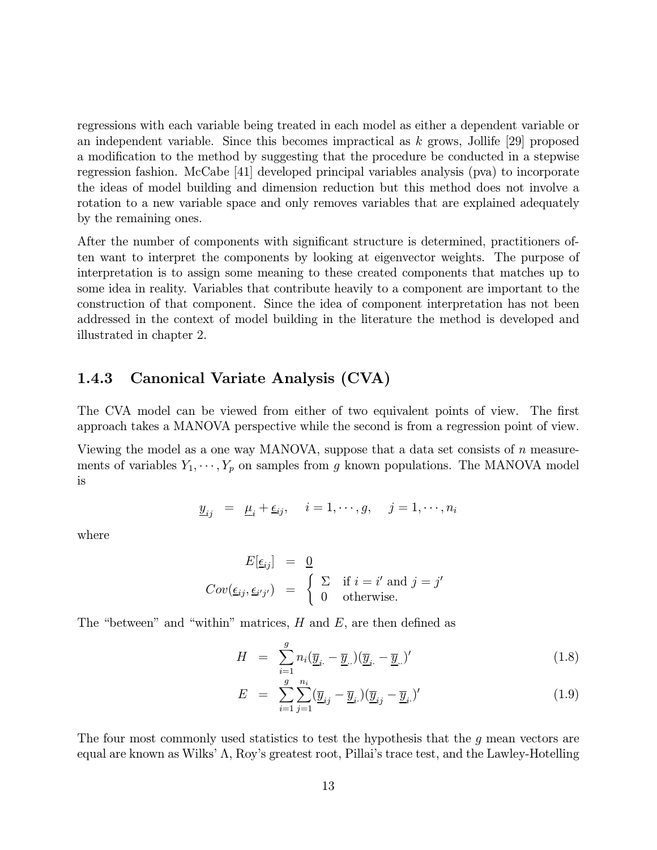regressions with each variable being treated in each model as either a dependent variable or an independent variable. Since this becomes impractical as  $k$  grows, Jollife [29] proposed a modification to the method by suggesting that the procedure be conducted in a stepwise regression fashion. McCabe [41] developed principal variables analysis (pva) to incorporate the ideas of model building and dimension reduction but this method does not involve a rotation to a new variable space and only removes variables that are explained adequately by the remaining ones.

After the number of components with significant structure is determined, practitioners often want to interpret the components by looking at eigenvector weights. The purpose of interpretation is to assign some meaning to these created components that matches up to some idea in reality. Variables that contribute heavily to a component are important to the construction of that component. Since the idea of component interpretation has not been addressed in the context of model building in the literature the method is developed and illustrated in chapter 2.

#### 1.4.3 Canonical Variate Analysis (CVA)

The CVA model can be viewed from either of two equivalent points of view. The first approach takes a MANOVA perspective while the second is from a regression point of view.

Viewing the model as a one way MANOVA, suppose that a data set consists of  $n$  measurements of variables  $Y_1, \dots, Y_p$  on samples from g known populations. The MANOVA model is

$$
\underline{y}_{ij} = \underline{\mu}_i + \underline{\epsilon}_{ij}, \quad i = 1, \cdots, g, \quad j = 1, \cdots, n_i
$$

where

$$
E[\underline{\epsilon}_{ij}] = \underline{0}
$$
  
\n
$$
Cov(\underline{\epsilon}_{ij}, \underline{\epsilon}_{i'j'}) = \begin{cases} \sum_{i} \text{ if } i = i' \text{ and } j = j' \\ 0 \text{ otherwise.} \end{cases}
$$

The "between" and "within" matrices,  $H$  and  $E$ , are then defined as

$$
H = \sum_{i=1}^{g} n_i (\overline{\underline{y}}_i - \overline{\underline{y}}_i) (\overline{\underline{y}}_i - \overline{\underline{y}}_i)'
$$
 (1.8)

$$
E = \sum_{i=1}^{g} \sum_{j=1}^{n_i} (\overline{\underline{y}}_{ij} - \overline{\underline{y}}_{i.}) (\overline{\underline{y}}_{ij} - \overline{\underline{y}}_{i.})' \qquad (1.9)
$$

The four most commonly used statistics to test the hypothesis that the  $g$  mean vectors are equal are known as Wilks' Λ, Roy's greatest root, Pillai's trace test, and the Lawley-Hotelling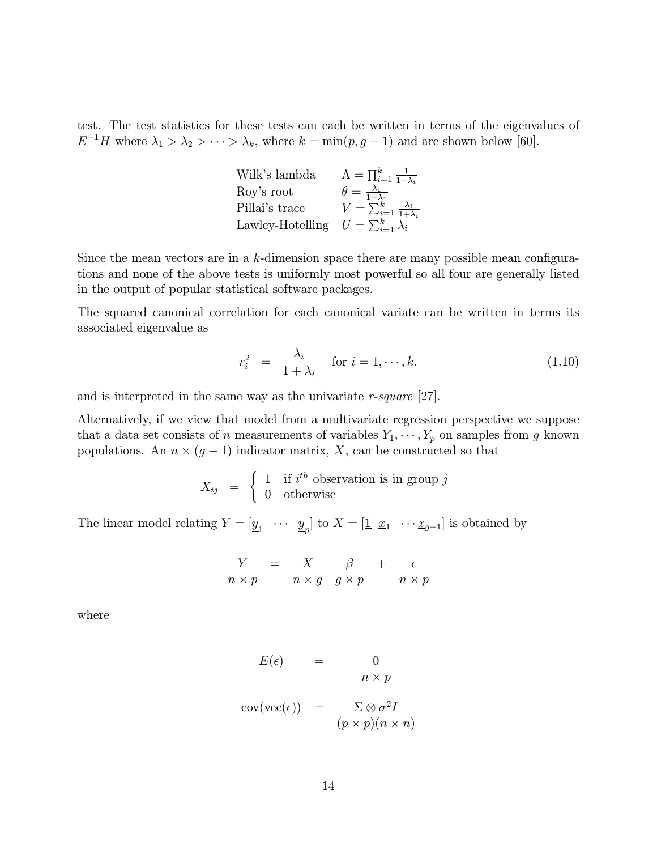test. The test statistics for these tests can each be written in terms of the eigenvalues of  $E^{-1}H$  where  $\lambda_1 > \lambda_2 > \cdots > \lambda_k$ , where  $k = \min(p, g - 1)$  and are shown below [60].

| Wilk's lambda    | $\Lambda = \prod_{i=1}^k \frac{1}{1+\lambda_i}$      |
|------------------|------------------------------------------------------|
| Roy's root       | $\theta = \frac{\lambda_1}{1+\lambda_1}$             |
| Pillai's trace   | $V = \sum_{i=1}^{N_t} \frac{\lambda_i}{1+\lambda_i}$ |
| Lawley-Hotelling | $U=\sum_{i=1}^k\lambda_i$                            |

Since the mean vectors are in a k-dimension space there are many possible mean configurations and none of the above tests is uniformly most powerful so all four are generally listed in the output of popular statistical software packages.

The squared canonical correlation for each canonical variate can be written in terms its associated eigenvalue as

$$
r_i^2 = \frac{\lambda_i}{1 + \lambda_i} \quad \text{for } i = 1, \cdots, k. \tag{1.10}
$$

and is interpreted in the same way as the univariate r-square [27].

Alternatively, if we view that model from a multivariate regression perspective we suppose that a data set consists of n measurements of variables  $Y_1, \dots, Y_p$  on samples from g known populations. An  $n \times (g-1)$  indicator matrix, X, can be constructed so that

$$
X_{ij} = \begin{cases} 1 & \text{if } i^{th} \text{ observation is in group } j \\ 0 & \text{otherwise} \end{cases}
$$

The linear model relating  $Y = [\underline{y}_1 \cdots \underline{y}_p]$  to  $X = [\underline{1} \ \underline{x}_1 \ \cdots \underline{x}_{g-1}]$  is obtained by

$$
\begin{array}{rcl}\nY & = & X & \beta & + & \epsilon \\
n \times p & & n \times g & g \times p & & n \times p\n\end{array}
$$

where

$$
E(\epsilon) = 0
$$
  
\n
$$
n \times p
$$
  
\n
$$
cov(vec(\epsilon)) = \sum \otimes \sigma^2 I
$$
  
\n
$$
(p \times p)(n \times n)
$$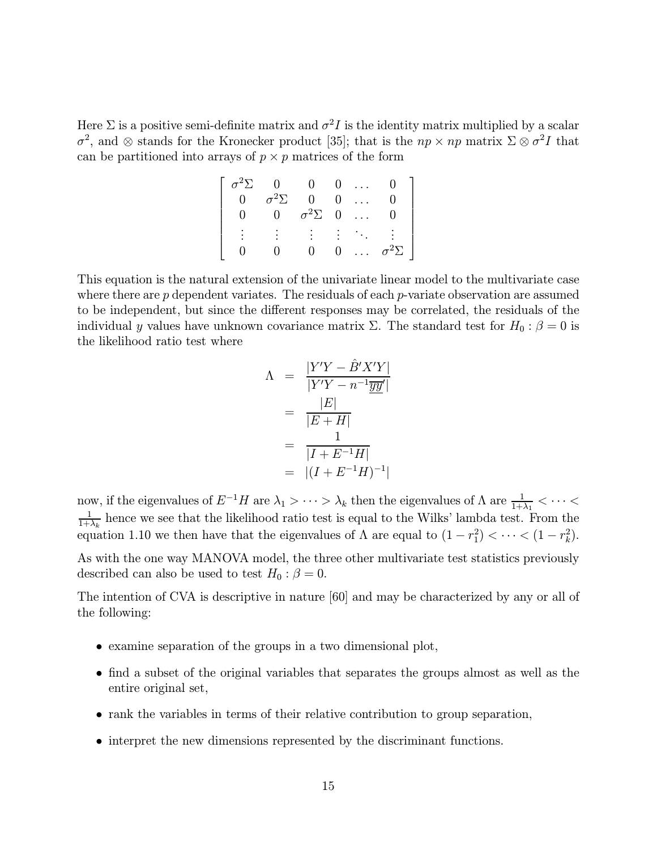Here  $\Sigma$  is a positive semi-definite matrix and  $\sigma^2 I$  is the identity matrix multiplied by a scalar  $\sigma^2$ , and ⊗ stands for the Kronecker product [35]; that is the  $np \times np$  matrix  $\Sigma \otimes \sigma^2 I$  that can be partitioned into arrays of  $p \times p$  matrices of the form

| $\sigma^2\Sigma$ | $\Omega$         | $\overline{0}$   |                | $0 \ldots$                                                 |                  |
|------------------|------------------|------------------|----------------|------------------------------------------------------------|------------------|
| $\overline{0}$   | $\sigma^2\Sigma$ | 0                | $\overline{0}$ | $\sim 10^7$                                                |                  |
|                  | $\Omega$         | $\sigma^2\Sigma$ | $\overline{0}$ | $\cdots$                                                   |                  |
|                  |                  |                  |                | $\mathcal{L} = \{ \mathcal{L}_1, \ldots, \mathcal{L}_n \}$ |                  |
|                  |                  |                  | 0              |                                                            | $\sigma^2\Sigma$ |

This equation is the natural extension of the univariate linear model to the multivariate case where there are  $p$  dependent variates. The residuals of each  $p$ -variate observation are assumed to be independent, but since the different responses may be correlated, the residuals of the individual y values have unknown covariance matrix  $\Sigma$ . The standard test for  $H_0$ :  $\beta = 0$  is the likelihood ratio test where

$$
\Lambda = \frac{|Y'Y - \hat{B}'X'Y|}{|Y'Y - n^{-1}\overline{yy}'|} \n= \frac{|E|}{|E + H|} \n= \frac{1}{|I + E^{-1}H|} \n= |(I + E^{-1}H)^{-1}|
$$

now, if the eigenvalues of  $E^{-1}H$  are  $\lambda_1 > \cdots > \lambda_k$  then the eigenvalues of  $\Lambda$  are  $\frac{1}{1+\lambda_1} < \cdots < \frac{1}{1+\lambda_k}$  hence we see that the likelihood ratio test is equal to the Wilks' lambda test. From the equation 1.10 we then have that the eigenvalues of  $\Lambda$  are equal to  $(1 - r_1^2) < \cdots < (1 - r_k^2)$ .

As with the one way MANOVA model, the three other multivariate test statistics previously described can also be used to test  $H_0$  :  $\beta = 0$ .

The intention of CVA is descriptive in nature [60] and may be characterized by any or all of the following:

- examine separation of the groups in a two dimensional plot,
- find a subset of the original variables that separates the groups almost as well as the entire original set,
- rank the variables in terms of their relative contribution to group separation,
- interpret the new dimensions represented by the discriminant functions.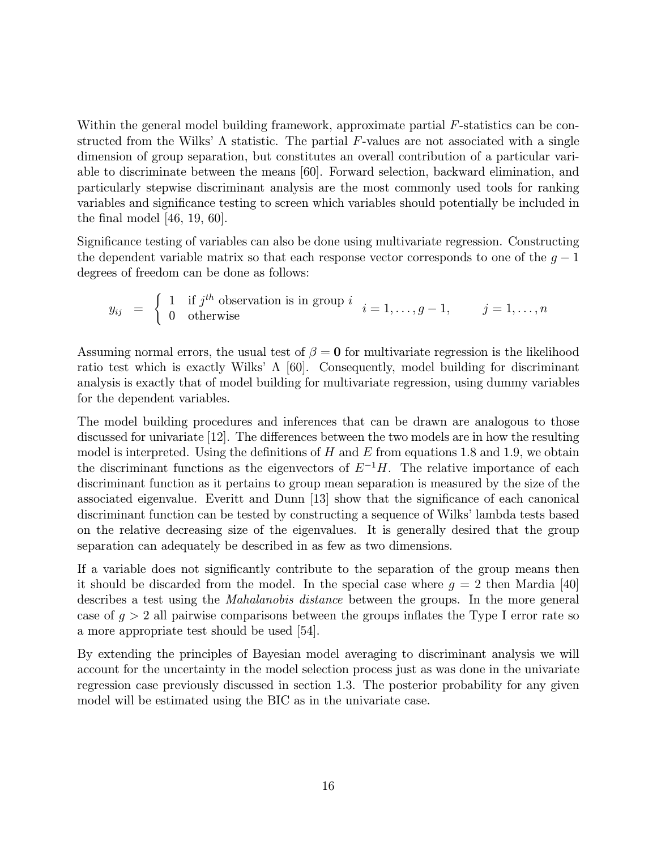Within the general model building framework, approximate partial  $F$ -statistics can be constructed from the Wilks'  $\Lambda$  statistic. The partial F-values are not associated with a single dimension of group separation, but constitutes an overall contribution of a particular variable to discriminate between the means [60]. Forward selection, backward elimination, and particularly stepwise discriminant analysis are the most commonly used tools for ranking variables and significance testing to screen which variables should potentially be included in the final model [46, 19, 60].

Significance testing of variables can also be done using multivariate regression. Constructing the dependent variable matrix so that each response vector corresponds to one of the  $q - 1$ degrees of freedom can be done as follows:

$$
y_{ij} = \begin{cases} 1 & \text{if } j^{th} \text{ observation is in group } i \\ 0 & \text{otherwise} \end{cases} i = 1, \ldots, g-1, \qquad j = 1, \ldots, n
$$

Assuming normal errors, the usual test of  $\beta = 0$  for multivariate regression is the likelihood ratio test which is exactly Wilks'  $\Lambda$  [60]. Consequently, model building for discriminant analysis is exactly that of model building for multivariate regression, using dummy variables for the dependent variables.

The model building procedures and inferences that can be drawn are analogous to those discussed for univariate [12]. The differences between the two models are in how the resulting model is interpreted. Using the definitions of  $H$  and  $E$  from equations 1.8 and 1.9, we obtain the discriminant functions as the eigenvectors of  $E^{-1}H$ . The relative importance of each discriminant function as it pertains to group mean separation is measured by the size of the associated eigenvalue. Everitt and Dunn [13] show that the significance of each canonical discriminant function can be tested by constructing a sequence of Wilks' lambda tests based on the relative decreasing size of the eigenvalues. It is generally desired that the group separation can adequately be described in as few as two dimensions.

If a variable does not significantly contribute to the separation of the group means then it should be discarded from the model. In the special case where  $g = 2$  then Mardia [40] describes a test using the *Mahalanobis distance* between the groups. In the more general case of  $g > 2$  all pairwise comparisons between the groups inflates the Type I error rate so a more appropriate test should be used [54].

By extending the principles of Bayesian model averaging to discriminant analysis we will account for the uncertainty in the model selection process just as was done in the univariate regression case previously discussed in section 1.3. The posterior probability for any given model will be estimated using the BIC as in the univariate case.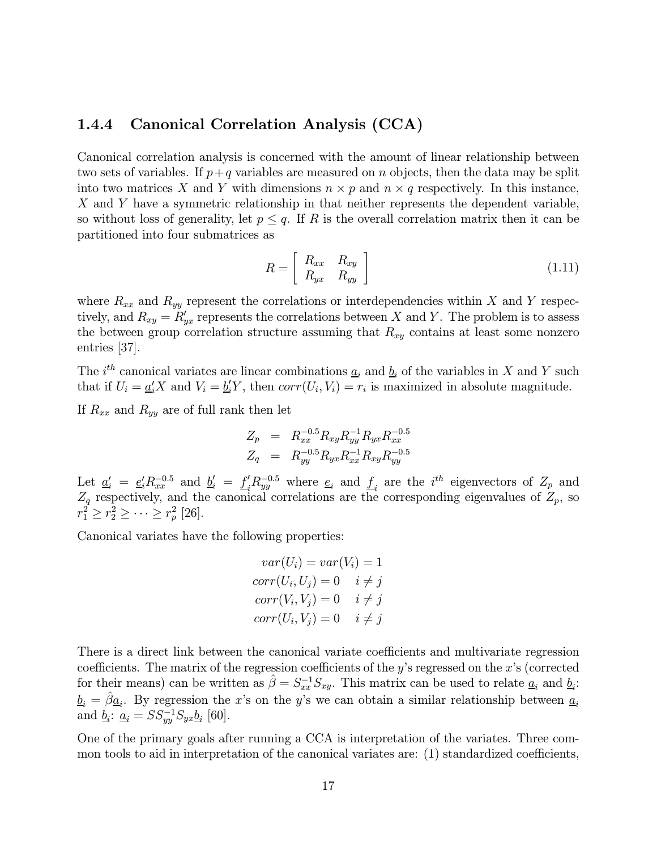#### 1.4.4 Canonical Correlation Analysis (CCA)

Canonical correlation analysis is concerned with the amount of linear relationship between two sets of variables. If  $p+q$  variables are measured on n objects, then the data may be split into two matrices X and Y with dimensions  $n \times p$  and  $n \times q$  respectively. In this instance, X and Y have a symmetric relationship in that neither represents the dependent variable, so without loss of generality, let  $p \leq q$ . If R is the overall correlation matrix then it can be partitioned into four submatrices as

$$
R = \left[ \begin{array}{cc} R_{xx} & R_{xy} \\ R_{yx} & R_{yy} \end{array} \right] \tag{1.11}
$$

where  $R_{xx}$  and  $R_{yy}$  represent the correlations or interdependencies within X and Y respectively, and  $R_{xy} = R'_{yx}$  represents the correlations between X and Y. The problem is to assess the between group correlation structure assuming that  $R_{xy}$  contains at least some nonzero entries [37].

The  $i^{th}$  canonical variates are linear combinations  $\underline{a}_i$  and  $\underline{b}_i$  of the variables in X and Y such that if  $U_i = \underline{a'_i} X$  and  $V_i = \underline{b'_i} Y$ , then  $corr(U_i, V_i) = r_i$  is maximized in absolute magnitude.

If  $\mathcal{R}_{xx}$  and  $\mathcal{R}_{yy}$  are of full rank then let

$$
Z_p = R_{xx}^{-0.5} R_{xy} R_{yy}^{-1} R_{yx} R_{xx}^{-0.5}
$$
  

$$
Z_q = R_{yy}^{-0.5} R_{yx} R_{xx}^{-1} R_{xy} R_{yy}^{-0.5}
$$

Let  $\underline{a}'_i = \underline{e}'_i R_{xx}^{-0.5}$  and  $\underline{b}'_i = \underline{f}'_i R_{yy}^{-0.5}$  where  $\underline{e}_i$  and  $\underline{f}_i$  are the  $i^{th}$  eigenvectors of  $Z_p$  and  $Z_q$  respectively, and the canonical correlations are the corresponding eigenvalues of  $Z_p$ , so  $r_1^2 \ge r_2^2 \ge \cdots \ge r_p^2$  [26].

Canonical variates have the following properties:

$$
var(U_i) = var(V_i) = 1
$$
  

$$
corr(U_i, U_j) = 0 \quad i \neq j
$$
  

$$
corr(V_i, V_j) = 0 \quad i \neq j
$$
  

$$
corr(U_i, V_j) = 0 \quad i \neq j
$$

There is a direct link between the canonical variate coefficients and multivariate regression coefficients. The matrix of the regression coefficients of the y's regressed on the  $x$ 's (corrected for their means) can be written as  $\hat{\beta} = S_{xx}^{-1} S_{xy}$ . This matrix can be used to relate  $\underline{a}_i$  and  $\underline{b}_i$ :  $\underline{b}_i = \hat{\beta} \underline{a}_i$ . By regression the x's on the y's we can obtain a similar relationship between  $\underline{a}_i$ and  $\underline{b}_i$ :  $\underline{a}_i = SS_{yy}^{-1}S_{yx}\underline{b}_i$  [60].

One of the primary goals after running a CCA is interpretation of the variates. Three common tools to aid in interpretation of the canonical variates are: (1) standardized coefficients,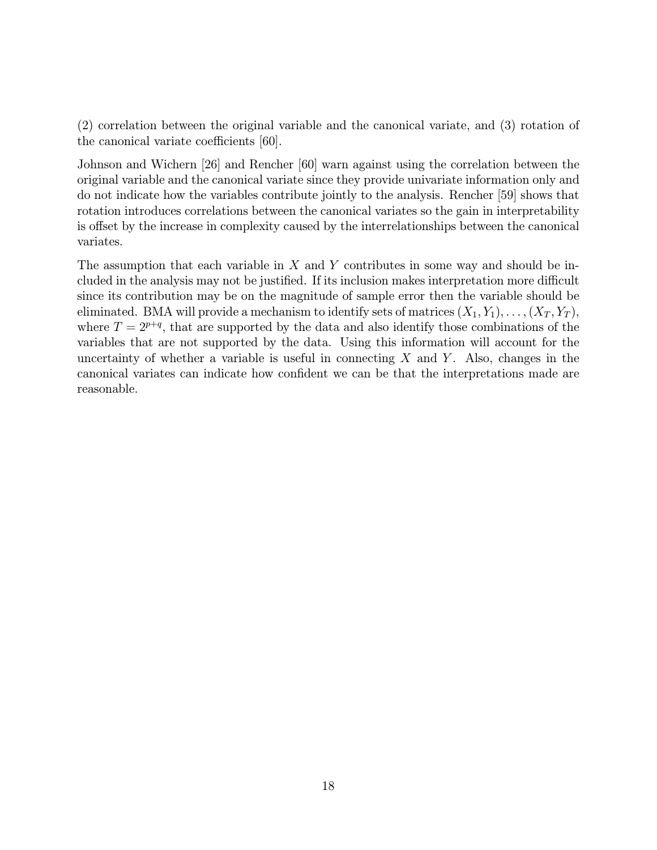(2) correlation between the original variable and the canonical variate, and (3) rotation of the canonical variate coefficients [60].

Johnson and Wichern [26] and Rencher [60] warn against using the correlation between the original variable and the canonical variate since they provide univariate information only and do not indicate how the variables contribute jointly to the analysis. Rencher [59] shows that rotation introduces correlations between the canonical variates so the gain in interpretability is offset by the increase in complexity caused by the interrelationships between the canonical variates.

The assumption that each variable in  $X$  and  $Y$  contributes in some way and should be included in the analysis may not be justified. If its inclusion makes interpretation more difficult since its contribution may be on the magnitude of sample error then the variable should be eliminated. BMA will provide a mechanism to identify sets of matrices  $(X_1, Y_1), \ldots, (X_T, Y_T)$ , where  $T = 2^{p+q}$ , that are supported by the data and also identify those combinations of the variables that are not supported by the data. Using this information will account for the uncertainty of whether a variable is useful in connecting  $X$  and  $Y$ . Also, changes in the canonical variates can indicate how confident we can be that the interpretations made are reasonable.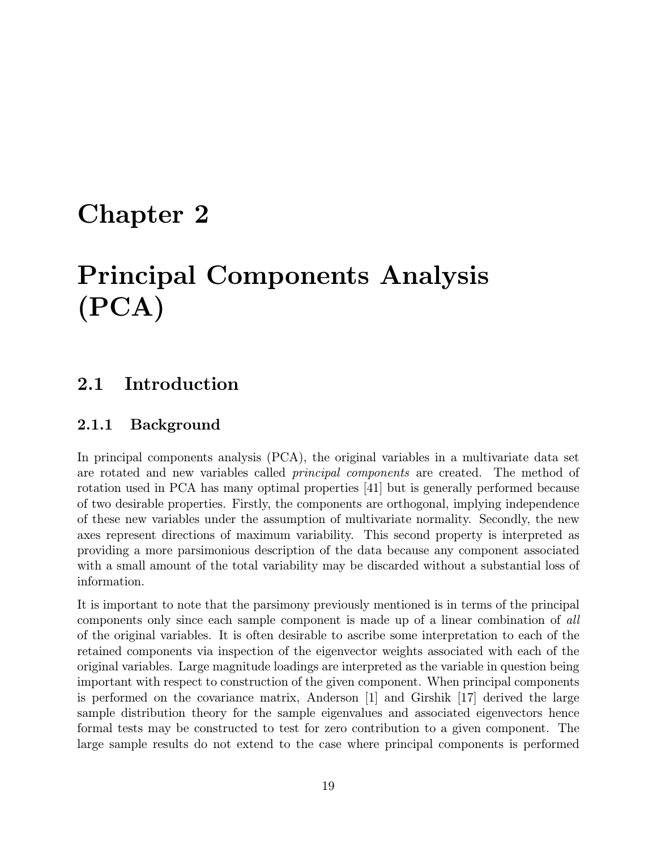## Chapter 2

# Principal Components Analysis (PCA)

## 2.1 Introduction

### 2.1.1 Background

In principal components analysis (PCA), the original variables in a multivariate data set are rotated and new variables called principal components are created. The method of rotation used in PCA has many optimal properties [41] but is generally performed because of two desirable properties. Firstly, the components are orthogonal, implying independence of these new variables under the assumption of multivariate normality. Secondly, the new axes represent directions of maximum variability. This second property is interpreted as providing a more parsimonious description of the data because any component associated with a small amount of the total variability may be discarded without a substantial loss of information.

It is important to note that the parsimony previously mentioned is in terms of the principal components only since each sample component is made up of a linear combination of all of the original variables. It is often desirable to ascribe some interpretation to each of the retained components via inspection of the eigenvector weights associated with each of the original variables. Large magnitude loadings are interpreted as the variable in question being important with respect to construction of the given component. When principal components is performed on the covariance matrix, Anderson [1] and Girshik [17] derived the large sample distribution theory for the sample eigenvalues and associated eigenvectors hence formal tests may be constructed to test for zero contribution to a given component. The large sample results do not extend to the case where principal components is performed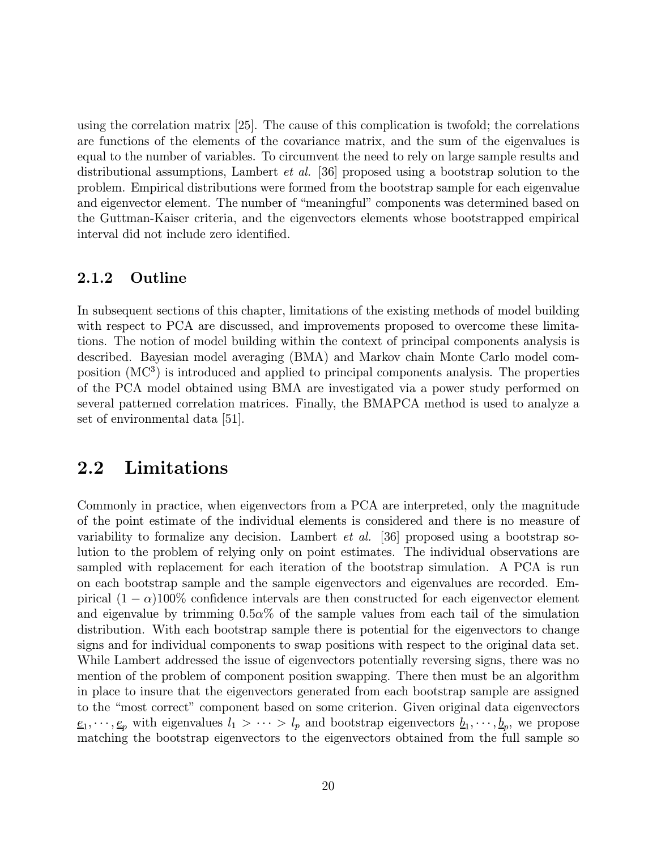using the correlation matrix [25]. The cause of this complication is twofold; the correlations are functions of the elements of the covariance matrix, and the sum of the eigenvalues is equal to the number of variables. To circumvent the need to rely on large sample results and distributional assumptions, Lambert et al. [36] proposed using a bootstrap solution to the problem. Empirical distributions were formed from the bootstrap sample for each eigenvalue and eigenvector element. The number of "meaningful" components was determined based on the Guttman-Kaiser criteria, and the eigenvectors elements whose bootstrapped empirical interval did not include zero identified.

#### 2.1.2 Outline

In subsequent sections of this chapter, limitations of the existing methods of model building with respect to PCA are discussed, and improvements proposed to overcome these limitations. The notion of model building within the context of principal components analysis is described. Bayesian model averaging (BMA) and Markov chain Monte Carlo model composition  $(MC<sup>3</sup>)$  is introduced and applied to principal components analysis. The properties of the PCA model obtained using BMA are investigated via a power study performed on several patterned correlation matrices. Finally, the BMAPCA method is used to analyze a set of environmental data [51].

### 2.2 Limitations

Commonly in practice, when eigenvectors from a PCA are interpreted, only the magnitude of the point estimate of the individual elements is considered and there is no measure of variability to formalize any decision. Lambert et al. [36] proposed using a bootstrap solution to the problem of relying only on point estimates. The individual observations are sampled with replacement for each iteration of the bootstrap simulation. A PCA is run on each bootstrap sample and the sample eigenvectors and eigenvalues are recorded. Empirical  $(1 - \alpha)100\%$  confidence intervals are then constructed for each eigenvector element and eigenvalue by trimming  $0.5\alpha\%$  of the sample values from each tail of the simulation distribution. With each bootstrap sample there is potential for the eigenvectors to change signs and for individual components to swap positions with respect to the original data set. While Lambert addressed the issue of eigenvectors potentially reversing signs, there was no mention of the problem of component position swapping. There then must be an algorithm in place to insure that the eigenvectors generated from each bootstrap sample are assigned to the "most correct" component based on some criterion. Given original data eigenvectors  $e_1, \dots, e_p$  with eigenvalues  $l_1 > \dots > l_p$  and bootstrap eigenvectors  $\underline{b}_1, \dots, \underline{b}_p$ , we propose matching the bootstrap eigenvectors to the eigenvectors obtained from the full sample so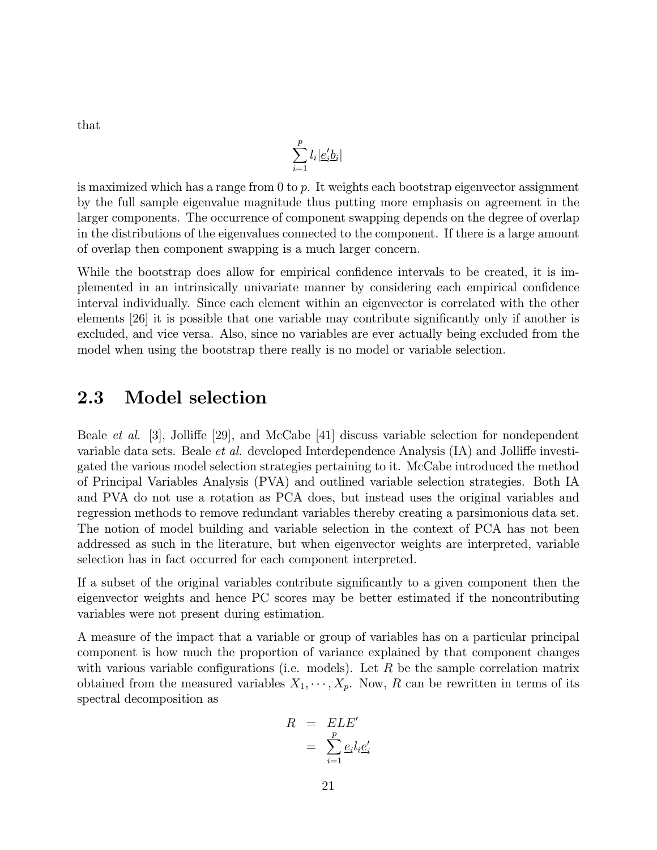that

$$
\sum_{i=1}^p l_i \big| \underline{e}_i' \underline{b}_i \big|
$$

is maximized which has a range from  $0$  to p. It weights each bootstrap eigenvector assignment by the full sample eigenvalue magnitude thus putting more emphasis on agreement in the larger components. The occurrence of component swapping depends on the degree of overlap in the distributions of the eigenvalues connected to the component. If there is a large amount of overlap then component swapping is a much larger concern.

While the bootstrap does allow for empirical confidence intervals to be created, it is implemented in an intrinsically univariate manner by considering each empirical confidence interval individually. Since each element within an eigenvector is correlated with the other elements [26] it is possible that one variable may contribute significantly only if another is excluded, and vice versa. Also, since no variables are ever actually being excluded from the model when using the bootstrap there really is no model or variable selection.

## 2.3 Model selection

Beale et al. [3], Jolliffe [29], and McCabe [41] discuss variable selection for nondependent variable data sets. Beale et al. developed Interdependence Analysis (IA) and Jolliffe investigated the various model selection strategies pertaining to it. McCabe introduced the method of Principal Variables Analysis (PVA) and outlined variable selection strategies. Both IA and PVA do not use a rotation as PCA does, but instead uses the original variables and regression methods to remove redundant variables thereby creating a parsimonious data set. The notion of model building and variable selection in the context of PCA has not been addressed as such in the literature, but when eigenvector weights are interpreted, variable selection has in fact occurred for each component interpreted.

If a subset of the original variables contribute significantly to a given component then the eigenvector weights and hence PC scores may be better estimated if the noncontributing variables were not present during estimation.

A measure of the impact that a variable or group of variables has on a particular principal component is how much the proportion of variance explained by that component changes with various variable configurations (i.e. models). Let  $R$  be the sample correlation matrix obtained from the measured variables  $X_1, \dots, X_p$ . Now, R can be rewritten in terms of its spectral decomposition as

$$
R = ELE'
$$
  
= 
$$
\sum_{i=1}^{p} \underline{e}_i l_i \underline{e}'_i
$$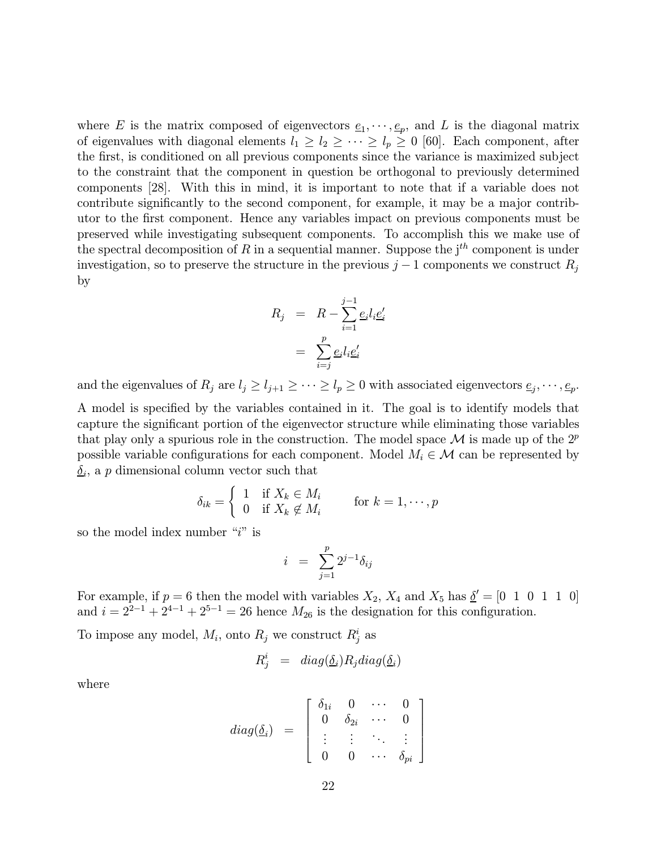where E is the matrix composed of eigenvectors  $\underline{e}_1, \dots, \underline{e}_p$ , and L is the diagonal matrix of eigenvalues with diagonal elements  $l_1 \geq l_2 \geq \cdots \geq l_p \geq 0$  [60]. Each component, after the first, is conditioned on all previous components since the variance is maximized subject to the constraint that the component in question be orthogonal to previously determined components [28]. With this in mind, it is important to note that if a variable does not contribute significantly to the second component, for example, it may be a major contributor to the first component. Hence any variables impact on previous components must be preserved while investigating subsequent components. To accomplish this we make use of the spectral decomposition of R in a sequential manner. Suppose the  $j<sup>th</sup>$  component is under investigation, so to preserve the structure in the previous  $j-1$  components we construct  $R_j$ by

$$
R_j = R - \sum_{i=1}^{j-1} \underline{e}_i l_i \underline{e}'_i
$$

$$
= \sum_{i=j}^{p} \underline{e}_i l_i \underline{e}'_i
$$

and the eigenvalues of  $R_j$  are  $l_j \ge l_{j+1} \ge \cdots \ge l_p \ge 0$  with associated eigenvectors  $\underline{e}_j, \cdots, \underline{e}_p$ . A model is specified by the variables contained in it. The goal is to identify models that capture the significant portion of the eigenvector structure while eliminating those variables that play only a spurious role in the construction. The model space  $\mathcal M$  is made up of the  $2^p$ possible variable configurations for each component. Model  $M_i \in \mathcal{M}$  can be represented by  $\delta_i$ , a p dimensional column vector such that

$$
\delta_{ik} = \begin{cases} 1 & \text{if } X_k \in M_i \\ 0 & \text{if } X_k \notin M_i \end{cases} \quad \text{for } k = 1, \cdots, p
$$

so the model index number " $i$ " is

$$
i = \sum_{j=1}^{p} 2^{j-1} \delta_{ij}
$$

For example, if  $p = 6$  then the model with variables  $X_2$ ,  $X_4$  and  $X_5$  has  $\underline{\delta}' = [0 \ 1 \ 0 \ 1 \ 1 \ 0]$ and  $i = 2^{2-1} + 2^{4-1} + 2^{5-1} = 26$  hence  $M_{26}$  is the designation for this configuration.

To impose any model,  $M_i$ , onto  $R_j$  we construct  $R_j^i$  as

$$
R_j^i = diag(\underline{\delta}_i) R_j diag(\underline{\delta}_i)
$$

where

$$
diag(\underline{\delta}_i) = \left[\begin{array}{cccc} \delta_{1i} & 0 & \cdots & 0 \\ 0 & \delta_{2i} & \cdots & 0 \\ \vdots & \vdots & \ddots & \vdots \\ 0 & 0 & \cdots & \delta_{pi} \end{array}\right]
$$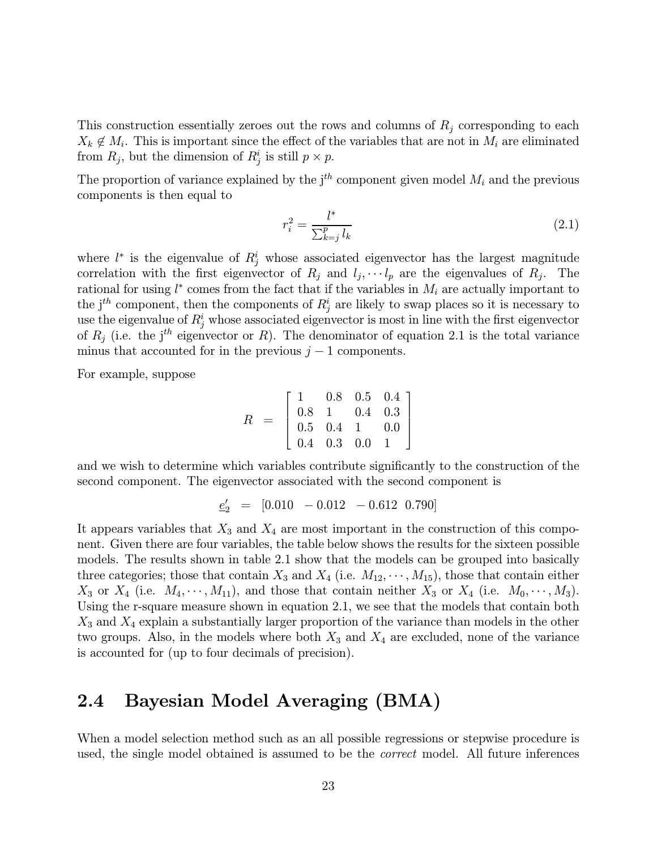This construction essentially zeroes out the rows and columns of  $R_j$  corresponding to each  $X_k \notin M_i$ . This is important since the effect of the variables that are not in  $M_i$  are eliminated from  $R_j$ , but the dimension of  $R_j^i$  is still  $p \times p$ .

The proportion of variance explained by the  $j<sup>th</sup>$  component given model  $M_i$  and the previous components is then equal to

$$
r_i^2 = \frac{l^*}{\sum_{k=j}^p l_k} \tag{2.1}
$$

where  $l^*$  is the eigenvalue of  $R_j^i$  whose associated eigenvector has the largest magnitude correlation with the first eigenvector of  $R_j$  and  $l_j, \dots, l_p$  are the eigenvalues of  $R_j$ . The rational for using  $l^*$  comes from the fact that if the variables in  $M_i$  are actually important to the  $j^{th}$  component, then the components of  $R_j^i$  are likely to swap places so it is necessary to use the eigenvalue of  $R^i_j$  whose associated eigenvector is most in line with the first eigenvector of  $R_j$  (i.e. the j<sup>th</sup> eigenvector or R). The denominator of equation 2.1 is the total variance minus that accounted for in the previous  $j - 1$  components.

For example, suppose

$$
R = \left[\begin{array}{cccc} 1 & 0.8 & 0.5 & 0.4 \\ 0.8 & 1 & 0.4 & 0.3 \\ 0.5 & 0.4 & 1 & 0.0 \\ 0.4 & 0.3 & 0.0 & 1 \end{array}\right]
$$

and we wish to determine which variables contribute significantly to the construction of the second component. The eigenvector associated with the second component is

$$
\underline{e}_2' = [0.010 - 0.012 - 0.612 \ 0.790]
$$

It appears variables that  $X_3$  and  $X_4$  are most important in the construction of this component. Given there are four variables, the table below shows the results for the sixteen possible models. The results shown in table 2.1 show that the models can be grouped into basically three categories; those that contain  $X_3$  and  $X_4$  (i.e.  $M_{12}, \dots, M_{15}$ ), those that contain either  $X_3$  or  $X_4$  (i.e.  $M_4, \dots, M_{11}$ ), and those that contain neither  $X_3$  or  $X_4$  (i.e.  $M_0, \dots, M_3$ ). Using the r-square measure shown in equation 2.1, we see that the models that contain both  $X_3$  and  $X_4$  explain a substantially larger proportion of the variance than models in the other two groups. Also, in the models where both  $X_3$  and  $X_4$  are excluded, none of the variance is accounted for (up to four decimals of precision).

## 2.4 Bayesian Model Averaging (BMA)

When a model selection method such as an all possible regressions or stepwise procedure is used, the single model obtained is assumed to be the *correct* model. All future inferences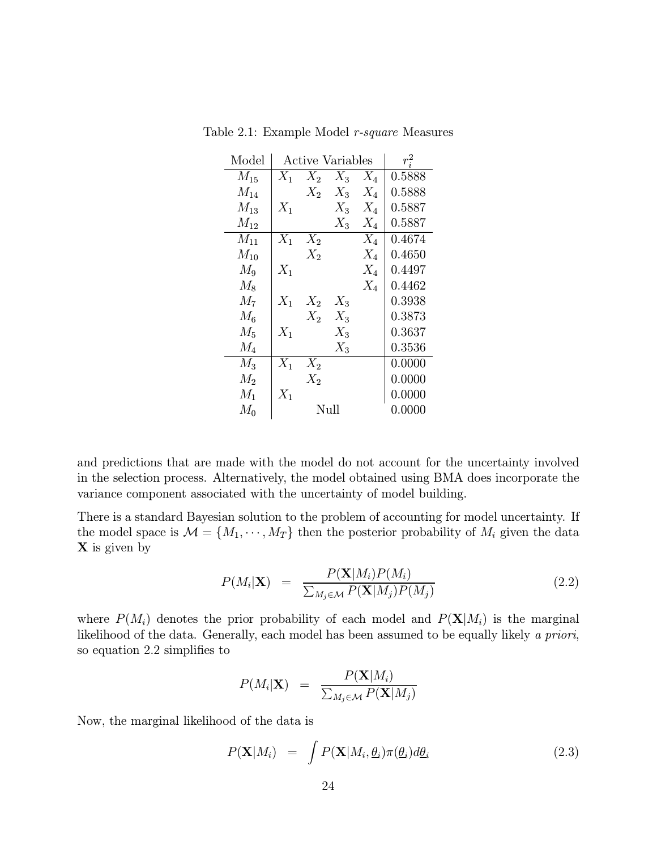| Model    | Active Variables | $r_i^2$ |        |       |        |
|----------|------------------|---------|--------|-------|--------|
| $M_{15}$ | $X_1$            | $X_2$   | $X_3$  | $X_4$ | 0.5888 |
| $M_{14}$ |                  | $X_2$   | $X_3$  | $X_4$ | 0.5888 |
| $M_{13}$ | $X_1$            |         | $X_3$  | $X_4$ | 0.5887 |
| $M_{12}$ |                  |         | $X_3$  | $X_4$ | 0.5887 |
| $M_{11}$ | $X_1$            | $X_2$   |        | $X_4$ | 0.4674 |
| $M_{10}$ |                  | $X_2$   |        | $X_4$ | 0.4650 |
| $M_9$    | $X_1$            |         |        | $X_4$ | 0.4497 |
| $M_8$    |                  |         |        | $X_4$ | 0.4462 |
| $M_7$    | $X_1$            | $X_2$   | $X_3$  |       | 0.3938 |
| $M_{6}$  |                  | $X_2$   | $X_3$  |       | 0.3873 |
| $M_5$    | $X_1$            |         | $X_3$  |       | 0.3637 |
| $M_4$    |                  |         | $X_3$  |       | 0.3536 |
| $M_3$    | $X_1$            | $X_2$   |        |       | 0.0000 |
| $M_2$    |                  | $X_2$   |        |       | 0.0000 |
| $M_1$    | $X_1$            |         |        |       | 0.0000 |
| $M_0$    |                  | Null    | 0.0000 |       |        |

Table 2.1: Example Model r-square Measures

and predictions that are made with the model do not account for the uncertainty involved in the selection process. Alternatively, the model obtained using BMA does incorporate the variance component associated with the uncertainty of model building.

There is a standard Bayesian solution to the problem of accounting for model uncertainty. If the model space is  $\mathcal{M} = \{M_1, \cdots, M_T\}$  then the posterior probability of  $M_i$  given the data X is given by

$$
P(M_i|\mathbf{X}) = \frac{P(\mathbf{X}|M_i)P(M_i)}{\sum_{M_j \in \mathcal{M}} P(\mathbf{X}|M_j)P(M_j)}
$$
(2.2)

where  $P(M_i)$  denotes the prior probability of each model and  $P(X|M_i)$  is the marginal likelihood of the data. Generally, each model has been assumed to be equally likely a priori, so equation 2.2 simplifies to

$$
P(M_i|\mathbf{X}) = \frac{P(\mathbf{X}|M_i)}{\sum_{M_j \in \mathcal{M}} P(\mathbf{X}|M_j)}
$$

Now, the marginal likelihood of the data is

$$
P(\mathbf{X}|M_i) = \int P(\mathbf{X}|M_i, \underline{\theta}_i) \pi(\underline{\theta}_i) d\underline{\theta}_i
$$
\n(2.3)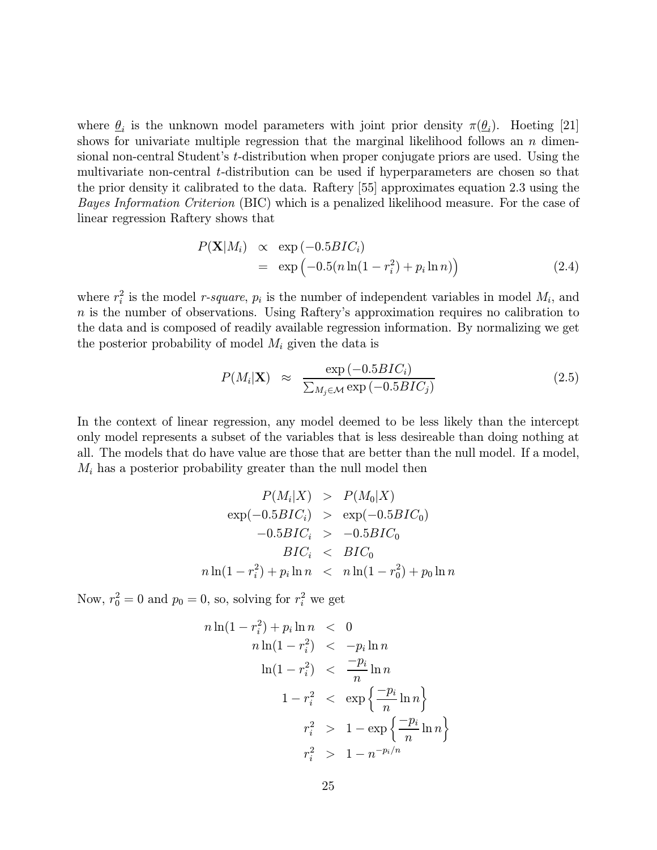where  $\theta_i$  is the unknown model parameters with joint prior density  $\pi(\theta_i)$ . Hoeting [21] shows for univariate multiple regression that the marginal likelihood follows an  $n$  dimensional non-central Student's t-distribution when proper conjugate priors are used. Using the multivariate non-central t-distribution can be used if hyperparameters are chosen so that the prior density it calibrated to the data. Raftery [55] approximates equation 2.3 using the Bayes Information Criterion (BIC) which is a penalized likelihood measure. For the case of linear regression Raftery shows that

$$
P(\mathbf{X}|M_i) \propto \exp(-0.5BIC_i)
$$
  
= 
$$
\exp(-0.5(n\ln(1-r_i^2)+p_i\ln n))
$$
 (2.4)

where  $r_i^2$  is the model *r*-square,  $p_i$  is the number of independent variables in model  $M_i$ , and  $n$  is the number of observations. Using Raftery's approximation requires no calibration to the data and is composed of readily available regression information. By normalizing we get the posterior probability of model  $M_i$  given the data is

$$
P(M_i|\mathbf{X}) \approx \frac{\exp(-0.5BIC_i)}{\sum_{M_j \in \mathcal{M}} \exp(-0.5BIC_j)}
$$
(2.5)

In the context of linear regression, any model deemed to be less likely than the intercept only model represents a subset of the variables that is less desireable than doing nothing at all. The models that do have value are those that are better than the null model. If a model,  $M_i$  has a posterior probability greater than the null model then

$$
P(M_i|X) > P(M_0|X)
$$
  
\n
$$
\exp(-0.5BIC_i) > \exp(-0.5BIC_0)
$$
  
\n
$$
-0.5BIC_i > -0.5BIC_0
$$
  
\n
$$
BIC_i < BIC_0
$$
  
\n
$$
n \ln(1 - r_i^2) + p_i \ln n < n \ln(1 - r_0^2) + p_0 \ln n
$$

Now,  $r_0^2 = 0$  and  $p_0 = 0$ , so, solving for  $r_i^2$  we get

$$
n \ln(1 - r_i^2) + p_i \ln n < 0
$$
\n
$$
n \ln(1 - r_i^2) < -p_i \ln n
$$
\n
$$
\ln(1 - r_i^2) < \frac{-p_i}{n} \ln n
$$
\n
$$
1 - r_i^2 < \exp\left\{\frac{-p_i}{n} \ln n\right\}
$$
\n
$$
r_i^2 > 1 - \exp\left\{\frac{-p_i}{n} \ln n\right\}
$$
\n
$$
r_i^2 > 1 - n^{-p_i/n}
$$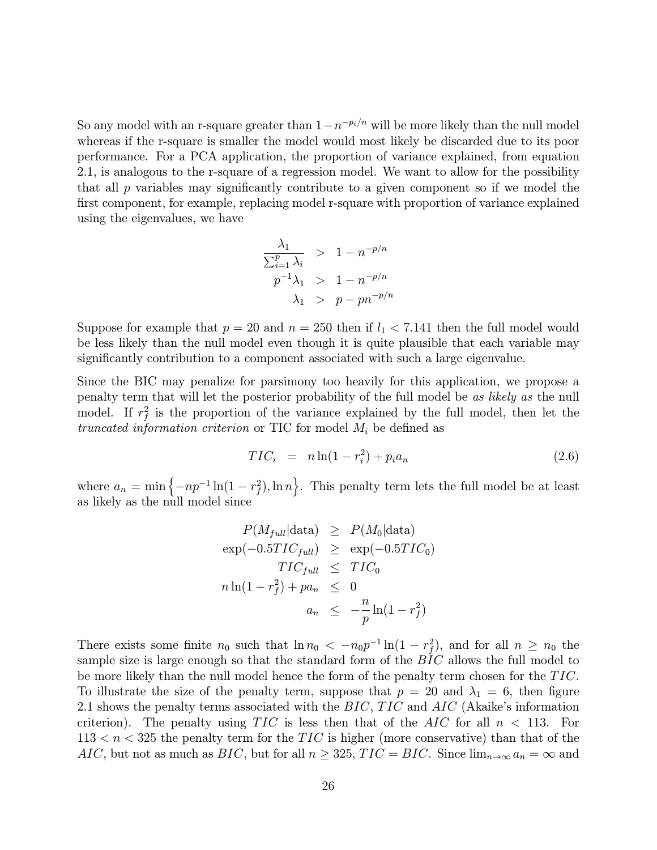So any model with an r-square greater than  $1-n^{-p_i/n}$  will be more likely than the null model whereas if the r-square is smaller the model would most likely be discarded due to its poor performance. For a PCA application, the proportion of variance explained, from equation 2.1, is analogous to the r-square of a regression model. We want to allow for the possibility that all  $p$  variables may significantly contribute to a given component so if we model the first component, for example, replacing model r-square with proportion of variance explained using the eigenvalues, we have

$$
\frac{\lambda_1}{\sum_{i=1}^p \lambda_i} > 1 - n^{-p/n}
$$
  
\n
$$
p^{-1}\lambda_1 > 1 - n^{-p/n}
$$
  
\n
$$
\lambda_1 > p - pn^{-p/n}
$$

Suppose for example that  $p = 20$  and  $n = 250$  then if  $l_1 < 7.141$  then the full model would be less likely than the null model even though it is quite plausible that each variable may significantly contribution to a component associated with such a large eigenvalue.

Since the BIC may penalize for parsimony too heavily for this application, we propose a penalty term that will let the posterior probability of the full model be as likely as the null model. If  $r_f^2$  is the proportion of the variance explained by the full model, then let the truncated information criterion or TIC for model  $M_i$  be defined as

$$
TIC_i = n \ln(1 - r_i^2) + p_i a_n \tag{2.6}
$$

where  $a_n = \min \{-np^{-1}\ln(1 - r_f^2), \ln n\}$ . This penalty term lets the full model be at least as likely as the null model since

$$
P(M_{full}|\text{data}) \ge P(M_0|\text{data})
$$
  
\n
$$
\exp(-0.5TIC_{full}) \ge \exp(-0.5TIC_0)
$$
  
\n
$$
TIC_{full} \le TIC_0
$$
  
\n
$$
n \ln(1 - r_f^2) + pa_n \le 0
$$
  
\n
$$
a_n \le -\frac{n}{p} \ln(1 - r_f^2)
$$

There exists some finite  $n_0$  such that  $\ln n_0 < -n_0p^{-1}\ln(1-r_f^2)$ , and for all  $n \ge n_0$  the sample size is large enough so that the standard form of the BIC allows the full model to be more likely than the null model hence the form of the penalty term chosen for the TIC. To illustrate the size of the penalty term, suppose that  $p = 20$  and  $\lambda_1 = 6$ , then figure 2.1 shows the penalty terms associated with the BIC, TIC and AIC (Akaike's information criterion). The penalty using  $TIC$  is less then that of the AIC for all  $n < 113$ . For  $113 < n < 325$  the penalty term for the TIC is higher (more conservative) than that of the AIC, but not as much as BIC, but for all  $n \ge 325$ ,  $TIC = BIC$ . Since  $\lim_{n \to \infty} a_n = \infty$  and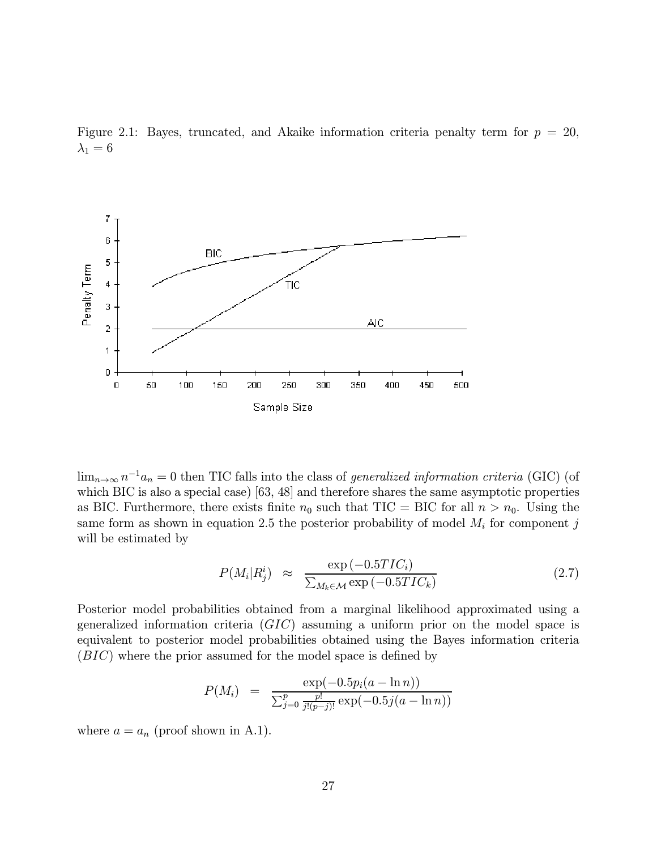



 $\lim_{n\to\infty} n^{-1}a_n = 0$  then TIC falls into the class of generalized information criteria (GIC) (of which BIC is also a special case) [63, 48] and therefore shares the same asymptotic properties as BIC. Furthermore, there exists finite  $n_0$  such that TIC = BIC for all  $n>n_0$ . Using the same form as shown in equation 2.5 the posterior probability of model  $M_i$  for component j will be estimated by

$$
P(M_i|R_j^i) \approx \frac{\exp(-0.5TIC_i)}{\sum_{M_k \in \mathcal{M}} \exp(-0.5TIC_k)}
$$
\n(2.7)

Posterior model probabilities obtained from a marginal likelihood approximated using a generalized information criteria  $(GIC)$  assuming a uniform prior on the model space is equivalent to posterior model probabilities obtained using the Bayes information criteria (BIC) where the prior assumed for the model space is defined by

$$
P(M_i) = \frac{\exp(-0.5p_i(a - \ln n))}{\sum_{j=0}^p \frac{p!}{j!(p-j)!} \exp(-0.5j(a - \ln n))}
$$

where  $a = a_n$  (proof shown in A.1).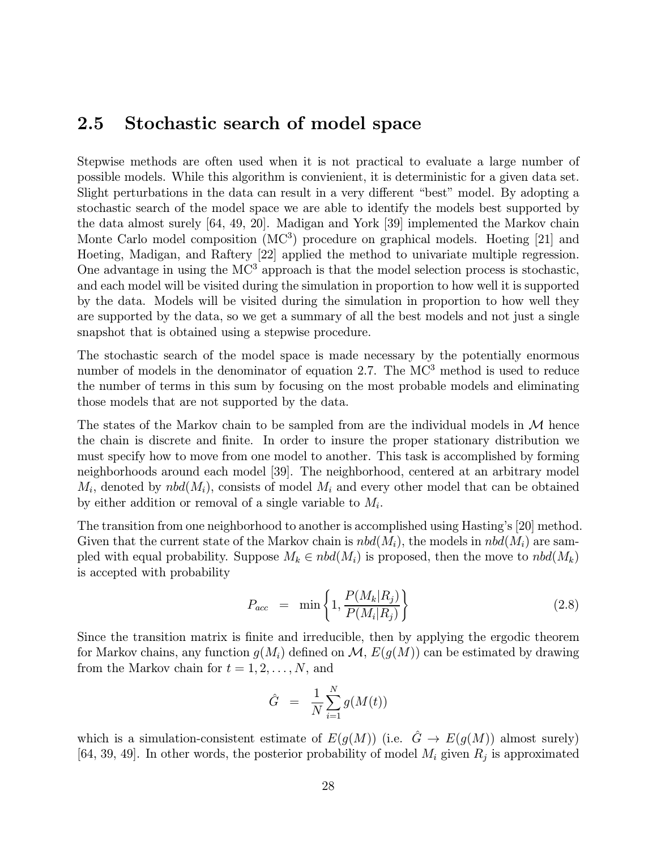# 2.5 Stochastic search of model space

Stepwise methods are often used when it is not practical to evaluate a large number of possible models. While this algorithm is convienient, it is deterministic for a given data set. Slight perturbations in the data can result in a very different "best" model. By adopting a stochastic search of the model space we are able to identify the models best supported by the data almost surely [64, 49, 20]. Madigan and York [39] implemented the Markov chain Monte Carlo model composition (MC<sup>3</sup>) procedure on graphical models. Hoeting [21] and Hoeting, Madigan, and Raftery [22] applied the method to univariate multiple regression. One advantage in using the  $MC<sup>3</sup>$  approach is that the model selection process is stochastic, and each model will be visited during the simulation in proportion to how well it is supported by the data. Models will be visited during the simulation in proportion to how well they are supported by the data, so we get a summary of all the best models and not just a single snapshot that is obtained using a stepwise procedure.

The stochastic search of the model space is made necessary by the potentially enormous number of models in the denominator of equation 2.7. The MC<sup>3</sup> method is used to reduce the number of terms in this sum by focusing on the most probable models and eliminating those models that are not supported by the data.

The states of the Markov chain to be sampled from are the individual models in  $M$  hence the chain is discrete and finite. In order to insure the proper stationary distribution we must specify how to move from one model to another. This task is accomplished by forming neighborhoods around each model [39]. The neighborhood, centered at an arbitrary model  $M_i$ , denoted by  $nbd(M_i)$ , consists of model  $M_i$  and every other model that can be obtained by either addition or removal of a single variable to  $M_i$ .

The transition from one neighborhood to another is accomplished using Hasting's [20] method. Given that the current state of the Markov chain is  $nbd(M_i)$ , the models in  $nbd(M_i)$  are sampled with equal probability. Suppose  $M_k \in \text{nbd}(M_i)$  is proposed, then the move to  $\text{nbd}(M_k)$ is accepted with probability

$$
P_{acc} = \min\left\{1, \frac{P(M_k|R_j)}{P(M_i|R_j)}\right\} \tag{2.8}
$$

Since the transition matrix is finite and irreducible, then by applying the ergodic theorem for Markov chains, any function  $g(M_i)$  defined on  $\mathcal{M}, E(g(M))$  can be estimated by drawing from the Markov chain for  $t = 1, 2, \ldots, N$ , and

$$
\hat{G} = \frac{1}{N} \sum_{i=1}^{N} g(M(t))
$$

which is a simulation-consistent estimate of  $E(g(M))$  (i.e.  $\hat{G} \to E(g(M))$  almost surely) [64, 39, 49]. In other words, the posterior probability of model  $M_i$  given  $R_i$  is approximated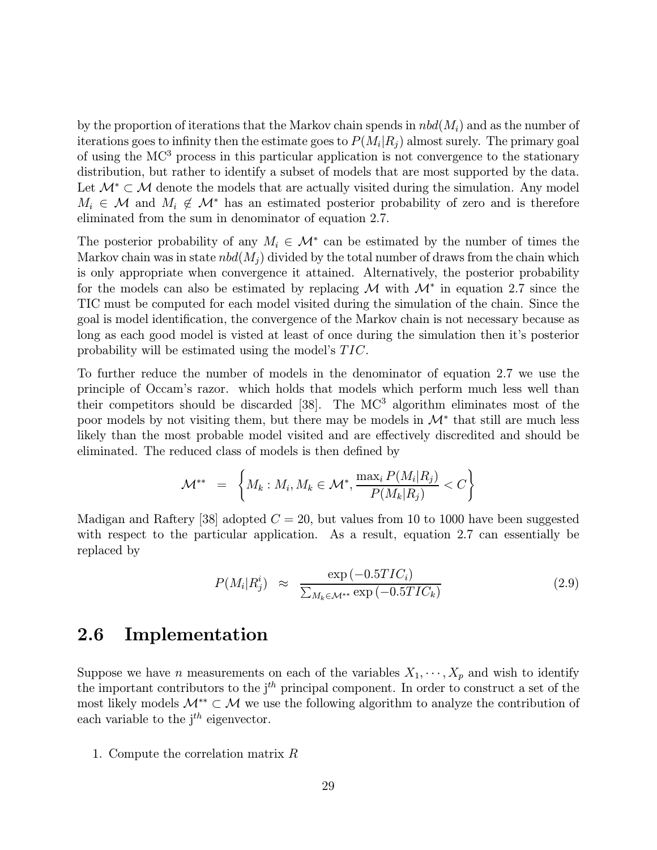by the proportion of iterations that the Markov chain spends in  $nbd(M<sub>i</sub>)$  and as the number of iterations goes to infinity then the estimate goes to  $P(M_i|R_i)$  almost surely. The primary goal of using the MC<sup>3</sup> process in this particular application is not convergence to the stationary distribution, but rather to identify a subset of models that are most supported by the data. Let  $\mathcal{M}^* \subset \mathcal{M}$  denote the models that are actually visited during the simulation. Any model  $M_i \in \mathcal{M}$  and  $M_i \notin \mathcal{M}^*$  has an estimated posterior probability of zero and is therefore eliminated from the sum in denominator of equation 2.7.

The posterior probability of any  $M_i \in \mathcal{M}^*$  can be estimated by the number of times the Markov chain was in state  $nbd(M_i)$  divided by the total number of draws from the chain which is only appropriate when convergence it attained. Alternatively, the posterior probability for the models can also be estimated by replacing M with  $\mathcal{M}^*$  in equation 2.7 since the TIC must be computed for each model visited during the simulation of the chain. Since the goal is model identification, the convergence of the Markov chain is not necessary because as long as each good model is visted at least of once during the simulation then it's posterior probability will be estimated using the model's TIC.

To further reduce the number of models in the denominator of equation 2.7 we use the principle of Occam's razor. which holds that models which perform much less well than their competitors should be discarded  $[38]$ . The MC<sup>3</sup> algorithm eliminates most of the poor models by not visiting them, but there may be models in  $\mathcal{M}^*$  that still are much less likely than the most probable model visited and are effectively discredited and should be eliminated. The reduced class of models is then defined by

$$
\mathcal{M}^{**} \hspace{2mm} = \hspace{2mm} \left\{ M_k: M_i, M_k \in \mathcal{M}^*, \frac{\max_i P(M_i|R_j)}{P(M_k|R_j)} < C \right\}
$$

Madigan and Raftery [38] adopted  $C = 20$ , but values from 10 to 1000 have been suggested with respect to the particular application. As a result, equation 2.7 can essentially be replaced by

$$
P(M_i|R_j^i) \approx \frac{\exp(-0.5TIC_i)}{\sum_{M_k \in \mathcal{M}^{**}} \exp(-0.5TIC_k)}
$$
(2.9)

## 2.6 Implementation

Suppose we have n measurements on each of the variables  $X_1, \dots, X_p$  and wish to identify the important contributors to the  $j<sup>th</sup>$  principal component. In order to construct a set of the most likely models  $\mathcal{M}^{**} \subset \mathcal{M}$  we use the following algorithm to analyze the contribution of each variable to the  $j<sup>th</sup>$  eigenvector.

1. Compute the correlation matrix R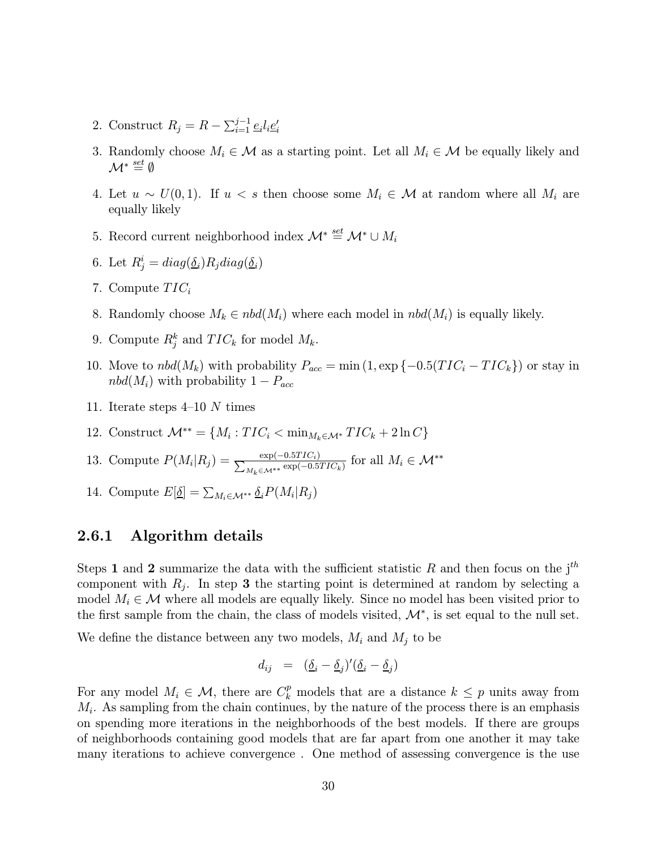- 2. Construct  $R_j = R \sum_{i=1}^{j-1} \underline{e}_i l_i \underline{e}'_i$
- 3. Randomly choose  $M_i \in \mathcal{M}$  as a starting point. Let all  $M_i \in \mathcal{M}$  be equally likely and  $\mathcal{M}^* \stackrel{set}{=} \emptyset$
- 4. Let  $u \sim U(0, 1)$ . If  $u < s$  then choose some  $M_i \in \mathcal{M}$  at random where all  $M_i$  are equally likely
- 5. Record current neighborhood index  $\mathcal{M}^* \stackrel{\text{\it set}}{=} \mathcal{M}^* \cup M_i$
- 6. Let  $R_j^i = diag(\underline{\delta}_i) R_j diag(\underline{\delta}_i)$
- 7. Compute  $TIC_i$
- 8. Randomly choose  $M_k \in \text{nbd}(M_i)$  where each model in  $\text{nbd}(M_i)$  is equally likely.
- 9. Compute  $R_j^k$  and  $TIC_k$  for model  $M_k$ .
- 10. Move to  $nbd(M_k)$  with probability  $P_{acc} = \min(1, \exp\{-0.5(TIC_i TIC_k\})$  or stay in  $nbd(M_i)$  with probability  $1-P_{acc}$
- 11. Iterate steps 4—10 N times
- 12. Construct  $\mathcal{M}^{**} = \{M_i : TIC_i < \min_{M_k \in \mathcal{M}^*} TIC_k + 2 \ln C\}$
- 13. Compute  $P(M_i|R_j) = \frac{\exp(-0.5TIC_i)}{\sum_{M_k \in \mathcal{M}^{**}} \exp(-0.5TIC_k)}$  for all  $M_i \in \mathcal{M}^{**}$
- 14. Compute  $E[\underline{\delta}] = \sum_{M_i \in \mathcal{M}^{**}} \underline{\delta}_i P(M_i | R_j)$

#### 2.6.1 Algorithm details

Steps 1 and 2 summarize the data with the sufficient statistic R and then focus on the  $j<sup>th</sup>$ component with  $R_i$ . In step 3 the starting point is determined at random by selecting a model  $M_i \in \mathcal{M}$  where all models are equally likely. Since no model has been visited prior to the first sample from the chain, the class of models visited,  $\mathcal{M}^*$ , is set equal to the null set.

We define the distance between any two models,  $M_i$  and  $M_j$  to be

$$
d_{ij} = (\underline{\delta}_i - \underline{\delta}_j)'(\underline{\delta}_i - \underline{\delta}_j)
$$

For any model  $M_i \in \mathcal{M}$ , there are  $C_k^p$  models that are a distance  $k \leq p$  units away from  $M_i$ . As sampling from the chain continues, by the nature of the process there is an emphasis on spending more iterations in the neighborhoods of the best models. If there are groups of neighborhoods containing good models that are far apart from one another it may take many iterations to achieve convergence . One method of assessing convergence is the use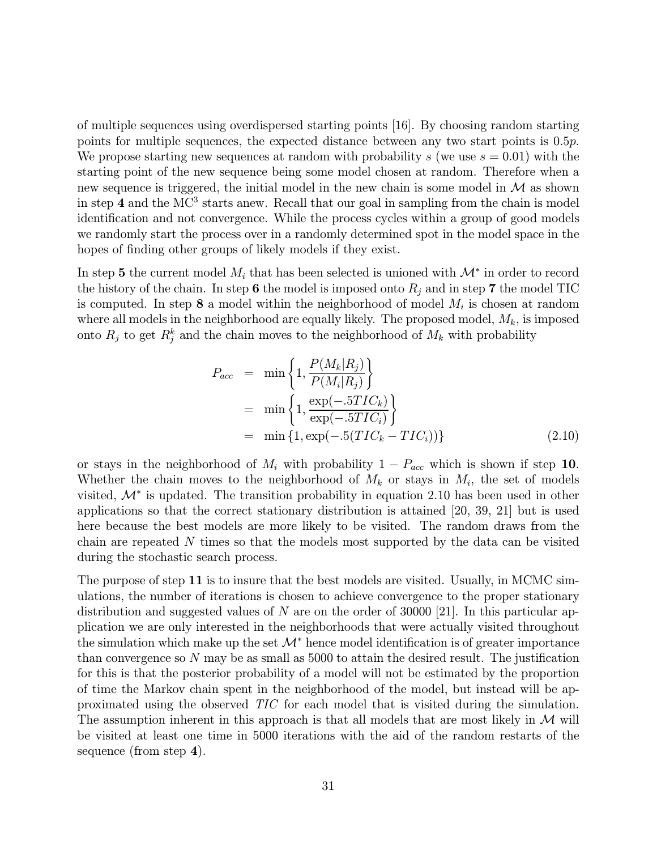of multiple sequences using overdispersed starting points [16]. By choosing random starting points for multiple sequences, the expected distance between any two start points is 0.5p. We propose starting new sequences at random with probability s (we use  $s = 0.01$ ) with the starting point of the new sequence being some model chosen at random. Therefore when a new sequence is triggered, the initial model in the new chain is some model in  $\mathcal M$  as shown in step 4 and the MC<sup>3</sup> starts anew. Recall that our goal in sampling from the chain is model identification and not convergence. While the process cycles within a group of good models we randomly start the process over in a randomly determined spot in the model space in the hopes of finding other groups of likely models if they exist.

In step 5 the current model  $M_i$  that has been selected is unioned with  $\mathcal{M}^*$  in order to record the history of the chain. In step 6 the model is imposed onto  $R_i$  and in step 7 the model TIC is computed. In step 8 a model within the neighborhood of model  $M_i$  is chosen at random where all models in the neighborhood are equally likely. The proposed model,  $M_k$ , is imposed onto  $R_j$  to get  $R_j^k$  and the chain moves to the neighborhood of  $M_k$  with probability

$$
P_{acc} = \min \left\{ 1, \frac{P(M_k|R_j)}{P(M_i|R_j)} \right\}
$$
  
=  $\min \left\{ 1, \frac{\exp(-.5TIC_k)}{\exp(-.5TIC_i)} \right\}$   
=  $\min \left\{ 1, \exp(-.5(TIC_k - TIC_i)) \right\}$  (2.10)

or stays in the neighborhood of  $M_i$  with probability  $1 - P_{acc}$  which is shown if step 10. Whether the chain moves to the neighborhood of  $M_k$  or stays in  $M_i$ , the set of models visited, M<sup>∗</sup> is updated. The transition probability in equation 2.10 has been used in other applications so that the correct stationary distribution is attained [20, 39, 21] but is used here because the best models are more likely to be visited. The random draws from the chain are repeated  $N$  times so that the models most supported by the data can be visited during the stochastic search process.

The purpose of step 11 is to insure that the best models are visited. Usually, in MCMC simulations, the number of iterations is chosen to achieve convergence to the proper stationary distribution and suggested values of N are on the order of 30000 [21]. In this particular application we are only interested in the neighborhoods that were actually visited throughout the simulation which make up the set  $\mathcal{M}^*$  hence model identification is of greater importance than convergence so  $N$  may be as small as 5000 to attain the desired result. The justification for this is that the posterior probability of a model will not be estimated by the proportion of time the Markov chain spent in the neighborhood of the model, but instead will be approximated using the observed TIC for each model that is visited during the simulation. The assumption inherent in this approach is that all models that are most likely in  $\mathcal M$  will be visited at least one time in 5000 iterations with the aid of the random restarts of the sequence (from step 4).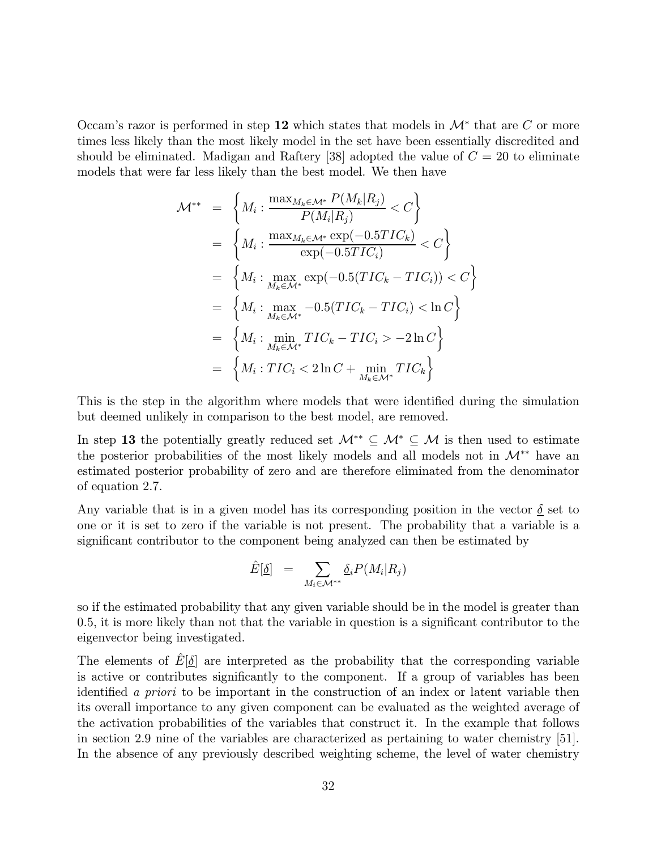Occam's razor is performed in step 12 which states that models in  $\mathcal{M}^*$  that are C or more times less likely than the most likely model in the set have been essentially discredited and should be eliminated. Madigan and Raftery [38] adopted the value of  $C = 20$  to eliminate models that were far less likely than the best model. We then have

$$
\mathcal{M}^{**} = \left\{ M_i : \frac{\max_{M_k \in \mathcal{M}^*} P(M_k | R_j)}{P(M_i | R_j)} < C \right\}
$$
\n
$$
= \left\{ M_i : \frac{\max_{M_k \in \mathcal{M}^*} \exp(-0.5TIC_k)}{\exp(-0.5TIC_i)} < C \right\}
$$
\n
$$
= \left\{ M_i : \max_{M_k \in \mathcal{M}^*} \exp(-0.5(TIC_k - TIC_i)) < C \right\}
$$
\n
$$
= \left\{ M_i : \max_{M_k \in \mathcal{M}^*} -0.5(TIC_k - TIC_i) < \ln C \right\}
$$
\n
$$
= \left\{ M_i : \min_{M_k \in \mathcal{M}^*} TIC_k - TIC_i > -2 \ln C \right\}
$$
\n
$$
= \left\{ M_i : TIC_i < 2 \ln C + \min_{M_k \in \mathcal{M}^*} TIC_k \right\}
$$

This is the step in the algorithm where models that were identified during the simulation but deemed unlikely in comparison to the best model, are removed.

In step 13 the potentially greatly reduced set  $M^{**} \subseteq M^* \subseteq M$  is then used to estimate the posterior probabilities of the most likely models and all models not in  $\mathcal{M}^{**}$  have an estimated posterior probability of zero and are therefore eliminated from the denominator of equation 2.7.

Any variable that is in a given model has its corresponding position in the vector  $\delta$  set to one or it is set to zero if the variable is not present. The probability that a variable is a significant contributor to the component being analyzed can then be estimated by

$$
\hat{E}[\underline{\delta}] = \sum_{M_i \in \mathcal{M}^{**}} \underline{\delta}_i P(M_i | R_j)
$$

so if the estimated probability that any given variable should be in the model is greater than 0.5, it is more likely than not that the variable in question is a significant contributor to the eigenvector being investigated.

The elements of  $E[\delta]$  are interpreted as the probability that the corresponding variable is active or contributes significantly to the component. If a group of variables has been identified a priori to be important in the construction of an index or latent variable then its overall importance to any given component can be evaluated as the weighted average of the activation probabilities of the variables that construct it. In the example that follows in section 2.9 nine of the variables are characterized as pertaining to water chemistry [51]. In the absence of any previously described weighting scheme, the level of water chemistry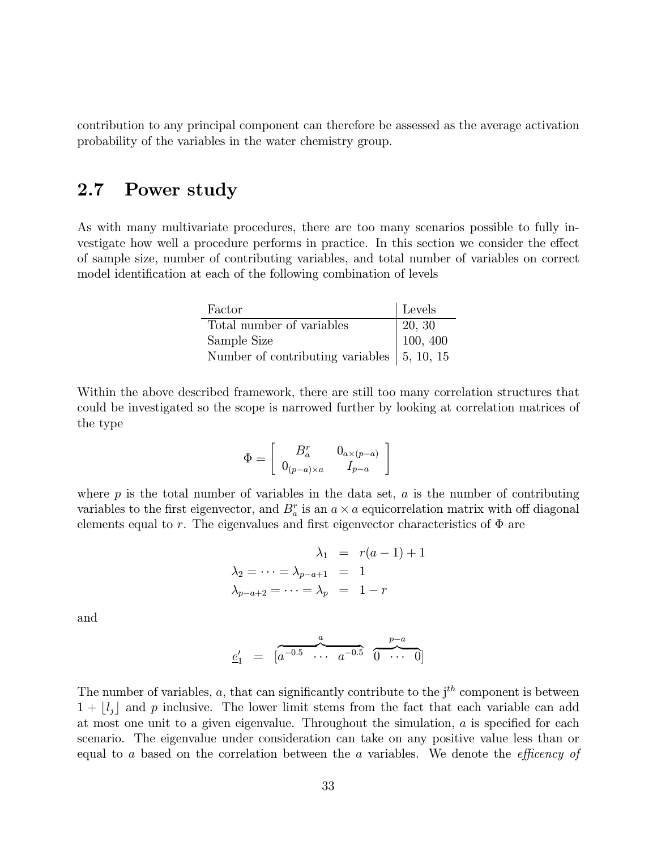contribution to any principal component can therefore be assessed as the average activation probability of the variables in the water chemistry group.

# 2.7 Power study

As with many multivariate procedures, there are too many scenarios possible to fully investigate how well a procedure performs in practice. In this section we consider the effect of sample size, number of contributing variables, and total number of variables on correct model identification at each of the following combination of levels

| Factor                                                     | Levels                                             |
|------------------------------------------------------------|----------------------------------------------------|
| Total number of variables                                  |                                                    |
| Sample Size                                                | $\begin{array}{ l} 20, 30 \\ 100, 400 \end{array}$ |
| Number of contributing variables $\vert 5, 10, 15 \rangle$ |                                                    |

Within the above described framework, there are still too many correlation structures that could be investigated so the scope is narrowed further by looking at correlation matrices of the type

$$
\Phi = \left[\begin{array}{cc} B^r_a & 0_{a\times (p-a)} \\ 0_{(p-a)\times a} & I_{p-a} \end{array}\right]
$$

where  $p$  is the total number of variables in the data set,  $a$  is the number of contributing variables to the first eigenvector, and  $B_a^r$  is an  $a \times a$  equicorrelation matrix with off diagonal elements equal to r. The eigenvalues and first eigenvector characteristics of  $\Phi$  are

$$
\lambda_1 = r(a-1) + 1
$$
  

$$
\lambda_2 = \dots = \lambda_{p-a+1} = 1
$$
  

$$
\lambda_{p-a+2} = \dots = \lambda_p = 1-r
$$

and

$$
\underline{e}'_1 = \begin{bmatrix} a^{-0.5} & a & a^{-0.5} & \overbrace{0 \cdots 0}^{p-a} \end{bmatrix}
$$

The number of variables,  $a$ , that can significantly contribute to the  $j<sup>th</sup>$  component is between  $1 + \lfloor l_j \rfloor$  and p inclusive. The lower limit stems from the fact that each variable can add at most one unit to a given eigenvalue. Throughout the simulation,  $\alpha$  is specified for each scenario. The eigenvalue under consideration can take on any positive value less than or equal to  $a$  based on the correlation between the  $a$  variables. We denote the *efficency of*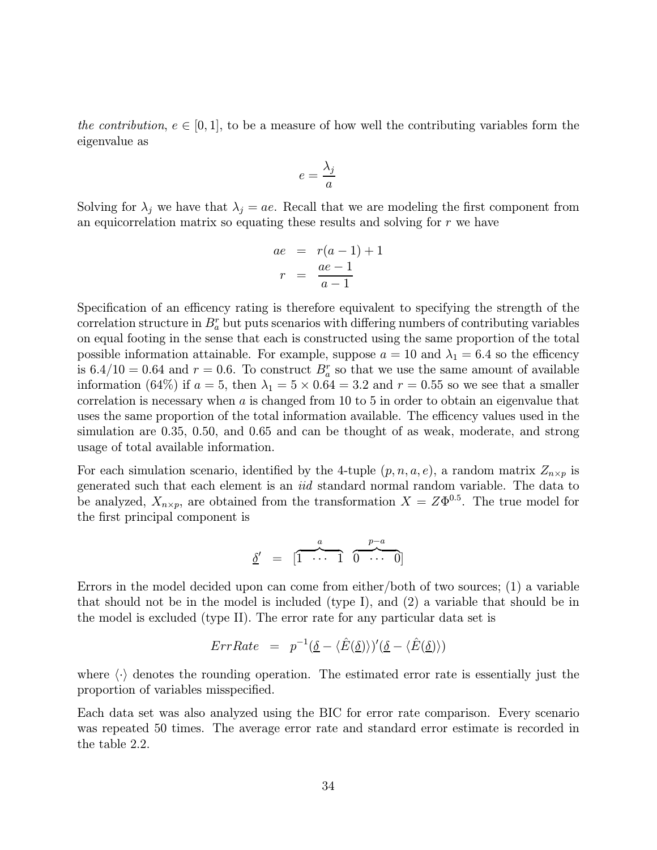the contribution,  $e \in [0, 1]$ , to be a measure of how well the contributing variables form the eigenvalue as

$$
e = \frac{\lambda_j}{a}
$$

Solving for  $\lambda_j$  we have that  $\lambda_j = ae$ . Recall that we are modeling the first component from an equicorrelation matrix so equating these results and solving for  $r$  we have

$$
ae = r(a-1) + 1
$$

$$
r = \frac{ae-1}{a-1}
$$

Specification of an efficency rating is therefore equivalent to specifying the strength of the correlation structure in  $B_a^r$  but puts scenarios with differing numbers of contributing variables on equal footing in the sense that each is constructed using the same proportion of the total possible information attainable. For example, suppose  $a = 10$  and  $\lambda_1 = 6.4$  so the efficency is  $6.4/10 = 0.64$  and  $r = 0.6$ . To construct  $B_a^r$  so that we use the same amount of available information (64%) if  $a = 5$ , then  $\lambda_1 = 5 \times 0.64 = 3.2$  and  $r = 0.55$  so we see that a smaller correlation is necessary when  $\alpha$  is changed from 10 to 5 in order to obtain an eigenvalue that uses the same proportion of the total information available. The efficency values used in the simulation are 0.35, 0.50, and 0.65 and can be thought of as weak, moderate, and strong usage of total available information.

For each simulation scenario, identified by the 4-tuple  $(p, n, a, e)$ , a random matrix  $Z_{n \times p}$  is generated such that each element is an iid standard normal random variable. The data to be analyzed,  $X_{n\times p}$ , are obtained from the transformation  $X = Z\Phi^{0.5}$ . The true model for the first principal component is

$$
\underline{\delta}' = \begin{bmatrix} \overbrace{1 \cdots 1}^{a} & \overbrace{0 \cdots 0}^{p-a} \end{bmatrix}
$$

Errors in the model decided upon can come from either/both of two sources; (1) a variable that should not be in the model is included (type I), and (2) a variable that should be in the model is excluded (type II). The error rate for any particular data set is

$$
ErrRate = p^{-1}(\underline{\delta} - \langle \hat{E}(\underline{\delta}) \rangle)'(\underline{\delta} - \langle \hat{E}(\underline{\delta}) \rangle)
$$

where  $\langle \cdot \rangle$  denotes the rounding operation. The estimated error rate is essentially just the proportion of variables misspecified.

Each data set was also analyzed using the BIC for error rate comparison. Every scenario was repeated 50 times. The average error rate and standard error estimate is recorded in the table 2.2.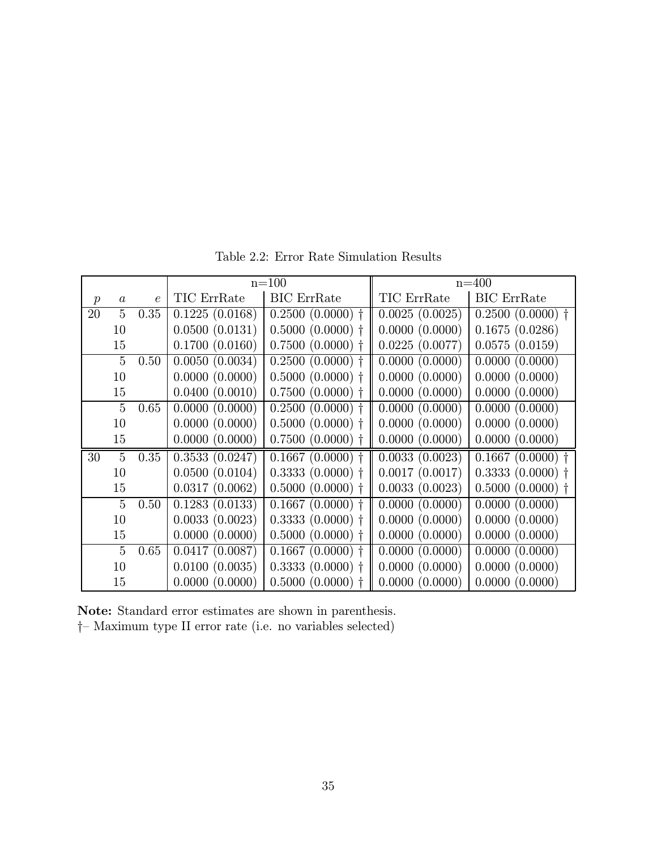|               |                |            |                | $n = 100$          | $n = 400$      |                    |  |
|---------------|----------------|------------|----------------|--------------------|----------------|--------------------|--|
| $\mathcal{p}$ | $\alpha$       | $\epsilon$ | TIC ErrRate    | <b>BIC</b> ErrRate | TIC ErrRate    | <b>BIC</b> ErrRate |  |
| 20            | 5              | 0.35       | 0.1225(0.0168) | $0.2500(0.0000)$ † | 0.0025(0.0025) | $0.2500(0.0000)$ † |  |
|               | 10             |            | 0.0500(0.0131) | $0.5000(0.0000)$ † | 0.0000(0.0000) | 0.1675(0.0286)     |  |
|               | 15             |            | 0.1700(0.0160) | $0.7500(0.0000)$ † | 0.0225(0.0077) | 0.0575(0.0159)     |  |
|               | $\overline{5}$ | 0.50       | 0.0050(0.0034) | $0.2500(0.0000)$ † | 0.0000(0.0000) | 0.0000(0.0000)     |  |
|               | 10             |            | 0.0000(0.0000) | $0.5000(0.0000)$ † | 0.0000(0.0000) | 0.0000(0.0000)     |  |
|               | 15             |            | 0.0400(0.0010) | $0.7500(0.0000)$ † | 0.0000(0.0000) | 0.0000(0.0000)     |  |
|               | 5              | 0.65       | 0.0000(0.0000) | $0.2500(0.0000)$ † | 0.0000(0.0000) | 0.0000(0.0000)     |  |
|               | 10             |            | 0.0000(0.0000) | $0.5000(0.0000)$ † | 0.0000(0.0000) | 0.0000(0.0000)     |  |
|               | 15             |            | 0.0000(0.0000) | $0.7500(0.0000)$ † | 0.0000(0.0000) | 0.0000(0.0000)     |  |
| 30            | $\overline{5}$ | 0.35       | 0.3533(0.0247) | $0.1667(0.0000)$ † | 0.0033(0.0023) | $0.1667(0.0000)$ † |  |
|               | 10             |            | 0.0500(0.0104) | $0.3333(0.0000)$ † | 0.0017(0.0017) | $0.3333(0.0000)$ † |  |
|               | 15             |            | 0.0317(0.0062) | 0.5000(0.0000)     | 0.0033(0.0023) | $0.5000(0.0000)$ † |  |
|               | 5              | 0.50       | 0.1283(0.0133) | $0.1667(0.0000)$ † | 0.0000(0.0000) | 0.0000(0.0000)     |  |
|               | 10             |            | 0.0033(0.0023) | $0.3333(0.0000)$ † | 0.0000(0.0000) | 0.0000(0.0000)     |  |
|               | 15             |            | 0.0000(0.0000) | $0.5000(0.0000)$ † | 0.0000(0.0000) | 0.0000(0.0000)     |  |
|               | 5              | 0.65       | 0.0417(0.0087) | $0.1667(0.0000)$ † | 0.0000(0.0000) | 0.0000(0.0000)     |  |
|               | 10             |            | 0.0100(0.0035) | $0.3333(0.0000)$ † | 0.0000(0.0000) | 0.0000(0.0000)     |  |
|               | 15             |            | 0.0000(0.0000) | 0.5000(0.0000)     | 0.0000(0.0000) | 0.0000(0.0000)     |  |

Table 2.2: Error Rate Simulation Results

Note: Standard error estimates are shown in parenthesis.

†— Maximum type II error rate (i.e. no variables selected)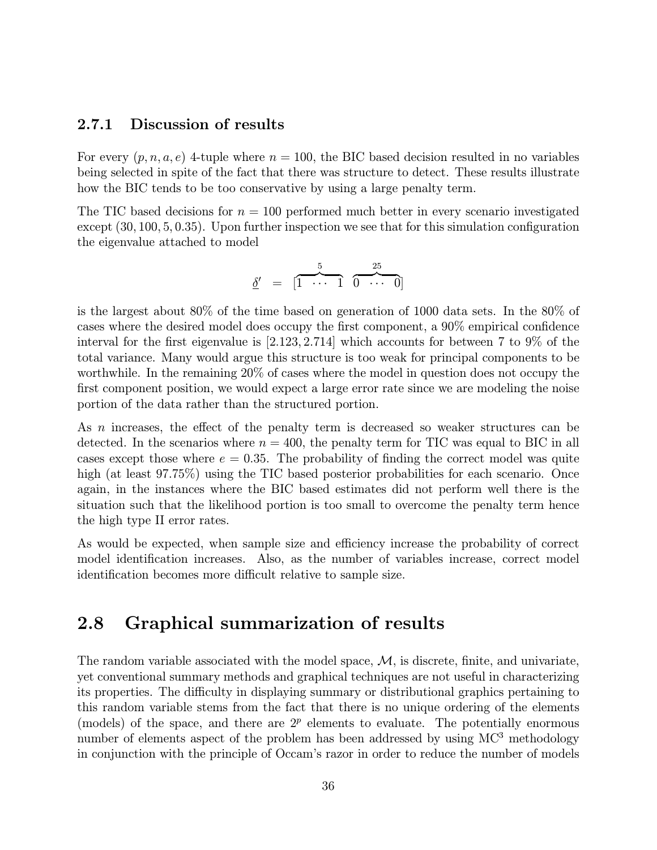#### 2.7.1 Discussion of results

For every  $(p, n, a, e)$  4-tuple where  $n = 100$ , the BIC based decision resulted in no variables being selected in spite of the fact that there was structure to detect. These results illustrate how the BIC tends to be too conservative by using a large penalty term.

The TIC based decisions for  $n = 100$  performed much better in every scenario investigated except (30, 100, 5, 0.35). Upon further inspection we see that for this simulation configuration the eigenvalue attached to model

$$
\underline{\delta}' = \begin{bmatrix} 5 & 25 \\ 1 & \cdots & 1 \end{bmatrix} \overbrace{0 \cdots 0}^{25}
$$

is the largest about 80% of the time based on generation of 1000 data sets. In the 80% of cases where the desired model does occupy the first component, a 90% empirical confidence interval for the first eigenvalue is [2.123, 2.714] which accounts for between 7 to 9% of the total variance. Many would argue this structure is too weak for principal components to be worthwhile. In the remaining 20% of cases where the model in question does not occupy the first component position, we would expect a large error rate since we are modeling the noise portion of the data rather than the structured portion.

As *n* increases, the effect of the penalty term is decreased so weaker structures can be detected. In the scenarios where  $n = 400$ , the penalty term for TIC was equal to BIC in all cases except those where  $e = 0.35$ . The probability of finding the correct model was quite high (at least 97.75%) using the TIC based posterior probabilities for each scenario. Once again, in the instances where the BIC based estimates did not perform well there is the situation such that the likelihood portion is too small to overcome the penalty term hence the high type II error rates.

As would be expected, when sample size and efficiency increase the probability of correct model identification increases. Also, as the number of variables increase, correct model identification becomes more difficult relative to sample size.

# 2.8 Graphical summarization of results

The random variable associated with the model space,  $\mathcal{M}$ , is discrete, finite, and univariate, yet conventional summary methods and graphical techniques are not useful in characterizing its properties. The difficulty in displaying summary or distributional graphics pertaining to this random variable stems from the fact that there is no unique ordering of the elements (models) of the space, and there are  $2^p$  elements to evaluate. The potentially enormous number of elements aspect of the problem has been addressed by using MC<sup>3</sup> methodology in conjunction with the principle of Occam's razor in order to reduce the number of models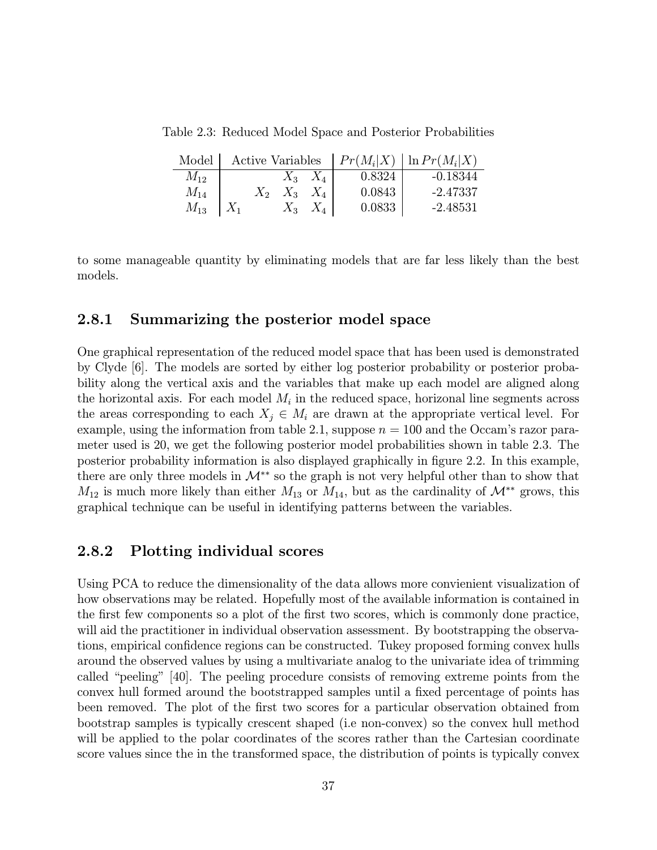Table 2.3: Reduced Model Space and Posterior Probabilities

| Model    |       |       |         |        | Active Variables $  Pr(M_i X)   ln Pr(M_i X)$ |
|----------|-------|-------|---------|--------|-----------------------------------------------|
| $M_{12}$ |       | $X_3$ | $X_4$   | 0.8324 | $-0.18344$                                    |
| $M_{14}$ | $X_2$ | $X_3$ | $X_{4}$ | 0.0843 | -2.47337                                      |
| $M_{13}$ |       | $X_3$ |         | 0.0833 | -2.48531                                      |

to some manageable quantity by eliminating models that are far less likely than the best models.

#### 2.8.1 Summarizing the posterior model space

One graphical representation of the reduced model space that has been used is demonstrated by Clyde [6]. The models are sorted by either log posterior probability or posterior probability along the vertical axis and the variables that make up each model are aligned along the horizontal axis. For each model  $M_i$  in the reduced space, horizonal line segments across the areas corresponding to each  $X_j \in M_i$  are drawn at the appropriate vertical level. For example, using the information from table 2.1, suppose  $n = 100$  and the Occam's razor parameter used is 20, we get the following posterior model probabilities shown in table 2.3. The posterior probability information is also displayed graphically in figure 2.2. In this example, there are only three models in  $\mathcal{M}^{**}$  so the graph is not very helpful other than to show that  $M_{12}$  is much more likely than either  $M_{13}$  or  $M_{14}$ , but as the cardinality of  $\mathcal{M}^{**}$  grows, this graphical technique can be useful in identifying patterns between the variables.

#### 2.8.2 Plotting individual scores

Using PCA to reduce the dimensionality of the data allows more convienient visualization of how observations may be related. Hopefully most of the available information is contained in the first few components so a plot of the first two scores, which is commonly done practice, will aid the practitioner in individual observation assessment. By bootstrapping the observations, empirical confidence regions can be constructed. Tukey proposed forming convex hulls around the observed values by using a multivariate analog to the univariate idea of trimming called "peeling" [40]. The peeling procedure consists of removing extreme points from the convex hull formed around the bootstrapped samples until a fixed percentage of points has been removed. The plot of the first two scores for a particular observation obtained from bootstrap samples is typically crescent shaped (i.e non-convex) so the convex hull method will be applied to the polar coordinates of the scores rather than the Cartesian coordinate score values since the in the transformed space, the distribution of points is typically convex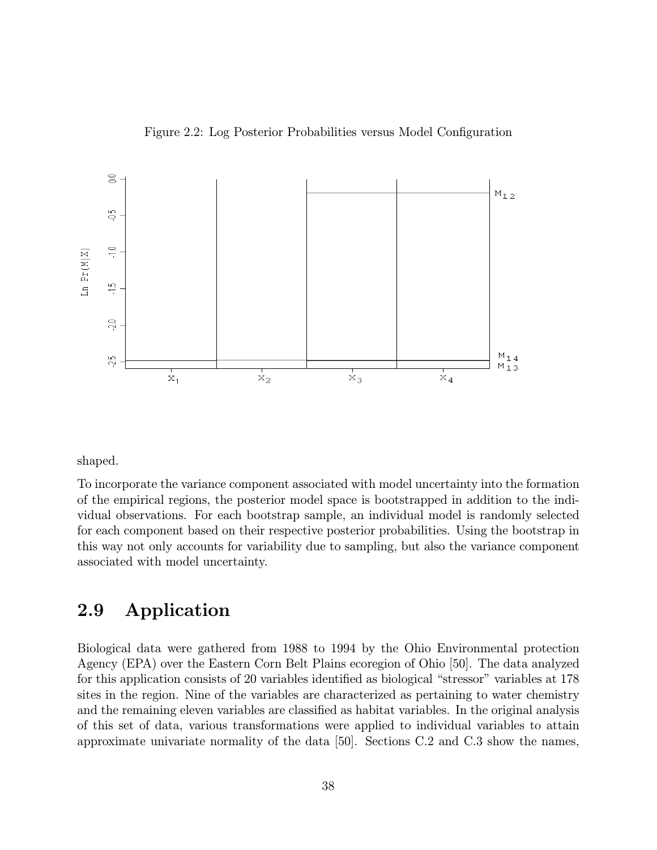



shaped.

To incorporate the variance component associated with model uncertainty into the formation of the empirical regions, the posterior model space is bootstrapped in addition to the individual observations. For each bootstrap sample, an individual model is randomly selected for each component based on their respective posterior probabilities. Using the bootstrap in this way not only accounts for variability due to sampling, but also the variance component associated with model uncertainty.

# 2.9 Application

Biological data were gathered from 1988 to 1994 by the Ohio Environmental protection Agency (EPA) over the Eastern Corn Belt Plains ecoregion of Ohio [50]. The data analyzed for this application consists of 20 variables identified as biological "stressor" variables at 178 sites in the region. Nine of the variables are characterized as pertaining to water chemistry and the remaining eleven variables are classified as habitat variables. In the original analysis of this set of data, various transformations were applied to individual variables to attain approximate univariate normality of the data [50]. Sections C.2 and C.3 show the names,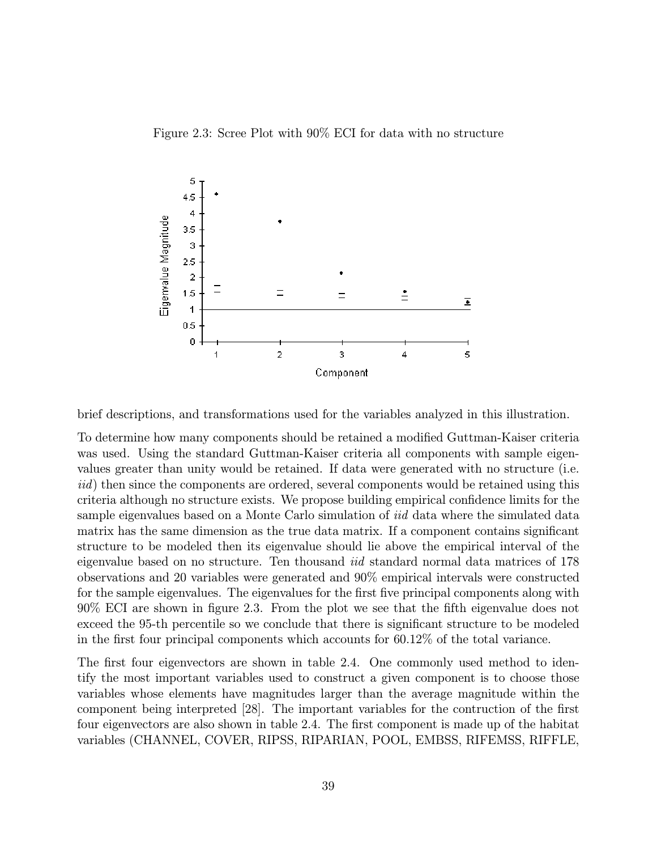Figure 2.3: Scree Plot with 90% ECI for data with no structure



brief descriptions, and transformations used for the variables analyzed in this illustration.

To determine how many components should be retained a modified Guttman-Kaiser criteria was used. Using the standard Guttman-Kaiser criteria all components with sample eigenvalues greater than unity would be retained. If data were generated with no structure (i.e. iid) then since the components are ordered, several components would be retained using this criteria although no structure exists. We propose building empirical confidence limits for the sample eigenvalues based on a Monte Carlo simulation of *iid* data where the simulated data matrix has the same dimension as the true data matrix. If a component contains significant structure to be modeled then its eigenvalue should lie above the empirical interval of the eigenvalue based on no structure. Ten thousand *iid* standard normal data matrices of 178 observations and 20 variables were generated and 90% empirical intervals were constructed for the sample eigenvalues. The eigenvalues for the first five principal components along with 90% ECI are shown in figure 2.3. From the plot we see that the fifth eigenvalue does not exceed the 95-th percentile so we conclude that there is significant structure to be modeled in the first four principal components which accounts for 60.12% of the total variance.

The first four eigenvectors are shown in table 2.4. One commonly used method to identify the most important variables used to construct a given component is to choose those variables whose elements have magnitudes larger than the average magnitude within the component being interpreted [28]. The important variables for the contruction of the first four eigenvectors are also shown in table 2.4. The first component is made up of the habitat variables (CHANNEL, COVER, RIPSS, RIPARIAN, POOL, EMBSS, RIFEMSS, RIFFLE,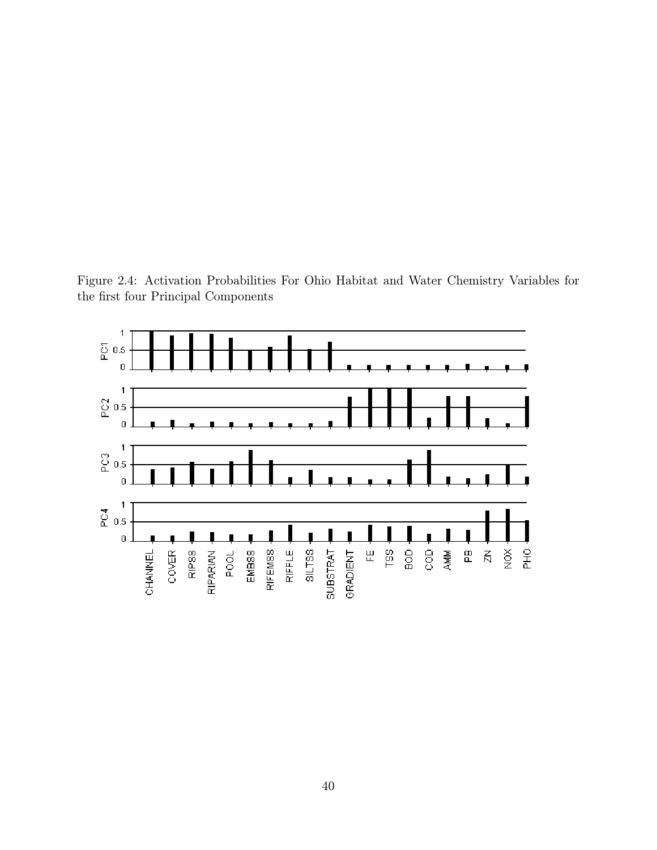Figure 2.4: Activation Probabilities For Ohio Habitat and Water Chemistry Variables for the first four Principal Components

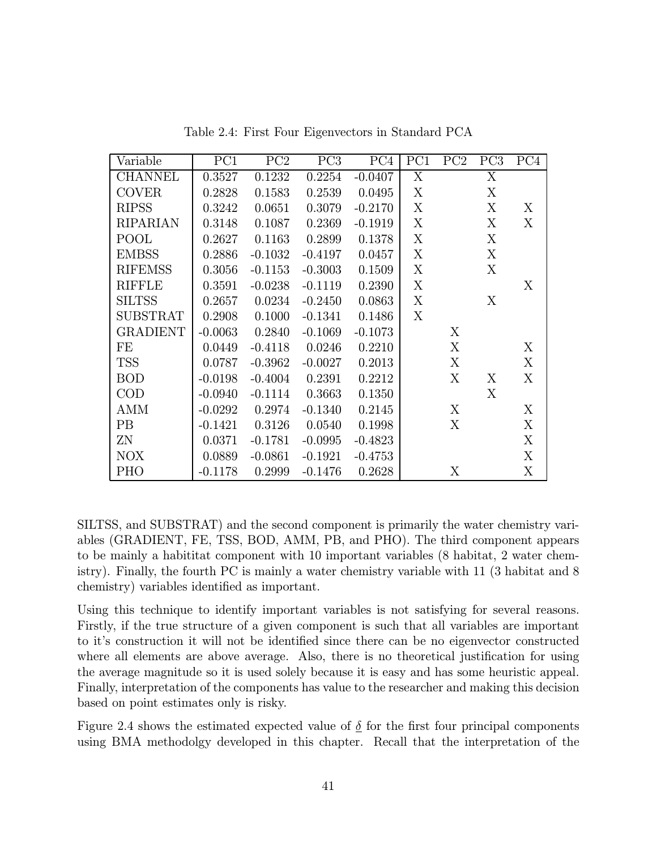| Variable        | PC1       | PC2       | PC <sub>3</sub> | PC <sub>4</sub> | PC1 | PC2 | PC <sub>3</sub> | PC <sub>4</sub> |
|-----------------|-----------|-----------|-----------------|-----------------|-----|-----|-----------------|-----------------|
| <b>CHANNEL</b>  | 0.3527    | 0.1232    | 0.2254          | $-0.0407$       | X   |     | X               |                 |
| <b>COVER</b>    | 0.2828    | 0.1583    | 0.2539          | 0.0495          | Χ   |     | X               |                 |
| <b>RIPSS</b>    | 0.3242    | 0.0651    | 0.3079          | $-0.2170$       | Χ   |     | Χ               | X               |
| <b>RIPARIAN</b> | 0.3148    | 0.1087    | 0.2369          | $-0.1919$       | X   |     | X               | X               |
| POOL            | 0.2627    | 0.1163    | 0.2899          | 0.1378          | Χ   |     | X               |                 |
| <b>EMBSS</b>    | 0.2886    | $-0.1032$ | $-0.4197$       | 0.0457          | X   |     | X               |                 |
| <b>RIFEMSS</b>  | 0.3056    | $-0.1153$ | $-0.3003$       | 0.1509          | X   |     | X               |                 |
| <b>RIFFLE</b>   | 0.3591    | $-0.0238$ | $-0.1119$       | 0.2390          | X   |     |                 | X               |
| <b>SILTSS</b>   | 0.2657    | 0.0234    | $-0.2450$       | 0.0863          | X   |     | X               |                 |
| <b>SUBSTRAT</b> | 0.2908    | 0.1000    | $-0.1341$       | 0.1486          | X   |     |                 |                 |
| GRADIENT        | $-0.0063$ | 0.2840    | $-0.1069$       | $-0.1073$       |     | X   |                 |                 |
| FE              | 0.0449    | $-0.4118$ | 0.0246          | 0.2210          |     | Χ   |                 | X               |
| TSS             | 0.0787    | $-0.3962$ | $-0.0027$       | 0.2013          |     | X   |                 | X               |
| <b>BOD</b>      | $-0.0198$ | $-0.4004$ | 0.2391          | 0.2212          |     | Χ   | X               | Χ               |
| $\rm COD$       | $-0.0940$ | $-0.1114$ | 0.3663          | 0.1350          |     |     | Χ               |                 |
| AMM             | $-0.0292$ | 0.2974    | $-0.1340$       | 0.2145          |     | X   |                 | X               |
| PB              | $-0.1421$ | 0.3126    | 0.0540          | 0.1998          |     | X   |                 | X               |
| ΖN              | 0.0371    | $-0.1781$ | $-0.0995$       | $-0.4823$       |     |     |                 | X               |
| NOX             | 0.0889    | $-0.0861$ | $-0.1921$       | $-0.4753$       |     |     |                 | X               |
| PHO             | $-0.1178$ | 0.2999    | $-0.1476$       | 0.2628          |     | Χ   |                 | Χ               |

Table 2.4: First Four Eigenvectors in Standard PCA

SILTSS, and SUBSTRAT) and the second component is primarily the water chemistry variables (GRADIENT, FE, TSS, BOD, AMM, PB, and PHO). The third component appears to be mainly a habititat component with 10 important variables (8 habitat, 2 water chemistry). Finally, the fourth PC is mainly a water chemistry variable with 11 (3 habitat and 8 chemistry) variables identified as important.

Using this technique to identify important variables is not satisfying for several reasons. Firstly, if the true structure of a given component is such that all variables are important to it's construction it will not be identified since there can be no eigenvector constructed where all elements are above average. Also, there is no theoretical justification for using the average magnitude so it is used solely because it is easy and has some heuristic appeal. Finally, interpretation of the components has value to the researcher and making this decision based on point estimates only is risky.

Figure 2.4 shows the estimated expected value of  $\delta$  for the first four principal components using BMA methodolgy developed in this chapter. Recall that the interpretation of the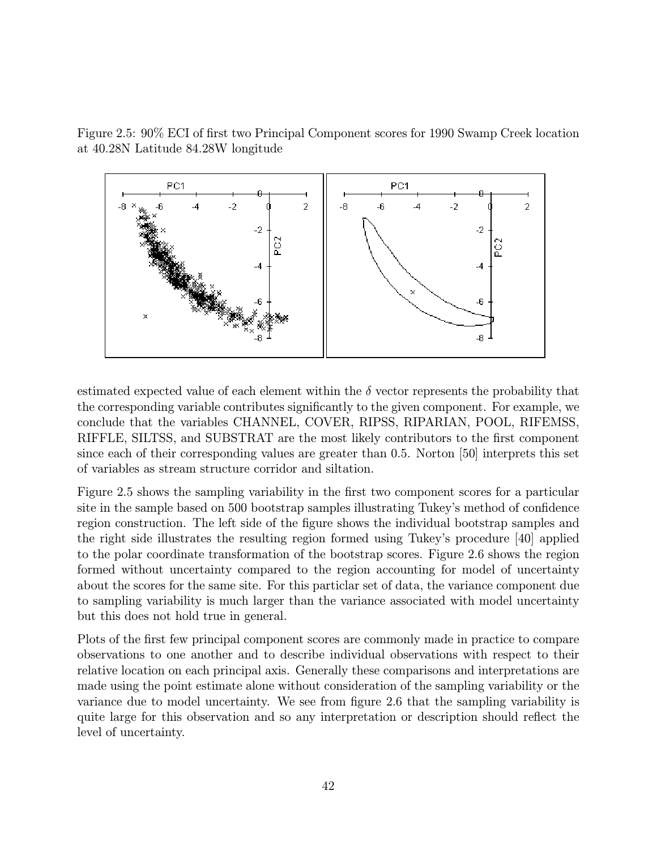Figure 2.5: 90% ECI of first two Principal Component scores for 1990 Swamp Creek location at 40.28N Latitude 84.28W longitude



estimated expected value of each element within the  $\delta$  vector represents the probability that the corresponding variable contributes significantly to the given component. For example, we conclude that the variables CHANNEL, COVER, RIPSS, RIPARIAN, POOL, RIFEMSS, RIFFLE, SILTSS, and SUBSTRAT are the most likely contributors to the first component since each of their corresponding values are greater than 0.5. Norton [50] interprets this set of variables as stream structure corridor and siltation.

Figure 2.5 shows the sampling variability in the first two component scores for a particular site in the sample based on 500 bootstrap samples illustrating Tukey's method of confidence region construction. The left side of the figure shows the individual bootstrap samples and the right side illustrates the resulting region formed using Tukey's procedure [40] applied to the polar coordinate transformation of the bootstrap scores. Figure 2.6 shows the region formed without uncertainty compared to the region accounting for model of uncertainty about the scores for the same site. For this particlar set of data, the variance component due to sampling variability is much larger than the variance associated with model uncertainty but this does not hold true in general.

Plots of the first few principal component scores are commonly made in practice to compare observations to one another and to describe individual observations with respect to their relative location on each principal axis. Generally these comparisons and interpretations are made using the point estimate alone without consideration of the sampling variability or the variance due to model uncertainty. We see from figure 2.6 that the sampling variability is quite large for this observation and so any interpretation or description should reflect the level of uncertainty.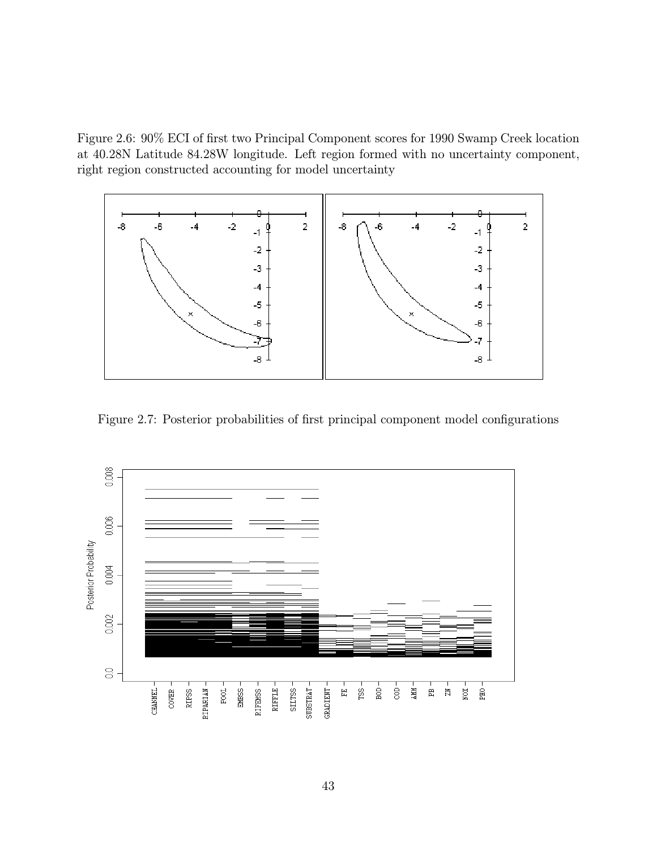Figure 2.6: 90% ECI of first two Principal Component scores for 1990 Swamp Creek location at 40.28N Latitude 84.28W longitude. Left region formed with no uncertainty component, right region constructed accounting for model uncertainty



Figure 2.7: Posterior probabilities of first principal component model configurations

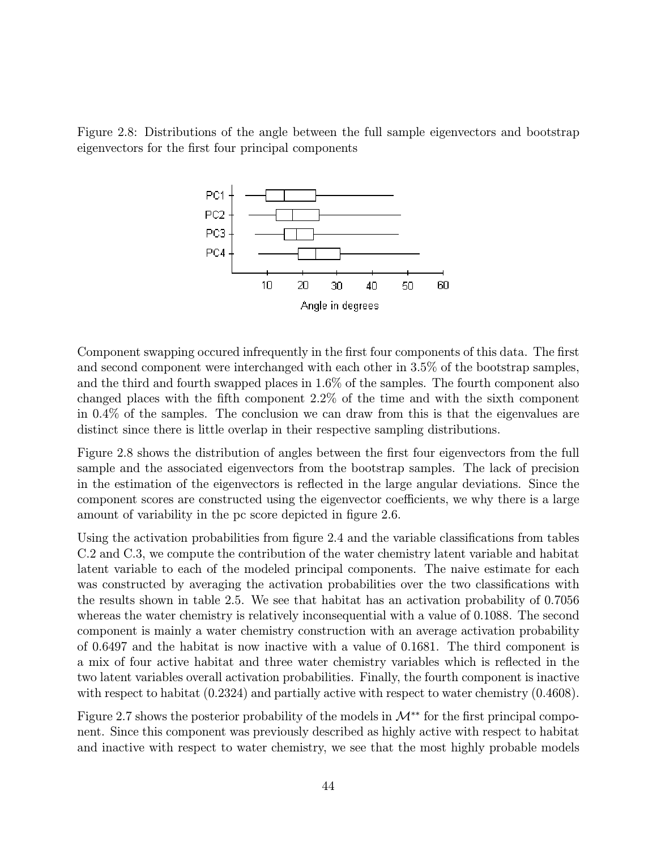Figure 2.8: Distributions of the angle between the full sample eigenvectors and bootstrap eigenvectors for the first four principal components



Component swapping occured infrequently in the first four components of this data. The first and second component were interchanged with each other in 3.5% of the bootstrap samples, and the third and fourth swapped places in 1.6% of the samples. The fourth component also changed places with the fifth component 2.2% of the time and with the sixth component in 0.4% of the samples. The conclusion we can draw from this is that the eigenvalues are distinct since there is little overlap in their respective sampling distributions.

Figure 2.8 shows the distribution of angles between the first four eigenvectors from the full sample and the associated eigenvectors from the bootstrap samples. The lack of precision in the estimation of the eigenvectors is reflected in the large angular deviations. Since the component scores are constructed using the eigenvector coefficients, we why there is a large amount of variability in the pc score depicted in figure 2.6.

Using the activation probabilities from figure 2.4 and the variable classifications from tables C.2 and C.3, we compute the contribution of the water chemistry latent variable and habitat latent variable to each of the modeled principal components. The naive estimate for each was constructed by averaging the activation probabilities over the two classifications with the results shown in table 2.5. We see that habitat has an activation probability of 0.7056 whereas the water chemistry is relatively inconsequential with a value of 0.1088. The second component is mainly a water chemistry construction with an average activation probability of 0.6497 and the habitat is now inactive with a value of 0.1681. The third component is a mix of four active habitat and three water chemistry variables which is reflected in the two latent variables overall activation probabilities. Finally, the fourth component is inactive with respect to habitat  $(0.2324)$  and partially active with respect to water chemistry  $(0.4608)$ .

Figure 2.7 shows the posterior probability of the models in  $\mathcal{M}^{**}$  for the first principal component. Since this component was previously described as highly active with respect to habitat and inactive with respect to water chemistry, we see that the most highly probable models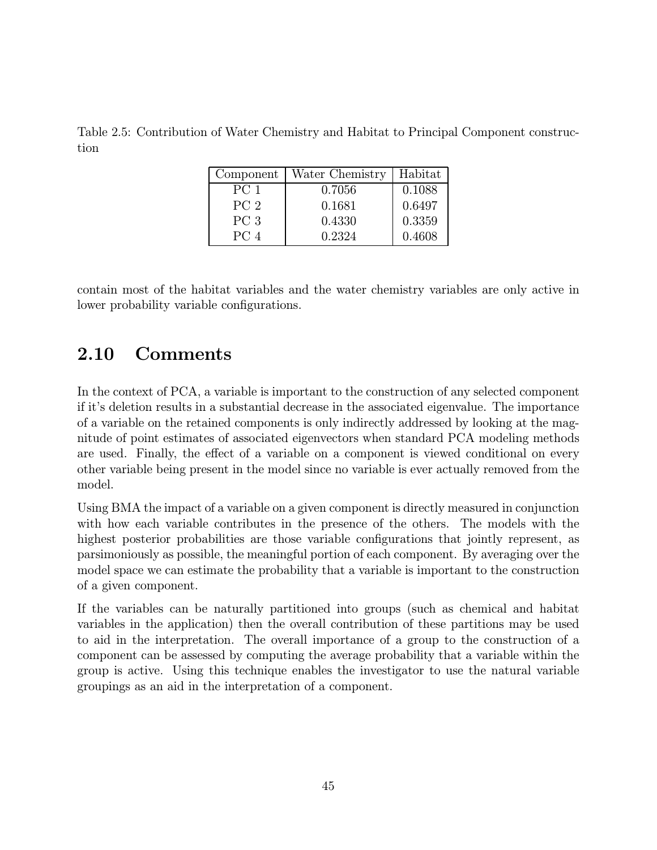Table 2.5: Contribution of Water Chemistry and Habitat to Principal Component construction

| Component       | Water Chemistry | Habitat |
|-----------------|-----------------|---------|
| PC <sub>1</sub> | 0.7056          | 0.1088  |
| PC <sub>2</sub> | 0.1681          | 0.6497  |
| PC <sub>3</sub> | 0.4330          | 0.3359  |
| PC <sub>4</sub> | 0.2324          | 0.4608  |

contain most of the habitat variables and the water chemistry variables are only active in lower probability variable configurations.

# 2.10 Comments

In the context of PCA, a variable is important to the construction of any selected component if it's deletion results in a substantial decrease in the associated eigenvalue. The importance of a variable on the retained components is only indirectly addressed by looking at the magnitude of point estimates of associated eigenvectors when standard PCA modeling methods are used. Finally, the effect of a variable on a component is viewed conditional on every other variable being present in the model since no variable is ever actually removed from the model.

Using BMA the impact of a variable on a given component is directly measured in conjunction with how each variable contributes in the presence of the others. The models with the highest posterior probabilities are those variable configurations that jointly represent, as parsimoniously as possible, the meaningful portion of each component. By averaging over the model space we can estimate the probability that a variable is important to the construction of a given component.

If the variables can be naturally partitioned into groups (such as chemical and habitat variables in the application) then the overall contribution of these partitions may be used to aid in the interpretation. The overall importance of a group to the construction of a component can be assessed by computing the average probability that a variable within the group is active. Using this technique enables the investigator to use the natural variable groupings as an aid in the interpretation of a component.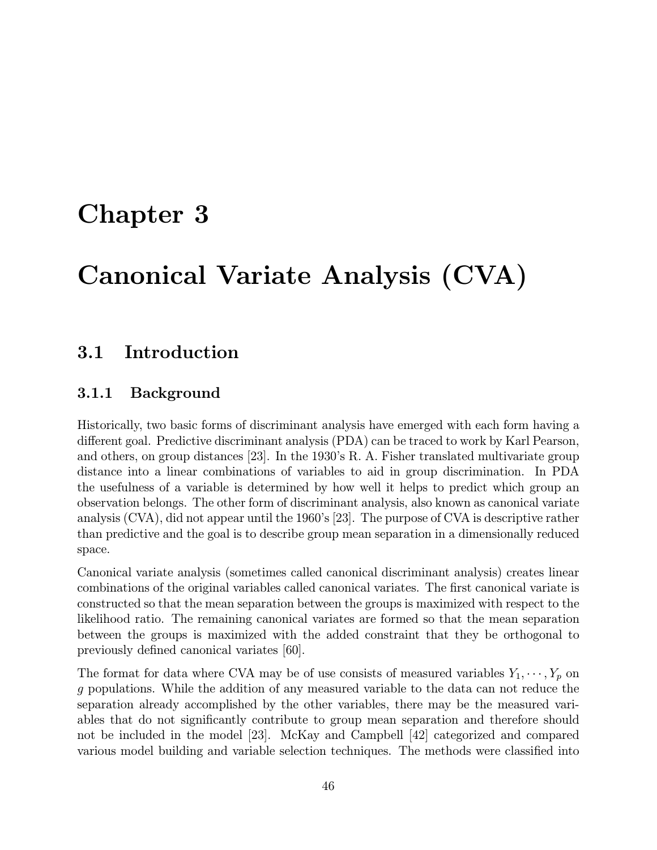# Chapter 3

# Canonical Variate Analysis (CVA)

# 3.1 Introduction

#### 3.1.1 Background

Historically, two basic forms of discriminant analysis have emerged with each form having a different goal. Predictive discriminant analysis (PDA) can be traced to work by Karl Pearson, and others, on group distances [23]. In the 1930's R. A. Fisher translated multivariate group distance into a linear combinations of variables to aid in group discrimination. In PDA the usefulness of a variable is determined by how well it helps to predict which group an observation belongs. The other form of discriminant analysis, also known as canonical variate analysis (CVA), did not appear until the 1960's [23]. The purpose of CVA is descriptive rather than predictive and the goal is to describe group mean separation in a dimensionally reduced space.

Canonical variate analysis (sometimes called canonical discriminant analysis) creates linear combinations of the original variables called canonical variates. The first canonical variate is constructed so that the mean separation between the groups is maximized with respect to the likelihood ratio. The remaining canonical variates are formed so that the mean separation between the groups is maximized with the added constraint that they be orthogonal to previously defined canonical variates [60].

The format for data where CVA may be of use consists of measured variables  $Y_1, \dots, Y_p$  on g populations. While the addition of any measured variable to the data can not reduce the separation already accomplished by the other variables, there may be the measured variables that do not significantly contribute to group mean separation and therefore should not be included in the model [23]. McKay and Campbell [42] categorized and compared various model building and variable selection techniques. The methods were classified into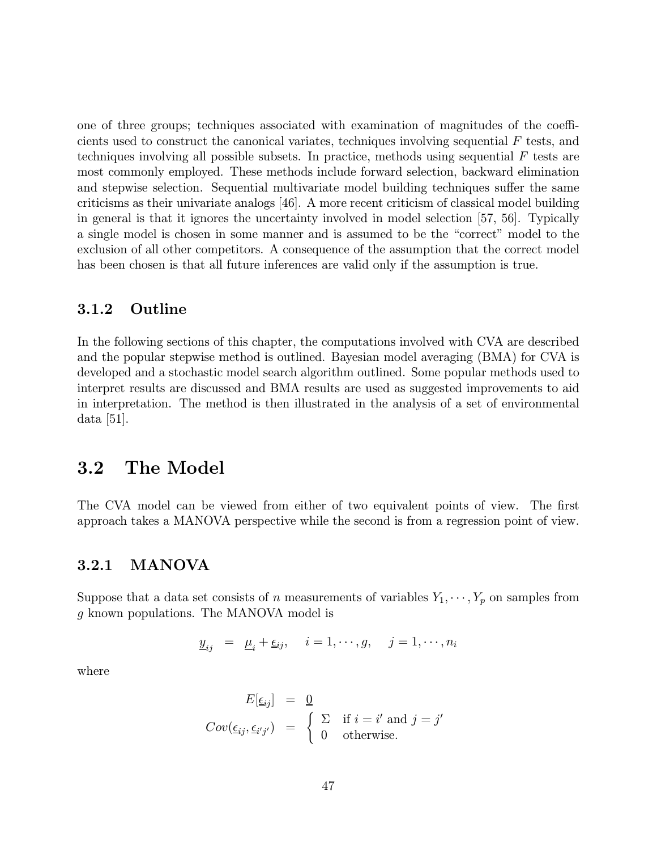one of three groups; techniques associated with examination of magnitudes of the coefficients used to construct the canonical variates, techniques involving sequential  $F$  tests, and techniques involving all possible subsets. In practice, methods using sequential  $F$  tests are most commonly employed. These methods include forward selection, backward elimination and stepwise selection. Sequential multivariate model building techniques suffer the same criticisms as their univariate analogs [46]. A more recent criticism of classical model building in general is that it ignores the uncertainty involved in model selection [57, 56]. Typically a single model is chosen in some manner and is assumed to be the "correct" model to the exclusion of all other competitors. A consequence of the assumption that the correct model has been chosen is that all future inferences are valid only if the assumption is true.

#### 3.1.2 Outline

In the following sections of this chapter, the computations involved with CVA are described and the popular stepwise method is outlined. Bayesian model averaging (BMA) for CVA is developed and a stochastic model search algorithm outlined. Some popular methods used to interpret results are discussed and BMA results are used as suggested improvements to aid in interpretation. The method is then illustrated in the analysis of a set of environmental data [51].

### 3.2 The Model

The CVA model can be viewed from either of two equivalent points of view. The first approach takes a MANOVA perspective while the second is from a regression point of view.

#### 3.2.1 MANOVA

Suppose that a data set consists of n measurements of variables  $Y_1, \dots, Y_p$  on samples from g known populations. The MANOVA model is

$$
\underline{y}_{ij} = \underline{\mu}_i + \underline{\epsilon}_{ij}, \quad i = 1, \cdots, g, \quad j = 1, \cdots, n_i
$$

where

$$
E[\underline{\epsilon}_{ij}] = \underline{0}
$$
  
\n
$$
Cov(\underline{\epsilon}_{ij}, \underline{\epsilon}_{i'j'}) = \begin{cases} \sum_{i} \text{ if } i = i' \text{ and } j = j' \\ 0 \text{ otherwise.} \end{cases}
$$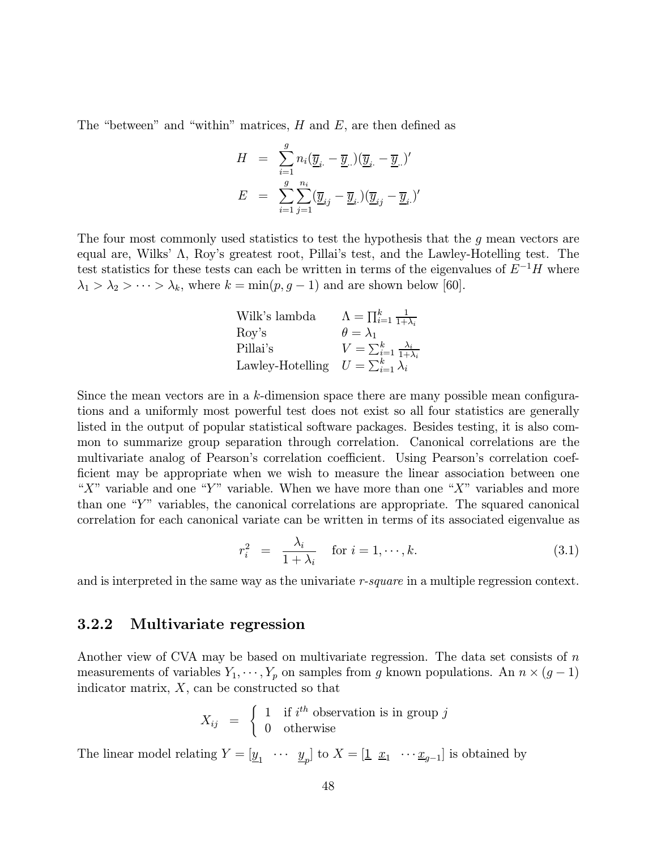The "between" and "within" matrices,  $H$  and  $E$ , are then defined as

$$
\begin{array}{ccl} H & = & \sum\limits_{i=1}^g n_i (\overline{\underline{y}}_i_{\cdot} - \overline{\underline{y}}_{\cdot \cdot})(\overline{\underline{y}}_i_{\cdot} - \overline{\underline{y}}_{\cdot \cdot})' \\ E & = & \sum\limits_{i=1}^g \sum\limits_{j=1}^{n_i} (\overline{\underline{y}}_{ij} - \overline{\underline{y}}_{i \cdot})(\overline{\underline{y}}_{ij} - \overline{\underline{y}}_{i \cdot})' \end{array}
$$

The four most commonly used statistics to test the hypothesis that the  $g$  mean vectors are equal are, Wilks' Λ, Roy's greatest root, Pillai's test, and the Lawley-Hotelling test. The test statistics for these tests can each be written in terms of the eigenvalues of  $E^{-1}H$  where  $\lambda_1 > \lambda_2 > \cdots > \lambda_k$ , where  $k = \min(p, g - 1)$  and are shown below [60].

| Wilk's lambda                                   | $\Lambda = \prod_{i=1}^k \frac{1}{1+\lambda_i}$  |
|-------------------------------------------------|--------------------------------------------------|
| Roy's                                           | $\theta = \lambda_1$                             |
| Pillai's                                        | $V = \sum_{i=1}^k \frac{\lambda_i}{1+\lambda_i}$ |
| Lawley-Hotelling $U = \sum_{i=1}^{k} \lambda_i$ |                                                  |

Since the mean vectors are in a k-dimension space there are many possible mean configurations and a uniformly most powerful test does not exist so all four statistics are generally listed in the output of popular statistical software packages. Besides testing, it is also common to summarize group separation through correlation. Canonical correlations are the multivariate analog of Pearson's correlation coefficient. Using Pearson's correlation coefficient may be appropriate when we wish to measure the linear association between one "X" variable and one "Y" variable. When we have more than one "X" variables and more than one " $Y$ " variables, the canonical correlations are appropriate. The squared canonical correlation for each canonical variate can be written in terms of its associated eigenvalue as

$$
r_i^2 = \frac{\lambda_i}{1 + \lambda_i} \quad \text{for } i = 1, \cdots, k. \tag{3.1}
$$

and is interpreted in the same way as the univariate r-square in a multiple regression context.

#### 3.2.2 Multivariate regression

Another view of CVA may be based on multivariate regression. The data set consists of  $n$ measurements of variables  $Y_1, \dots, Y_p$  on samples from g known populations. An  $n \times (g-1)$ indicator matrix,  $X$ , can be constructed so that

$$
X_{ij} = \begin{cases} 1 & \text{if } i^{th} \text{ observation is in group } j \\ 0 & \text{otherwise} \end{cases}
$$

The linear model relating  $Y = [\underline{y}_1 \cdots \underline{y}_n]$  to  $X = [\underline{1} \ \underline{x}_1 \cdots \underline{x}_{g-1}]$  is obtained by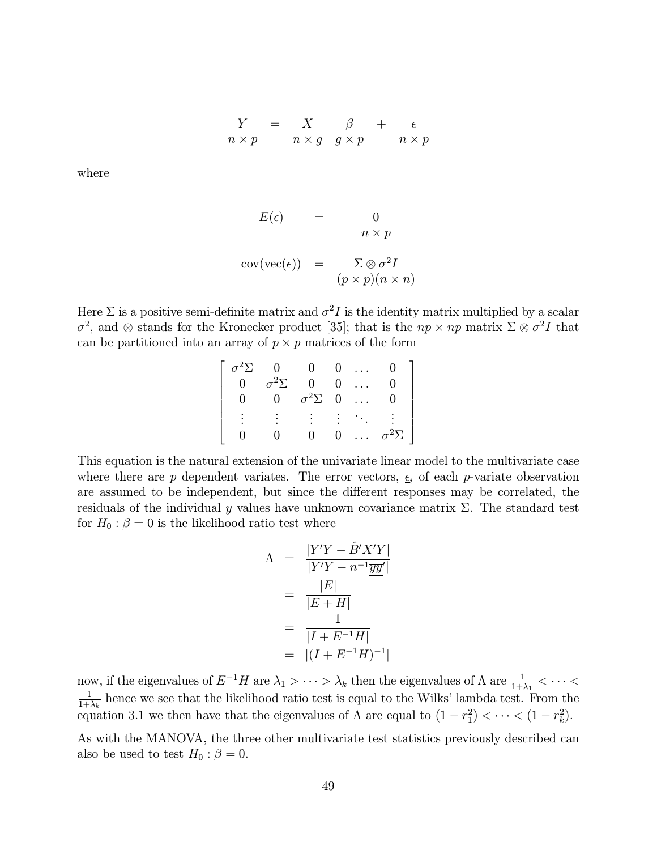$$
\begin{array}{rcl}\nY & = & X & \beta & + & \epsilon \\
n \times p & & n \times g & g \times p & & n \times p\n\end{array}
$$

where

$$
E(\epsilon) = 0
$$
  
\n
$$
n \times p
$$
  
\n
$$
cov(vec(\epsilon)) = \sum \otimes \sigma^2 I
$$
  
\n
$$
(p \times p)(n \times n)
$$

Here  $\Sigma$  is a positive semi-definite matrix and  $\sigma^2 I$  is the identity matrix multiplied by a scalar  $\sigma^2$ , and ⊗ stands for the Kronecker product [35]; that is the  $np \times np$  matrix  $\Sigma \otimes \sigma^2 I$  that can be partitioned into an array of  $p \times p$  matrices of the form

| $\sigma^2\Sigma$ | $\overline{0}$   | $\Omega$              |                | $0 \ldots$                                 |                  |
|------------------|------------------|-----------------------|----------------|--------------------------------------------|------------------|
| $\overline{0}$   | $\sigma^2\Sigma$ | $\overline{0}$        | $\overline{0}$ | $\sim 10^{-1}$                             |                  |
|                  | $\Omega$         | $\sigma^2 \Sigma = 0$ |                | $\cdots$                                   |                  |
|                  |                  |                       |                | $\mathbb{R}^n$ . The set of $\mathbb{R}^n$ |                  |
|                  |                  | $\cup$                | $\overline{0}$ | $\cdots$                                   | $\sigma^2\Sigma$ |

This equation is the natural extension of the univariate linear model to the multivariate case where there are p dependent variates. The error vectors,  $\epsilon_i$  of each p-variate observation are assumed to be independent, but since the different responses may be correlated, the residuals of the individual y values have unknown covariance matrix  $\Sigma$ . The standard test for  $H_0$ :  $\beta = 0$  is the likelihood ratio test where

$$
\Lambda = \frac{|Y'Y - \hat{B}'X'Y|}{|Y'Y - n^{-1}\overline{yy}'|} \n= \frac{|E|}{|E + H|} \n= \frac{1}{|I + E^{-1}H|} \n= |(I + E^{-1}H)^{-1}|
$$

now, if the eigenvalues of  $E^{-1}H$  are  $\lambda_1 > \cdots > \lambda_k$  then the eigenvalues of Λ are  $\frac{1}{1+\lambda_1} < \cdots < \frac{1}{1+\lambda_k}$  hence we see that the likelihood ratio test is equal to the Wilks' lambda test. From the equation 3.1 we then have that the eigenvalues of  $\Lambda$  are equal to  $(1 - r_1^2) < \cdots < (1 - r_k^2)$ .

As with the MANOVA, the three other multivariate test statistics previously described can also be used to test  $H_0$  :  $\beta = 0$ .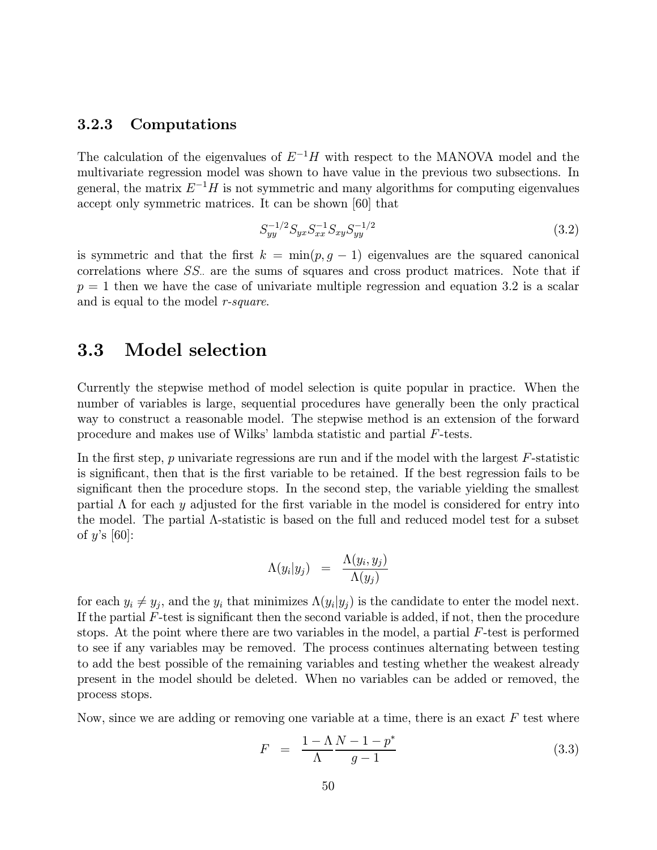#### 3.2.3 Computations

The calculation of the eigenvalues of  $E^{-1}H$  with respect to the MANOVA model and the multivariate regression model was shown to have value in the previous two subsections. In general, the matrix  $E^{-1}H$  is not symmetric and many algorithms for computing eigenvalues accept only symmetric matrices. It can be shown [60] that

$$
S_{yy}^{-1/2} S_{yx} S_{xx}^{-1} S_{xy} S_{yy}^{-1/2}
$$
\n(3.2)

is symmetric and that the first  $k = \min(p, g - 1)$  eigenvalues are the squared canonical correlations where  $SS$ . are the sums of squares and cross product matrices. Note that if  $p = 1$  then we have the case of univariate multiple regression and equation 3.2 is a scalar and is equal to the model r-square.

# 3.3 Model selection

Currently the stepwise method of model selection is quite popular in practice. When the number of variables is large, sequential procedures have generally been the only practical way to construct a reasonable model. The stepwise method is an extension of the forward procedure and makes use of Wilks' lambda statistic and partial F-tests.

In the first step, p univariate regressions are run and if the model with the largest  $F$ -statistic is significant, then that is the first variable to be retained. If the best regression fails to be significant then the procedure stops. In the second step, the variable yielding the smallest partial  $\Lambda$  for each y adjusted for the first variable in the model is considered for entry into the model. The partial Λ-statistic is based on the full and reduced model test for a subset of  $y$ 's [60]:

$$
\Lambda(y_i|y_j) = \frac{\Lambda(y_i, y_j)}{\Lambda(y_j)}
$$

for each  $y_i \neq y_j$ , and the  $y_i$  that minimizes  $\Lambda(y_i|y_j)$  is the candidate to enter the model next. If the partial  $F$ -test is significant then the second variable is added, if not, then the procedure stops. At the point where there are two variables in the model, a partial F-test is performed to see if any variables may be removed. The process continues alternating between testing to add the best possible of the remaining variables and testing whether the weakest already present in the model should be deleted. When no variables can be added or removed, the process stops.

Now, since we are adding or removing one variable at a time, there is an exact  $F$  test where

$$
F = \frac{1 - \Lambda N - 1 - p^*}{\Lambda g - 1} \tag{3.3}
$$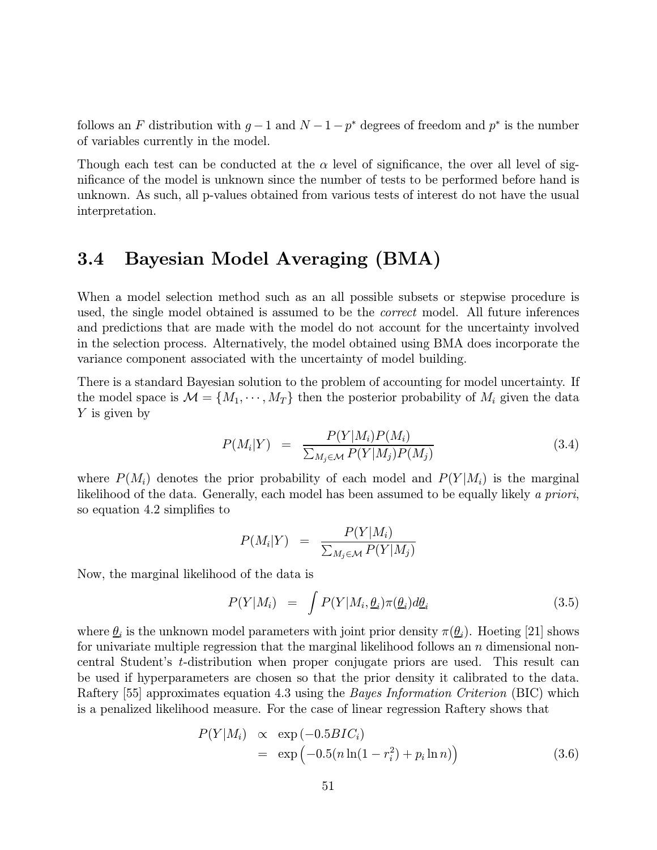follows an F distribution with  $g-1$  and  $N-1-p^*$  degrees of freedom and  $p^*$  is the number of variables currently in the model.

Though each test can be conducted at the  $\alpha$  level of significance, the over all level of significance of the model is unknown since the number of tests to be performed before hand is unknown. As such, all p-values obtained from various tests of interest do not have the usual interpretation.

# 3.4 Bayesian Model Averaging (BMA)

When a model selection method such as an all possible subsets or stepwise procedure is used, the single model obtained is assumed to be the *correct* model. All future inferences and predictions that are made with the model do not account for the uncertainty involved in the selection process. Alternatively, the model obtained using BMA does incorporate the variance component associated with the uncertainty of model building.

There is a standard Bayesian solution to the problem of accounting for model uncertainty. If the model space is  $\mathcal{M} = \{M_1, \dots, M_T\}$  then the posterior probability of  $M_i$  given the data Y is given by

$$
P(M_i|Y) = \frac{P(Y|M_i)P(M_i)}{\sum_{M_j \in \mathcal{M}} P(Y|M_j)P(M_j)} \tag{3.4}
$$

where  $P(M_i)$  denotes the prior probability of each model and  $P(Y|M_i)$  is the marginal likelihood of the data. Generally, each model has been assumed to be equally likely a priori, so equation 4.2 simplifies to

$$
P(M_i|Y) = \frac{P(Y|M_i)}{\sum_{M_j \in \mathcal{M}} P(Y|M_j)}
$$

Now, the marginal likelihood of the data is

$$
P(Y|M_i) = \int P(Y|M_i, \underline{\theta}_i) \pi(\underline{\theta}_i) d\underline{\theta}_i \tag{3.5}
$$

where  $\theta_i$  is the unknown model parameters with joint prior density  $\pi(\theta_i)$ . Hoeting [21] shows for univariate multiple regression that the marginal likelihood follows an  $n$  dimensional noncentral Student's t-distribution when proper conjugate priors are used. This result can be used if hyperparameters are chosen so that the prior density it calibrated to the data. Raftery [55] approximates equation 4.3 using the *Bayes Information Criterion* (BIC) which is a penalized likelihood measure. For the case of linear regression Raftery shows that

$$
P(Y|M_i) \propto \exp(-0.5BIC_i)
$$
  
= 
$$
\exp(-0.5(n\ln(1 - r_i^2) + p_i \ln n))
$$
 (3.6)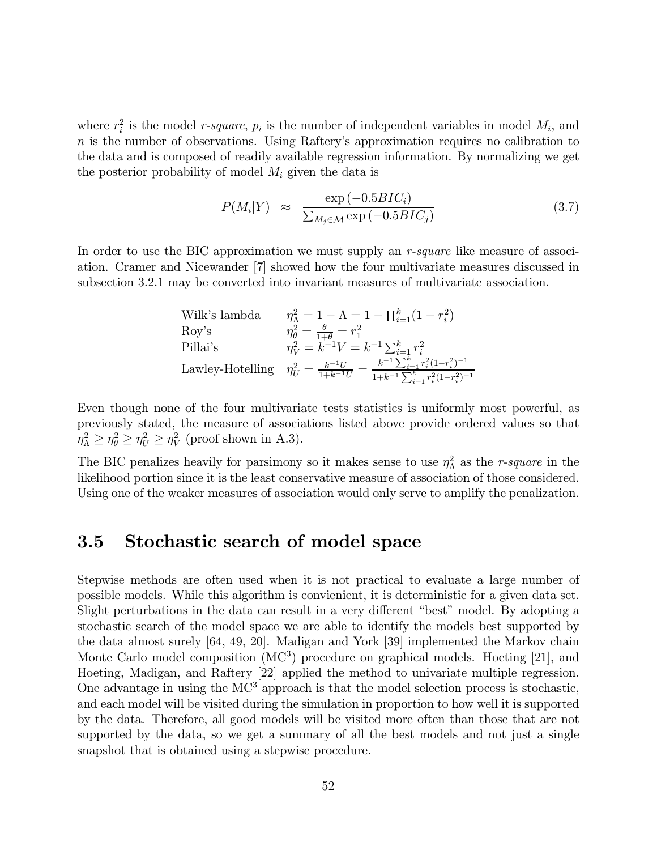where  $r_i^2$  is the model *r*-square,  $p_i$  is the number of independent variables in model  $M_i$ , and  $n$  is the number of observations. Using Raftery's approximation requires no calibration to the data and is composed of readily available regression information. By normalizing we get the posterior probability of model  $M_i$  given the data is

$$
P(M_i|Y) \approx \frac{\exp(-0.5BIC_i)}{\sum_{M_j \in \mathcal{M}} \exp(-0.5BIC_j)}
$$
(3.7)

In order to use the BIC approximation we must supply an  $r$ -square like measure of association. Cramer and Nicewander [7] showed how the four multivariate measures discussed in subsection 3.2.1 may be converted into invariant measures of multivariate association.

Willk's lambda

\n
$$
\eta_{\Lambda}^{2} = 1 - \Lambda = 1 - \prod_{i=1}^{k} (1 - r_{i}^{2})
$$
\nRoy's

\n
$$
\eta_{\theta}^{2} = \frac{\theta}{1 + \theta} = r_{1}^{2}
$$
\nPillai's

\n
$$
\eta_{V}^{2} = k^{-1}V = k^{-1} \sum_{i=1}^{k} r_{i}^{2}
$$
\nLawley-Hotelling

\n
$$
\eta_{U}^{2} = \frac{k^{-1}U}{1 + k^{-1}U} = \frac{k^{-1} \sum_{i=1}^{k} r_{i}^{2} (1 - r_{i}^{2})^{-1}}{1 + k^{-1} \sum_{i=1}^{k} r_{i}^{2} (1 - r_{i}^{2})^{-1}}
$$

Even though none of the four multivariate tests statistics is uniformly most powerful, as previously stated, the measure of associations listed above provide ordered values so that  $\eta_{\Lambda}^2 \geq \eta_{\theta}^2 \geq \eta_{U}^2 \geq \eta_{V}^2$  (proof shown in A.3).

The BIC penalizes heavily for parsimony so it makes sense to use  $\eta_{\Lambda}^2$  as the *r*-square in the likelihood portion since it is the least conservative measure of association of those considered. Using one of the weaker measures of association would only serve to amplify the penalization.

### 3.5 Stochastic search of model space

Stepwise methods are often used when it is not practical to evaluate a large number of possible models. While this algorithm is convienient, it is deterministic for a given data set. Slight perturbations in the data can result in a very different "best" model. By adopting a stochastic search of the model space we are able to identify the models best supported by the data almost surely [64, 49, 20]. Madigan and York [39] implemented the Markov chain Monte Carlo model composition (MC<sup>3</sup>) procedure on graphical models. Hoeting [21], and Hoeting, Madigan, and Raftery [22] applied the method to univariate multiple regression. One advantage in using the  $MC<sup>3</sup>$  approach is that the model selection process is stochastic, and each model will be visited during the simulation in proportion to how well it is supported by the data. Therefore, all good models will be visited more often than those that are not supported by the data, so we get a summary of all the best models and not just a single snapshot that is obtained using a stepwise procedure.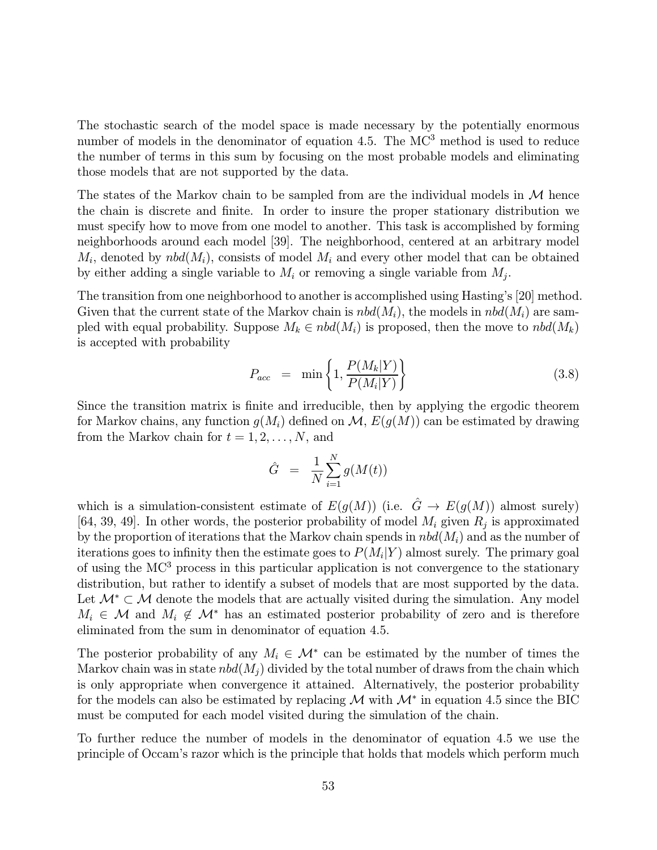The stochastic search of the model space is made necessary by the potentially enormous number of models in the denominator of equation 4.5. The MC<sup>3</sup> method is used to reduce the number of terms in this sum by focusing on the most probable models and eliminating those models that are not supported by the data.

The states of the Markov chain to be sampled from are the individual models in  $\mathcal M$  hence the chain is discrete and finite. In order to insure the proper stationary distribution we must specify how to move from one model to another. This task is accomplished by forming neighborhoods around each model [39]. The neighborhood, centered at an arbitrary model  $M_i$ , denoted by  $nbd(M_i)$ , consists of model  $M_i$  and every other model that can be obtained by either adding a single variable to  $M_i$  or removing a single variable from  $M_i$ .

The transition from one neighborhood to another is accomplished using Hasting's [20] method. Given that the current state of the Markov chain is  $nbd(M_i)$ , the models in  $nbd(M_i)$  are sampled with equal probability. Suppose  $M_k \in \text{nbd}(M_i)$  is proposed, then the move to  $\text{nbd}(M_k)$ is accepted with probability

$$
P_{acc} = \min\left\{1, \frac{P(M_k|Y)}{P(M_i|Y)}\right\} \tag{3.8}
$$

Since the transition matrix is finite and irreducible, then by applying the ergodic theorem for Markov chains, any function  $g(M_i)$  defined on  $\mathcal{M}, E(g(M))$  can be estimated by drawing from the Markov chain for  $t = 1, 2, \ldots, N$ , and

$$
\hat{G} = \frac{1}{N} \sum_{i=1}^{N} g(M(t))
$$

which is a simulation-consistent estimate of  $E(g(M))$  (i.e.  $\hat{G} \to E(g(M))$  almost surely) [64, 39, 49]. In other words, the posterior probability of model  $M_i$  given  $R_j$  is approximated by the proportion of iterations that the Markov chain spends in  $nbd(M<sub>i</sub>)$  and as the number of iterations goes to infinity then the estimate goes to  $P(M_i|Y)$  almost surely. The primary goal of using the MC<sup>3</sup> process in this particular application is not convergence to the stationary distribution, but rather to identify a subset of models that are most supported by the data. Let  $\mathcal{M}^* \subset \mathcal{M}$  denote the models that are actually visited during the simulation. Any model  $M_i \in \mathcal{M}$  and  $M_i \notin \mathcal{M}^*$  has an estimated posterior probability of zero and is therefore eliminated from the sum in denominator of equation 4.5.

The posterior probability of any  $M_i \in \mathcal{M}^*$  can be estimated by the number of times the Markov chain was in state  $nbd(M_i)$  divided by the total number of draws from the chain which is only appropriate when convergence it attained. Alternatively, the posterior probability for the models can also be estimated by replacing  $\mathcal M$  with  $\mathcal M^*$  in equation 4.5 since the BIC must be computed for each model visited during the simulation of the chain.

To further reduce the number of models in the denominator of equation 4.5 we use the principle of Occam's razor which is the principle that holds that models which perform much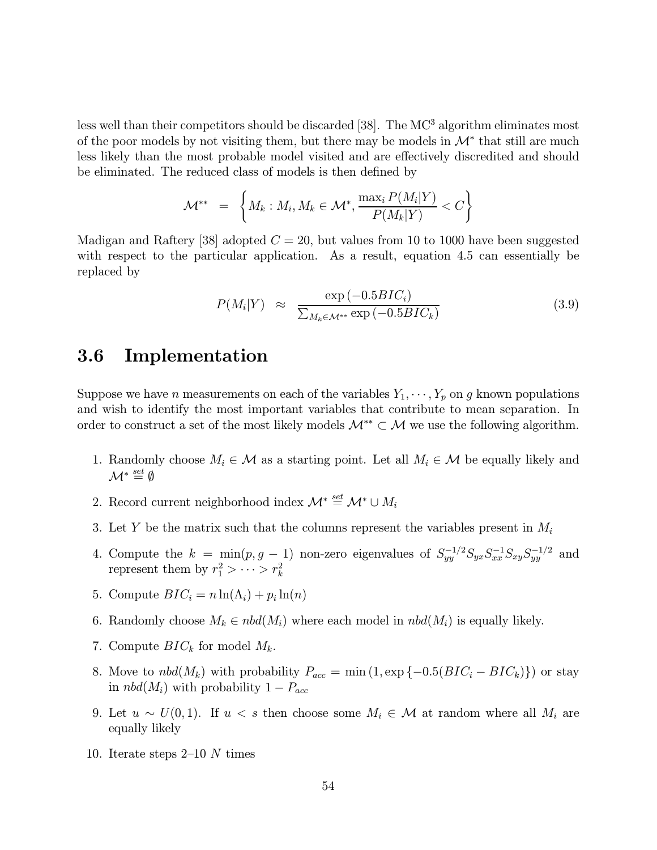less well than their competitors should be discarded  $[38]$ . The MC<sup>3</sup> algorithm eliminates most of the poor models by not visiting them, but there may be models in  $\mathcal{M}^*$  that still are much less likely than the most probable model visited and are effectively discredited and should be eliminated. The reduced class of models is then defined by

$$
\mathcal{M}^{**} \hspace{2mm} = \hspace{2mm} \bigg\{ M_k : M_i, M_k \in \mathcal{M}^*, \frac{\max_i P(M_i|Y)}{P(M_k|Y)} < C \bigg\}
$$

Madigan and Raftery [38] adopted  $C = 20$ , but values from 10 to 1000 have been suggested with respect to the particular application. As a result, equation 4.5 can essentially be replaced by

$$
P(M_i|Y) \approx \frac{\exp(-0.5BIC_i)}{\sum_{M_k \in \mathcal{M}^{**}} \exp(-0.5BIC_k)}
$$
(3.9)

# 3.6 Implementation

Suppose we have *n* measurements on each of the variables  $Y_1, \dots, Y_p$  on g known populations and wish to identify the most important variables that contribute to mean separation. In order to construct a set of the most likely models  $\mathcal{M}^{**} \subset \mathcal{M}$  we use the following algorithm.

- 1. Randomly choose  $M_i \in \mathcal{M}$  as a starting point. Let all  $M_i \in \mathcal{M}$  be equally likely and  $\mathcal{M}^* \stackrel{set}{=} \emptyset$
- 2. Record current neighborhood index  $\mathcal{M}^* \stackrel{set}{=} \mathcal{M}^* \cup M_i$
- 3. Let Y be the matrix such that the columns represent the variables present in  $M_i$
- 4. Compute the  $k = \min(p, g 1)$  non-zero eigenvalues of  $S_{yy}^{-1/2} S_{yx} S_{xx}^{-1} S_{xy} S_{yy}^{-1/2}$  and represent them by  $r_1^2 > \cdots > r_k^2$
- 5. Compute  $BIC_i = n \ln(\Lambda_i) + p_i \ln(n)$
- 6. Randomly choose  $M_k \in \text{nbd}(M_i)$  where each model in  $\text{nbd}(M_i)$  is equally likely.
- 7. Compute  $BIC_k$  for model  $M_k$ .
- 8. Move to  $nbd(M_k)$  with probability  $P_{acc} = \min(1, \exp\{-0.5(BIC_i BIC_k)\})$  or stay in  $nbd(M_i)$  with probability  $1-P_{acc}$
- 9. Let  $u \sim U(0, 1)$ . If  $u < s$  then choose some  $M_i \in \mathcal{M}$  at random where all  $M_i$  are equally likely
- 10. Iterate steps 2—10 N times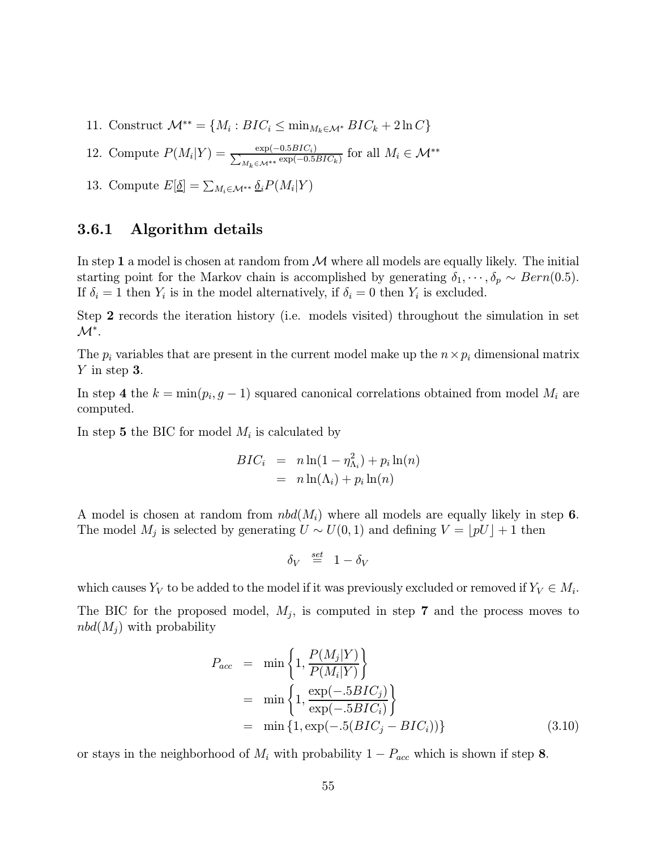- 11. Construct  $\mathcal{M}^{**} = \{M_i : BIC_i \leq \min_{M_k \in \mathcal{M}^*} BIC_k + 2 \ln C\}$
- 12. Compute  $P(M_i|Y) = \frac{\exp(-0.5BIC_i)}{\sum_{M_k \in \mathcal{M}^{**}} \exp(-0.5BIC_k)}$  for all  $M_i \in \mathcal{M}^{**}$
- 13. Compute  $E[\underline{\delta}] = \sum_{M_i \in \mathcal{M}^{**}} \underline{\delta}_i P(M_i|Y)$

#### 3.6.1 Algorithm details

In step 1 a model is chosen at random from  $\mathcal M$  where all models are equally likely. The initial starting point for the Markov chain is accomplished by generating  $\delta_1, \dots, \delta_p \sim Bern(0.5)$ . If  $\delta_i = 1$  then  $Y_i$  is in the model alternatively, if  $\delta_i = 0$  then  $Y_i$  is excluded.

Step 2 records the iteration history (i.e. models visited) throughout the simulation in set  $\mathcal{M}^*$ .

The  $p_i$  variables that are present in the current model make up the  $n \times p_i$  dimensional matrix Y in step 3.

In step 4 the  $k = \min(p_i, g - 1)$  squared canonical correlations obtained from model  $M_i$  are computed.

In step 5 the BIC for model  $M_i$  is calculated by

$$
BIC_i = n \ln(1 - \eta_{\Lambda_i}^2) + p_i \ln(n)
$$
  
=  $n \ln(\Lambda_i) + p_i \ln(n)$ 

A model is chosen at random from  $nbd(M_i)$  where all models are equally likely in step 6. The model  $M_j$  is selected by generating  $U \sim U(0, 1)$  and defining  $V = [pU] + 1$  then

$$
\delta_V \stackrel{\text{\tiny set}}{=} 1 - \delta_V
$$

which causes  $Y_V$  to be added to the model if it was previously excluded or removed if  $Y_V \in M_i$ .

The BIC for the proposed model,  $M_j$ , is computed in step 7 and the process moves to  $nbd(M_i)$  with probability

$$
P_{acc} = \min \left\{ 1, \frac{P(M_j|Y)}{P(M_i|Y)} \right\}
$$
  
=  $\min \left\{ 1, \frac{\exp(-.5BIC_j)}{\exp(-.5BIC_i)} \right\}$   
=  $\min \left\{ 1, \exp(-.5(BIC_j - BIC_i)) \right\}$  (3.10)

or stays in the neighborhood of  $M_i$  with probability  $1 - P_{acc}$  which is shown if step 8.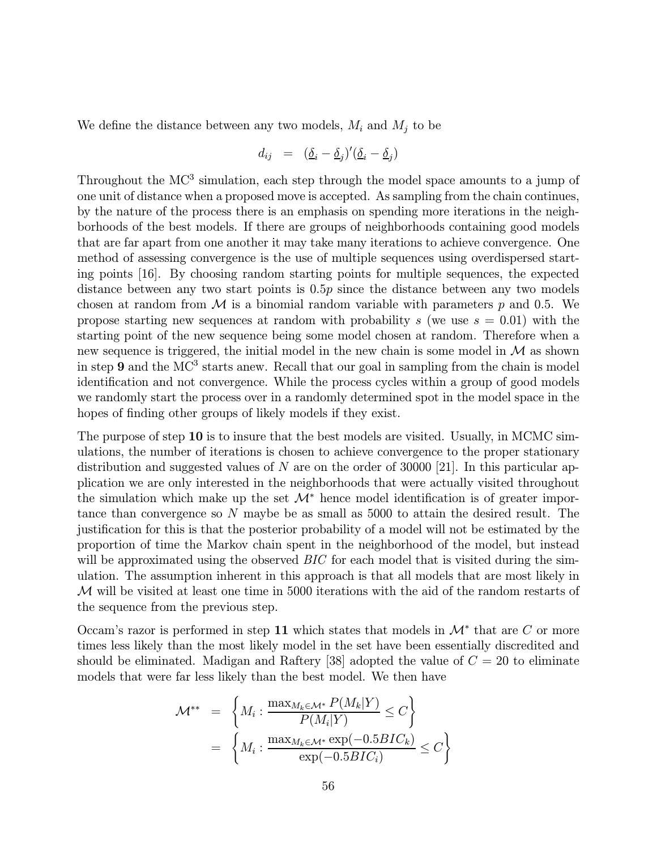We define the distance between any two models,  $M_i$  and  $M_j$  to be

$$
d_{ij} = (\underline{\delta}_i - \underline{\delta}_j)'(\underline{\delta}_i - \underline{\delta}_j)
$$

Throughout the  $MC^3$  simulation, each step through the model space amounts to a jump of one unit of distance when a proposed move is accepted. As sampling from the chain continues, by the nature of the process there is an emphasis on spending more iterations in the neighborhoods of the best models. If there are groups of neighborhoods containing good models that are far apart from one another it may take many iterations to achieve convergence. One method of assessing convergence is the use of multiple sequences using overdispersed starting points [16]. By choosing random starting points for multiple sequences, the expected distance between any two start points is 0.5p since the distance between any two models chosen at random from  $\mathcal M$  is a binomial random variable with parameters p and 0.5. We propose starting new sequences at random with probability s (we use  $s = 0.01$ ) with the starting point of the new sequence being some model chosen at random. Therefore when a new sequence is triggered, the initial model in the new chain is some model in  $\mathcal M$  as shown in step 9 and the  $MC^3$  starts anew. Recall that our goal in sampling from the chain is model identification and not convergence. While the process cycles within a group of good models we randomly start the process over in a randomly determined spot in the model space in the hopes of finding other groups of likely models if they exist.

The purpose of step 10 is to insure that the best models are visited. Usually, in MCMC simulations, the number of iterations is chosen to achieve convergence to the proper stationary distribution and suggested values of N are on the order of 30000 [21]. In this particular application we are only interested in the neighborhoods that were actually visited throughout the simulation which make up the set  $\mathcal{M}^*$  hence model identification is of greater importance than convergence so N maybe be as small as 5000 to attain the desired result. The justification for this is that the posterior probability of a model will not be estimated by the proportion of time the Markov chain spent in the neighborhood of the model, but instead will be approximated using the observed *BIC* for each model that is visited during the simulation. The assumption inherent in this approach is that all models that are most likely in M will be visited at least one time in 5000 iterations with the aid of the random restarts of the sequence from the previous step.

Occam's razor is performed in step 11 which states that models in  $\mathcal{M}^*$  that are C or more times less likely than the most likely model in the set have been essentially discredited and should be eliminated. Madigan and Raftery [38] adopted the value of  $C = 20$  to eliminate models that were far less likely than the best model. We then have

$$
\mathcal{M}^{**} = \left\{ M_i : \frac{\max_{M_k \in \mathcal{M}^*} P(M_k|Y)}{P(M_i|Y)} \le C \right\}
$$

$$
= \left\{ M_i : \frac{\max_{M_k \in \mathcal{M}^*} \exp(-0.5BIC_k)}{\exp(-0.5BIC_i)} \le C \right\}
$$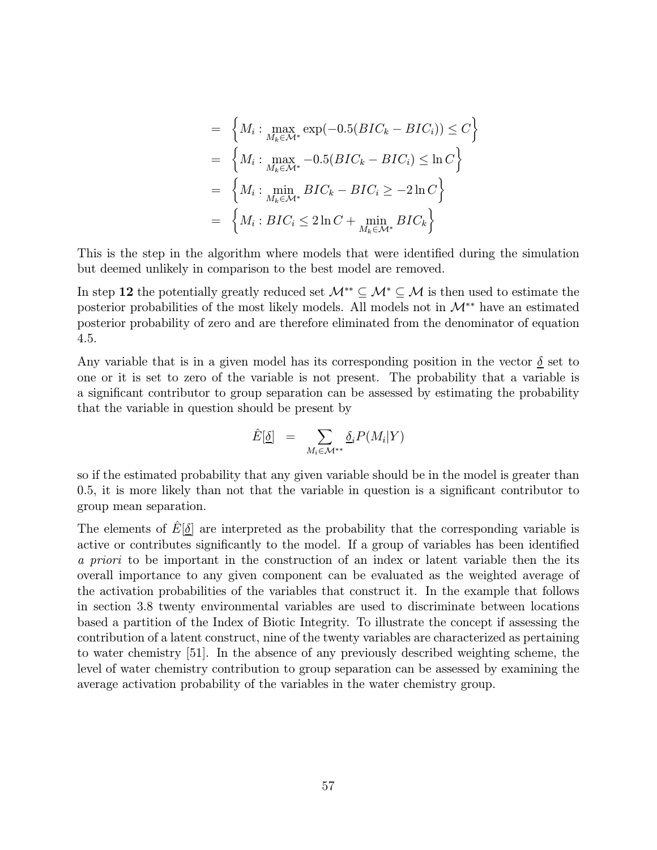$$
= \left\{ M_i : \max_{M_k \in \mathcal{M}^*} \exp(-0.5(BIC_k - BIC_i)) \le C \right\}
$$
  
\n
$$
= \left\{ M_i : \max_{M_k \in \mathcal{M}^*} -0.5(BIC_k - BIC_i) \le \ln C \right\}
$$
  
\n
$$
= \left\{ M_i : \min_{M_k \in \mathcal{M}^*} BIC_k - BIC_i \ge -2\ln C \right\}
$$
  
\n
$$
= \left\{ M_i : BIC_i \le 2\ln C + \min_{M_k \in \mathcal{M}^*} BIC_k \right\}
$$

This is the step in the algorithm where models that were identified during the simulation but deemed unlikely in comparison to the best model are removed.

In step 12 the potentially greatly reduced set  $\mathcal{M}^* \subseteq \mathcal{M}^* \subseteq \mathcal{M}$  is then used to estimate the posterior probabilities of the most likely models. All models not in  $\mathcal{M}^{**}$  have an estimated posterior probability of zero and are therefore eliminated from the denominator of equation 4.5.

Any variable that is in a given model has its corresponding position in the vector  $\delta$  set to one or it is set to zero of the variable is not present. The probability that a variable is a significant contributor to group separation can be assessed by estimating the probability that the variable in question should be present by

$$
\hat{E}[\underline{\delta}] = \sum_{M_i \in \mathcal{M}^{**}} \underline{\delta}_i P(M_i|Y)
$$

so if the estimated probability that any given variable should be in the model is greater than 0.5, it is more likely than not that the variable in question is a significant contributor to group mean separation.

The elements of  $E[\delta]$  are interpreted as the probability that the corresponding variable is active or contributes significantly to the model. If a group of variables has been identified a priori to be important in the construction of an index or latent variable then the its overall importance to any given component can be evaluated as the weighted average of the activation probabilities of the variables that construct it. In the example that follows in section 3.8 twenty environmental variables are used to discriminate between locations based a partition of the Index of Biotic Integrity. To illustrate the concept if assessing the contribution of a latent construct, nine of the twenty variables are characterized as pertaining to water chemistry [51]. In the absence of any previously described weighting scheme, the level of water chemistry contribution to group separation can be assessed by examining the average activation probability of the variables in the water chemistry group.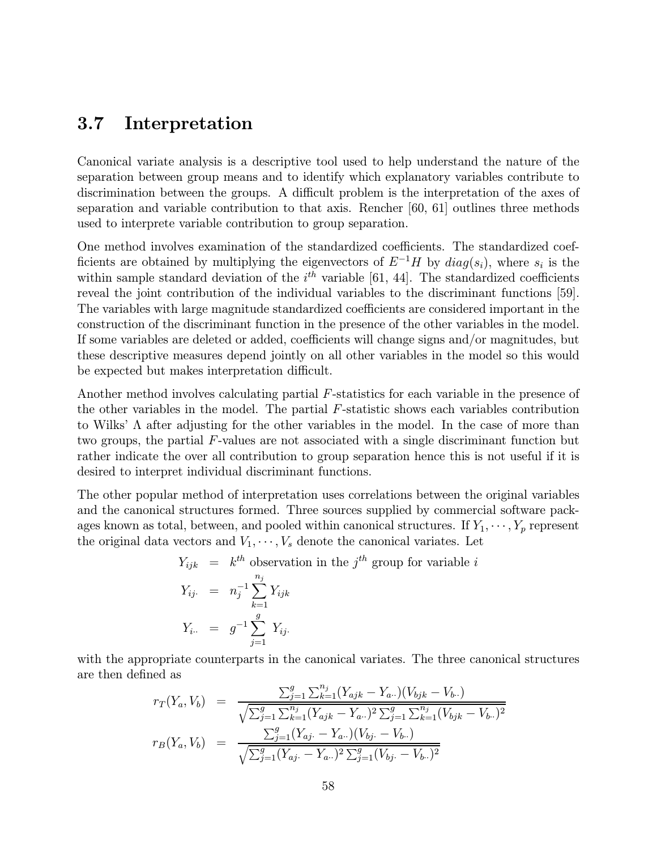# 3.7 Interpretation

Canonical variate analysis is a descriptive tool used to help understand the nature of the separation between group means and to identify which explanatory variables contribute to discrimination between the groups. A difficult problem is the interpretation of the axes of separation and variable contribution to that axis. Rencher [60, 61] outlines three methods used to interprete variable contribution to group separation.

One method involves examination of the standardized coefficients. The standardized coefficients are obtained by multiplying the eigenvectors of  $E^{-1}H$  by  $diag(s_i)$ , where  $s_i$  is the within sample standard deviation of the  $i<sup>th</sup>$  variable [61, 44]. The standardized coefficients reveal the joint contribution of the individual variables to the discriminant functions [59]. The variables with large magnitude standardized coefficients are considered important in the construction of the discriminant function in the presence of the other variables in the model. If some variables are deleted or added, coefficients will change signs and/or magnitudes, but these descriptive measures depend jointly on all other variables in the model so this would be expected but makes interpretation difficult.

Another method involves calculating partial F-statistics for each variable in the presence of the other variables in the model. The partial  $F$ -statistic shows each variables contribution to Wilks' Λ after adjusting for the other variables in the model. In the case of more than two groups, the partial F-values are not associated with a single discriminant function but rather indicate the over all contribution to group separation hence this is not useful if it is desired to interpret individual discriminant functions.

The other popular method of interpretation uses correlations between the original variables and the canonical structures formed. Three sources supplied by commercial software packages known as total, between, and pooled within canonical structures. If  $Y_1, \dots, Y_p$  represent the original data vectors and  $V_1, \dots, V_s$  denote the canonical variates. Let

$$
Y_{ijk} = k^{th}
$$
 observation in the  $j^{th}$  group for variable  $i$   
\n
$$
Y_{ij} = n_j^{-1} \sum_{k=1}^{n_j} Y_{ijk}
$$
\n
$$
Y_{i..} = g^{-1} \sum_{j=1}^{g} Y_{ij}.
$$

with the appropriate counterparts in the canonical variates. The three canonical structures are then defined as

$$
r_T(Y_a, V_b) = \frac{\sum_{j=1}^g \sum_{k=1}^{n_j} (Y_{ajk} - Y_{a\cdot \cdot})(V_{bjk} - V_{b\cdot \cdot})}{\sqrt{\sum_{j=1}^g \sum_{k=1}^{n_j} (Y_{ajk} - Y_{a\cdot \cdot})^2 \sum_{j=1}^g \sum_{k=1}^{n_j} (V_{bjk} - V_{b\cdot \cdot})^2}}
$$
  

$$
r_B(Y_a, V_b) = \frac{\sum_{j=1}^g (Y_{aj} - Y_{a\cdot \cdot})(V_{bj} - V_{b\cdot \cdot})}{\sqrt{\sum_{j=1}^g (Y_{aj} - Y_{a\cdot \cdot})^2 \sum_{j=1}^g (V_{bj} - V_{b\cdot \cdot})^2}}
$$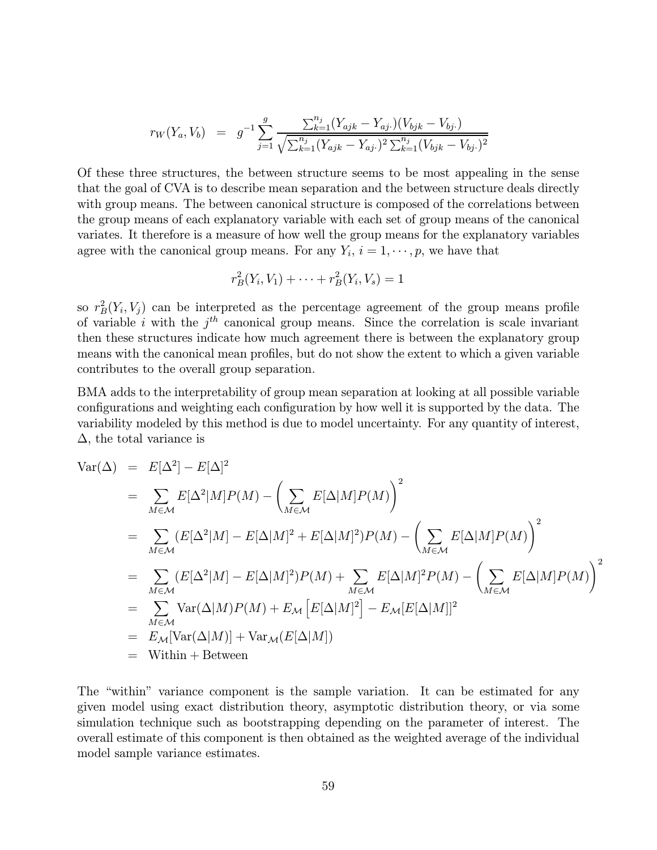$$
r_W(Y_a, V_b) = g^{-1} \sum_{j=1}^g \frac{\sum_{k=1}^{n_j} (Y_{ajk} - Y_{aj.})(V_{bjk} - V_{bj.})}{\sqrt{\sum_{k=1}^{n_j} (Y_{ajk} - Y_{aj.})^2 \sum_{k=1}^{n_j} (V_{bjk} - V_{bj.})^2}}
$$

Of these three structures, the between structure seems to be most appealing in the sense that the goal of CVA is to describe mean separation and the between structure deals directly with group means. The between canonical structure is composed of the correlations between the group means of each explanatory variable with each set of group means of the canonical variates. It therefore is a measure of how well the group means for the explanatory variables agree with the canonical group means. For any  $Y_i$ ,  $i = 1, \dots, p$ , we have that

$$
r_B^2(Y_i, V_1) + \dots + r_B^2(Y_i, V_s) = 1
$$

so  $r_B^2(Y_i, V_j)$  can be interpreted as the percentage agreement of the group means profile of variable i with the  $j^{th}$  canonical group means. Since the correlation is scale invariant then these structures indicate how much agreement there is between the explanatory group means with the canonical mean profiles, but do not show the extent to which a given variable contributes to the overall group separation.

BMA adds to the interpretability of group mean separation at looking at all possible variable configurations and weighting each configuration by how well it is supported by the data. The variability modeled by this method is due to model uncertainty. For any quantity of interest,  $\Delta$ , the total variance is

$$
\begin{split}\n\text{Var}(\Delta) &= E[\Delta^{2}] - E[\Delta]^{2} \\
&= \sum_{M \in \mathcal{M}} E[\Delta^{2}|M]P(M) - \left(\sum_{M \in \mathcal{M}} E[\Delta|M]P(M)\right)^{2} \\
&= \sum_{M \in \mathcal{M}} (E[\Delta^{2}|M] - E[\Delta|M]^{2} + E[\Delta|M]^{2})P(M) - \left(\sum_{M \in \mathcal{M}} E[\Delta|M]P(M)\right)^{2} \\
&= \sum_{M \in \mathcal{M}} (E[\Delta^{2}|M] - E[\Delta|M]^{2})P(M) + \sum_{M \in \mathcal{M}} E[\Delta|M]^{2}P(M) - \left(\sum_{M \in \mathcal{M}} E[\Delta|M]P(M)\right)^{2} \\
&= \sum_{M \in \mathcal{M}} \text{Var}(\Delta|M)P(M) + E_{\mathcal{M}} \left[E[\Delta|M]^{2}\right] - E_{\mathcal{M}}[E[\Delta|M]]^{2} \\
&= E_{\mathcal{M}}[\text{Var}(\Delta|M)] + \text{Var}_{\mathcal{M}}(E[\Delta|M]) \\
&= \text{Within} + \text{Between}\n\end{split}
$$

The "within" variance component is the sample variation. It can be estimated for any given model using exact distribution theory, asymptotic distribution theory, or via some simulation technique such as bootstrapping depending on the parameter of interest. The overall estimate of this component is then obtained as the weighted average of the individual model sample variance estimates.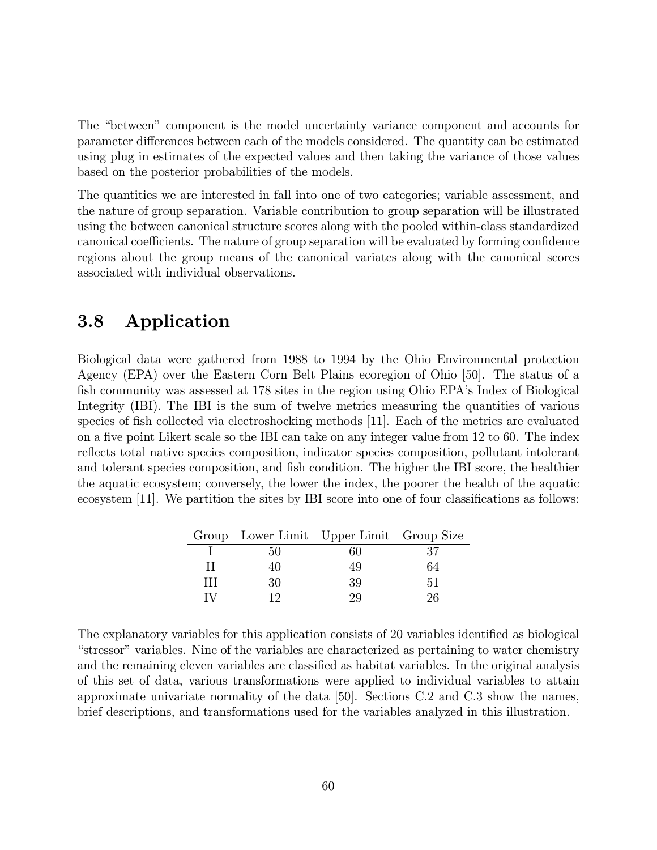The "between" component is the model uncertainty variance component and accounts for parameter differences between each of the models considered. The quantity can be estimated using plug in estimates of the expected values and then taking the variance of those values based on the posterior probabilities of the models.

The quantities we are interested in fall into one of two categories; variable assessment, and the nature of group separation. Variable contribution to group separation will be illustrated using the between canonical structure scores along with the pooled within-class standardized canonical coefficients. The nature of group separation will be evaluated by forming confidence regions about the group means of the canonical variates along with the canonical scores associated with individual observations.

# 3.8 Application

Biological data were gathered from 1988 to 1994 by the Ohio Environmental protection Agency (EPA) over the Eastern Corn Belt Plains ecoregion of Ohio [50]. The status of a fish community was assessed at 178 sites in the region using Ohio EPA's Index of Biological Integrity (IBI). The IBI is the sum of twelve metrics measuring the quantities of various species of fish collected via electroshocking methods [11]. Each of the metrics are evaluated on a five point Likert scale so the IBI can take on any integer value from 12 to 60. The index reflects total native species composition, indicator species composition, pollutant intolerant and tolerant species composition, and fish condition. The higher the IBI score, the healthier the aquatic ecosystem; conversely, the lower the index, the poorer the health of the aquatic ecosystem [11]. We partition the sites by IBI score into one of four classifications as follows:

|              |    | Group Lower Limit Upper Limit Group Size |    |
|--------------|----|------------------------------------------|----|
|              | 50 | 60                                       |    |
| п            | 4U | 49                                       | 64 |
| Ш            | 30 | 39                                       | 51 |
| $\mathbf{N}$ | 19 | 29                                       | ን6 |

The explanatory variables for this application consists of 20 variables identified as biological "stressor" variables. Nine of the variables are characterized as pertaining to water chemistry and the remaining eleven variables are classified as habitat variables. In the original analysis of this set of data, various transformations were applied to individual variables to attain approximate univariate normality of the data [50]. Sections C.2 and C.3 show the names, brief descriptions, and transformations used for the variables analyzed in this illustration.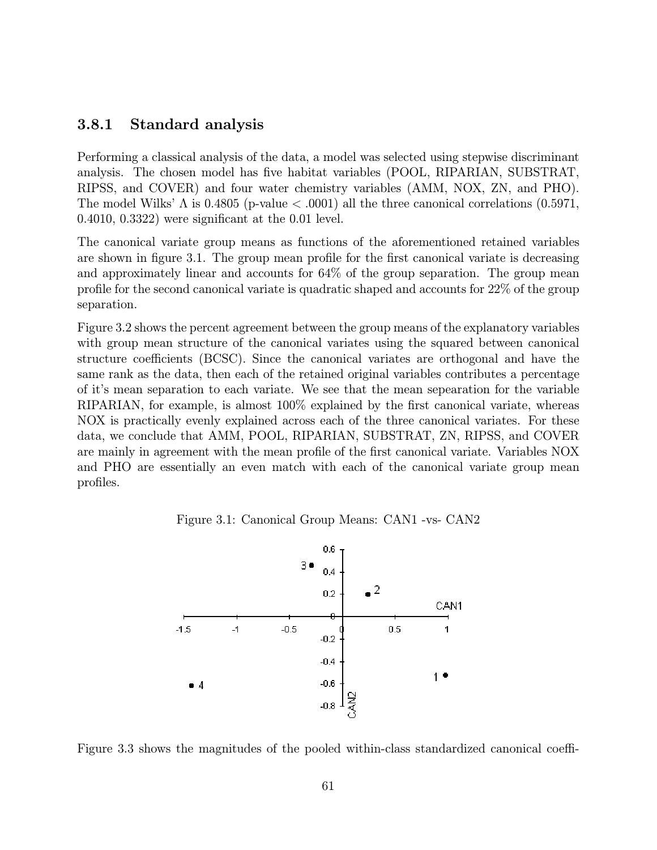#### 3.8.1 Standard analysis

Performing a classical analysis of the data, a model was selected using stepwise discriminant analysis. The chosen model has five habitat variables (POOL, RIPARIAN, SUBSTRAT, RIPSS, and COVER) and four water chemistry variables (AMM, NOX, ZN, and PHO). The model Wilks'  $\Lambda$  is 0.4805 (p-value  $< .0001$ ) all the three canonical correlations (0.5971, 0.4010, 0.3322) were significant at the 0.01 level.

The canonical variate group means as functions of the aforementioned retained variables are shown in figure 3.1. The group mean profile for the first canonical variate is decreasing and approximately linear and accounts for 64% of the group separation. The group mean profile for the second canonical variate is quadratic shaped and accounts for 22% of the group separation.

Figure 3.2 shows the percent agreement between the group means of the explanatory variables with group mean structure of the canonical variates using the squared between canonical structure coefficients (BCSC). Since the canonical variates are orthogonal and have the same rank as the data, then each of the retained original variables contributes a percentage of it's mean separation to each variate. We see that the mean sepearation for the variable RIPARIAN, for example, is almost 100% explained by the first canonical variate, whereas NOX is practically evenly explained across each of the three canonical variates. For these data, we conclude that AMM, POOL, RIPARIAN, SUBSTRAT, ZN, RIPSS, and COVER are mainly in agreement with the mean profile of the first canonical variate. Variables NOX and PHO are essentially an even match with each of the canonical variate group mean profiles.

Figure 3.1: Canonical Group Means: CAN1 -vs- CAN2



Figure 3.3 shows the magnitudes of the pooled within-class standardized canonical coeffi-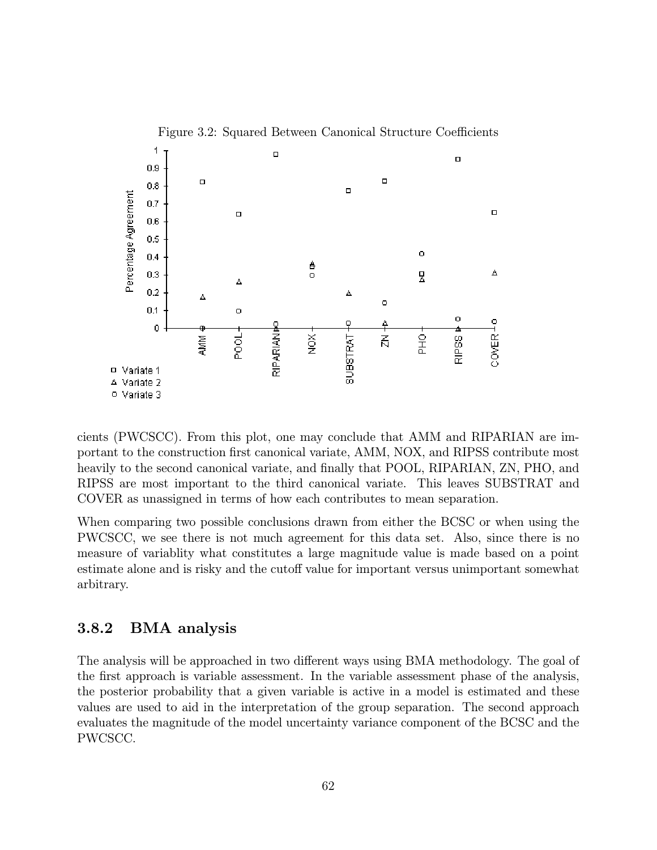

cients (PWCSCC). From this plot, one may conclude that AMM and RIPARIAN are important to the construction first canonical variate, AMM, NOX, and RIPSS contribute most heavily to the second canonical variate, and finally that POOL, RIPARIAN, ZN, PHO, and RIPSS are most important to the third canonical variate. This leaves SUBSTRAT and COVER as unassigned in terms of how each contributes to mean separation.

When comparing two possible conclusions drawn from either the BCSC or when using the PWCSCC, we see there is not much agreement for this data set. Also, since there is no measure of variablity what constitutes a large magnitude value is made based on a point estimate alone and is risky and the cutoff value for important versus unimportant somewhat arbitrary.

#### 3.8.2 BMA analysis

The analysis will be approached in two different ways using BMA methodology. The goal of the first approach is variable assessment. In the variable assessment phase of the analysis, the posterior probability that a given variable is active in a model is estimated and these values are used to aid in the interpretation of the group separation. The second approach evaluates the magnitude of the model uncertainty variance component of the BCSC and the PWCSCC.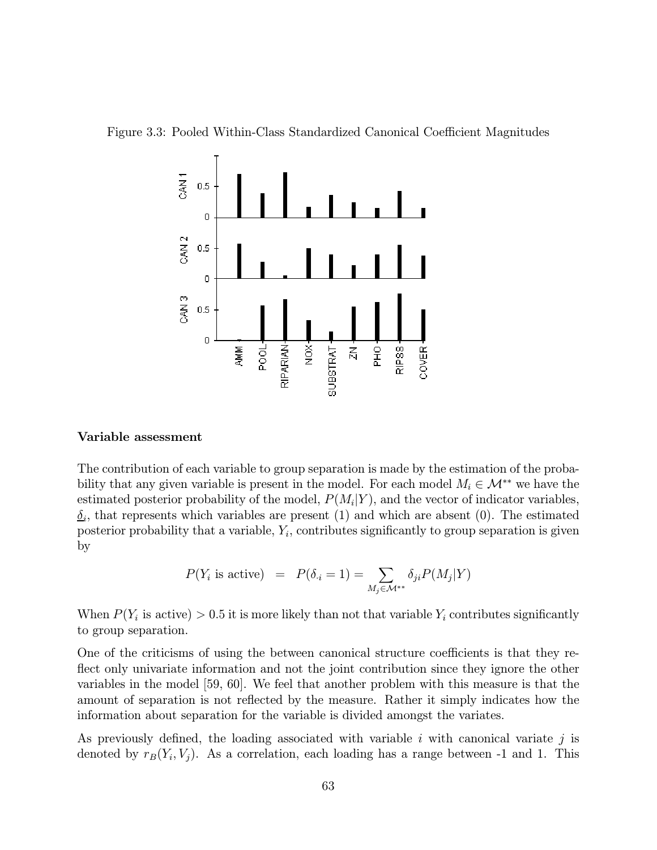



#### Variable assessment

The contribution of each variable to group separation is made by the estimation of the probability that any given variable is present in the model. For each model  $M_i \in \mathcal{M}^{**}$  we have the estimated posterior probability of the model,  $P(M_i|Y)$ , and the vector of indicator variables.  $\delta_i$ , that represents which variables are present (1) and which are absent (0). The estimated posterior probability that a variable,  $Y_i$ , contributes significantly to group separation is given by

$$
P(Y_i \text{ is active}) = P(\delta_{\cdot i} = 1) = \sum_{M_j \in \mathcal{M}^{**}} \delta_{ji} P(M_j | Y)
$$

When  $P(Y_i$  is active) > 0.5 it is more likely than not that variable  $Y_i$  contributes significantly to group separation.

One of the criticisms of using the between canonical structure coefficients is that they reflect only univariate information and not the joint contribution since they ignore the other variables in the model [59, 60]. We feel that another problem with this measure is that the amount of separation is not reflected by the measure. Rather it simply indicates how the information about separation for the variable is divided amongst the variates.

As previously defined, the loading associated with variable i with canonical variate j is denoted by  $r_B(Y_i, V_j)$ . As a correlation, each loading has a range between -1 and 1. This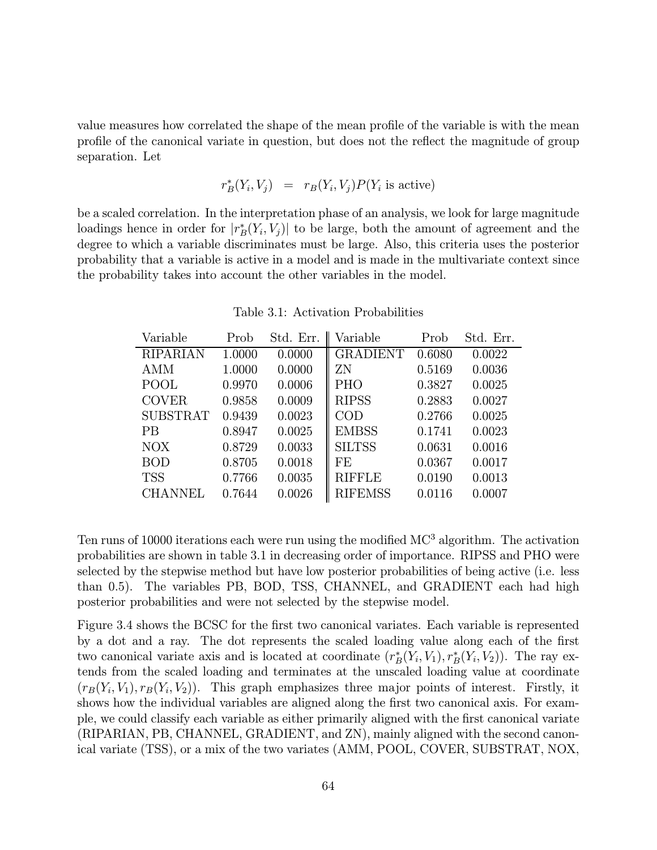value measures how correlated the shape of the mean profile of the variable is with the mean profile of the canonical variate in question, but does not the reflect the magnitude of group separation. Let

$$
r^*_{\mathcal{B}}(Y_i, V_j) = r_{\mathcal{B}}(Y_i, V_j) P(Y_i \text{ is active})
$$

be a scaled correlation. In the interpretation phase of an analysis, we look for large magnitude loadings hence in order for  $|r^*_B(Y_i, V_j)|$  to be large, both the amount of agreement and the degree to which a variable discriminates must be large. Also, this criteria uses the posterior probability that a variable is active in a model and is made in the multivariate context since the probability takes into account the other variables in the model.

| Variable        | Prob   | Std. Err. | Variable        | Prob   | Std. Err. |
|-----------------|--------|-----------|-----------------|--------|-----------|
| <b>RIPARIAN</b> | 1.0000 | 0.0000    | <b>GRADIENT</b> | 0.6080 | 0.0022    |
| <b>AMM</b>      | 1.0000 | 0.0000    | ΖN              | 0.5169 | 0.0036    |
| POOL            | 0.9970 | 0.0006    | <b>PHO</b>      | 0.3827 | 0.0025    |
| <b>COVER</b>    | 0.9858 | 0.0009    | <b>RIPSS</b>    | 0.2883 | 0.0027    |
| <b>SUBSTRAT</b> | 0.9439 | 0.0023    | $\rm COD$       | 0.2766 | 0.0025    |
| PВ              | 0.8947 | 0.0025    | <b>EMBSS</b>    | 0.1741 | 0.0023    |
| <b>NOX</b>      | 0.8729 | 0.0033    | <b>SILTSS</b>   | 0.0631 | 0.0016    |
| <b>BOD</b>      | 0.8705 | 0.0018    | FE              | 0.0367 | 0.0017    |
| <b>TSS</b>      | 0.7766 | 0.0035    | <b>RIFFLE</b>   | 0.0190 | 0.0013    |
| <b>CHANNEL</b>  | 0.7644 | 0.0026    | <b>RIFEMSS</b>  | 0.0116 | 0.0007    |

Table 3.1: Activation Probabilities

Ten runs of 10000 iterations each were run using the modified MC<sup>3</sup> algorithm. The activation probabilities are shown in table 3.1 in decreasing order of importance. RIPSS and PHO were selected by the stepwise method but have low posterior probabilities of being active (i.e. less than 0.5). The variables PB, BOD, TSS, CHANNEL, and GRADIENT each had high posterior probabilities and were not selected by the stepwise model.

Figure 3.4 shows the BCSC for the first two canonical variates. Each variable is represented by a dot and a ray. The dot represents the scaled loading value along each of the first two canonical variate axis and is located at coordinate  $(r_B^*(Y_i, V_1), r_B^*(Y_i, V_2))$ . The ray extends from the scaled loading and terminates at the unscaled loading value at coordinate  $(r_B(Y_i, V_1), r_B(Y_i, V_2))$ . This graph emphasizes three major points of interest. Firstly, it shows how the individual variables are aligned along the first two canonical axis. For example, we could classify each variable as either primarily aligned with the first canonical variate (RIPARIAN, PB, CHANNEL, GRADIENT, and ZN), mainly aligned with the second canonical variate (TSS), or a mix of the two variates (AMM, POOL, COVER, SUBSTRAT, NOX,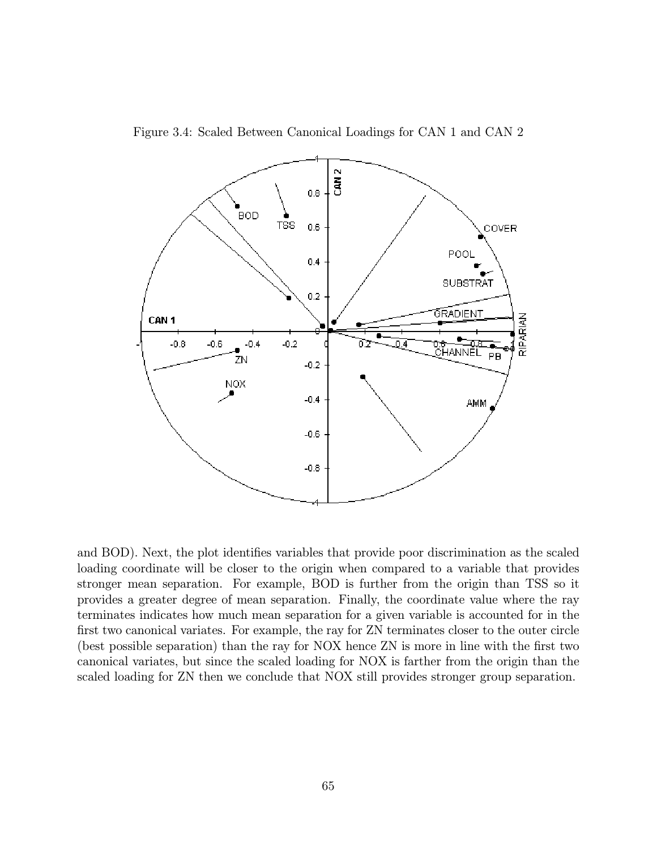

Figure 3.4: Scaled Between Canonical Loadings for CAN 1 and CAN 2

and BOD). Next, the plot identifies variables that provide poor discrimination as the scaled loading coordinate will be closer to the origin when compared to a variable that provides stronger mean separation. For example, BOD is further from the origin than TSS so it provides a greater degree of mean separation. Finally, the coordinate value where the ray terminates indicates how much mean separation for a given variable is accounted for in the first two canonical variates. For example, the ray for ZN terminates closer to the outer circle (best possible separation) than the ray for NOX hence ZN is more in line with the first two canonical variates, but since the scaled loading for NOX is farther from the origin than the scaled loading for ZN then we conclude that NOX still provides stronger group separation.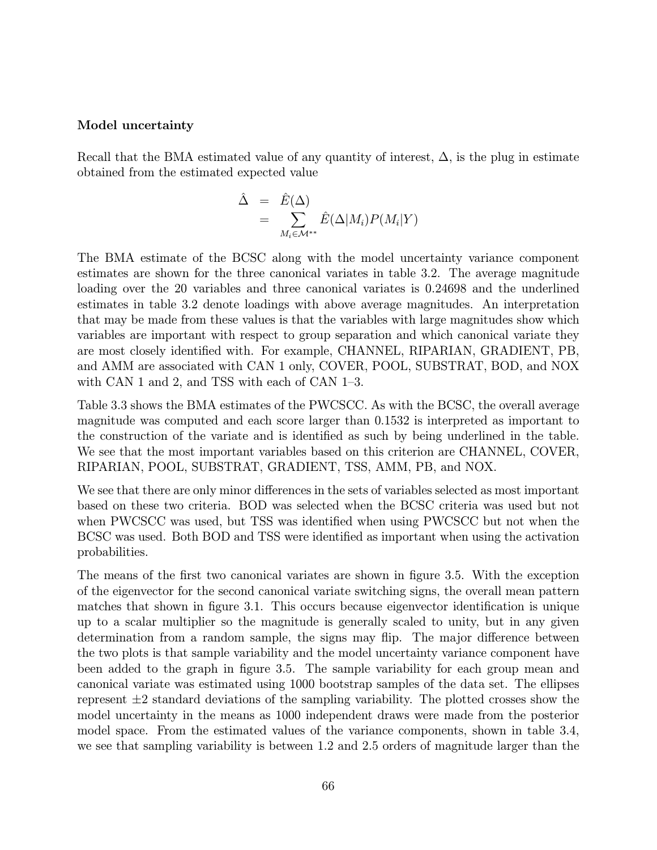#### Model uncertainty

Recall that the BMA estimated value of any quantity of interest,  $\Delta$ , is the plug in estimate obtained from the estimated expected value

$$
\hat{\Delta} = \hat{E}(\Delta) \n= \sum_{M_i \in \mathcal{M}^{**}} \hat{E}(\Delta|M_i) P(M_i|Y)
$$

The BMA estimate of the BCSC along with the model uncertainty variance component estimates are shown for the three canonical variates in table 3.2. The average magnitude loading over the 20 variables and three canonical variates is 0.24698 and the underlined estimates in table 3.2 denote loadings with above average magnitudes. An interpretation that may be made from these values is that the variables with large magnitudes show which variables are important with respect to group separation and which canonical variate they are most closely identified with. For example, CHANNEL, RIPARIAN, GRADIENT, PB, and AMM are associated with CAN 1 only, COVER, POOL, SUBSTRAT, BOD, and NOX with CAN 1 and 2, and TSS with each of CAN 1—3.

Table 3.3 shows the BMA estimates of the PWCSCC. As with the BCSC, the overall average magnitude was computed and each score larger than 0.1532 is interpreted as important to the construction of the variate and is identified as such by being underlined in the table. We see that the most important variables based on this criterion are CHANNEL, COVER, RIPARIAN, POOL, SUBSTRAT, GRADIENT, TSS, AMM, PB, and NOX.

We see that there are only minor differences in the sets of variables selected as most important based on these two criteria. BOD was selected when the BCSC criteria was used but not when PWCSCC was used, but TSS was identified when using PWCSCC but not when the BCSC was used. Both BOD and TSS were identified as important when using the activation probabilities.

The means of the first two canonical variates are shown in figure 3.5. With the exception of the eigenvector for the second canonical variate switching signs, the overall mean pattern matches that shown in figure 3.1. This occurs because eigenvector identification is unique up to a scalar multiplier so the magnitude is generally scaled to unity, but in any given determination from a random sample, the signs may flip. The major difference between the two plots is that sample variability and the model uncertainty variance component have been added to the graph in figure 3.5. The sample variability for each group mean and canonical variate was estimated using 1000 bootstrap samples of the data set. The ellipses represent  $\pm 2$  standard deviations of the sampling variability. The plotted crosses show the model uncertainty in the means as 1000 independent draws were made from the posterior model space. From the estimated values of the variance components, shown in table 3.4, we see that sampling variability is between 1.2 and 2.5 orders of magnitude larger than the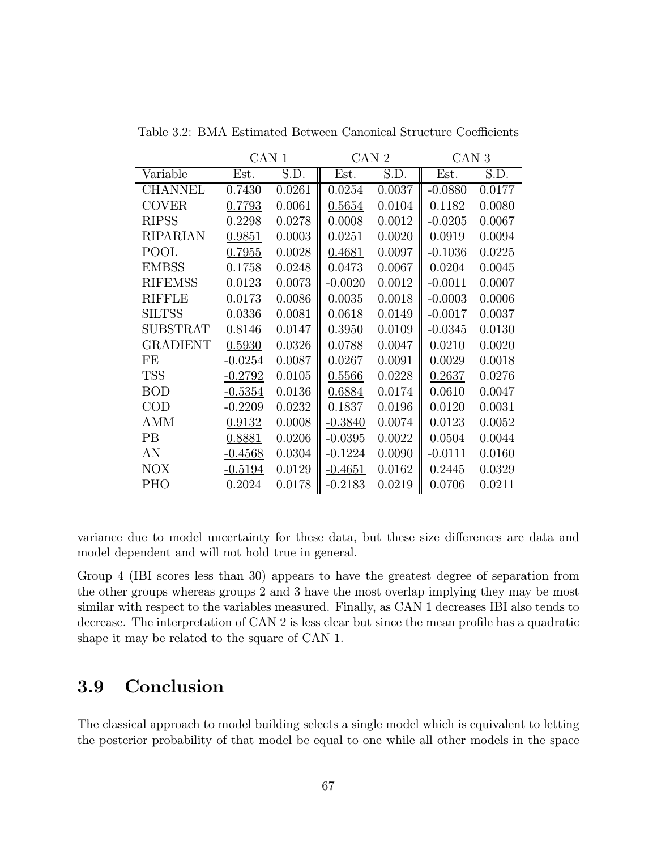|                 | CAN 1     |        | CAN 2     |        | CAN <sub>3</sub> |        |  |
|-----------------|-----------|--------|-----------|--------|------------------|--------|--|
| Variable        | Est.      | S.D.   | Est.      | S.D.   | Est.             | S.D.   |  |
| <b>CHANNEL</b>  | 0.7430    | 0.0261 | 0.0254    | 0.0037 | $-0.0880$        | 0.0177 |  |
| <b>COVER</b>    | 0.7793    | 0.0061 | 0.5654    | 0.0104 | 0.1182           | 0.0080 |  |
| <b>RIPSS</b>    | 0.2298    | 0.0278 | 0.0008    | 0.0012 | $-0.0205$        | 0.0067 |  |
| <b>RIPARIAN</b> | 0.9851    | 0.0003 | 0.0251    | 0.0020 | 0.0919           | 0.0094 |  |
| POOL            | 0.7955    | 0.0028 | 0.4681    | 0.0097 | $-0.1036$        | 0.0225 |  |
| <b>EMBSS</b>    | 0.1758    | 0.0248 | 0.0473    | 0.0067 | 0.0204           | 0.0045 |  |
| <b>RIFEMSS</b>  | 0.0123    | 0.0073 | $-0.0020$ | 0.0012 | $-0.0011$        | 0.0007 |  |
| RIFFLE          | 0.0173    | 0.0086 | 0.0035    | 0.0018 | $-0.0003$        | 0.0006 |  |
| <b>SILTSS</b>   | 0.0336    | 0.0081 | 0.0618    | 0.0149 | $-0.0017$        | 0.0037 |  |
| SUBSTRAT        | 0.8146    | 0.0147 | 0.3950    | 0.0109 | $-0.0345$        | 0.0130 |  |
| <b>GRADIENT</b> | 0.5930    | 0.0326 | 0.0788    | 0.0047 | 0.0210           | 0.0020 |  |
| FE              | $-0.0254$ | 0.0087 | 0.0267    | 0.0091 | 0.0029           | 0.0018 |  |
| <b>TSS</b>      | $-0.2792$ | 0.0105 | 0.5566    | 0.0228 | 0.2637           | 0.0276 |  |
| <b>BOD</b>      | $-0.5354$ | 0.0136 | 0.6884    | 0.0174 | 0.0610           | 0.0047 |  |
| $\rm COD$       | $-0.2209$ | 0.0232 | 0.1837    | 0.0196 | 0.0120           | 0.0031 |  |
| AMM             | 0.9132    | 0.0008 | $-0.3840$ | 0.0074 | 0.0123           | 0.0052 |  |
| <b>PB</b>       | 0.8881    | 0.0206 | $-0.0395$ | 0.0022 | 0.0504           | 0.0044 |  |
| AN              | $-0.4568$ | 0.0304 | $-0.1224$ | 0.0090 | $-0.0111$        | 0.0160 |  |
| <b>NOX</b>      | $-0.5194$ | 0.0129 | $-0.4651$ | 0.0162 | 0.2445           | 0.0329 |  |
| <b>PHO</b>      | 0.2024    | 0.0178 | $-0.2183$ | 0.0219 | 0.0706           | 0.0211 |  |

Table 3.2: BMA Estimated Between Canonical Structure Coefficients

variance due to model uncertainty for these data, but these size differences are data and model dependent and will not hold true in general.

Group 4 (IBI scores less than 30) appears to have the greatest degree of separation from the other groups whereas groups 2 and 3 have the most overlap implying they may be most similar with respect to the variables measured. Finally, as CAN 1 decreases IBI also tends to decrease. The interpretation of CAN 2 is less clear but since the mean profile has a quadratic shape it may be related to the square of CAN 1.

## 3.9 Conclusion

The classical approach to model building selects a single model which is equivalent to letting the posterior probability of that model be equal to one while all other models in the space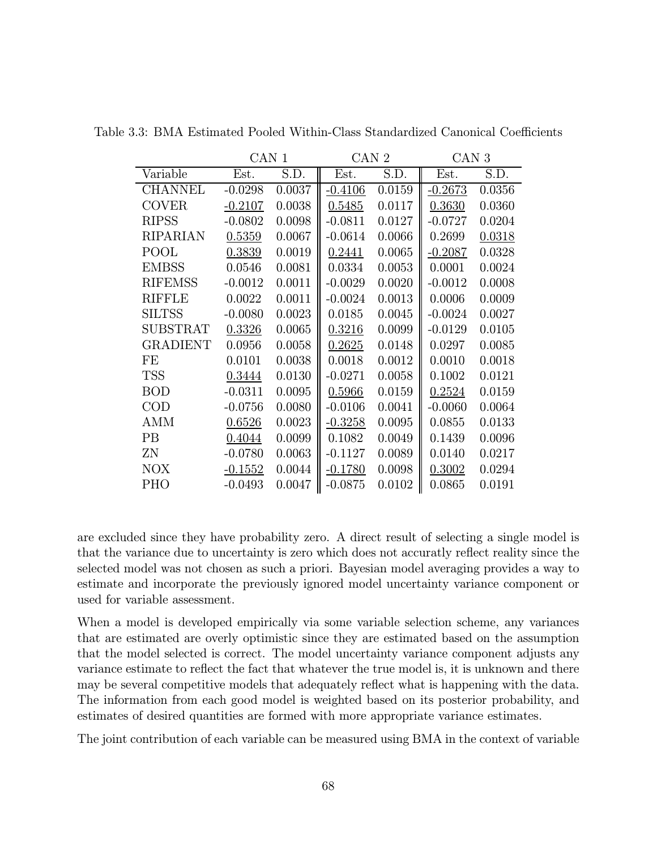|                 | CAN 1     |        | CAN <sub>2</sub> |        | CAN <sub>3</sub> |        |  |
|-----------------|-----------|--------|------------------|--------|------------------|--------|--|
| Variable        | Est.      | S.D.   | Est.             | S.D.   | Est.             | S.D.   |  |
| <b>CHANNEL</b>  | $-0.0298$ | 0.0037 | $-0.4106$        | 0.0159 | $-0.2673$        | 0.0356 |  |
| <b>COVER</b>    | $-0.2107$ | 0.0038 | 0.5485           | 0.0117 | 0.3630           | 0.0360 |  |
| <b>RIPSS</b>    | $-0.0802$ | 0.0098 | $-0.0811$        | 0.0127 | $-0.0727$        | 0.0204 |  |
| RIPARIAN        | 0.5359    | 0.0067 | $-0.0614$        | 0.0066 | 0.2699           | 0.0318 |  |
| POOL            | 0.3839    | 0.0019 | 0.2441           | 0.0065 | $-0.2087$        | 0.0328 |  |
| <b>EMBSS</b>    | 0.0546    | 0.0081 | 0.0334           | 0.0053 | 0.0001           | 0.0024 |  |
| <b>RIFEMSS</b>  | $-0.0012$ | 0.0011 | $-0.0029$        | 0.0020 | $-0.0012$        | 0.0008 |  |
| RIFFLE          | 0.0022    | 0.0011 | $-0.0024$        | 0.0013 | 0.0006           | 0.0009 |  |
| <b>SILTSS</b>   | $-0.0080$ | 0.0023 | 0.0185           | 0.0045 | $-0.0024$        | 0.0027 |  |
| <b>SUBSTRAT</b> | 0.3326    | 0.0065 | 0.3216           | 0.0099 | $-0.0129$        | 0.0105 |  |
| <b>GRADIENT</b> | 0.0956    | 0.0058 | 0.2625           | 0.0148 | 0.0297           | 0.0085 |  |
| FE              | 0.0101    | 0.0038 | 0.0018           | 0.0012 | 0.0010           | 0.0018 |  |
| <b>TSS</b>      | 0.3444    | 0.0130 | $-0.0271$        | 0.0058 | 0.1002           | 0.0121 |  |
| <b>BOD</b>      | $-0.0311$ | 0.0095 | 0.5966           | 0.0159 | 0.2524           | 0.0159 |  |
| $\rm COD$       | $-0.0756$ | 0.0080 | $-0.0106$        | 0.0041 | $-0.0060$        | 0.0064 |  |
| AMM             | 0.6526    | 0.0023 | $-0.3258$        | 0.0095 | 0.0855           | 0.0133 |  |
| PB              | 0.4044    | 0.0099 | 0.1082           | 0.0049 | 0.1439           | 0.0096 |  |
| ΖN              | $-0.0780$ | 0.0063 | $-0.1127$        | 0.0089 | 0.0140           | 0.0217 |  |
| <b>NOX</b>      | $-0.1552$ | 0.0044 | $-0.1780$        | 0.0098 | 0.3002           | 0.0294 |  |
| <b>PHO</b>      | $-0.0493$ | 0.0047 | $-0.0875$        | 0.0102 | 0.0865           | 0.0191 |  |

Table 3.3: BMA Estimated Pooled Within-Class Standardized Canonical Coefficients

are excluded since they have probability zero. A direct result of selecting a single model is that the variance due to uncertainty is zero which does not accuratly reflect reality since the selected model was not chosen as such a priori. Bayesian model averaging provides a way to estimate and incorporate the previously ignored model uncertainty variance component or used for variable assessment.

When a model is developed empirically via some variable selection scheme, any variances that are estimated are overly optimistic since they are estimated based on the assumption that the model selected is correct. The model uncertainty variance component adjusts any variance estimate to reflect the fact that whatever the true model is, it is unknown and there may be several competitive models that adequately reflect what is happening with the data. The information from each good model is weighted based on its posterior probability, and estimates of desired quantities are formed with more appropriate variance estimates.

The joint contribution of each variable can be measured using BMA in the context of variable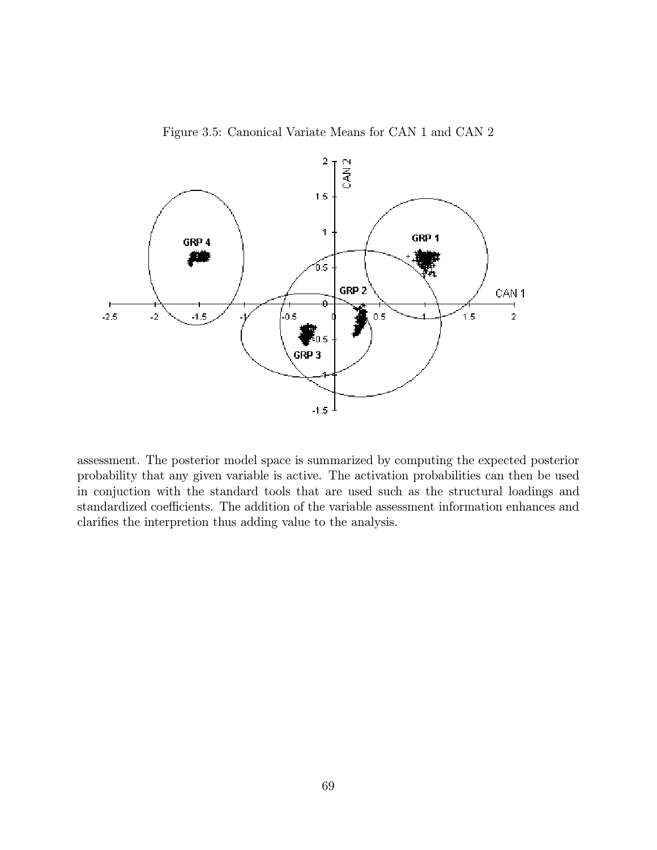



assessment. The posterior model space is summarized by computing the expected posterior probability that any given variable is active. The activation probabilities can then be used in conjuction with the standard tools that are used such as the structural loadings and standardized coefficients. The addition of the variable assessment information enhances and clarifies the interpretion thus adding value to the analysis.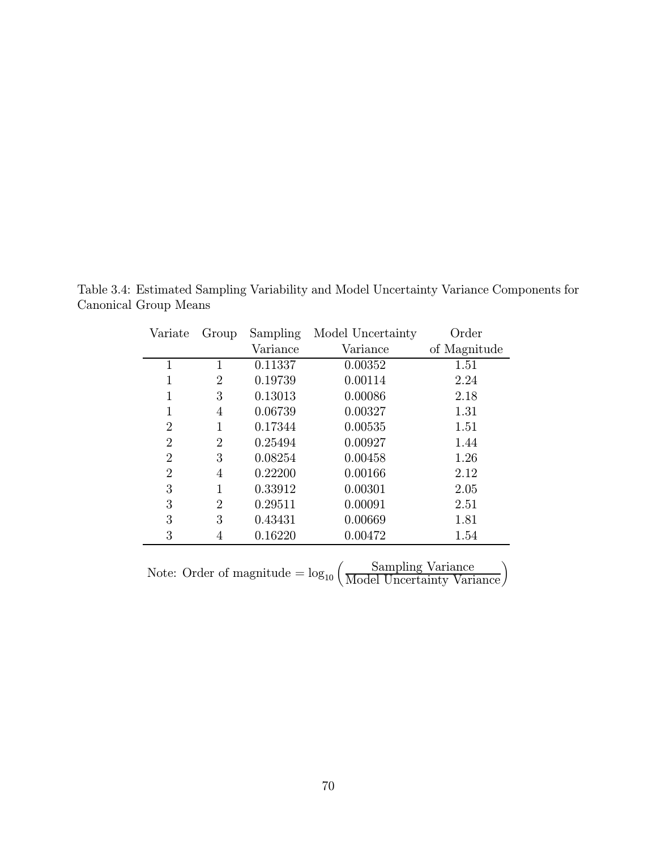| Variate        | Group          | Sampling | Model Uncertainty | Order        |
|----------------|----------------|----------|-------------------|--------------|
|                |                | Variance | Variance          | of Magnitude |
| 1              | 1              | 0.11337  | 0.00352           | 1.51         |
|                | $\overline{2}$ | 0.19739  | 0.00114           | 2.24         |
|                | 3              | 0.13013  | 0.00086           | 2.18         |
| 1              | 4              | 0.06739  | 0.00327           | 1.31         |
| 2              | 1              | 0.17344  | 0.00535           | 1.51         |
| 2              | $\overline{2}$ | 0.25494  | 0.00927           | 1.44         |
| $\overline{2}$ | 3              | 0.08254  | 0.00458           | 1.26         |
| $\overline{2}$ | 4              | 0.22200  | 0.00166           | 2.12         |
| 3              | 1              | 0.33912  | 0.00301           | 2.05         |
| 3              | $\overline{2}$ | 0.29511  | 0.00091           | 2.51         |
| 3              | 3              | 0.43431  | 0.00669           | 1.81         |
| 3              | 4              | 0.16220  | 0.00472           | 1.54         |
|                |                |          |                   |              |

Table 3.4: Estimated Sampling Variability and Model Uncertainty Variance Components for Canonical Group Means

Note: Order of magnitude  $= \log_{10} \left( \frac{\text{Sampling Variance}}{\text{Model Uncertainty Variance}} \right)$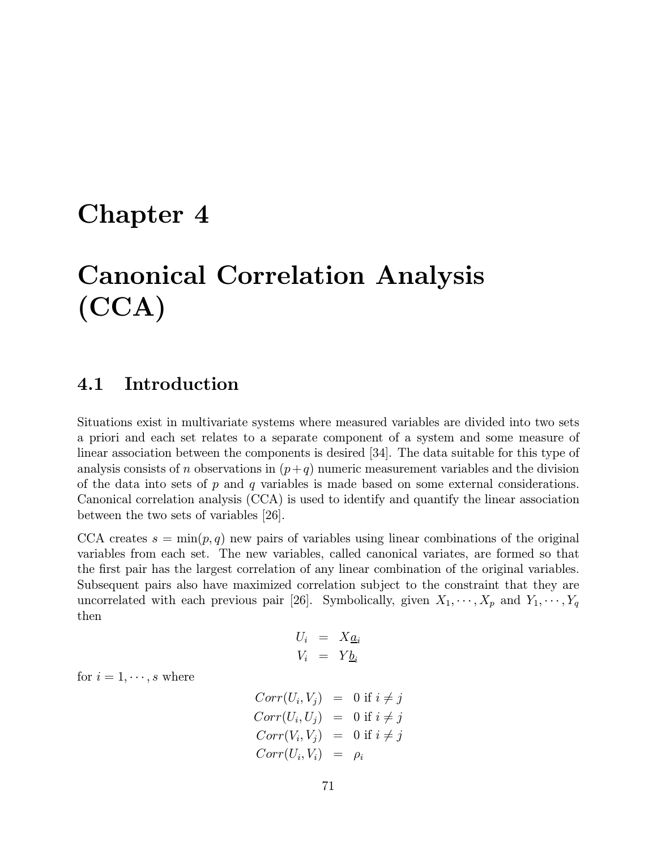## Chapter 4

# Canonical Correlation Analysis (CCA)

## 4.1 Introduction

Situations exist in multivariate systems where measured variables are divided into two sets a priori and each set relates to a separate component of a system and some measure of linear association between the components is desired [34]. The data suitable for this type of analysis consists of n observations in  $(p+q)$  numeric measurement variables and the division of the data into sets of  $p$  and  $q$  variables is made based on some external considerations. Canonical correlation analysis (CCA) is used to identify and quantify the linear association between the two sets of variables [26].

CCA creates  $s = \min(p, q)$  new pairs of variables using linear combinations of the original variables from each set. The new variables, called canonical variates, are formed so that the first pair has the largest correlation of any linear combination of the original variables. Subsequent pairs also have maximized correlation subject to the constraint that they are uncorrelated with each previous pair [26]. Symbolically, given  $X_1, \dots, X_p$  and  $Y_1, \dots, Y_q$ then

$$
U_i = X_{\underline{a}_i}
$$
  

$$
V_i = Y_{\underline{b}_i}
$$

for  $i = 1, \dots, s$  where

$$
Corr(U_i, V_j) = 0 \text{ if } i \neq j
$$
  
\n
$$
Corr(U_i, U_j) = 0 \text{ if } i \neq j
$$
  
\n
$$
Corr(V_i, V_j) = 0 \text{ if } i \neq j
$$
  
\n
$$
Corr(U_i, V_i) = \rho_i
$$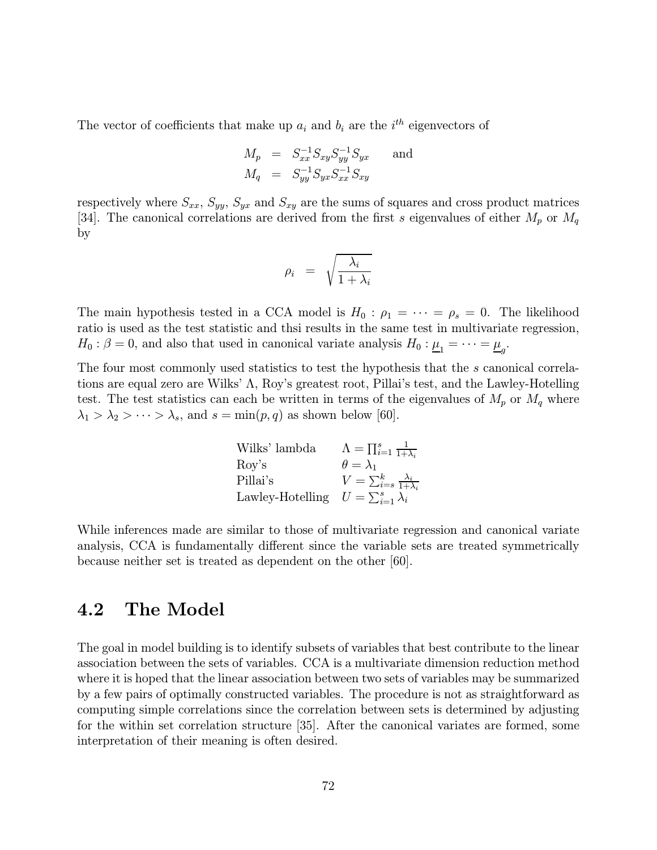The vector of coefficients that make up  $a_i$  and  $b_i$  are the  $i^{th}$  eigenvectors of

$$
M_p = S_{xx}^{-1} S_{xy} S_{yy}^{-1} S_{yx}
$$
 and  

$$
M_q = S_{yy}^{-1} S_{yx} S_{xx}^{-1} S_{xy}
$$

respectively where  $S_{xx}$ ,  $S_{yy}$ ,  $S_{yx}$  and  $S_{xy}$  are the sums of squares and cross product matrices [34]. The canonical correlations are derived from the first s eigenvalues of either  $M_p$  or  $M_q$ by

$$
\rho_i \;\; = \;\; \sqrt{\frac{\lambda_i}{1+\lambda_i}}
$$

The main hypothesis tested in a CCA model is  $H_0: \rho_1 = \cdots = \rho_s = 0$ . The likelihood ratio is used as the test statistic and thsi results in the same test in multivariate regression,  $H_0: \beta = 0$ , and also that used in canonical variate analysis  $H_0: \mu_1 = \cdots = \mu_n$ .

The four most commonly used statistics to test the hypothesis that the s canonical correlations are equal zero are Wilks' Λ, Roy's greatest root, Pillai's test, and the Lawley-Hotelling test. The test statistics can each be written in terms of the eigenvalues of  $M_p$  or  $M_q$  where  $\lambda_1 > \lambda_2 > \cdots > \lambda_s$ , and  $s = \min(p, q)$  as shown below [60].

Wilks' lambda

\n
$$
\Lambda = \prod_{i=1}^{s} \frac{1}{1+\lambda_i}
$$
\nRoy's

\n
$$
\theta = \lambda_1
$$
\nPillai's

\n
$$
V = \sum_{i=s}^{k} \frac{\lambda_i}{1+\lambda_i}
$$
\nLawley-Hotelling

\n
$$
U = \sum_{i=1}^{s} \lambda_i
$$

While inferences made are similar to those of multivariate regression and canonical variate analysis, CCA is fundamentally different since the variable sets are treated symmetrically because neither set is treated as dependent on the other [60].

## 4.2 The Model

The goal in model building is to identify subsets of variables that best contribute to the linear association between the sets of variables. CCA is a multivariate dimension reduction method where it is hoped that the linear association between two sets of variables may be summarized by a few pairs of optimally constructed variables. The procedure is not as straightforward as computing simple correlations since the correlation between sets is determined by adjusting for the within set correlation structure [35]. After the canonical variates are formed, some interpretation of their meaning is often desired.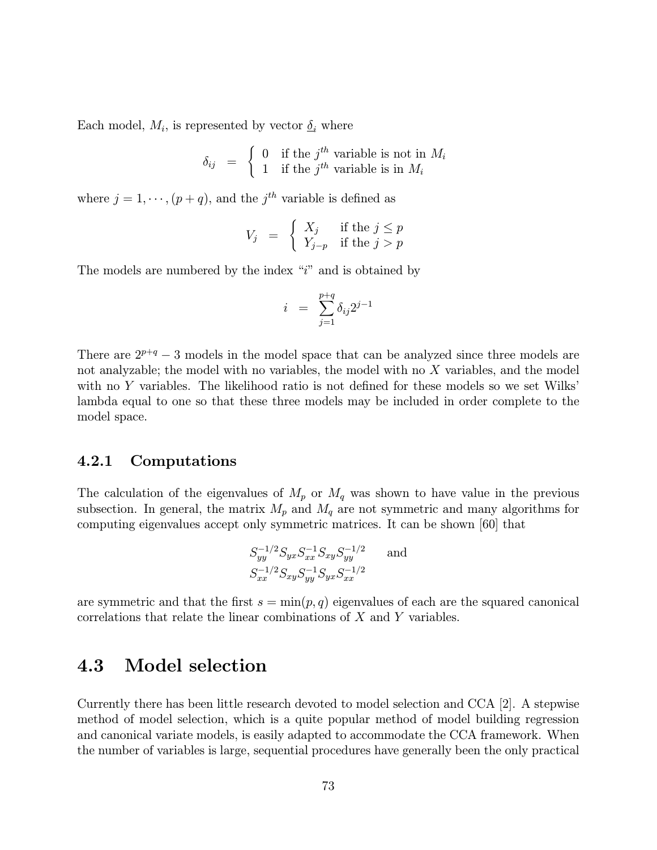Each model,  $M_i$ , is represented by vector  $\delta_i$  where

$$
\delta_{ij} = \begin{cases} 0 & \text{if the } j^{th} \text{ variable is not in } M_i \\ 1 & \text{if the } j^{th} \text{ variable is in } M_i \end{cases}
$$

where  $j = 1, \dots, (p + q)$ , and the  $j<sup>th</sup>$  variable is defined as

$$
V_j \;\; = \;\; \left\{ \begin{array}{ll} X_j & \text{if the } j \leq p \\ Y_{j-p} & \text{if the } j > p \end{array} \right.
$$

The models are numbered by the index " $i$ " and is obtained by

$$
i = \sum_{j=1}^{p+q} \delta_{ij} 2^{j-1}
$$

There are  $2^{p+q} - 3$  models in the model space that can be analyzed since three models are not analyzable; the model with no variables, the model with no  $X$  variables, and the model with no Y variables. The likelihood ratio is not defined for these models so we set Wilks' lambda equal to one so that these three models may be included in order complete to the model space.

#### 4.2.1 Computations

The calculation of the eigenvalues of  $M_p$  or  $M_q$  was shown to have value in the previous subsection. In general, the matrix  $M_p$  and  $M_q$  are not symmetric and many algorithms for computing eigenvalues accept only symmetric matrices. It can be shown [60] that

$$
S_{yy}^{-1/2} S_{yx} S_{xx}^{-1} S_{xy} S_{yy}^{-1/2}
$$
 and  

$$
S_{xx}^{-1/2} S_{xy} S_{yy}^{-1} S_{yx} S_{xx}^{-1/2}
$$

are symmetric and that the first  $s = \min(p, q)$  eigenvalues of each are the squared canonical correlations that relate the linear combinations of  $X$  and  $Y$  variables.

## 4.3 Model selection

Currently there has been little research devoted to model selection and CCA [2]. A stepwise method of model selection, which is a quite popular method of model building regression and canonical variate models, is easily adapted to accommodate the CCA framework. When the number of variables is large, sequential procedures have generally been the only practical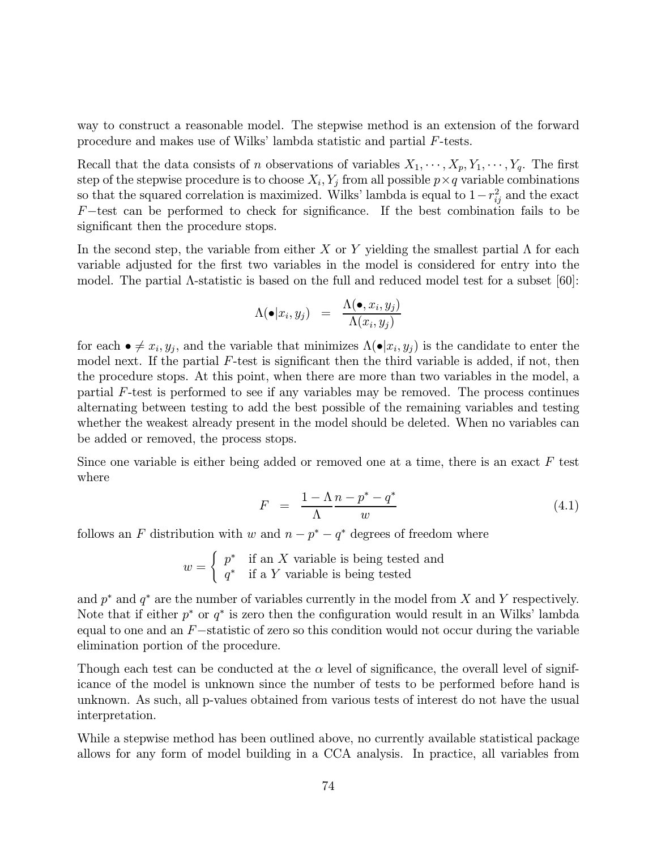way to construct a reasonable model. The stepwise method is an extension of the forward procedure and makes use of Wilks' lambda statistic and partial F-tests.

Recall that the data consists of n observations of variables  $X_1, \dots, X_p, Y_1, \dots, Y_q$ . The first step of the stepwise procedure is to choose  $X_i, Y_j$  from all possible  $p \times q$  variable combinations so that the squared correlation is maximized. Wilks' lambda is equal to  $1-r_{ij}^2$  and the exact F−test can be performed to check for significance. If the best combination fails to be significant then the procedure stops.

In the second step, the variable from either X or Y yielding the smallest partial  $\Lambda$  for each variable adjusted for the first two variables in the model is considered for entry into the model. The partial Λ-statistic is based on the full and reduced model test for a subset [60]:

$$
\Lambda(\bullet|x_i,y_j) = \frac{\Lambda(\bullet,x_i,y_j)}{\Lambda(x_i,y_j)}
$$

for each  $\bullet \neq x_i, y_j$ , and the variable that minimizes  $\Lambda(\bullet | x_i, y_j)$  is the candidate to enter the model next. If the partial  $F$ -test is significant then the third variable is added, if not, then the procedure stops. At this point, when there are more than two variables in the model, a partial F-test is performed to see if any variables may be removed. The process continues alternating between testing to add the best possible of the remaining variables and testing whether the weakest already present in the model should be deleted. When no variables can be added or removed, the process stops.

Since one variable is either being added or removed one at a time, there is an exact  $F$  test where

$$
F = \frac{1 - \Lambda n - p^* - q^*}{\Lambda w} \tag{4.1}
$$

follows an F distribution with w and  $n - p^* - q^*$  degrees of freedom where

 $w =$  $\int p^*$  if an X variable is being tested and  $q^*$  if a Y variable is being tested

and  $p^*$  and  $q^*$  are the number of variables currently in the model from X and Y respectively. Note that if either  $p^*$  or  $q^*$  is zero then the configuration would result in an Wilks' lambda equal to one and an  $F$  -statistic of zero so this condition would not occur during the variable elimination portion of the procedure.

Though each test can be conducted at the  $\alpha$  level of significance, the overall level of significance of the model is unknown since the number of tests to be performed before hand is unknown. As such, all p-values obtained from various tests of interest do not have the usual interpretation.

While a stepwise method has been outlined above, no currently available statistical package allows for any form of model building in a CCA analysis. In practice, all variables from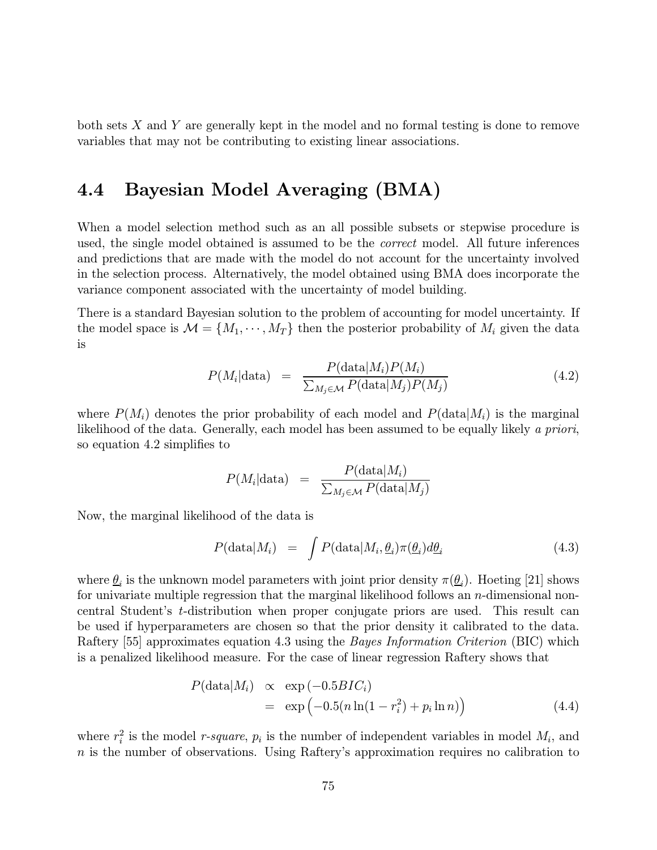both sets  $X$  and  $Y$  are generally kept in the model and no formal testing is done to remove variables that may not be contributing to existing linear associations.

## 4.4 Bayesian Model Averaging (BMA)

When a model selection method such as an all possible subsets or stepwise procedure is used, the single model obtained is assumed to be the *correct* model. All future inferences and predictions that are made with the model do not account for the uncertainty involved in the selection process. Alternatively, the model obtained using BMA does incorporate the variance component associated with the uncertainty of model building.

There is a standard Bayesian solution to the problem of accounting for model uncertainty. If the model space is  $\mathcal{M} = \{M_1, \dots, M_T\}$  then the posterior probability of  $M_i$  given the data is

$$
P(M_i|\text{data}) = \frac{P(\text{data}|M_i)P(M_i)}{\sum_{M_j \in \mathcal{M}} P(\text{data}|M_j)P(M_j)}
$$
(4.2)

where  $P(M_i)$  denotes the prior probability of each model and  $P(\text{data}|M_i)$  is the marginal likelihood of the data. Generally, each model has been assumed to be equally likely a priori, so equation 4.2 simplifies to

$$
P(M_i|\text{data}) = \frac{P(\text{data}|M_i)}{\sum_{M_j \in \mathcal{M}} P(\text{data}|M_j)}
$$

Now, the marginal likelihood of the data is

$$
P(\text{data}|M_i) = \int P(\text{data}|M_i, \underline{\theta}_i) \pi(\underline{\theta}_i) d\underline{\theta}_i \qquad (4.3)
$$

where  $\underline{\theta}_i$  is the unknown model parameters with joint prior density  $\pi(\underline{\theta}_i)$ . Hoeting [21] shows for univariate multiple regression that the marginal likelihood follows an n-dimensional noncentral Student's t-distribution when proper conjugate priors are used. This result can be used if hyperparameters are chosen so that the prior density it calibrated to the data. Raftery [55] approximates equation 4.3 using the *Bayes Information Criterion* (BIC) which is a penalized likelihood measure. For the case of linear regression Raftery shows that

$$
P(\text{data}|M_i) \propto \exp(-0.5BIC_i)
$$
  
= 
$$
\exp(-0.5(n\ln(1 - r_i^2) + p_i \ln n))
$$
 (4.4)

where  $r_i^2$  is the model *r*-square,  $p_i$  is the number of independent variables in model  $M_i$ , and  $n$  is the number of observations. Using Raftery's approximation requires no calibration to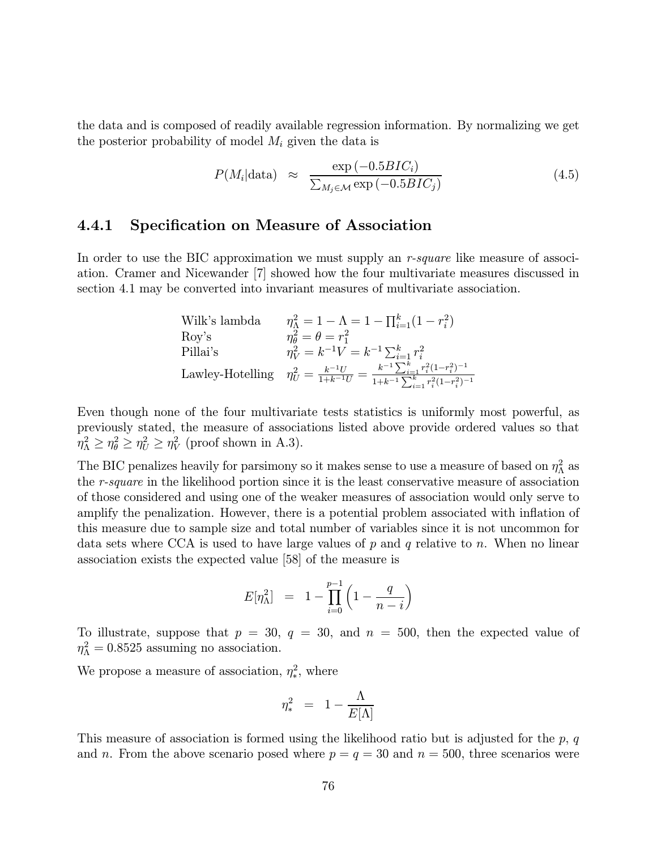the data and is composed of readily available regression information. By normalizing we get the posterior probability of model  $M_i$  given the data is

$$
P(M_i|\text{data}) \approx \frac{\exp(-0.5BIC_i)}{\sum_{M_j \in \mathcal{M}} \exp(-0.5BIC_j)}
$$
(4.5)

#### 4.4.1 Specification on Measure of Association

In order to use the BIC approximation we must supply an  $r$ -square like measure of association. Cramer and Nicewander [7] showed how the four multivariate measures discussed in section 4.1 may be converted into invariant measures of multivariate association.

| Wilk's lambda     | $\eta_{\Lambda}^2 = 1 - \Lambda = 1 - \prod_{i=1}^{k} (1 - r_i^2)$                                                                                |
|-------------------|---------------------------------------------------------------------------------------------------------------------------------------------------|
| $\mathrm{Rov}$ 's | $\eta_{\theta}^2 = \theta = r_1^2$                                                                                                                |
| Pillai's          | $\eta_V^2 = k^{-1}V = k^{-1} \sum_{i=1}^k r_i^2$                                                                                                  |
|                   | Lawley-Hotelling $\eta_U^2 = \frac{k^{-1}U}{1+k^{-1}U} = \frac{k^{-1}\sum_{i=1}^k r_i^2(1-r_i^2)^{-1}}{1+k^{-1}\sum_{i=1}^k r_i^2(1-r_i^2)^{-1}}$ |

Even though none of the four multivariate tests statistics is uniformly most powerful, as previously stated, the measure of associations listed above provide ordered values so that  $\eta_{\Lambda}^2 \geq \eta_{\theta}^2 \geq \eta_{U}^2 \geq \eta_{V}^2$  (proof shown in A.3).

The BIC penalizes heavily for parsimony so it makes sense to use a measure of based on  $\eta_\Lambda^2$  as the r-square in the likelihood portion since it is the least conservative measure of association of those considered and using one of the weaker measures of association would only serve to amplify the penalization. However, there is a potential problem associated with inflation of this measure due to sample size and total number of variables since it is not uncommon for data sets where CCA is used to have large values of  $p$  and  $q$  relative to  $n$ . When no linear association exists the expected value [58] of the measure is

$$
E[\eta_\Lambda^2] = 1 - \prod_{i=0}^{p-1} \left(1 - \frac{q}{n-i}\right)
$$

To illustrate, suppose that  $p = 30$ ,  $q = 30$ , and  $n = 500$ , then the expected value of  $\eta_{\Lambda}^2 = 0.8525$  assuming no association.

We propose a measure of association,  $\eta_*^2$ , where

$$
\eta_*^2\ =\ 1 - \frac{\Lambda}{E[\Lambda]}
$$

This measure of association is formed using the likelihood ratio but is adjusted for the  $p, q$ and n. From the above scenario posed where  $p = q = 30$  and  $n = 500$ , three scenarios were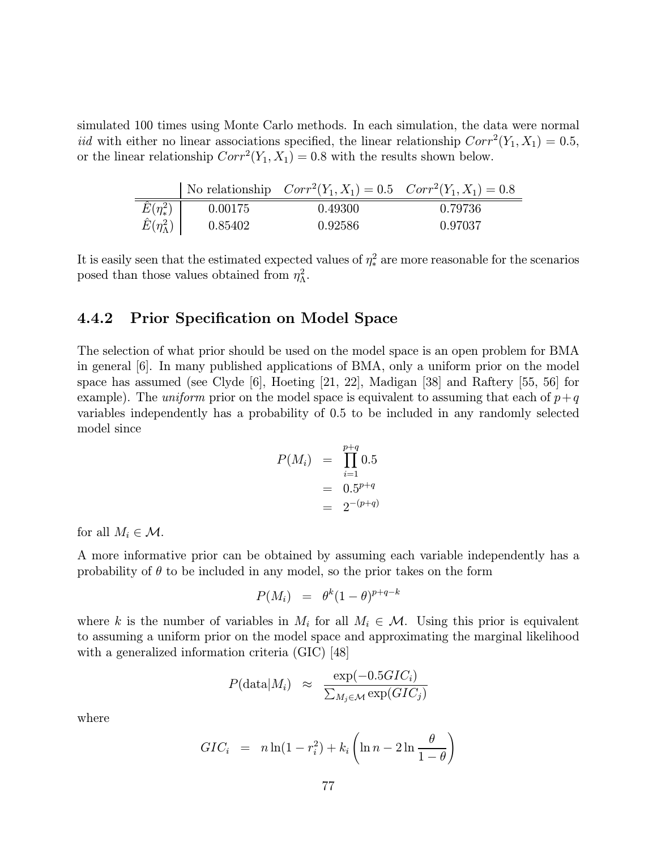simulated 100 times using Monte Carlo methods. In each simulation, the data were normal iid with either no linear associations specified, the linear relationship  $Corr<sup>2</sup>(Y_1, X_1)=0.5$ , or the linear relationship  $Corr^2(Y_1, X_1)=0.8$  with the results shown below.

|                           |         | No relationship $Corr^2(Y_1, X_1) = 0.5$ $Corr^2(Y_1, X_1) = 0.8$ |         |
|---------------------------|---------|-------------------------------------------------------------------|---------|
| $\hat{E}(\eta_{*}^{2})$   | 0.00175 | 0.49300                                                           | 0.79736 |
| $\hat{E}(\eta_\Lambda^2)$ | 0.85402 | 0.92586                                                           | 0.97037 |

It is easily seen that the estimated expected values of  $\eta_*^2$  are more reasonable for the scenarios posed than those values obtained from  $\eta_{\Lambda}^2$ .

#### 4.4.2 Prior Specification on Model Space

The selection of what prior should be used on the model space is an open problem for BMA in general [6]. In many published applications of BMA, only a uniform prior on the model space has assumed (see Clyde [6], Hoeting [21, 22], Madigan [38] and Raftery [55, 56] for example). The uniform prior on the model space is equivalent to assuming that each of  $p+q$ variables independently has a probability of 0.5 to be included in any randomly selected model since

$$
P(M_i) = \prod_{i=1}^{p+q} 0.5
$$
  
= 0.5<sup>p+q</sup>  
= 2<sup>-(p+q)</sup>

for all  $M_i \in \mathcal{M}$ .

A more informative prior can be obtained by assuming each variable independently has a probability of  $\theta$  to be included in any model, so the prior takes on the form

$$
P(M_i) = \theta^k (1-\theta)^{p+q-k}
$$

where k is the number of variables in  $M_i$  for all  $M_i \in \mathcal{M}$ . Using this prior is equivalent to assuming a uniform prior on the model space and approximating the marginal likelihood with a generalized information criteria (GIC) [48]

$$
P(\text{data}|M_i) \approx \frac{\exp(-0.5GIC_i)}{\sum_{M_j \in \mathcal{M}} \exp(GIC_j)}
$$

where

$$
GIC_i = n \ln(1 - r_i^2) + k_i \left( \ln n - 2 \ln \frac{\theta}{1 - \theta} \right)
$$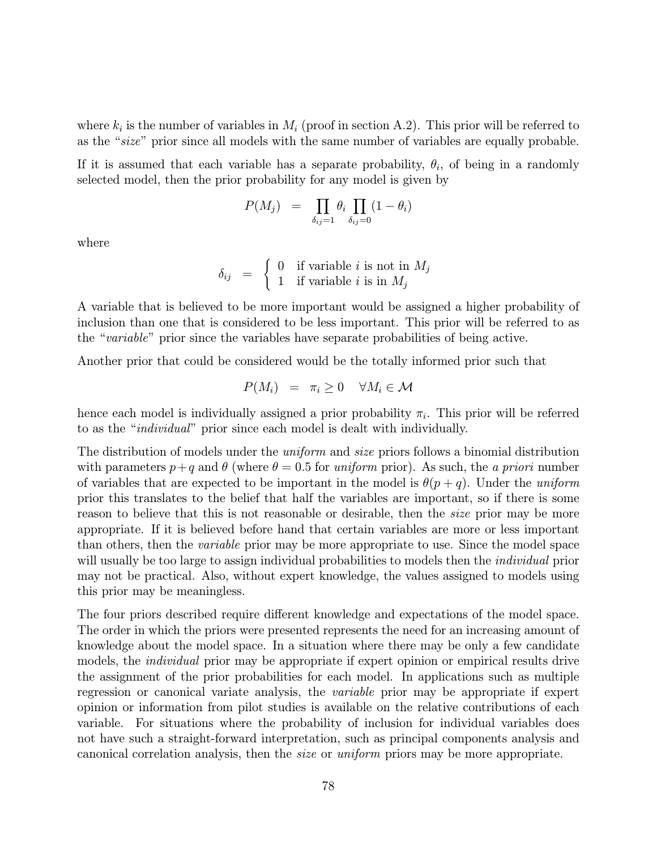where  $k_i$  is the number of variables in  $M_i$  (proof in section A.2). This prior will be referred to as the "size" prior since all models with the same number of variables are equally probable.

If it is assumed that each variable has a separate probability,  $\theta_i$ , of being in a randomly selected model, then the prior probability for any model is given by

$$
P(M_j) = \prod_{\delta_{ij}=1} \theta_i \prod_{\delta_{ij}=0} (1 - \theta_i)
$$

where

$$
\delta_{ij} = \begin{cases} 0 & \text{if variable } i \text{ is not in } M_j \\ 1 & \text{if variable } i \text{ is in } M_j \end{cases}
$$

A variable that is believed to be more important would be assigned a higher probability of inclusion than one that is considered to be less important. This prior will be referred to as the "variable" prior since the variables have separate probabilities of being active.

Another prior that could be considered would be the totally informed prior such that

$$
P(M_i) = \pi_i \geq 0 \quad \forall M_i \in \mathcal{M}
$$

hence each model is individually assigned a prior probability  $\pi_i$ . This prior will be referred to as the "individual" prior since each model is dealt with individually.

The distribution of models under the *uniform* and *size* priors follows a binomial distribution with parameters  $p+q$  and  $\theta$  (where  $\theta = 0.5$  for uniform prior). As such, the a priori number of variables that are expected to be important in the model is  $\theta(p+q)$ . Under the uniform prior this translates to the belief that half the variables are important, so if there is some reason to believe that this is not reasonable or desirable, then the size prior may be more appropriate. If it is believed before hand that certain variables are more or less important than others, then the variable prior may be more appropriate to use. Since the model space will usually be too large to assign individual probabilities to models then the *individual* prior may not be practical. Also, without expert knowledge, the values assigned to models using this prior may be meaningless.

The four priors described require different knowledge and expectations of the model space. The order in which the priors were presented represents the need for an increasing amount of knowledge about the model space. In a situation where there may be only a few candidate models, the *individual* prior may be appropriate if expert opinion or empirical results drive the assignment of the prior probabilities for each model. In applications such as multiple regression or canonical variate analysis, the variable prior may be appropriate if expert opinion or information from pilot studies is available on the relative contributions of each variable. For situations where the probability of inclusion for individual variables does not have such a straight-forward interpretation, such as principal components analysis and canonical correlation analysis, then the size or uniform priors may be more appropriate.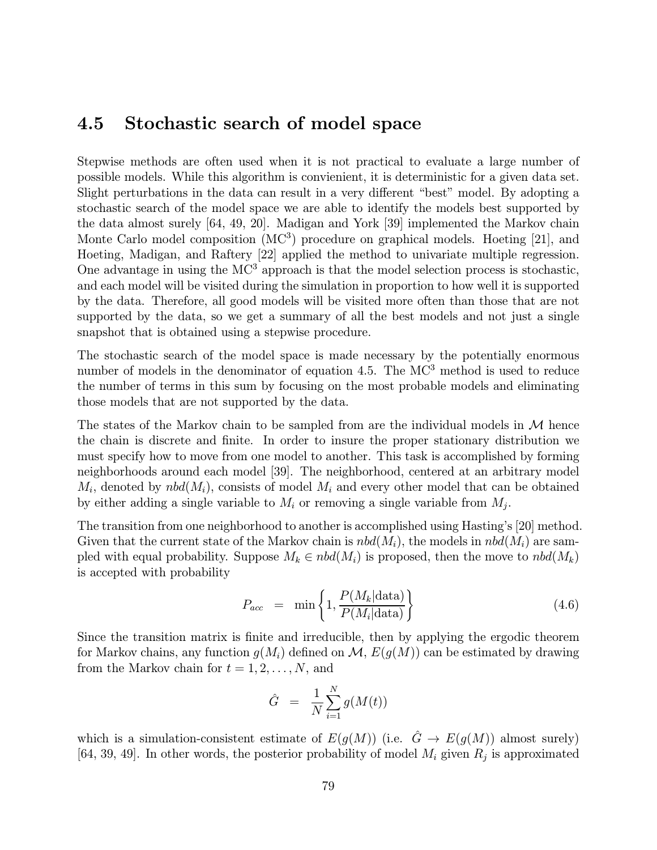## 4.5 Stochastic search of model space

Stepwise methods are often used when it is not practical to evaluate a large number of possible models. While this algorithm is convienient, it is deterministic for a given data set. Slight perturbations in the data can result in a very different "best" model. By adopting a stochastic search of the model space we are able to identify the models best supported by the data almost surely [64, 49, 20]. Madigan and York [39] implemented the Markov chain Monte Carlo model composition (MC<sup>3</sup>) procedure on graphical models. Hoeting [21], and Hoeting, Madigan, and Raftery [22] applied the method to univariate multiple regression. One advantage in using the  $MC<sup>3</sup>$  approach is that the model selection process is stochastic, and each model will be visited during the simulation in proportion to how well it is supported by the data. Therefore, all good models will be visited more often than those that are not supported by the data, so we get a summary of all the best models and not just a single snapshot that is obtained using a stepwise procedure.

The stochastic search of the model space is made necessary by the potentially enormous number of models in the denominator of equation 4.5. The MC<sup>3</sup> method is used to reduce the number of terms in this sum by focusing on the most probable models and eliminating those models that are not supported by the data.

The states of the Markov chain to be sampled from are the individual models in  $M$  hence the chain is discrete and finite. In order to insure the proper stationary distribution we must specify how to move from one model to another. This task is accomplished by forming neighborhoods around each model [39]. The neighborhood, centered at an arbitrary model  $M_i$ , denoted by  $nbd(M_i)$ , consists of model  $M_i$  and every other model that can be obtained by either adding a single variable to  $M_i$  or removing a single variable from  $M_i$ .

The transition from one neighborhood to another is accomplished using Hasting's [20] method. Given that the current state of the Markov chain is  $nbd(M_i)$ , the models in  $nbd(M_i)$  are sampled with equal probability. Suppose  $M_k \in \text{nbd}(M_i)$  is proposed, then the move to  $\text{nbd}(M_k)$ is accepted with probability

$$
P_{acc} = \min\left\{1, \frac{P(M_k | \text{data})}{P(M_i | \text{data})}\right\} \tag{4.6}
$$

Since the transition matrix is finite and irreducible, then by applying the ergodic theorem for Markov chains, any function  $g(M_i)$  defined on  $\mathcal{M}, E(g(M))$  can be estimated by drawing from the Markov chain for  $t = 1, 2, \ldots, N$ , and

$$
\hat{G} = \frac{1}{N} \sum_{i=1}^{N} g(M(t))
$$

which is a simulation-consistent estimate of  $E(g(M))$  (i.e.  $\hat{G} \to E(g(M))$  almost surely) [64, 39, 49]. In other words, the posterior probability of model  $M_i$  given  $R_i$  is approximated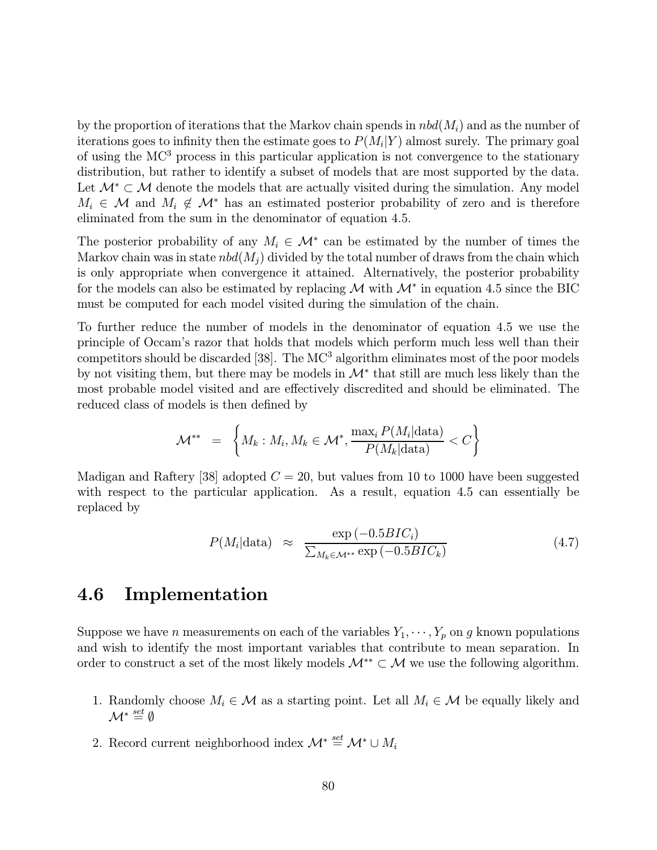by the proportion of iterations that the Markov chain spends in  $nbd(M<sub>i</sub>)$  and as the number of iterations goes to infinity then the estimate goes to  $P(M_i|Y)$  almost surely. The primary goal of using the MC<sup>3</sup> process in this particular application is not convergence to the stationary distribution, but rather to identify a subset of models that are most supported by the data. Let  $\mathcal{M}^* \subset \mathcal{M}$  denote the models that are actually visited during the simulation. Any model  $M_i \in \mathcal{M}$  and  $M_i \notin \mathcal{M}^*$  has an estimated posterior probability of zero and is therefore eliminated from the sum in the denominator of equation 4.5.

The posterior probability of any  $M_i \in \mathcal{M}^*$  can be estimated by the number of times the Markov chain was in state  $nbd(M_i)$  divided by the total number of draws from the chain which is only appropriate when convergence it attained. Alternatively, the posterior probability for the models can also be estimated by replacing  $\mathcal M$  with  $\mathcal M^*$  in equation 4.5 since the BIC must be computed for each model visited during the simulation of the chain.

To further reduce the number of models in the denominator of equation 4.5 we use the principle of Occam's razor that holds that models which perform much less well than their competitors should be discarded [38]. The  $MC^3$  algorithm eliminates most of the poor models by not visiting them, but there may be models in  $\mathcal{M}^*$  that still are much less likely than the most probable model visited and are effectively discredited and should be eliminated. The reduced class of models is then defined by

$$
\mathcal{M}^{**} = \left\{ M_k : M_i, M_k \in \mathcal{M}^*, \frac{\max_i P(M_i | \text{data})}{P(M_k | \text{data})} < C \right\}
$$

Madigan and Raftery [38] adopted  $C = 20$ , but values from 10 to 1000 have been suggested with respect to the particular application. As a result, equation 4.5 can essentially be replaced by

$$
P(M_i|\text{data}) \approx \frac{\exp(-0.5BIC_i)}{\sum_{M_k \in \mathcal{M}^{**}} \exp(-0.5BIC_k)}
$$
(4.7)

## 4.6 Implementation

Suppose we have *n* measurements on each of the variables  $Y_1, \dots, Y_p$  on g known populations and wish to identify the most important variables that contribute to mean separation. In order to construct a set of the most likely models  $\mathcal{M}^{**} \subset \mathcal{M}$  we use the following algorithm.

- 1. Randomly choose  $M_i \in \mathcal{M}$  as a starting point. Let all  $M_i \in \mathcal{M}$  be equally likely and  $\mathcal{M}^* \stackrel{set}{=} \emptyset$
- 2. Record current neighborhood index  $\mathcal{M}^* \stackrel{set}{=} \mathcal{M}^* \cup M_i$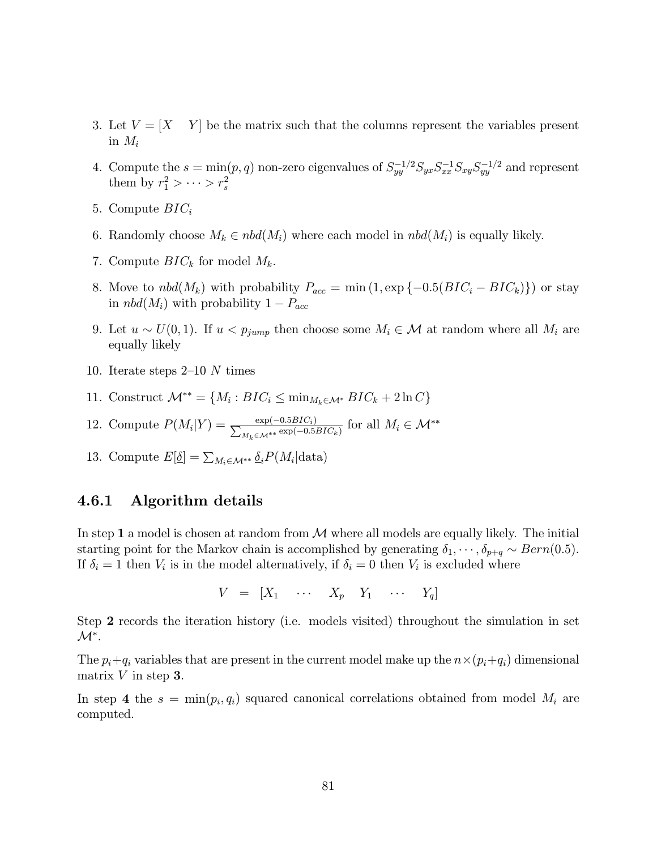- 3. Let  $V = [X \ Y]$  be the matrix such that the columns represent the variables present in  $M_i$
- 4. Compute the  $s = \min(p, q)$  non-zero eigenvalues of  $S_{yy}^{-1/2} S_{yx} S_{xx}^{-1} S_{xy} S_{yy}^{-1/2}$  and represent them by  $r_1^2 > \cdots > r_s^2$
- 5. Compute  $BIC_i$
- 6. Randomly choose  $M_k \in \text{nbd}(M_i)$  where each model in  $\text{nbd}(M_i)$  is equally likely.
- 7. Compute  $BIC_k$  for model  $M_k$ .
- 8. Move to  $nbd(M_k)$  with probability  $P_{acc} = \min(1, \exp\{-0.5(BIC_i BIC_k)\})$  or stay in  $nbd(M_i)$  with probability  $1-P_{acc}$
- 9. Let  $u \sim U(0, 1)$ . If  $u < p_{jump}$  then choose some  $M_i \in \mathcal{M}$  at random where all  $M_i$  are equally likely
- 10. Iterate steps 2—10 N times
- 11. Construct  $\mathcal{M}^{**} = \{M_i : BIC_i \leq \min_{M_k \in \mathcal{M}^*} BIC_k + 2 \ln C\}$
- 12. Compute  $P(M_i|Y) = \frac{\exp(-0.5BIC_i)}{\sum_{M_k \in \mathcal{M}^{**}} \exp(-0.5BIC_k)}$  for all  $M_i \in \mathcal{M}^{**}$
- 13. Compute  $E[\underline{\delta}] = \sum_{M_i \in \mathcal{M}^{**}} \underline{\delta}_i P(M_i | \text{data})$

#### 4.6.1 Algorithm details

In step 1 a model is chosen at random from  $\mathcal M$  where all models are equally likely. The initial starting point for the Markov chain is accomplished by generating  $\delta_1, \cdots, \delta_{p+q} \sim Bern(0.5)$ . If  $\delta_i = 1$  then  $V_i$  is in the model alternatively, if  $\delta_i = 0$  then  $V_i$  is excluded where

 $V = \begin{bmatrix} X_1 & \cdots & X_p & Y_1 & \cdots & Y_q \end{bmatrix}$ 

Step 2 records the iteration history (i.e. models visited) throughout the simulation in set  $\mathcal{M}^*$ .

The  $p_i+q_i$  variables that are present in the current model make up the  $n\times (p_i+q_i)$  dimensional matrix  $V$  in step 3.

In step 4 the  $s = \min(p_i, q_i)$  squared canonical correlations obtained from model  $M_i$  are computed.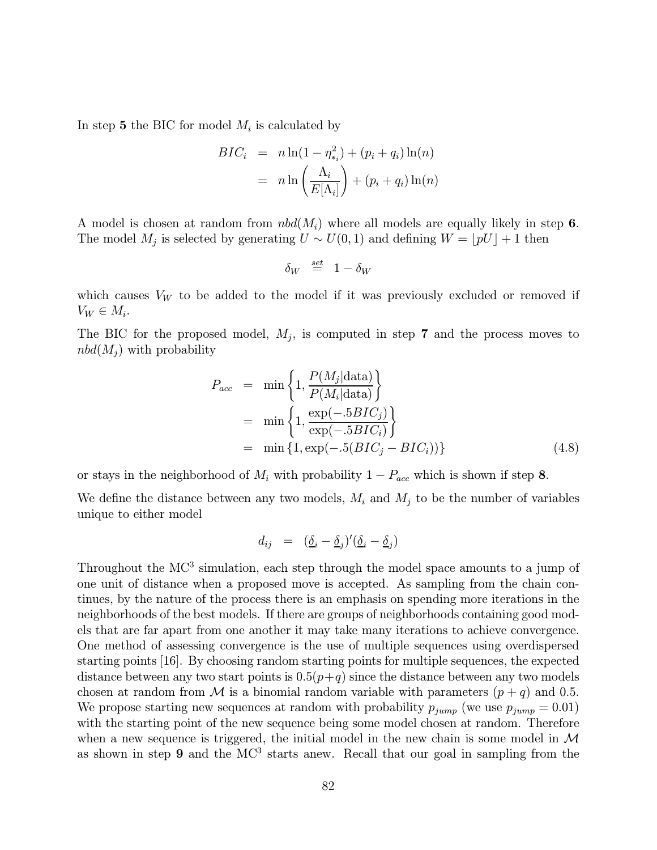In step 5 the BIC for model  $M_i$  is calculated by

$$
BIC_i = n \ln(1 - \eta_{*_i}^2) + (p_i + q_i) \ln(n)
$$
  
= 
$$
n \ln\left(\frac{\Lambda_i}{E[\Lambda_i]}\right) + (p_i + q_i) \ln(n)
$$

A model is chosen at random from  $nbd(M_i)$  where all models are equally likely in step 6. The model  $M_j$  is selected by generating  $U \sim U(0, 1)$  and defining  $W = [pU] + 1$  then

$$
\delta_W \stackrel{\text{\tiny set}}{=} 1-\delta_W
$$

which causes  $V_W$  to be added to the model if it was previously excluded or removed if  $V_W \in M_i$ .

The BIC for the proposed model,  $M_j$ , is computed in step 7 and the process moves to  $nbd(M_i)$  with probability

$$
P_{acc} = \min\left\{1, \frac{P(M_j|data)}{P(M_i|data)}\right\}
$$
  
= 
$$
\min\left\{1, \frac{\exp(-.5BIC_j)}{\exp(-.5BIC_i)}\right\}
$$
  
= 
$$
\min\left\{1, \exp(-.5(BIC_j - BIC_i))\right\}
$$
 (4.8)

or stays in the neighborhood of  $M_i$  with probability  $1 - P_{acc}$  which is shown if step 8.

We define the distance between any two models,  $M_i$  and  $M_j$  to be the number of variables unique to either model

$$
d_{ij} = (\underline{\delta}_i - \underline{\delta}_j)'(\underline{\delta}_i - \underline{\delta}_j)
$$

Throughout the MC<sup>3</sup> simulation, each step through the model space amounts to a jump of one unit of distance when a proposed move is accepted. As sampling from the chain continues, by the nature of the process there is an emphasis on spending more iterations in the neighborhoods of the best models. If there are groups of neighborhoods containing good models that are far apart from one another it may take many iterations to achieve convergence. One method of assessing convergence is the use of multiple sequences using overdispersed starting points [16]. By choosing random starting points for multiple sequences, the expected distance between any two start points is  $0.5(p+q)$  since the distance between any two models chosen at random from M is a binomial random variable with parameters  $(p+q)$  and 0.5. We propose starting new sequences at random with probability  $p_{jump}$  (we use  $p_{jump} = 0.01$ ) with the starting point of the new sequence being some model chosen at random. Therefore when a new sequence is triggered, the initial model in the new chain is some model in  $\mathcal M$ as shown in step  $9$  and the MC<sup>3</sup> starts anew. Recall that our goal in sampling from the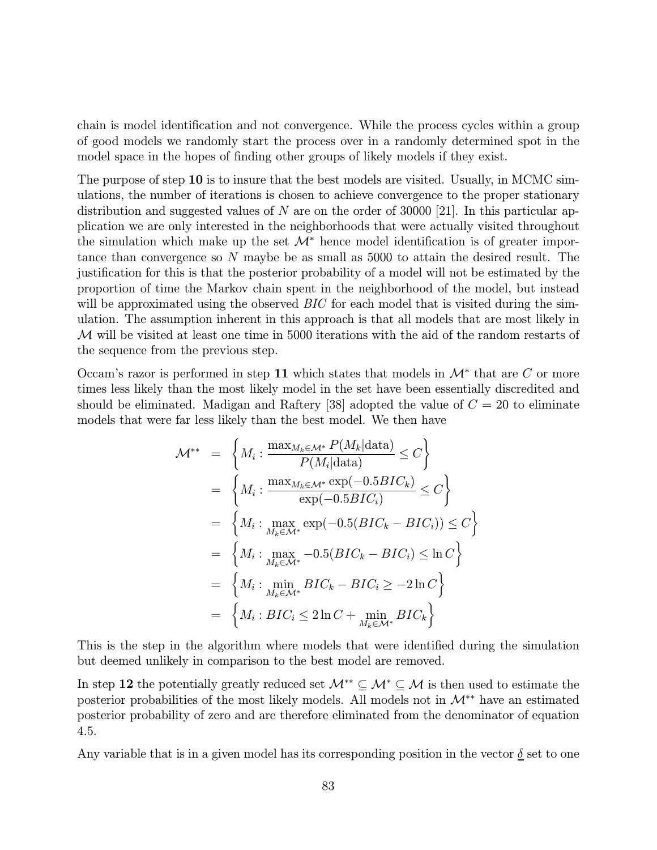chain is model identification and not convergence. While the process cycles within a group of good models we randomly start the process over in a randomly determined spot in the model space in the hopes of finding other groups of likely models if they exist.

The purpose of step 10 is to insure that the best models are visited. Usually, in MCMC simulations, the number of iterations is chosen to achieve convergence to the proper stationary distribution and suggested values of N are on the order of 30000 [21]. In this particular application we are only interested in the neighborhoods that were actually visited throughout the simulation which make up the set  $\mathcal{M}^*$  hence model identification is of greater importance than convergence so N maybe be as small as 5000 to attain the desired result. The justification for this is that the posterior probability of a model will not be estimated by the proportion of time the Markov chain spent in the neighborhood of the model, but instead will be approximated using the observed  $BIC$  for each model that is visited during the simulation. The assumption inherent in this approach is that all models that are most likely in M will be visited at least one time in 5000 iterations with the aid of the random restarts of the sequence from the previous step.

Occam's razor is performed in step 11 which states that models in  $\mathcal{M}^*$  that are C or more times less likely than the most likely model in the set have been essentially discredited and should be eliminated. Madigan and Raftery [38] adopted the value of  $C = 20$  to eliminate models that were far less likely than the best model. We then have

$$
\mathcal{M}^{**} = \left\{ M_i : \frac{\max_{M_k \in \mathcal{M}^*} P(M_k | \text{data})}{P(M_i | \text{data})} \le C \right\}
$$
  
\n
$$
= \left\{ M_i : \frac{\max_{M_k \in \mathcal{M}^*} \exp(-0.5BIC_k)}{\exp(-0.5BIC_i)} \le C \right\}
$$
  
\n
$$
= \left\{ M_i : \max_{M_k \in \mathcal{M}^*} \exp(-0.5(BIC_k - BIC_i)) \le C \right\}
$$
  
\n
$$
= \left\{ M_i : \max_{M_k \in \mathcal{M}^*} -0.5(BIC_k - BIC_i) \le \ln C \right\}
$$
  
\n
$$
= \left\{ M_i : \min_{M_k \in \mathcal{M}^*} BIC_k - BIC_i \ge -2 \ln C \right\}
$$
  
\n
$$
= \left\{ M_i : BIC_i \le 2 \ln C + \min_{M_k \in \mathcal{M}^*} BIC_k \right\}
$$

This is the step in the algorithm where models that were identified during the simulation but deemed unlikely in comparison to the best model are removed.

In step 12 the potentially greatly reduced set  $\mathcal{M}^* \subseteq \mathcal{M}^* \subseteq \mathcal{M}$  is then used to estimate the posterior probabilities of the most likely models. All models not in  $\mathcal{M}^{**}$  have an estimated posterior probability of zero and are therefore eliminated from the denominator of equation 4.5.

Any variable that is in a given model has its corresponding position in the vector  $\delta$  set to one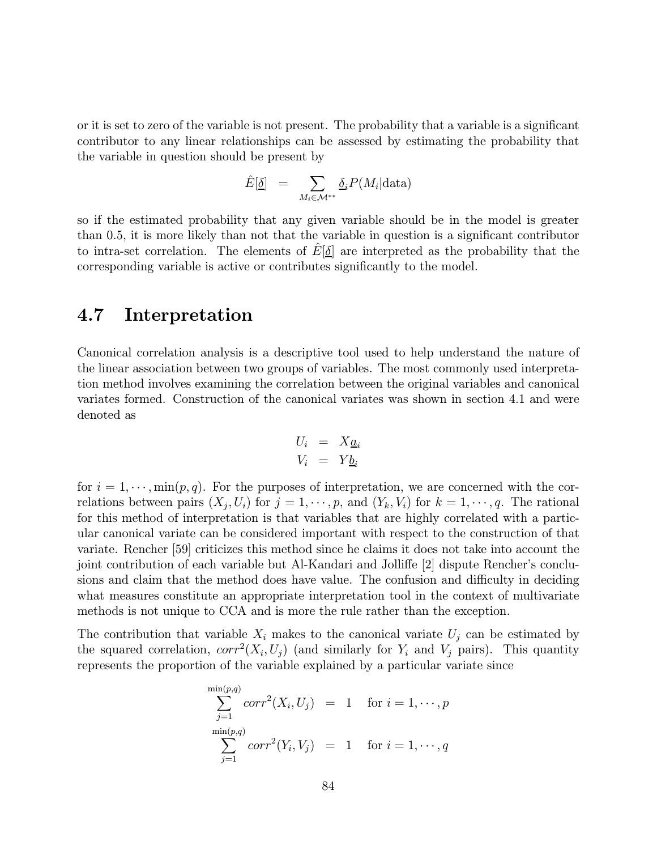or it is set to zero of the variable is not present. The probability that a variable is a significant contributor to any linear relationships can be assessed by estimating the probability that the variable in question should be present by

$$
\hat{E}[\underline{\delta}] = \sum_{M_i \in \mathcal{M}^{**}} \underline{\delta}_i P(M_i | \text{data})
$$

so if the estimated probability that any given variable should be in the model is greater than 0.5, it is more likely than not that the variable in question is a significant contributor to intra-set correlation. The elements of  $E[\delta]$  are interpreted as the probability that the corresponding variable is active or contributes significantly to the model.

## 4.7 Interpretation

Canonical correlation analysis is a descriptive tool used to help understand the nature of the linear association between two groups of variables. The most commonly used interpretation method involves examining the correlation between the original variables and canonical variates formed. Construction of the canonical variates was shown in section 4.1 and were denoted as

$$
U_i = X_{\underline{a}_i}
$$
  

$$
V_i = Y_{\underline{b}_i}
$$

for  $i = 1, \dots, \min(p, q)$ . For the purposes of interpretation, we are concerned with the correlations between pairs  $(X_i, U_i)$  for  $j = 1, \dots, p$ , and  $(Y_k, V_i)$  for  $k = 1, \dots, q$ . The rational for this method of interpretation is that variables that are highly correlated with a particular canonical variate can be considered important with respect to the construction of that variate. Rencher [59] criticizes this method since he claims it does not take into account the joint contribution of each variable but Al-Kandari and Jolliffe [2] dispute Rencher's conclusions and claim that the method does have value. The confusion and difficulty in deciding what measures constitute an appropriate interpretation tool in the context of multivariate methods is not unique to CCA and is more the rule rather than the exception.

The contribution that variable  $X_i$  makes to the canonical variate  $U_i$  can be estimated by the squared correlation,  $corr^2(X_i, U_j)$  (and similarly for  $Y_i$  and  $V_j$  pairs). This quantity represents the proportion of the variable explained by a particular variate since

$$
\sum_{j=1}^{\min(p,q)} corr^2(X_i, U_j) = 1 \quad \text{for } i = 1, \dots, p
$$
  

$$
\sum_{j=1}^{\min(p,q)} corr^2(Y_i, V_j) = 1 \quad \text{for } i = 1, \dots, q
$$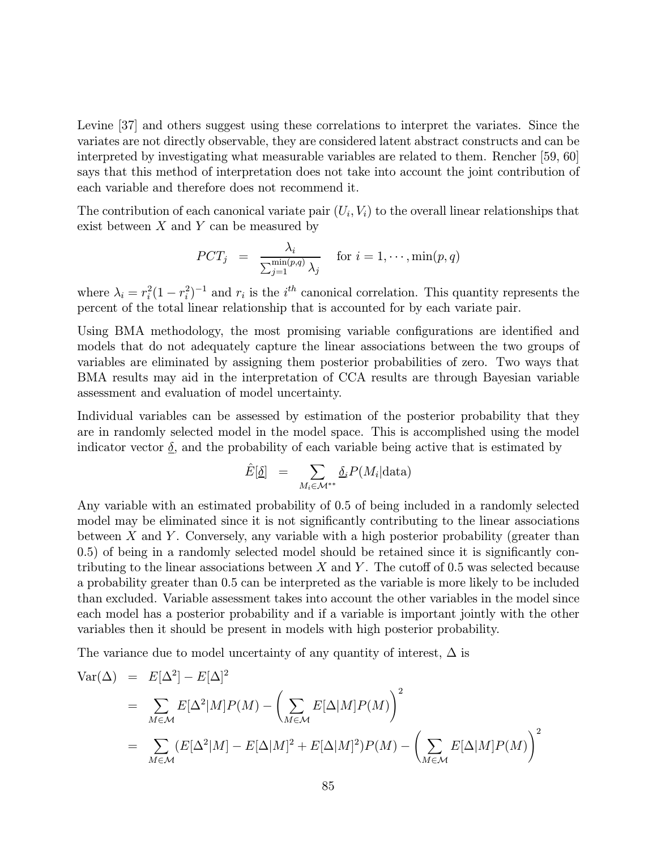Levine [37] and others suggest using these correlations to interpret the variates. Since the variates are not directly observable, they are considered latent abstract constructs and can be interpreted by investigating what measurable variables are related to them. Rencher [59, 60] says that this method of interpretation does not take into account the joint contribution of each variable and therefore does not recommend it.

The contribution of each canonical variate pair  $(U_i, V_i)$  to the overall linear relationships that exist between  $X$  and  $Y$  can be measured by

$$
PCT_j = \frac{\lambda_i}{\sum_{j=1}^{\min(p,q)} \lambda_j} \quad \text{for } i = 1, \cdots, \min(p,q)
$$

where  $\lambda_i = r_i^2 (1 - r_i^2)^{-1}$  and  $r_i$  is the i<sup>th</sup> canonical correlation. This quantity represents the percent of the total linear relationship that is accounted for by each variate pair.

Using BMA methodology, the most promising variable configurations are identified and models that do not adequately capture the linear associations between the two groups of variables are eliminated by assigning them posterior probabilities of zero. Two ways that BMA results may aid in the interpretation of CCA results are through Bayesian variable assessment and evaluation of model uncertainty.

Individual variables can be assessed by estimation of the posterior probability that they are in randomly selected model in the model space. This is accomplished using the model indicator vector  $\delta$ , and the probability of each variable being active that is estimated by

$$
\hat{E}[\underline{\delta}] = \sum_{M_i \in \mathcal{M}^{**}} \underline{\delta}_i P(M_i | \text{data})
$$

Any variable with an estimated probability of 0.5 of being included in a randomly selected model may be eliminated since it is not significantly contributing to the linear associations between  $X$  and  $Y$ . Conversely, any variable with a high posterior probability (greater than 0.5) of being in a randomly selected model should be retained since it is significantly contributing to the linear associations between X and Y. The cutoff of 0.5 was selected because a probability greater than 0.5 can be interpreted as the variable is more likely to be included than excluded. Variable assessment takes into account the other variables in the model since each model has a posterior probability and if a variable is important jointly with the other variables then it should be present in models with high posterior probability.

The variance due to model uncertainty of any quantity of interest,  $\Delta$  is

$$
\begin{aligned}\n\text{Var}(\Delta) &= E[\Delta^2] - E[\Delta]^2 \\
&= \sum_{M \in \mathcal{M}} E[\Delta^2 | M] P(M) - \left(\sum_{M \in \mathcal{M}} E[\Delta | M] P(M)\right)^2 \\
&= \sum_{M \in \mathcal{M}} (E[\Delta^2 | M] - E[\Delta | M]^2 + E[\Delta | M]^2) P(M) - \left(\sum_{M \in \mathcal{M}} E[\Delta | M] P(M)\right)^2\n\end{aligned}
$$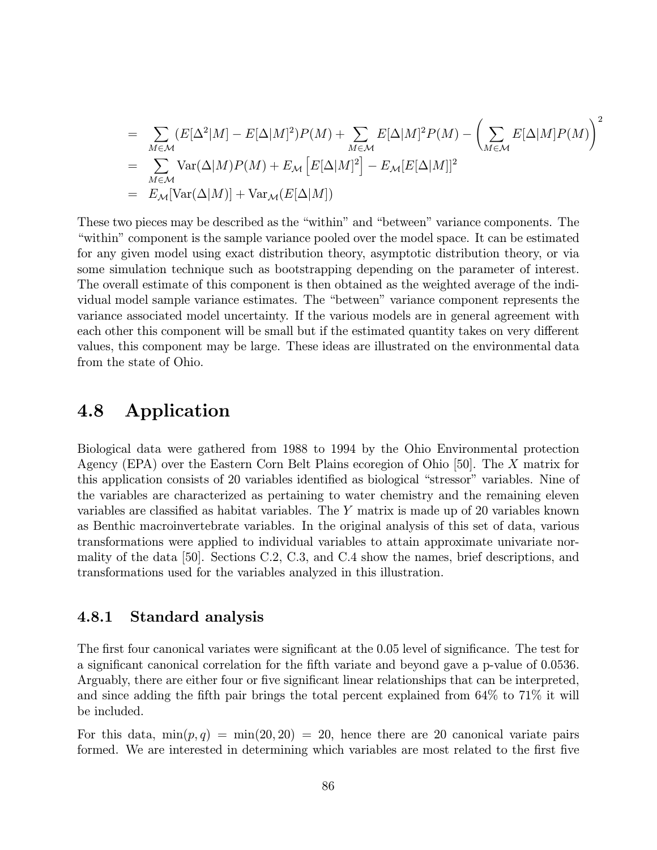$$
= \sum_{M \in \mathcal{M}} (E[\Delta^2|M] - E[\Delta|M]^2)P(M) + \sum_{M \in \mathcal{M}} E[\Delta|M]^2 P(M) - \left(\sum_{M \in \mathcal{M}} E[\Delta|M]P(M)\right)^2
$$
  
= 
$$
\sum_{M \in \mathcal{M}} \text{Var}(\Delta|M)P(M) + E_{\mathcal{M}} [E[\Delta|M]^2] - E_{\mathcal{M}}[E[\Delta|M]]^2
$$
  
= 
$$
E_{\mathcal{M}}[\text{Var}(\Delta|M)] + \text{Var}_{\mathcal{M}}(E[\Delta|M])
$$

These two pieces may be described as the "within" and "between" variance components. The "within" component is the sample variance pooled over the model space. It can be estimated for any given model using exact distribution theory, asymptotic distribution theory, or via some simulation technique such as bootstrapping depending on the parameter of interest. The overall estimate of this component is then obtained as the weighted average of the individual model sample variance estimates. The "between" variance component represents the variance associated model uncertainty. If the various models are in general agreement with each other this component will be small but if the estimated quantity takes on very different values, this component may be large. These ideas are illustrated on the environmental data from the state of Ohio.

## 4.8 Application

Biological data were gathered from 1988 to 1994 by the Ohio Environmental protection Agency (EPA) over the Eastern Corn Belt Plains ecoregion of Ohio [50]. The X matrix for this application consists of 20 variables identified as biological "stressor" variables. Nine of the variables are characterized as pertaining to water chemistry and the remaining eleven variables are classified as habitat variables. The Y matrix is made up of 20 variables known as Benthic macroinvertebrate variables. In the original analysis of this set of data, various transformations were applied to individual variables to attain approximate univariate normality of the data [50]. Sections C.2, C.3, and C.4 show the names, brief descriptions, and transformations used for the variables analyzed in this illustration.

#### 4.8.1 Standard analysis

The first four canonical variates were significant at the 0.05 level of significance. The test for a significant canonical correlation for the fifth variate and beyond gave a p-value of 0.0536. Arguably, there are either four or five significant linear relationships that can be interpreted, and since adding the fifth pair brings the total percent explained from 64% to 71% it will be included.

For this data,  $\min(p, q) = \min(20, 20) = 20$ , hence there are 20 canonical variate pairs formed. We are interested in determining which variables are most related to the first five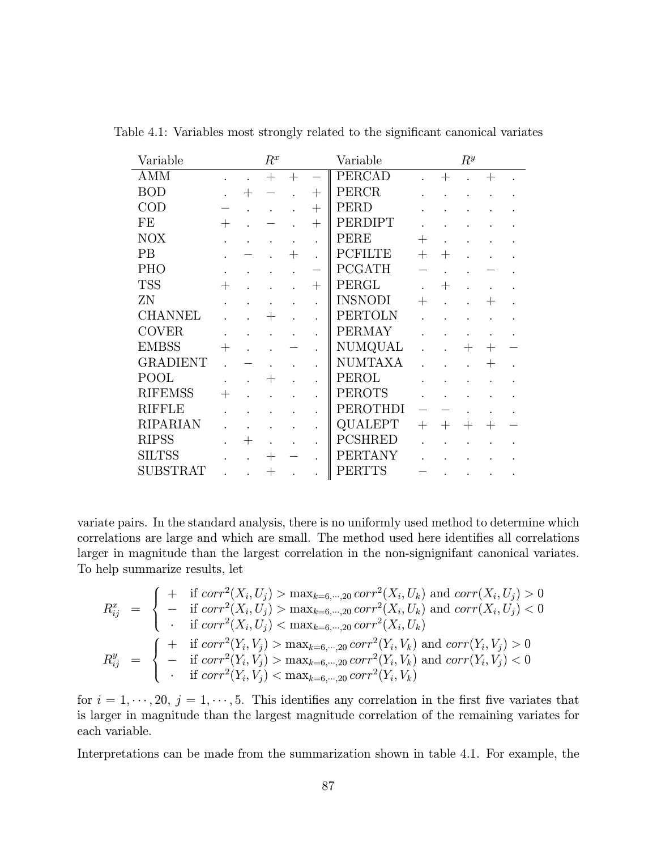| Variable        |        | $R^x$  |                     |                      | Variable                        |        |      | $R^y$ |        |  |
|-----------------|--------|--------|---------------------|----------------------|---------------------------------|--------|------|-------|--------|--|
| AMM             |        | $^{+}$ | $\hspace{.011cm} +$ |                      | <b>PERCAD</b>                   |        | $^+$ |       | $^{+}$ |  |
| <b>BOD</b>      |        |        |                     | $^{+}$               | PERCR                           |        |      |       |        |  |
| COD             |        |        |                     | $^{+}$               | PERD                            |        |      |       |        |  |
| FE              | $^{+}$ |        |                     | $^{+}$               | PERDIPT                         |        |      |       |        |  |
| <b>NOX</b>      |        |        |                     | $\bullet$            | PERE                            | $^{+}$ |      |       |        |  |
| PB              |        |        |                     |                      | <b>PCFILTE</b>                  | $^{+}$ |      |       |        |  |
| <b>PHO</b>      |        |        |                     |                      | <b>PCGATH</b>                   |        |      |       |        |  |
| <b>TSS</b>      | $^{+}$ |        |                     | $^{+}$               | PERGL                           |        | $+$  |       |        |  |
| ZN              |        |        |                     | $\bullet$            | <b>INSNODI</b>                  | $\pm$  |      |       |        |  |
| <b>CHANNEL</b>  |        |        |                     |                      | <b>PERTOLN</b>                  |        |      |       |        |  |
| <b>COVER</b>    |        |        |                     | $\ddot{\phantom{0}}$ | <b>PERMAY</b>                   |        |      |       |        |  |
| <b>EMBSS</b>    | $^{+}$ |        |                     |                      | $\ensuremath{\mathrm{NUMQUAL}}$ |        |      |       | ┿      |  |
| <b>GRADIENT</b> |        |        |                     | $\ddot{\phantom{0}}$ | <b>NUMTAXA</b>                  |        |      |       | $+$    |  |
| POOL            |        | ┿      |                     | $\ddot{\phantom{0}}$ | PEROL                           |        |      |       |        |  |
| <b>RIFEMSS</b>  | $^{+}$ |        |                     |                      | <b>PEROTS</b>                   |        |      |       |        |  |
| <b>RIFFLE</b>   |        |        |                     | $\ddot{\phantom{0}}$ | PEROTHDI                        |        |      |       |        |  |
| <b>RIPARIAN</b> |        |        |                     | $\ddot{\phantom{0}}$ | QUALEPT                         | $^{+}$ | $^+$ | $^+$  | $^+$   |  |
| <b>RIPSS</b>    |        |        |                     | $\ddot{\phantom{0}}$ | <b>PCSHRED</b>                  |        |      |       |        |  |
| <b>SILTSS</b>   |        | $^{+}$ |                     |                      | <b>PERTANY</b>                  |        |      |       |        |  |
| <b>SUBSTRAT</b> |        | ┿      |                     |                      | PERTTS                          |        |      |       |        |  |

Table 4.1: Variables most strongly related to the significant canonical variates

variate pairs. In the standard analysis, there is no uniformly used method to determine which correlations are large and which are small. The method used here identifies all correlations larger in magnitude than the largest correlation in the non-signignifant canonical variates. To help summarize results, let

$$
R_{ij}^x = \begin{cases} + \text{ if } corr^2(X_i, U_j) > \max_{k=6,\dots,20} corr^2(X_i, U_k) \text{ and } corr(X_i, U_j) > 0\\ - \text{ if } corr^2(X_i, U_j) > \max_{k=6,\dots,20} corr^2(X_i, U_k) \text{ and } corr(X_i, U_j) < 0\\ \text{ if } corr^2(X_i, U_j) < \max_{k=6,\dots,20} corr^2(X_i, U_k) \end{cases}
$$
  

$$
R_{ij}^y = \begin{cases} + \text{ if } corr^2(Y_i, V_j) > \max_{k=6,\dots,20} corr^2(Y_i, V_k) \text{ and } corr(Y_i, V_j) > 0\\ - \text{ if } corr^2(Y_i, V_j) > \max_{k=6,\dots,20} corr^2(Y_i, V_k) \text{ and } corr(Y_i, V_j) < 0\\ \text{ if } corr^2(Y_i, V_j) < \max_{k=6,\dots,20} corr^2(Y_i, V_k) \end{cases}
$$

for  $i = 1, \dots, 20, j = 1, \dots, 5$ . This identifies any correlation in the first five variates that is larger in magnitude than the largest magnitude correlation of the remaining variates for each variable.

Interpretations can be made from the summarization shown in table 4.1. For example, the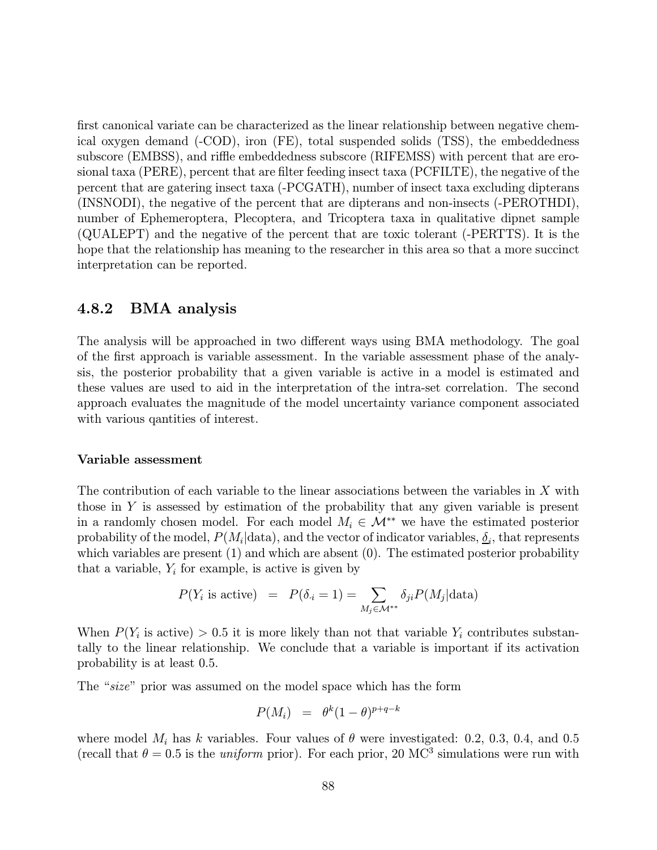first canonical variate can be characterized as the linear relationship between negative chemical oxygen demand (-COD), iron (FE), total suspended solids (TSS), the embeddedness subscore (EMBSS), and riffle embeddedness subscore (RIFEMSS) with percent that are erosional taxa (PERE), percent that are filter feeding insect taxa (PCFILTE), the negative of the percent that are gatering insect taxa (-PCGATH), number of insect taxa excluding dipterans (INSNODI), the negative of the percent that are dipterans and non-insects (-PEROTHDI), number of Ephemeroptera, Plecoptera, and Tricoptera taxa in qualitative dipnet sample (QUALEPT) and the negative of the percent that are toxic tolerant (-PERTTS). It is the hope that the relationship has meaning to the researcher in this area so that a more succinct interpretation can be reported.

#### 4.8.2 BMA analysis

The analysis will be approached in two different ways using BMA methodology. The goal of the first approach is variable assessment. In the variable assessment phase of the analysis, the posterior probability that a given variable is active in a model is estimated and these values are used to aid in the interpretation of the intra-set correlation. The second approach evaluates the magnitude of the model uncertainty variance component associated with various qantities of interest.

#### Variable assessment

The contribution of each variable to the linear associations between the variables in X with those in  $Y$  is assessed by estimation of the probability that any given variable is present in a randomly chosen model. For each model  $M_i \in \mathcal{M}^{**}$  we have the estimated posterior probability of the model,  $P(M_i|data)$ , and the vector of indicator variables,  $\delta_i$ , that represents which variables are present (1) and which are absent (0). The estimated posterior probability that a variable,  $Y_i$  for example, is active is given by

$$
P(Y_i \text{ is active}) = P(\delta_i = 1) = \sum_{M_j \in \mathcal{M}^{**}} \delta_{ji} P(M_j | \text{data})
$$

When  $P(Y_i$  is active) > 0.5 it is more likely than not that variable  $Y_i$  contributes substantally to the linear relationship. We conclude that a variable is important if its activation probability is at least 0.5.

The "size" prior was assumed on the model space which has the form

$$
P(M_i) = \theta^k (1-\theta)^{p+q-k}
$$

where model  $M_i$  has k variables. Four values of  $\theta$  were investigated: 0.2, 0.3, 0.4, and 0.5 (recall that  $\theta = 0.5$  is the *uniform* prior). For each prior, 20 MC<sup>3</sup> simulations were run with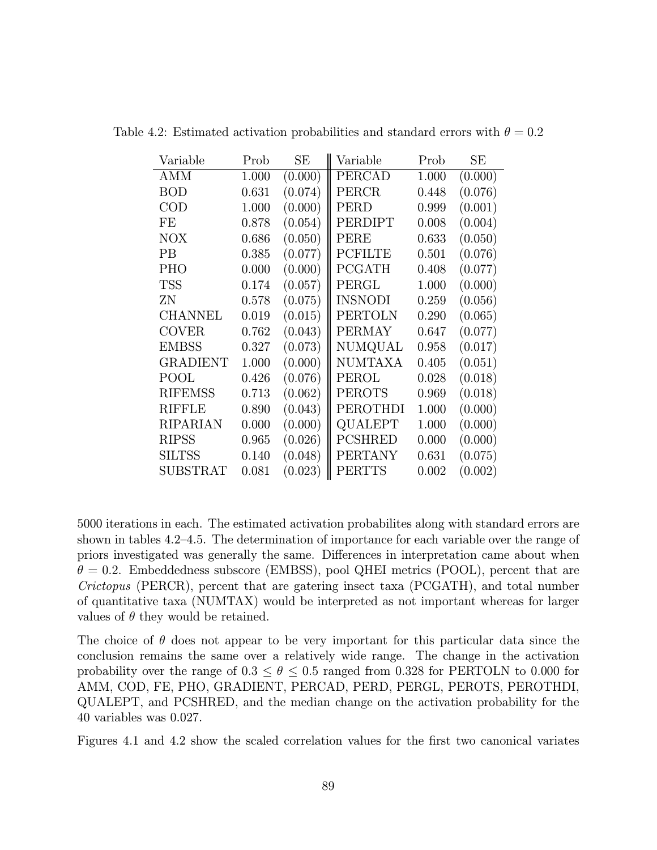| Variable         | Prob  | SE      | Variable       | Prob  | SЕ      |
|------------------|-------|---------|----------------|-------|---------|
| AMM              | 1.000 | (0.000) | PERCAD         | 1.000 | (0.000) |
| <b>BOD</b>       | 0.631 | (0.074) | PERCR          | 0.448 | (0.076) |
| $\rm COD$        | 1.000 | (0.000) | PERD           | 0.999 | (0.001) |
| FE               | 0.878 | (0.054) | PERDIPT        | 0.008 | (0.004) |
| <b>NOX</b>       | 0.686 | (0.050) | PERE           | 0.633 | (0.050) |
| PВ               | 0.385 | (0.077) | <b>PCFILTE</b> | 0.501 | (0.076) |
| <b>PHO</b>       | 0.000 | (0.000) | PCGATH         | 0.408 | (0.077) |
| <b>TSS</b>       | 0.174 | (0.057) | PERGL          | 1.000 | (0.000) |
| ΖN               | 0.578 | (0.075) | <b>INSNODI</b> | 0.259 | (0.056) |
| <b>CHANNEL</b>   | 0.019 | (0.015) | <b>PERTOLN</b> | 0.290 | (0.065) |
| COVER            | 0.762 | (0.043) | <b>PERMAY</b>  | 0.647 | (0.077) |
| <b>EMBSS</b>     | 0.327 | (0.073) | NUMQUAL        | 0.958 | (0.017) |
| GRADIENT         | 1.000 | (0.000) | <b>NUMTAXA</b> | 0.405 | (0.051) |
| POOL             | 0.426 | (0.076) | PEROL          | 0.028 | (0.018) |
| <b>RIFEMSS</b>   | 0.713 | (0.062) | <b>PEROTS</b>  | 0.969 | (0.018) |
| <b>RIFFLE</b>    | 0.890 | (0.043) | PEROTHDI       | 1.000 | (0.000) |
| RIPARIAN         | 0.000 | (0.000) | QUALEPT        | 1.000 | (0.000) |
| <b>RIPSS</b>     | 0.965 | (0.026) | PCSHRED        | 0.000 | (0.000) |
| <b>SILTSS</b>    | 0.140 | (0.048) | <b>PERTANY</b> | 0.631 | (0.075) |
| ${\rm SUBSTRAT}$ | 0.081 | (0.023) | PERTTS         | 0.002 | (0.002) |

Table 4.2: Estimated activation probabilities and standard errors with  $\theta = 0.2$ 

5000 iterations in each. The estimated activation probabilites along with standard errors are shown in tables 4.2—4.5. The determination of importance for each variable over the range of priors investigated was generally the same. Differences in interpretation came about when  $\theta = 0.2$ . Embeddedness subscore (EMBSS), pool QHEI metrics (POOL), percent that are Crictopus (PERCR), percent that are gatering insect taxa (PCGATH), and total number of quantitative taxa (NUMTAX) would be interpreted as not important whereas for larger values of  $\theta$  they would be retained.

The choice of  $\theta$  does not appear to be very important for this particular data since the conclusion remains the same over a relatively wide range. The change in the activation probability over the range of  $0.3 \le \theta \le 0.5$  ranged from 0.328 for PERTOLN to 0.000 for AMM, COD, FE, PHO, GRADIENT, PERCAD, PERD, PERGL, PEROTS, PEROTHDI, QUALEPT, and PCSHRED, and the median change on the activation probability for the 40 variables was 0.027.

Figures 4.1 and 4.2 show the scaled correlation values for the first two canonical variates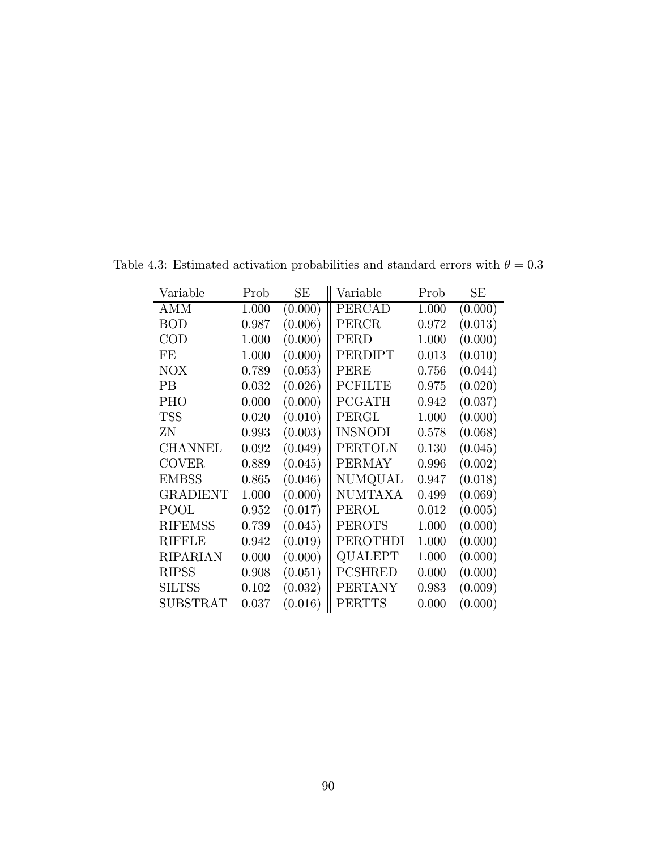| Variable       | Prob  | SЕ      | Variable       | Prob  | SЕ      |
|----------------|-------|---------|----------------|-------|---------|
| AMM            | 1.000 | (0.000) | PERCAD         | 1.000 | (0.000) |
| <b>BOD</b>     | 0.987 | (0.006) | PERCR          | 0.972 | (0.013) |
| $\rm COD$      | 1.000 | (0.000) | PERD           | 1.000 | (0.000) |
| FE             | 1.000 | (0.000) | PERDIPT        | 0.013 | (0.010) |
| <b>NOX</b>     | 0.789 | (0.053) | PERE           | 0.756 | (0.044) |
| PВ             | 0.032 | (0.026) | <b>PCFILTE</b> | 0.975 | (0.020) |
| PHO            | 0.000 | (0.000) | <b>PCGATH</b>  | 0.942 | (0.037) |
| <b>TSS</b>     | 0.020 | (0.010) | PERGL          | 1.000 | (0.000) |
| ΖN             | 0.993 | (0.003) | <b>INSNODI</b> | 0.578 | (0.068) |
| CHANNEL        | 0.092 | (0.049) | PERTOLN        | 0.130 | (0.045) |
| <b>COVER</b>   | 0.889 | (0.045) | <b>PERMAY</b>  | 0.996 | (0.002) |
| <b>EMBSS</b>   | 0.865 | (0.046) | NUMQUAL        | 0.947 | (0.018) |
| GRADIENT       | 1.000 | (0.000) | NUMTAXA        | 0.499 | (0.069) |
| POOL           | 0.952 | (0.017) | PEROL          | 0.012 | (0.005) |
| <b>RIFEMSS</b> | 0.739 | (0.045) | <b>PEROTS</b>  | 1.000 | (0.000) |
| RIFFLE         | 0.942 | (0.019) | PEROTHDI       | 1.000 | (0.000) |
| RIPARIAN       | 0.000 | (0.000) | QUALEPT        | 1.000 | (0.000) |
| <b>RIPSS</b>   | 0.908 | (0.051) | <b>PCSHRED</b> | 0.000 | (0.000) |
| <b>SILTSS</b>  | 0.102 | (0.032) | <b>PERTANY</b> | 0.983 | (0.009) |
| SUBSTRAT       | 0.037 | (0.016) | PERTTS         | 0.000 | (0.000) |

Table 4.3: Estimated activation probabilities and standard errors with  $\theta = 0.3$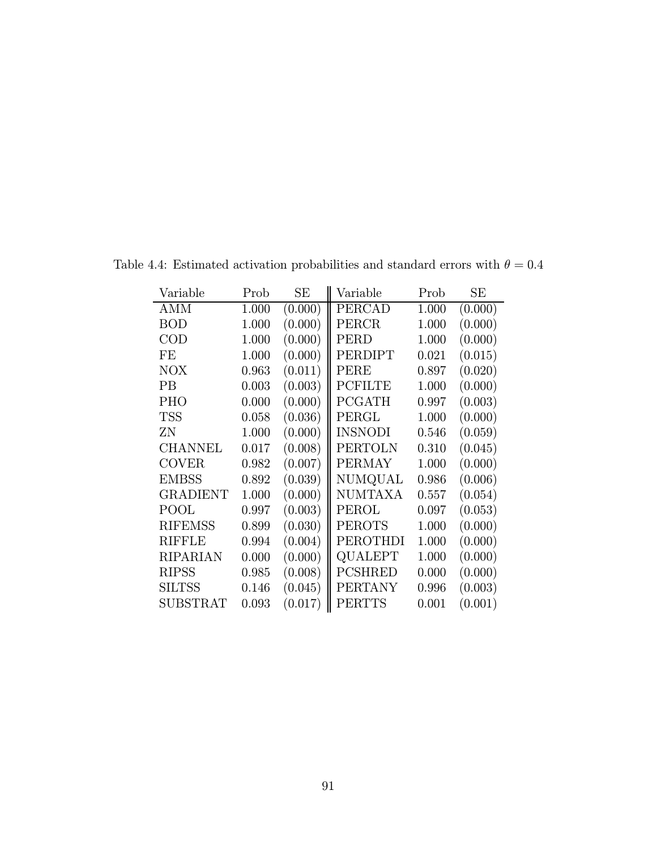| Variable        | Prob  | SЕ      | Variable       | Prob  | SЕ      |
|-----------------|-------|---------|----------------|-------|---------|
| AMM             | 1.000 | (0.000) | PERCAD         | 1.000 | (0.000) |
| <b>BOD</b>      | 1.000 | (0.000) | PERCR          | 1.000 | (0.000) |
| $\rm COD$       | 1.000 | (0.000) | PERD           | 1.000 | (0.000) |
| FE              | 1.000 | (0.000) | PERDIPT        | 0.021 | (0.015) |
| NOX             | 0.963 | (0.011) | PERE           | 0.897 | (0.020) |
| PВ              | 0.003 | (0.003) | <b>PCFILTE</b> | 1.000 | (0.000) |
| <b>PHO</b>      | 0.000 | (0.000) | <b>PCGATH</b>  | 0.997 | (0.003) |
| <b>TSS</b>      | 0.058 | (0.036) | PERGL          | 1.000 | (0.000) |
| ZΝ              | 1.000 | (0.000) | <b>INSNODI</b> | 0.546 | (0.059) |
| <b>CHANNEL</b>  | 0.017 | (0.008) | PERTOLN        | 0.310 | (0.045) |
| <b>COVER</b>    | 0.982 | (0.007) | <b>PERMAY</b>  | 1.000 | (0.000) |
| <b>EMBSS</b>    | 0.892 | (0.039) | NUMQUAL        | 0.986 | (0.006) |
| <b>GRADIENT</b> | 1.000 | (0.000) | <b>NUMTAXA</b> | 0.557 | (0.054) |
| POOL            | 0.997 | (0.003) | PEROL          | 0.097 | (0.053) |
| <b>RIFEMSS</b>  | 0.899 | (0.030) | <b>PEROTS</b>  | 1.000 | (0.000) |
| RIFFLE          | 0.994 | (0.004) | PEROTHDI       | 1.000 | (0.000) |
| RIPARIAN        | 0.000 | (0.000) | QUALEPT        | 1.000 | (0.000) |
| <b>RIPSS</b>    | 0.985 | (0.008) | <b>PCSHRED</b> | 0.000 | (0.000) |
| <b>SILTSS</b>   | 0.146 | (0.045) | <b>PERTANY</b> | 0.996 | (0.003) |
| SUBSTRAT        | 0.093 | (0.017) | PERTTS         | 0.001 | (0.001) |

Table 4.4: Estimated activation probabilities and standard errors with  $\theta = 0.4$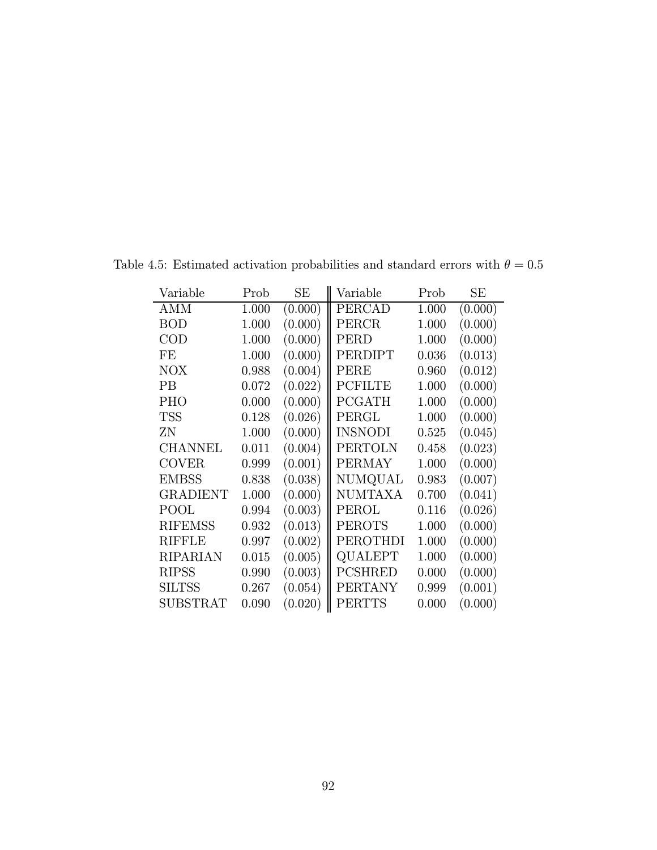| Variable        | Prob  | SЕ      | Variable       | Prob  | SЕ      |
|-----------------|-------|---------|----------------|-------|---------|
| AMM             | 1.000 | (0.000) | PERCAD         | 1.000 | (0.000) |
| <b>BOD</b>      | 1.000 | (0.000) | PERCR          | 1.000 | (0.000) |
| $\rm COD$       | 1.000 | (0.000) | PERD           | 1.000 | (0.000) |
| FE              | 1.000 | (0.000) | PERDIPT        | 0.036 | (0.013) |
| NOX             | 0.988 | (0.004) | PERE           | 0.960 | (0.012) |
| PВ              | 0.072 | (0.022) | <b>PCFILTE</b> | 1.000 | (0.000) |
| <b>PHO</b>      | 0.000 | (0.000) | <b>PCGATH</b>  | 1.000 | (0.000) |
| <b>TSS</b>      | 0.128 | (0.026) | PERGL          | 1.000 | (0.000) |
| ZΝ              | 1.000 | (0.000) | <b>INSNODI</b> | 0.525 | (0.045) |
| <b>CHANNEL</b>  | 0.011 | (0.004) | PERTOLN        | 0.458 | (0.023) |
| <b>COVER</b>    | 0.999 | (0.001) | <b>PERMAY</b>  | 1.000 | (0.000) |
| <b>EMBSS</b>    | 0.838 | (0.038) | NUMQUAL        | 0.983 | (0.007) |
| <b>GRADIENT</b> | 1.000 | (0.000) | <b>NUMTAXA</b> | 0.700 | (0.041) |
| POOL            | 0.994 | (0.003) | PEROL          | 0.116 | (0.026) |
| <b>RIFEMSS</b>  | 0.932 | (0.013) | <b>PEROTS</b>  | 1.000 | (0.000) |
| RIFFLE          | 0.997 | (0.002) | PEROTHDI       | 1.000 | (0.000) |
| RIPARIAN        | 0.015 | (0.005) | QUALEPT        | 1.000 | (0.000) |
| <b>RIPSS</b>    | 0.990 | (0.003) | <b>PCSHRED</b> | 0.000 | (0.000) |
| <b>SILTSS</b>   | 0.267 | (0.054) | <b>PERTANY</b> | 0.999 | (0.001) |
| SUBSTRAT        | 0.090 | (0.020) | PERTTS         | 0.000 | (0.000) |

Table 4.5: Estimated activation probabilities and standard errors with  $\theta=0.5$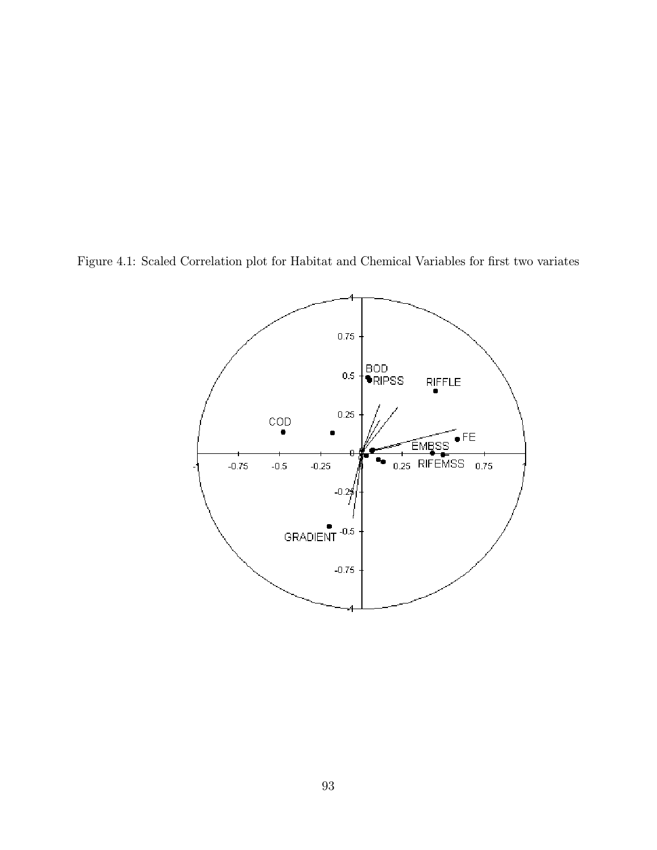Figure 4.1: Scaled Correlation plot for Habitat and Chemical Variables for first two variates

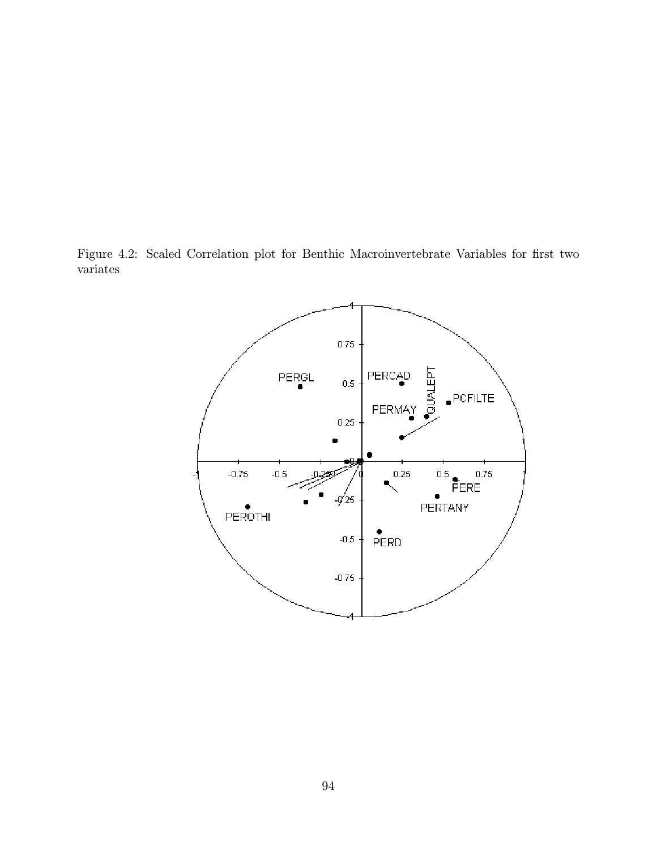Figure 4.2: Scaled Correlation plot for Benthic Macroinvertebrate Variables for first two variates

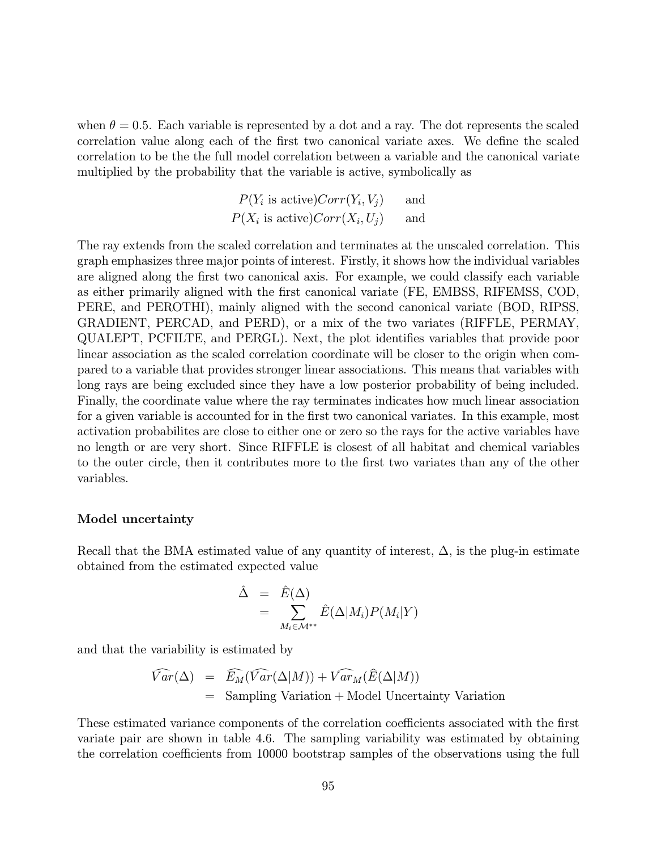when  $\theta = 0.5$ . Each variable is represented by a dot and a ray. The dot represents the scaled correlation value along each of the first two canonical variate axes. We define the scaled correlation to be the the full model correlation between a variable and the canonical variate multiplied by the probability that the variable is active, symbolically as

$$
P(Y_i \text{ is active})Corr(Y_i, V_j) \qquad \text{and} \qquad P(X_i \text{ is active})Corr(X_i, U_j) \qquad \text{and} \qquad
$$

The ray extends from the scaled correlation and terminates at the unscaled correlation. This graph emphasizes three major points of interest. Firstly, it shows how the individual variables are aligned along the first two canonical axis. For example, we could classify each variable as either primarily aligned with the first canonical variate (FE, EMBSS, RIFEMSS, COD, PERE, and PEROTHI), mainly aligned with the second canonical variate (BOD, RIPSS, GRADIENT, PERCAD, and PERD), or a mix of the two variates (RIFFLE, PERMAY, QUALEPT, PCFILTE, and PERGL). Next, the plot identifies variables that provide poor linear association as the scaled correlation coordinate will be closer to the origin when compared to a variable that provides stronger linear associations. This means that variables with long rays are being excluded since they have a low posterior probability of being included. Finally, the coordinate value where the ray terminates indicates how much linear association for a given variable is accounted for in the first two canonical variates. In this example, most activation probabilites are close to either one or zero so the rays for the active variables have no length or are very short. Since RIFFLE is closest of all habitat and chemical variables to the outer circle, then it contributes more to the first two variates than any of the other variables.

#### Model uncertainty

Recall that the BMA estimated value of any quantity of interest,  $\Delta$ , is the plug-in estimate obtained from the estimated expected value

$$
\hat{\Delta} = \hat{E}(\Delta) \n= \sum_{M_i \in \mathcal{M}^{**}} \hat{E}(\Delta|M_i) P(M_i|Y)
$$

and that the variability is estimated by

$$
\widehat{Var}(\Delta) = \widehat{E_M}(\widehat{Var}(\Delta|M)) + \widehat{Var_M}(\widehat{E}(\Delta|M))
$$
  
= Sampling Variation + Model Uncertainty Variation

These estimated variance components of the correlation coefficients associated with the first variate pair are shown in table 4.6. The sampling variability was estimated by obtaining the correlation coefficients from 10000 bootstrap samples of the observations using the full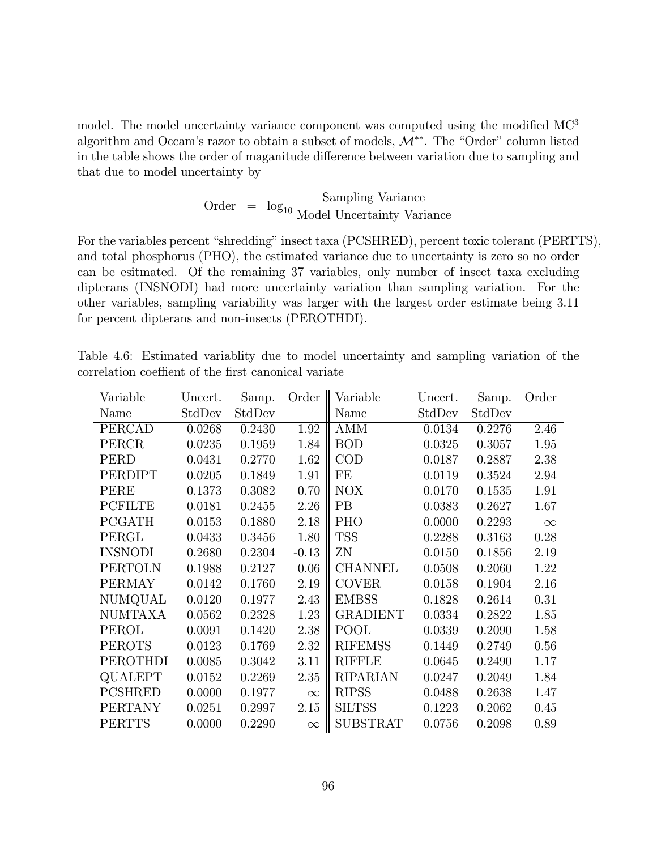model. The model uncertainty variance component was computed using the modified MC<sup>3</sup> algorithm and Occam's razor to obtain a subset of models, M∗∗. The "Order" column listed in the table shows the order of maganitude difference between variation due to sampling and that due to model uncertainty by

Order = 
$$
\log_{10} \frac{\text{Sampling Variance}}{\text{Model Uncertainty Variance}}
$$

For the variables percent "shredding" insect taxa (PCSHRED), percent toxic tolerant (PERTTS), and total phosphorus (PHO), the estimated variance due to uncertainty is zero so no order can be esitmated. Of the remaining 37 variables, only number of insect taxa excluding dipterans (INSNODI) had more uncertainty variation than sampling variation. For the other variables, sampling variability was larger with the largest order estimate being 3.11 for percent dipterans and non-insects (PEROTHDI).

|                                                      |  | Table 4.6: Estimated variablity due to model uncertainty and sampling variation of the |  |  |  |
|------------------------------------------------------|--|----------------------------------------------------------------------------------------|--|--|--|
| correlation coeffient of the first canonical variate |  |                                                                                        |  |  |  |

| Variable       | Uncert. | Samp.  | Order    | Variable        | Uncert. | Samp.  | Order    |
|----------------|---------|--------|----------|-----------------|---------|--------|----------|
| Name           | StdDev  | StdDev |          | Name            | StdDev  | StdDev |          |
| PERCAD         | 0.0268  | 0.2430 | 1.92     | AMM             | 0.0134  | 0.2276 | 2.46     |
| PERCR          | 0.0235  | 0.1959 | 1.84     | <b>BOD</b>      | 0.0325  | 0.3057 | 1.95     |
| PERD           | 0.0431  | 0.2770 | 1.62     | $\rm COD$       | 0.0187  | 0.2887 | 2.38     |
| PERDIPT        | 0.0205  | 0.1849 | 1.91     | FE              | 0.0119  | 0.3524 | 2.94     |
| PERE           | 0.1373  | 0.3082 | 0.70     | NOX             | 0.0170  | 0.1535 | 1.91     |
| <b>PCFILTE</b> | 0.0181  | 0.2455 | 2.26     | PB              | 0.0383  | 0.2627 | 1.67     |
| <b>PCGATH</b>  | 0.0153  | 0.1880 | 2.18     | PHO             | 0.0000  | 0.2293 | $\infty$ |
| PERGL          | 0.0433  | 0.3456 | 1.80     | <b>TSS</b>      | 0.2288  | 0.3163 | 0.28     |
| <b>INSNODI</b> | 0.2680  | 0.2304 | $-0.13$  | ΖN              | 0.0150  | 0.1856 | 2.19     |
| <b>PERTOLN</b> | 0.1988  | 0.2127 | 0.06     | <b>CHANNEL</b>  | 0.0508  | 0.2060 | 1.22     |
| <b>PERMAY</b>  | 0.0142  | 0.1760 | 2.19     | <b>COVER</b>    | 0.0158  | 0.1904 | 2.16     |
| NUMQUAL        | 0.0120  | 0.1977 | 2.43     | <b>EMBSS</b>    | 0.1828  | 0.2614 | 0.31     |
| <b>NUMTAXA</b> | 0.0562  | 0.2328 | 1.23     | <b>GRADIENT</b> | 0.0334  | 0.2822 | 1.85     |
| PEROL          | 0.0091  | 0.1420 | 2.38     | POOL            | 0.0339  | 0.2090 | 1.58     |
| <b>PEROTS</b>  | 0.0123  | 0.1769 | 2.32     | <b>RIFEMSS</b>  | 0.1449  | 0.2749 | 0.56     |
| PEROTHDI       | 0.0085  | 0.3042 | 3.11     | <b>RIFFLE</b>   | 0.0645  | 0.2490 | 1.17     |
| QUALEPT        | 0.0152  | 0.2269 | 2.35     | <b>RIPARIAN</b> | 0.0247  | 0.2049 | 1.84     |
| <b>PCSHRED</b> | 0.0000  | 0.1977 | $\infty$ | <b>RIPSS</b>    | 0.0488  | 0.2638 | 1.47     |
| <b>PERTANY</b> | 0.0251  | 0.2997 | 2.15     | <b>SILTSS</b>   | 0.1223  | 0.2062 | 0.45     |
| <b>PERTTS</b>  | 0.0000  | 0.2290 | $\infty$ | <b>SUBSTRAT</b> | 0.0756  | 0.2098 | 0.89     |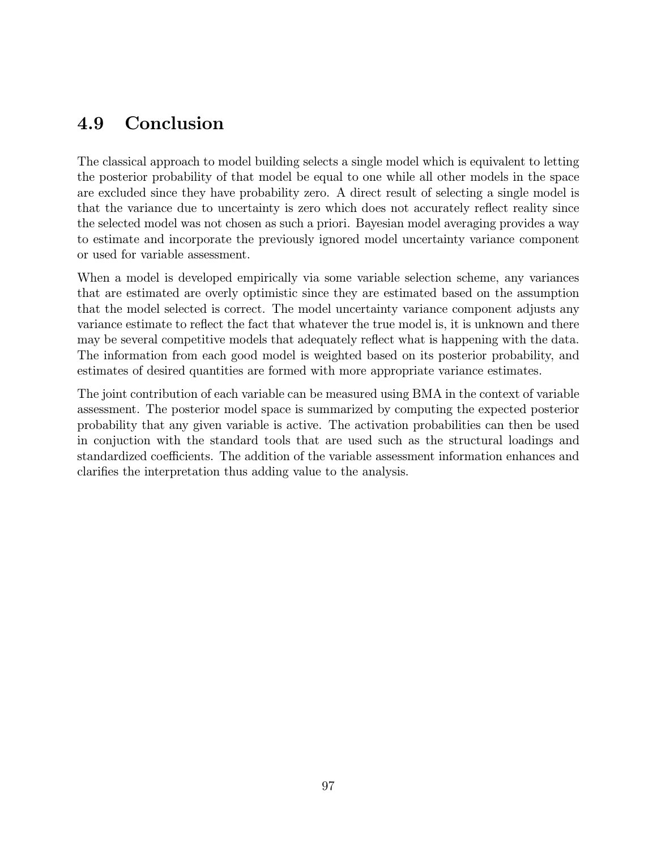## 4.9 Conclusion

The classical approach to model building selects a single model which is equivalent to letting the posterior probability of that model be equal to one while all other models in the space are excluded since they have probability zero. A direct result of selecting a single model is that the variance due to uncertainty is zero which does not accurately reflect reality since the selected model was not chosen as such a priori. Bayesian model averaging provides a way to estimate and incorporate the previously ignored model uncertainty variance component or used for variable assessment.

When a model is developed empirically via some variable selection scheme, any variances that are estimated are overly optimistic since they are estimated based on the assumption that the model selected is correct. The model uncertainty variance component adjusts any variance estimate to reflect the fact that whatever the true model is, it is unknown and there may be several competitive models that adequately reflect what is happening with the data. The information from each good model is weighted based on its posterior probability, and estimates of desired quantities are formed with more appropriate variance estimates.

The joint contribution of each variable can be measured using BMA in the context of variable assessment. The posterior model space is summarized by computing the expected posterior probability that any given variable is active. The activation probabilities can then be used in conjuction with the standard tools that are used such as the structural loadings and standardized coefficients. The addition of the variable assessment information enhances and clarifies the interpretation thus adding value to the analysis.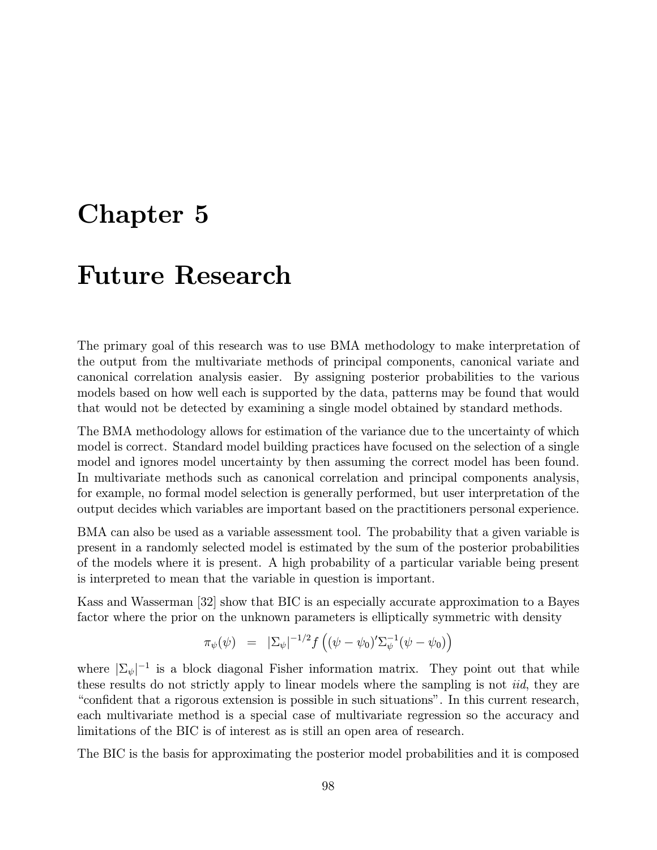# Chapter 5

# Future Research

The primary goal of this research was to use BMA methodology to make interpretation of the output from the multivariate methods of principal components, canonical variate and canonical correlation analysis easier. By assigning posterior probabilities to the various models based on how well each is supported by the data, patterns may be found that would that would not be detected by examining a single model obtained by standard methods.

The BMA methodology allows for estimation of the variance due to the uncertainty of which model is correct. Standard model building practices have focused on the selection of a single model and ignores model uncertainty by then assuming the correct model has been found. In multivariate methods such as canonical correlation and principal components analysis, for example, no formal model selection is generally performed, but user interpretation of the output decides which variables are important based on the practitioners personal experience.

BMA can also be used as a variable assessment tool. The probability that a given variable is present in a randomly selected model is estimated by the sum of the posterior probabilities of the models where it is present. A high probability of a particular variable being present is interpreted to mean that the variable in question is important.

Kass and Wasserman [32] show that BIC is an especially accurate approximation to a Bayes factor where the prior on the unknown parameters is elliptically symmetric with density

$$
\pi_{\psi}(\psi) = |\Sigma_{\psi}|^{-1/2} f\left( (\psi - \psi_0)' \Sigma_{\psi}^{-1} (\psi - \psi_0) \right)
$$

where  $|\Sigma_{\psi}|^{-1}$  is a block diagonal Fisher information matrix. They point out that while these results do not strictly apply to linear models where the sampling is not *iid*, they are "confident that a rigorous extension is possible in such situations". In this current research, each multivariate method is a special case of multivariate regression so the accuracy and limitations of the BIC is of interest as is still an open area of research.

The BIC is the basis for approximating the posterior model probabilities and it is composed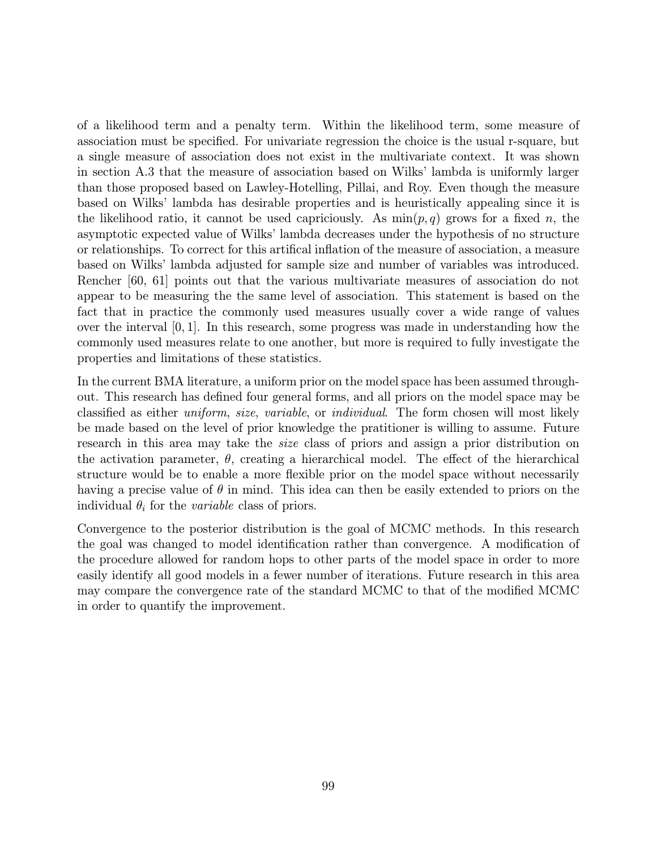of a likelihood term and a penalty term. Within the likelihood term, some measure of association must be specified. For univariate regression the choice is the usual r-square, but a single measure of association does not exist in the multivariate context. It was shown in section A.3 that the measure of association based on Wilks' lambda is uniformly larger than those proposed based on Lawley-Hotelling, Pillai, and Roy. Even though the measure based on Wilks' lambda has desirable properties and is heuristically appealing since it is the likelihood ratio, it cannot be used capriciously. As  $\min(p, q)$  grows for a fixed n, the asymptotic expected value of Wilks' lambda decreases under the hypothesis of no structure or relationships. To correct for this artifical inflation of the measure of association, a measure based on Wilks' lambda adjusted for sample size and number of variables was introduced. Rencher [60, 61] points out that the various multivariate measures of association do not appear to be measuring the the same level of association. This statement is based on the fact that in practice the commonly used measures usually cover a wide range of values over the interval [0, 1]. In this research, some progress was made in understanding how the commonly used measures relate to one another, but more is required to fully investigate the properties and limitations of these statistics.

In the current BMA literature, a uniform prior on the model space has been assumed throughout. This research has defined four general forms, and all priors on the model space may be classified as either uniform, size, variable, or individual. The form chosen will most likely be made based on the level of prior knowledge the pratitioner is willing to assume. Future research in this area may take the *size* class of priors and assign a prior distribution on the activation parameter,  $\theta$ , creating a hierarchical model. The effect of the hierarchical structure would be to enable a more flexible prior on the model space without necessarily having a precise value of  $\theta$  in mind. This idea can then be easily extended to priors on the individual  $\theta_i$  for the *variable* class of priors.

Convergence to the posterior distribution is the goal of MCMC methods. In this research the goal was changed to model identification rather than convergence. A modification of the procedure allowed for random hops to other parts of the model space in order to more easily identify all good models in a fewer number of iterations. Future research in this area may compare the convergence rate of the standard MCMC to that of the modified MCMC in order to quantify the improvement.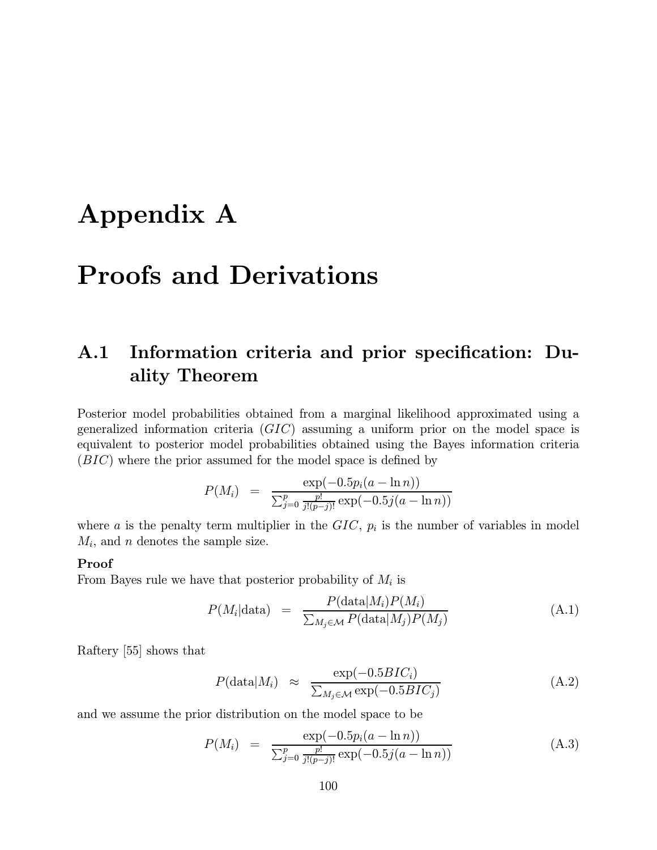# Appendix A

# Proofs and Derivations

## A.1 Information criteria and prior specification: Duality Theorem

Posterior model probabilities obtained from a marginal likelihood approximated using a generalized information criteria  $(GIC)$  assuming a uniform prior on the model space is equivalent to posterior model probabilities obtained using the Bayes information criteria (BIC) where the prior assumed for the model space is defined by

$$
P(M_i) = \frac{\exp(-0.5p_i(a - \ln n))}{\sum_{j=0}^p \frac{p!}{j!(p-j)!} \exp(-0.5j(a - \ln n))}
$$

where a is the penalty term multiplier in the  $GIC$ ,  $p_i$  is the number of variables in model  $M_i$ , and *n* denotes the sample size.

#### Proof

From Bayes rule we have that posterior probability of  $M_i$  is

$$
P(M_i|\text{data}) = \frac{P(\text{data}|M_i)P(M_i)}{\sum_{M_j \in \mathcal{M}} P(\text{data}|M_j)P(M_j)}
$$
(A.1)

Raftery [55] shows that

$$
P(\text{data}|M_i) \approx \frac{\exp(-0.5BIC_i)}{\sum_{M_j \in \mathcal{M}} \exp(-0.5BIC_j)}
$$
(A.2)

and we assume the prior distribution on the model space to be

$$
P(M_i) = \frac{\exp(-0.5p_i(a - \ln n))}{\sum_{j=0}^p \frac{p!}{j!(p-j)!} \exp(-0.5j(a - \ln n))}
$$
(A.3)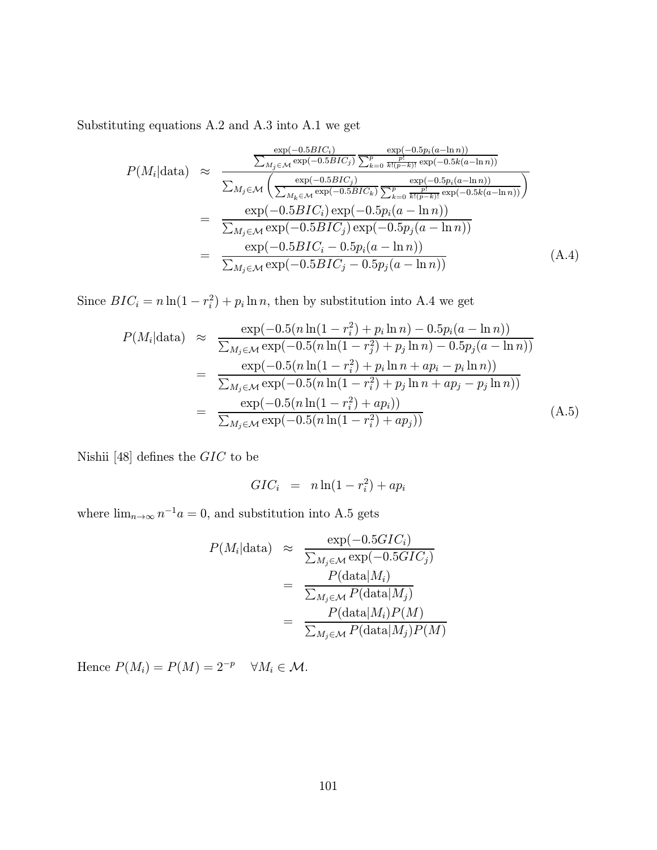Substituting equations A.2 and A.3 into A.1 we get

$$
P(M_i|\text{data}) \approx \frac{\sum_{M_j \in \mathcal{M}} \exp(-0.5BIC_i)}{\sum_{M_j \in \mathcal{M}} \exp(-0.5BIC_j)} \frac{\exp(-0.5p_i(a-\ln n))}{\sum_{k=0}^p \frac{p!}{k!(p-k)!} \exp(-0.5k(a-\ln n))}
$$
\n
$$
= \frac{\exp(-0.5BIC_j)}{\sum_{M_j \in \mathcal{M}} \exp(-0.5BIC_i) \exp(-0.5p_i(a-\ln n))}
$$
\n
$$
= \frac{\exp(-0.5BIC_i) \exp(-0.5p_i(a-\ln n))}{\sum_{M_j \in \mathcal{M}} \exp(-0.5BIC_j) \exp(-0.5p_j(a-\ln n))}
$$
\n
$$
= \frac{\exp(-0.5BIC_i) \exp(-0.5p_i(a-\ln n))}{\sum_{M_j \in \mathcal{M}} \exp(-0.5BIC_j - 0.5p_i(a-\ln n))}
$$
\n(A.4)

Since  $BIC_i = n \ln(1 - r_i^2) + p_i \ln n$ , then by substitution into A.4 we get

$$
P(M_i|\text{data}) \approx \frac{\exp(-0.5(n\ln(1-r_i^2)+p_i\ln n)-0.5p_i(a-\ln n))}{\sum_{M_j\in\mathcal{M}}\exp(-0.5(n\ln(1-r_j^2)+p_j\ln n)-0.5p_j(a-\ln n))}
$$
  
= 
$$
\frac{\exp(-0.5(n\ln(1-r_i^2)+p_i\ln n+ap_i-p_i\ln n))}{\sum_{M_j\in\mathcal{M}}\exp(-0.5(n\ln(1-r_i^2)+p_j\ln n+ap_j-p_j\ln n))}
$$
  
= 
$$
\frac{\exp(-0.5(n\ln(1-r_i^2)+ap_i))}{\sum_{M_j\in\mathcal{M}}\exp(-0.5(n\ln(1-r_i^2)+ap_j))}
$$
(A.5)

Nishii [48] defines the  $GIC$  to be

$$
GIC_i = n \ln(1 - r_i^2) + ap_i
$$

where  $\lim_{n\to\infty} n^{-1}a = 0$ , and substitution into A.5 gets

$$
P(M_i|\text{data}) \approx \frac{\exp(-0.5GIC_i)}{\sum_{M_j \in \mathcal{M}} \exp(-0.5GIC_j)}
$$
  
= 
$$
\frac{P(\text{data}|M_i)}{\sum_{M_j \in \mathcal{M}} P(\text{data}|M_j)}
$$
  
= 
$$
\frac{P(\text{data}|M_i)P(M)}{\sum_{M_j \in \mathcal{M}} P(\text{data}|M_j)P(M)}
$$

Hence  $P(M_i) = P(M) = 2^{-p}$   $\forall M_i \in \mathcal{M}$ .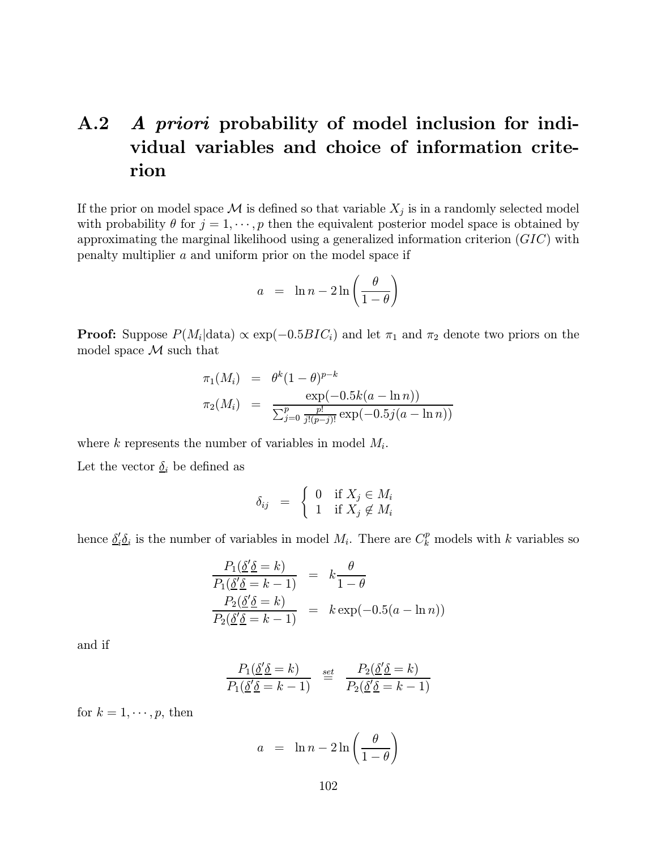## A.2 A priori probability of model inclusion for individual variables and choice of information criterion

If the prior on model space  $\mathcal M$  is defined so that variable  $X_j$  is in a randomly selected model with probability  $\theta$  for  $j = 1, \dots, p$  then the equivalent posterior model space is obtained by approximating the marginal likelihood using a generalized information criterion  $(GIC)$  with penalty multiplier a and uniform prior on the model space if

$$
a = \ln n - 2\ln\left(\frac{\theta}{1-\theta}\right)
$$

**Proof:** Suppose  $P(M_i|\text{data}) \propto \exp(-0.5BIC_i)$  and let  $\pi_1$  and  $\pi_2$  denote two priors on the model space  $\mathcal M$  such that

$$
\pi_1(M_i) = \theta^k (1 - \theta)^{p-k} \n\pi_2(M_i) = \frac{\exp(-0.5k(a - \ln n))}{\sum_{j=0}^p \frac{p!}{j!(p-j)!} \exp(-0.5j(a - \ln n))}
$$

where k represents the number of variables in model  $M_i$ .

Let the vector  $\underline{\delta}_i$  be defined as

$$
\delta_{ij} = \begin{cases} 0 & \text{if } X_j \in M_i \\ 1 & \text{if } X_j \notin M_i \end{cases}
$$

hence  $\underline{\delta}'_i \underline{\delta}_i$  is the number of variables in model  $M_i$ . There are  $C_k^p$  models with k variables so

$$
\frac{P_1(\underline{\delta}' \underline{\delta} = k)}{P_1(\underline{\delta}' \underline{\delta} = k - 1)} = k \frac{\theta}{1 - \theta}
$$
  
\n
$$
\frac{P_2(\underline{\delta}' \underline{\delta} = k)}{P_2(\underline{\delta}' \underline{\delta} = k - 1)} = k \exp(-0.5(a - \ln n))
$$

and if

$$
\frac{P_1(\underline{\delta}'\underline{\delta} = k)}{P_1(\underline{\delta}'\underline{\delta} = k - 1)} \stackrel{\text{set}}{=} \frac{P_2(\underline{\delta}'\underline{\delta} = k)}{P_2(\underline{\delta}'\underline{\delta} = k - 1)}
$$

for  $k = 1, \dots, p$ , then

$$
a = \ln n - 2\ln\left(\frac{\theta}{1-\theta}\right)
$$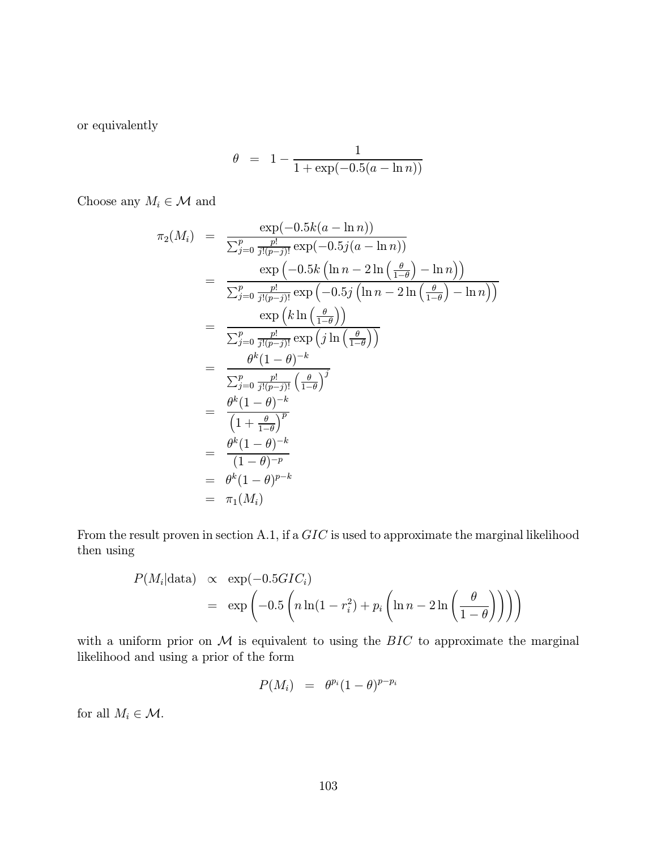or equivalently

$$
\theta = 1 - \frac{1}{1 + \exp(-0.5(a - \ln n))}
$$

Choose any  $M_i \in \mathcal{M}$  and

$$
\pi_2(M_i) = \frac{\exp(-0.5k(a - \ln n))}{\sum_{j=0}^p \frac{p!}{j!(p-j)!} \exp(-0.5j(a - \ln n))}
$$
\n
$$
= \frac{\exp(-0.5k(\ln n - 2\ln(\frac{\theta}{1-\theta}) - \ln n))}{\sum_{j=0}^p \frac{p!}{j!(p-j)!} \exp(-0.5j(\ln n - 2\ln(\frac{\theta}{1-\theta}) - \ln n))}
$$
\n
$$
= \frac{\exp(k\ln(\frac{\theta}{1-\theta}))}{\sum_{j=0}^p \frac{p!}{j!(p-j)!} \exp(j\ln(\frac{\theta}{1-\theta}))}
$$
\n
$$
= \frac{\theta^k(1-\theta)^{-k}}{\sum_{j=0}^p \frac{p!}{j!(p-j)!} (\frac{\theta}{1-\theta})^j}
$$
\n
$$
= \frac{\theta^k(1-\theta)^{-k}}{(1+\frac{\theta}{1-\theta})^p}
$$
\n
$$
= \frac{\theta^k(1-\theta)^{-k}}{(1-\theta)^{-p}}
$$
\n
$$
= \theta^k(1-\theta)^{p-k}
$$
\n
$$
= \pi_1(M_i)
$$

From the result proven in section A.1, if a GIC is used to approximate the marginal likelihood then using

$$
P(M_i|\text{data}) \propto \exp(-0.5GIC_i)
$$
  
=  $\exp\left(-0.5\left(n\ln(1-r_i^2) + p_i\left(\ln n - 2\ln\left(\frac{\theta}{1-\theta}\right)\right)\right)\right)$ 

with a uniform prior on  $M$  is equivalent to using the  $BIC$  to approximate the marginal likelihood and using a prior of the form

$$
P(M_i) = \theta^{p_i}(1-\theta)^{p-p_i}
$$

for all  $M_i \in \mathcal{M}$ .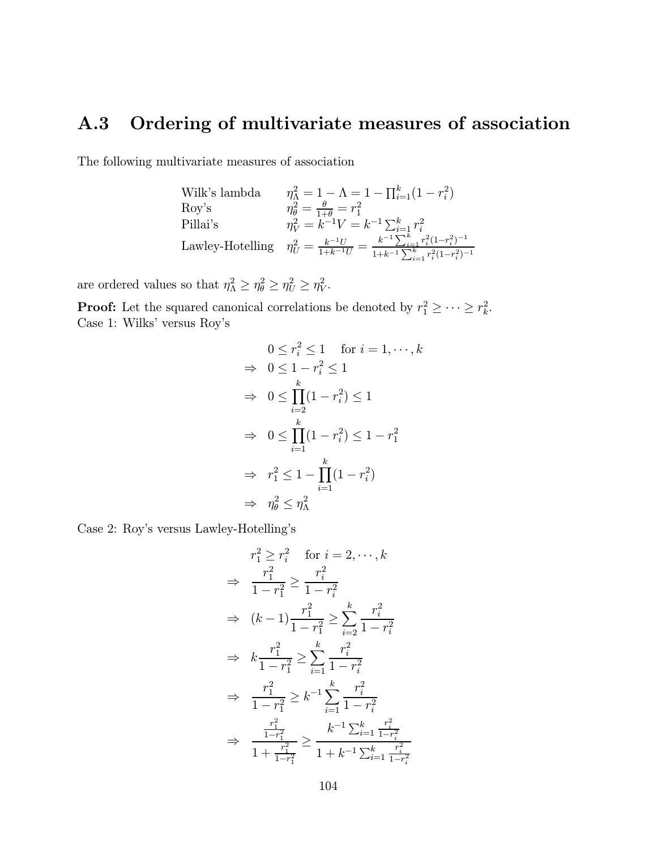## A.3 Ordering of multivariate measures of association

The following multivariate measures of association

| Wilk's lambda     | $\eta_{\Lambda}^2 = 1 - \Lambda = 1 - \prod_{i=1}^{k} (1 - r_i^2)$                                                                                        |
|-------------------|-----------------------------------------------------------------------------------------------------------------------------------------------------------|
| $\mathrm{Rov}$ 's | $\eta_{\theta}^2 = \frac{\theta}{1+\theta} = r_1^2$                                                                                                       |
| Pillai's          | $\eta_V^2 = k^{-1}V = k^{-1}\sum_{i=1}^k r_i^2$                                                                                                           |
|                   | Lawley-Hotelling $\eta_U^2 = \frac{k^{-1}U}{1 + k^{-1}U} = \frac{k^{-1}\sum_{i=1}^k r_i^2(1 - r_i^2)^{-1}}{1 + k^{-1}\sum_{i=1}^k r_i^2(1 - r_i^2)^{-1}}$ |

are ordered values so that  $\eta_{\Lambda}^2 \geq \eta_{\theta}^2 \geq \eta_{U}^2 \geq \eta_{V}^2$ .

**Proof:** Let the squared canonical correlations be denoted by  $r_1^2 \geq \cdots \geq r_k^2$ . Case 1: Wilks' versus Roy's

$$
0 \le r_i^2 \le 1 \quad \text{for } i = 1, \dots, k
$$
  
\n
$$
\Rightarrow 0 \le 1 - r_i^2 \le 1
$$
  
\n
$$
\Rightarrow 0 \le \prod_{i=2}^k (1 - r_i^2) \le 1
$$
  
\n
$$
\Rightarrow 0 \le \prod_{i=1}^k (1 - r_i^2) \le 1 - r_1^2
$$
  
\n
$$
\Rightarrow r_1^2 \le 1 - \prod_{i=1}^k (1 - r_i^2)
$$
  
\n
$$
\Rightarrow \eta_\theta^2 \le \eta_\Lambda^2
$$

Case 2: Roy's versus Lawley-Hotelling's

$$
r_1^2 \ge r_i^2 \quad \text{for } i = 2, \dots, k
$$
  
\n
$$
\Rightarrow \frac{r_1^2}{1 - r_1^2} \ge \frac{r_i^2}{1 - r_i^2}
$$
  
\n
$$
\Rightarrow (k - 1) \frac{r_1^2}{1 - r_1^2} \ge \sum_{i=2}^k \frac{r_i^2}{1 - r_i^2}
$$
  
\n
$$
\Rightarrow k \frac{r_1^2}{1 - r_1^2} \ge \sum_{i=1}^k \frac{r_i^2}{1 - r_i^2}
$$
  
\n
$$
\Rightarrow \frac{r_1^2}{1 - r_1^2} \ge k^{-1} \sum_{i=1}^k \frac{r_i^2}{1 - r_i^2}
$$
  
\n
$$
\Rightarrow \frac{\frac{r_1^2}{1 - r_1^2}}{\frac{r_1^2}{1 + r_1^2}} \ge k^{-1} \sum_{i=1}^k \frac{r_i^2}{1 - r_i^2}
$$
  
\n
$$
\Rightarrow \frac{\frac{r_1^2}{1 - r_1^2}}{1 + k^{-1} \sum_{i=1}^k \frac{r_i^2}{1 - r_i^2}}
$$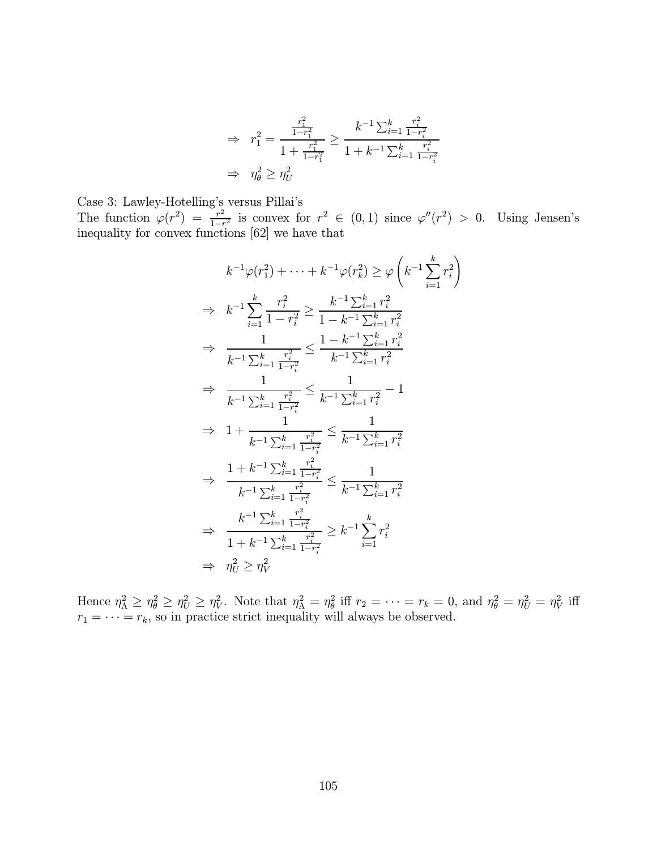$$
\Rightarrow r_1^2 = \frac{\frac{r_1^2}{1 - r_1^2}}{1 + \frac{r_1^2}{1 - r_1^2}} \ge \frac{k^{-1} \sum_{i=1}^k \frac{r_i^2}{1 - r_i^2}}{1 + k^{-1} \sum_{i=1}^k \frac{r_i^2}{1 - r_i^2}}
$$
  

$$
\Rightarrow \eta_\theta^2 \ge \eta_U^2
$$

Case 3: Lawley-Hotelling's versus Pillai's The function  $\varphi(r^2) = \frac{r^2}{1-r^2}$  is convex for  $r^2 \in (0,1)$  since  $\varphi''(r^2) > 0$ . Using Jensen's inequality for convex functions [62] we have that

!

$$
k^{-1}\varphi(r_1^2) + \cdots + k^{-1}\varphi(r_k^2) \ge \varphi\left(k^{-1}\sum_{i=1}^k r_i^2\right)
$$
  
\n
$$
\Rightarrow k^{-1}\sum_{i=1}^k \frac{r_i^2}{1 - r_i^2} \ge \frac{k^{-1}\sum_{i=1}^k r_i^2}{1 - k^{-1}\sum_{i=1}^k r_i^2}
$$
  
\n
$$
\Rightarrow \frac{1}{k^{-1}\sum_{i=1}^k \frac{r_i^2}{1 - r_i^2}} \le \frac{1 - k^{-1}\sum_{i=1}^k r_i^2}{k^{-1}\sum_{i=1}^k r_i^2}
$$
  
\n
$$
\Rightarrow \frac{1}{k^{-1}\sum_{i=1}^k \frac{r_i^2}{1 - r_i^2}} \le \frac{1}{k^{-1}\sum_{i=1}^k r_i^2} - 1
$$
  
\n
$$
\Rightarrow 1 + \frac{1}{k^{-1}\sum_{i=1}^k \frac{r_i^2}{1 - r_i^2}} \le \frac{1}{k^{-1}\sum_{i=1}^k r_i^2}
$$
  
\n
$$
\Rightarrow \frac{1 + k^{-1}\sum_{i=1}^k \frac{r_i^2}{1 - r_i^2}}{1 - r_i^2} \le \frac{1}{k^{-1}\sum_{i=1}^k r_i^2}
$$
  
\n
$$
\Rightarrow \frac{k^{-1}\sum_{i=1}^k \frac{r_i^2}{1 - r_i^2}}{1 + k^{-1}\sum_{i=1}^k \frac{r_i^2}{1 - r_i^2}} \ge k^{-1}\sum_{i=1}^k r_i^2
$$
  
\n
$$
\Rightarrow \eta_U^2 \ge \eta_V^2
$$

Hence  $\eta_\Lambda^2 \geq \eta_\theta^2 \geq \eta_U^2 \geq \eta_V^2$ . Note that  $\eta_\Lambda^2 = \eta_\theta^2$  iff  $r_2 = \cdots = r_k = 0$ , and  $\eta_\theta^2 = \eta_U^2 = \eta_V^2$  iff  $r_1 = \cdots = r_k$ , so in practice strict inequality will always be observed.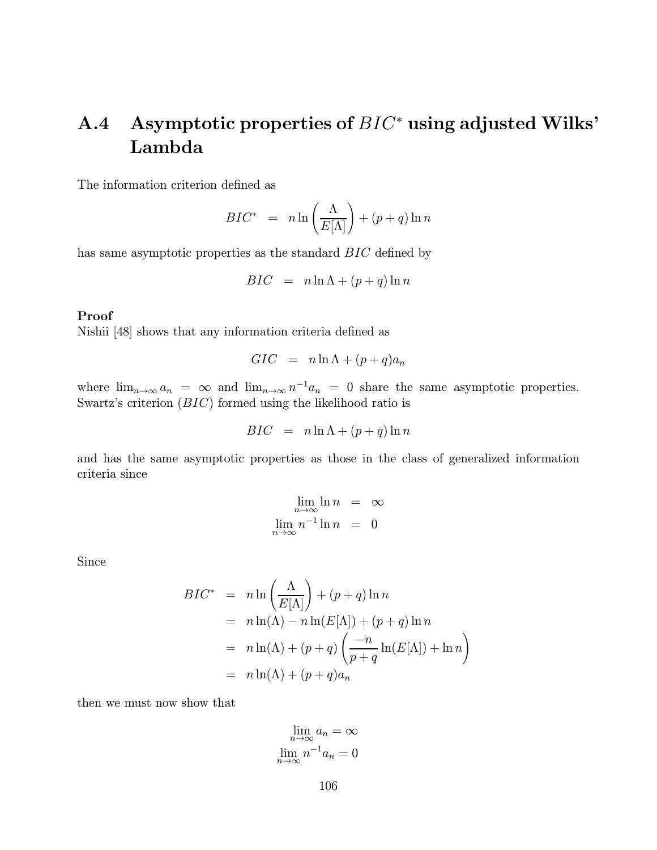## A.4 Asymptotic properties of BIC<sup>∗</sup> using adjusted Wilks' Lambda

The information criterion defined as

$$
BIC^* = n \ln \left(\frac{\Lambda}{E[\Lambda]}\right) + (p+q) \ln n
$$

has same asymptotic properties as the standard BIC defined by

$$
BIC = n \ln \Lambda + (p+q) \ln n
$$

#### Proof

Nishii [48] shows that any information criteria defined as

$$
GIC = n \ln \Lambda + (p+q)a_n
$$

where  $\lim_{n\to\infty} a_n = \infty$  and  $\lim_{n\to\infty} n^{-1} a_n = 0$  share the same asymptotic properties. Swartz's criterion (BIC) formed using the likelihood ratio is

$$
BIC = n \ln \Lambda + (p+q) \ln n
$$

and has the same asymptotic properties as those in the class of generalized information criteria since

$$
\lim_{n \to \infty} \ln n = \infty
$$
  

$$
\lim_{n \to \infty} n^{-1} \ln n = 0
$$

Since

$$
BIC^* = n \ln \left(\frac{\Lambda}{E[\Lambda]}\right) + (p+q) \ln n
$$
  
=  $n \ln(\Lambda) - n \ln(E[\Lambda]) + (p+q) \ln n$   
=  $n \ln(\Lambda) + (p+q) \left(\frac{-n}{p+q} \ln(E[\Lambda]) + \ln n\right)$   
=  $n \ln(\Lambda) + (p+q)a_n$ 

then we must now show that

$$
\lim_{n \to \infty} a_n = \infty
$$
  

$$
\lim_{n \to \infty} n^{-1} a_n = 0
$$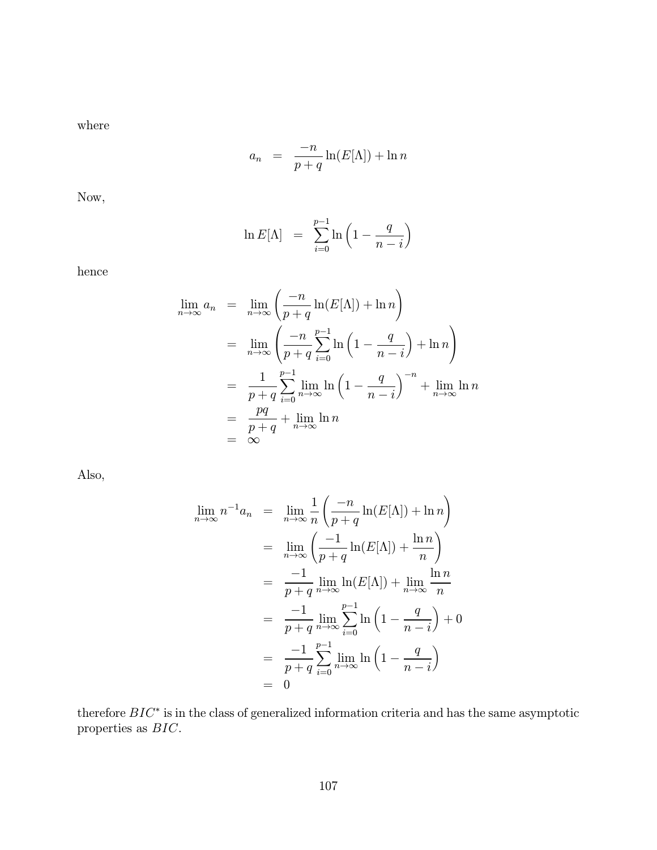where

$$
a_n = \frac{-n}{p+q} \ln(E[\Lambda]) + \ln n
$$

Now,

$$
\ln E[\Lambda] = \sum_{i=0}^{p-1} \ln \left( 1 - \frac{q}{n-i} \right)
$$

hence

$$
\lim_{n \to \infty} a_n = \lim_{n \to \infty} \left( \frac{-n}{p+q} \ln(E[\Lambda]) + \ln n \right)
$$
  
\n
$$
= \lim_{n \to \infty} \left( \frac{-n}{p+q} \sum_{i=0}^{p-1} \ln \left( 1 - \frac{q}{n-i} \right) + \ln n \right)
$$
  
\n
$$
= \frac{1}{p+q} \sum_{i=0}^{p-1} \lim_{n \to \infty} \ln \left( 1 - \frac{q}{n-i} \right)^{-n} + \lim_{n \to \infty} \ln n
$$
  
\n
$$
= \frac{pq}{p+q} + \lim_{n \to \infty} \ln n
$$
  
\n
$$
= \infty
$$

Also,

$$
\lim_{n \to \infty} n^{-1} a_n = \lim_{n \to \infty} \frac{1}{n} \left( \frac{-n}{p+q} \ln(E[\Lambda]) + \ln n \right)
$$
  
\n
$$
= \lim_{n \to \infty} \left( \frac{-1}{p+q} \ln(E[\Lambda]) + \frac{\ln n}{n} \right)
$$
  
\n
$$
= \frac{-1}{p+q} \lim_{n \to \infty} \ln(E[\Lambda]) + \lim_{n \to \infty} \frac{\ln n}{n}
$$
  
\n
$$
= \frac{-1}{p+q} \lim_{n \to \infty} \sum_{i=0}^{p-1} \ln \left( 1 - \frac{q}{n-i} \right) + 0
$$
  
\n
$$
= \frac{-1}{p+q} \sum_{i=0}^{p-1} \lim_{n \to \infty} \ln \left( 1 - \frac{q}{n-i} \right)
$$
  
\n
$$
= 0
$$

therefore  $BIC^*$  is in the class of generalized information criteria and has the same asymptotic properties as BIC.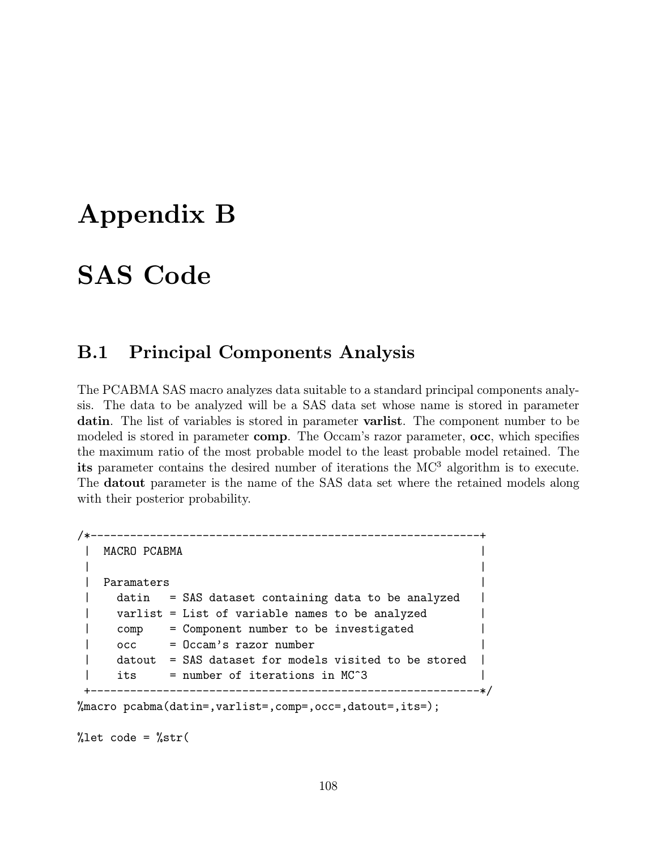# Appendix B

# SAS Code

## B.1 Principal Components Analysis

The PCABMA SAS macro analyzes data suitable to a standard principal components analysis. The data to be analyzed will be a SAS data set whose name is stored in parameter datin. The list of variables is stored in parameter varlist. The component number to be modeled is stored in parameter comp. The Occam's razor parameter, occ, which specifies the maximum ratio of the most probable model to the least probable model retained. The its parameter contains the desired number of iterations the  $MC^3$  algorithm is to execute. The datout parameter is the name of the SAS data set where the retained models along with their posterior probability.

```
/*-----------------------------------------------------------+
   | MACRO PCABMA |
 | |
 | Paramaters |
 | datin = SAS dataset containing data to be analyzed |
 | varlist = List of variable names to be analyzed |
 | comp = Component number to be investigated
 | occ = Occam's razor number
     dataut = SAS dataset for models visited to be storedits = number of iterations in MC^{\circ}3
       +-----------------------------------------------------------*/
%macro pcabma(datin=,varlist=,comp=,occ=,datout=,its=);
```
%let code = %str(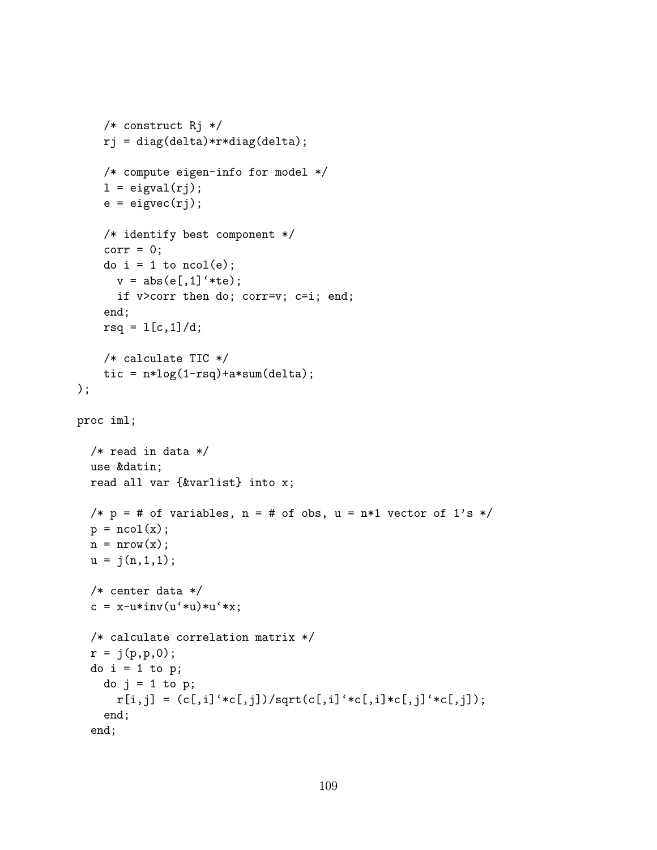```
/* construct Rj */
    rj = diag(delta)*r*diag(delta);
    /* compute eigen-info for model */
    l = eigval(rj);e = eigvec(rj);/* identify best component */
    corr = 0;
    do i = 1 to ncol(e);
      v = abs(e[, 1]' * te);if v>corr then do; corr=v; c=i; end;
    end;
    rsq = 1[c, 1]/d;/* calculate TIC */
    tic = n*log(1-rsq) + a*sum(delta);
);
proc iml;
  /* read in data */use &datin;
  read all var {&varlist} into x;
  /* p = # of variables, n = # of obs, u = n*1 vector of 1's */
  p = ncol(x);n = nrow(x);u = j(n,1,1);/* center data */
  c = x-u*inv(u'*u)*u'*x;/* calculate correlation matrix */
  r = j(p, p, 0);
  do i = 1 to p;
    do j = 1 to p;
      r[i,j] = (c[,i]' * c[,j]) / sqrt(c[,i]' * c[,i] * c[,j]' * c[,j]),end;
  end;
```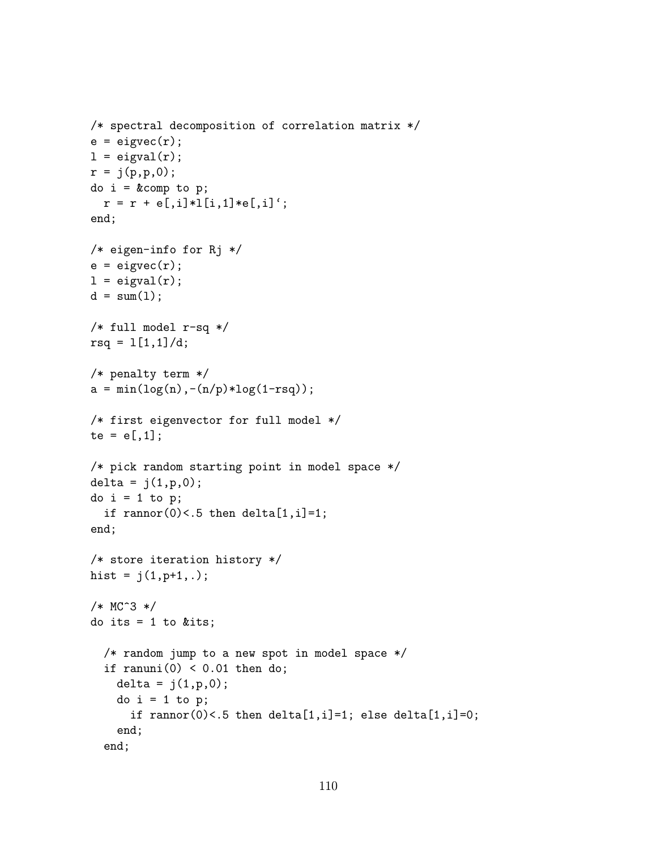```
/* spectral decomposition of correlation matrix */
e = eigvec(r);l = eigval(r);
r = j(p, p, 0);
do i = \&comp to p;
  r = r + e[, i] * l[i, 1] * e[, i]';end;
/* eigen-info for Rj */
e = eigvec(r);l = eigval(r);d = sum(1);/* full model r-sq */
rsq = 1[1,1]/d;/* penalty term */
a = min(log(n), -(n/p)*log(1-rsq));/* first eigenvector for full model */
te = e[, 1];/* pick random starting point in model space */
delta = j(1, p, 0);
do i = 1 to p;
  if rannor(0)<.5 then delta[1,i]=1;
end;
/* store iteration history */
hist = j(1, p+1, .);
/* MC^3 */
do its = 1 to &its;
  /* random jump to a new spot in model space */
  if ranuni(0) < 0.01 then do;
    delta = j(1, p, 0);
    do i = 1 to p;
      if rannor(0)<.5 then delta[1,i]=1; else delta[1,i]=0;
    end;
  end;
```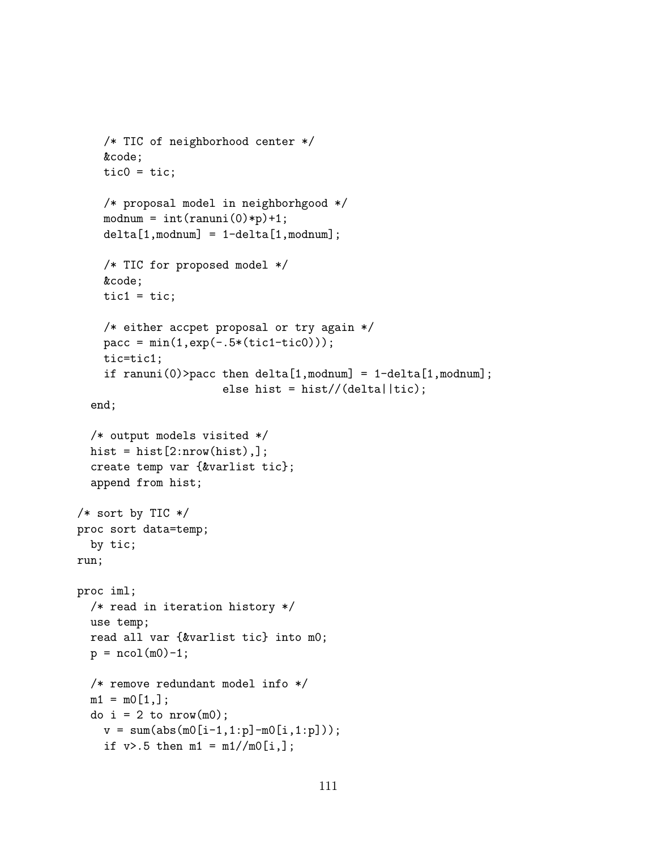```
/* TIC of neighborhood center */
    &code;
    tic0 = tic;/* proposal model in neighborhgood */
    modnum = int(ranni(0)*p)+1;delta[1,modnum] = 1 - delta[1,modnum];/* TIC for proposed model */
    &code;
    tic1 = \text{tic};
    /* either accpet proposal or try again */
    \text{pacc} = \min(1, \exp(-.5*(\text{tict}-\text{tict}))),tic=tic1;
    if ranuni(0) > pacc then delta[1,modnum] = 1-delta[1,modnum];
                       else hist = hist//(delta||tic);
  end;
  /* output models visited */
  hist = hist[2:nnow(hist),];
  create temp var {&varlist tic};
  append from hist;
/* sort by TIC */
proc sort data=temp;
  by tic;
run;
proc iml;
  /* read in iteration history */
  use temp;
  read all var {&varlist tic} into m0;
  p = ncol(m0)-1;/* remove redundant model info */
  m1 = m0[1,];do i = 2 to nrow(m0);
    v = sum(abs(m0[i-1,1:p]-m0[i,1:p]));
    if v > .5 then m1 = m1 / / m0[i,];
```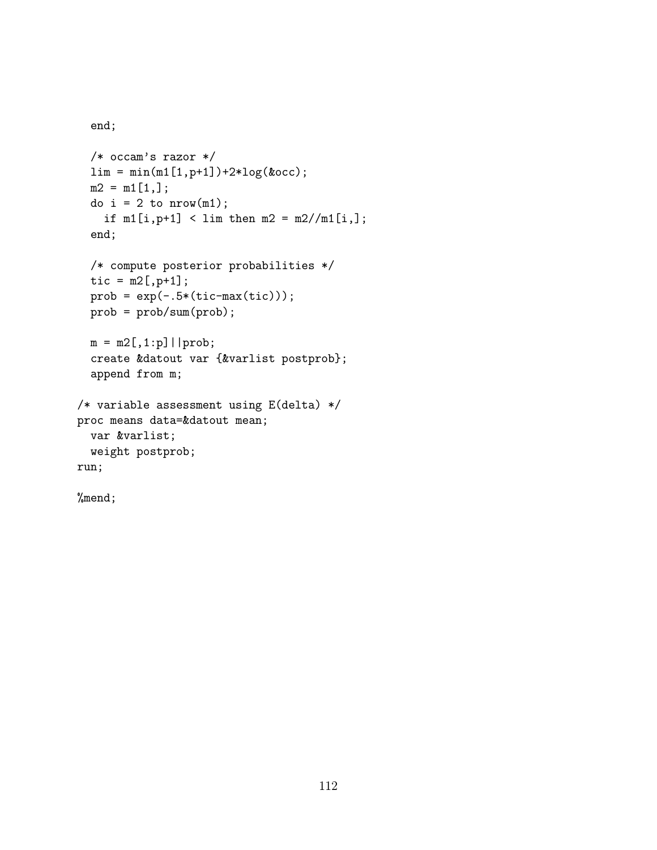```
end;
```

```
/* occam's razor */
  \lim = \min(\min[1, p+1]) + 2 * \log(kocc);
  m2 = m1[1,];
  do i = 2 to nrow(m1);
    if m1[i, p+1] < lim then m2 = m2/(m1[i,];end;
  /* compute posterior probabilities */
  tic = m2[, p+1];
  prob = exp(-.5*(tic-max(tic)));
  prob = prob/sum(prob);
  m = m2[, 1:p]| | prob;
  create &datout var {&varlist postprob};
  append from m;
/* variable assessment using E(delta) */
proc means data=&datout mean;
  var &varlist;
 weight postprob;
run;
```
%mend;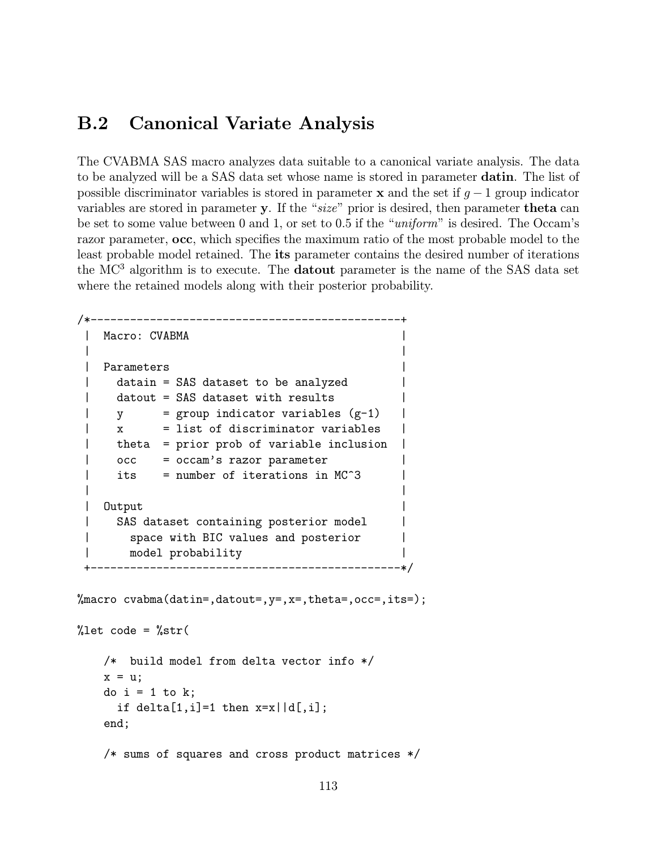#### B.2 Canonical Variate Analysis

The CVABMA SAS macro analyzes data suitable to a canonical variate analysis. The data to be analyzed will be a SAS data set whose name is stored in parameter datin. The list of possible discriminator variables is stored in parameter x and the set if  $g - 1$  group indicator variables are stored in parameter y. If the "size" prior is desired, then parameter theta can be set to some value between 0 and 1, or set to 0.5 if the "uniform" is desired. The Occam's razor parameter, occ, which specifies the maximum ratio of the most probable model to the least probable model retained. The its parameter contains the desired number of iterations the  $MC<sup>3</sup>$  algorithm is to execute. The **datout** parameter is the name of the SAS data set where the retained models along with their posterior probability.

```
/*-----------------------------------------------+
| Macro: CVABMA |
| |
| Parameters |
| datain = SAS dataset to be analyzed |
| datout = SAS dataset with results
| y = \text{group indicator variables } (g-1)\vert x = list of discriminator variables
    theta = prior prob of variable inclusion| occ = occam's razor parameter
| its = number of iterations in MC<sup>\hat{}</sup>3
| |
| Output |
| SAS dataset containing posterior model
      space with BIC values and posterior
      | model probability |
  +-----------------------------------------------*/
```
%macro cvabma(datin=,datout=, $y=$ , $x=$ ,theta=,occ=,its=);

```
%let code = %str(/* build model from delta vector info */
    x = u;
    do i = 1 to k;
      if delta[1,i]=1 then x=x||d[,i];end;
    /* sums of squares and cross product matrices */
```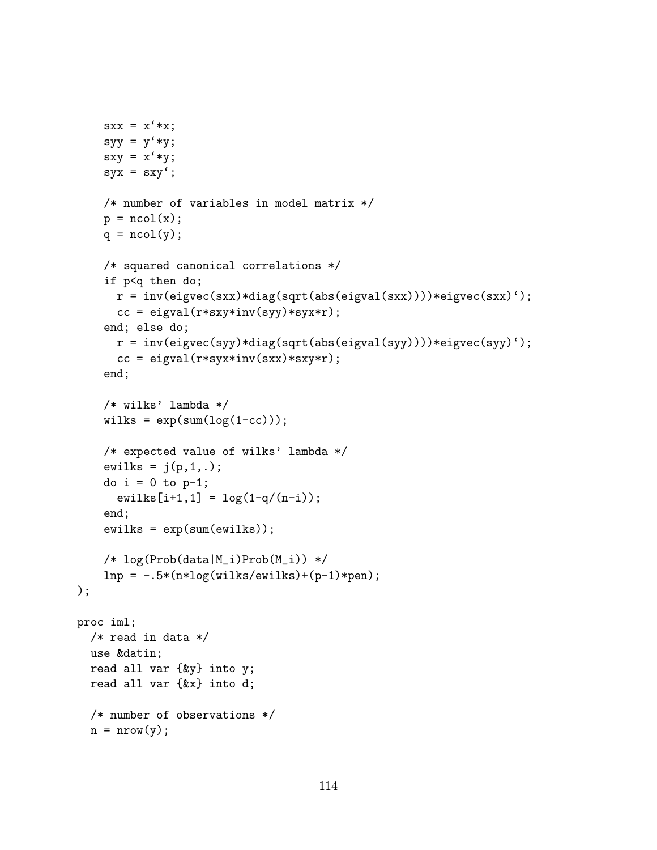```
sxx = x' * x;syy = y' * y;sxy = x' * y;syx = sxy;
    /* number of variables in model matrix */
    p = ncol(x);
    q = \text{ncol}(y);
    /* squared canonical correlations */
    if p<q then do;
      r = inv(eigvec(sxx)*diag(sqrt(abs(eigval(sxx))))*eigvec(sxx)');
      cc = eigval(r*ssy*inv(syy)*syx*r);end; else do;
      r = inv(eigvec(syy)*diag(sqrt(abs(eigval(syy))))*eigvec(syy)');
      cc = eigval(r*syx*inv(sxx)*sxy*r);end;
    /* wilks' lambda */
    wilks = exp(sum(log(1-cc)));
    /* expected value of wilks' lambda */
    ewilks = j(p,1,.);
    do i = 0 to p-1;
      ewilks[i+1,1] = log(1-q/(n-i));end;
    ewilks = exp(sum(ewilks));
    /* log(Prob(data|M_i)Prob(M_i)) */
    lnp = -.5*(n * log(wilks/ewilks) + (p-1) * pen););
proc iml;
 /* read in data */
  use &datin;
  read all var {&y} into y;
  read all var {&x} into d;
  /* number of observations */
  n = nrow(y);
```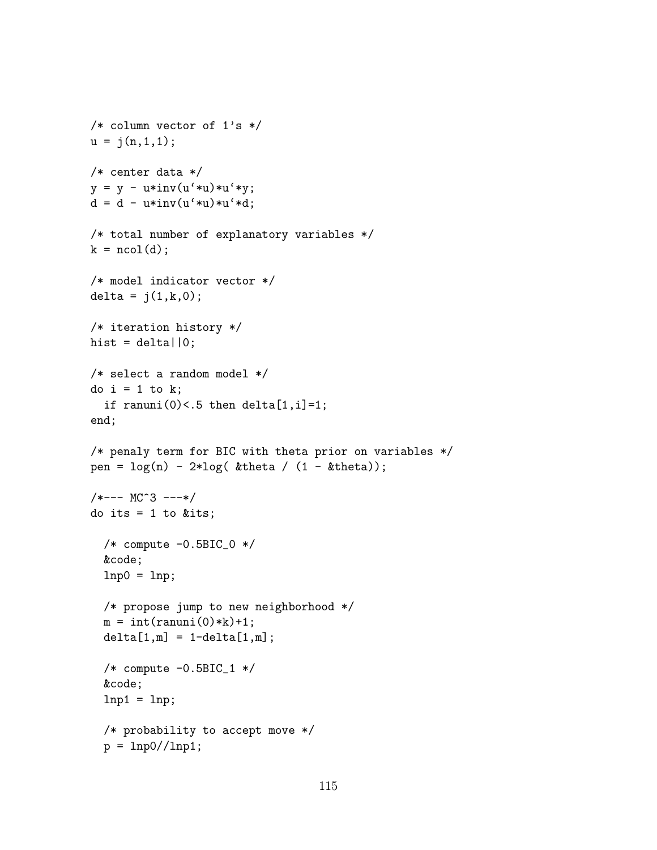```
/* column vector of 1's */
u = j(n,1,1);/* center data */
y = y - u * inv(u'*u)*u'*y;d = d - u * inv(u' * u) * u' * d;/* total number of explanatory variables */
k = ncol(d);/* model indicator vector */
delta = j(1, k, 0);
/* iteration history */
hist = delt = 0;
/* select a random model */
do i = 1 to k;
  if ranuni(0) <.5 then delta[1,i]=1;
end;
/* penaly term for BIC with theta prior on variables */
pen = \log(n) - 2 * \log(\text{ktheta } / (1 - \text{ktheta}));
/*--- MC<sup>^</sup>3 ---*/
do its = 1 to &its;
  /* compute -0.5BIC_0 */
  &code;
  lnp0 = lnp;/* propose jump to new neighborhood */
  m = int(rann) * k) + 1;delta[1,m] = 1-delta[1,m];
  /* compute -0.5BIC_1 */
  &code;
  lnp1 = lnp;/* probability to accept move */
  p = \text{lnp0}/\text{/lnp1};
```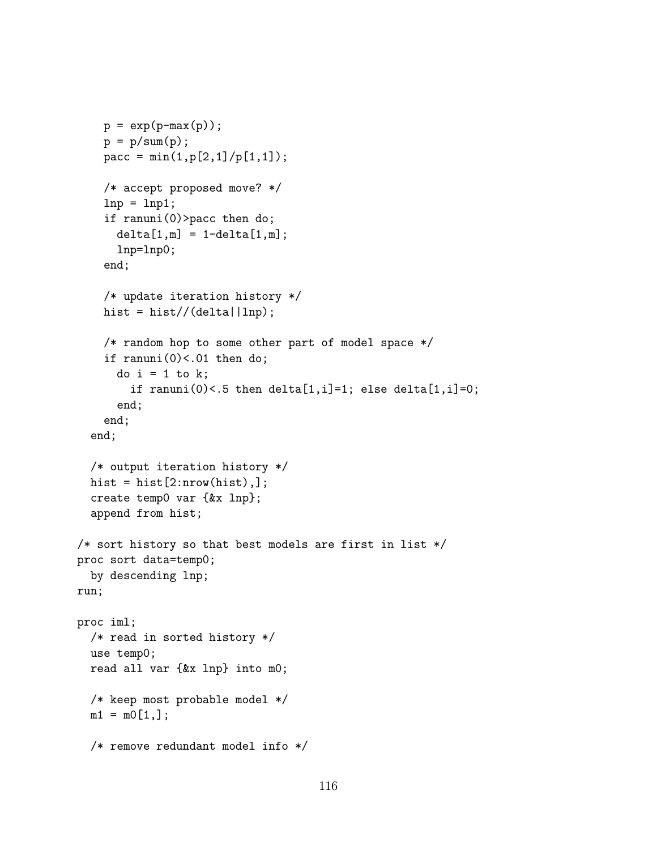```
p = exp(p-max(p));p = p/sum(p);
    pacc = min(1, p[2, 1]/p[1, 1]);
    /* accept proposed move? */
    lnp = lnp1;if ranuni(0)>pacc then do;
      delta[1,m] = 1-delta[1,m];lnp=lnp0;
    end;
    /* update iteration history */
    hist = hist//(delta|lnp\rangle;
    /* random hop to some other part of model space */
    if ranuni(0)<.01 then do;
      do i = 1 to k:
        if ranuni(0) <.5 then delta[1,i]=1; else delta[1,i]=0;
      end;
    end;
  end;
  /* output iteration history */
  hist = hist[2:nnow(hist),];
  create temp0 var {&x lnp};
  append from hist;
/* sort history so that best models are first in list */
proc sort data=temp0;
  by descending lnp;
run;
proc iml;
  /* read in sorted history */
  use temp0;
  read all var {&x lnp} into m0;
  /* keep most probable model */
  m1 = m0[1,];/* remove redundant model info */
```
116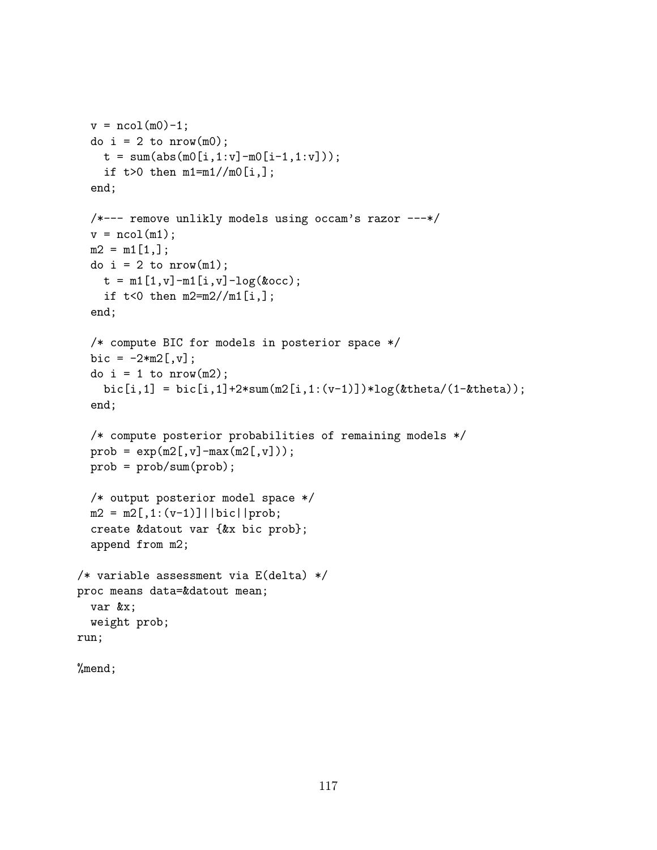```
v = ncol(m0)-1;do i = 2 to nrow(m0);
    t = sum(abs(m0[i,1:v]-m0[i-1,1:v]));
    if t>0 then m1=m1//m0[i,];
  end;
  /*--- remove unlikly models using occam's razor ---*/
  v = \text{ncol}(m1);m2 = m1[1,];do i = 2 to nrow(m1);
    t = m1[1, v] - m1[i, v] - log(kocc);if t < 0 then m2 = m2 / m1[i,];end;
  /* compute BIC for models in posterior space */
  bic = -2*m2[, v];do i = 1 to nrow(m2);
    bic[i,1] = bi[c[i,1]+2*sum(m2[i,1:(v-1)])*log(8theta/(1-8theta));end;
  /* compute posterior probabilities of remaining models */
  prob = exp(m2[, v] - max(m2[, v]));
  prob = prob/sum(prob);
  /* output posterior model space */
  m2 = m2[, 1:(v-1)]||bic||prob;
  create &datout var {&x bic prob};
  append from m2;
/* variable assessment via E(delta) */
proc means data=&datout mean;
  var &x;
  weight prob;
run;
```

```
%mend;
```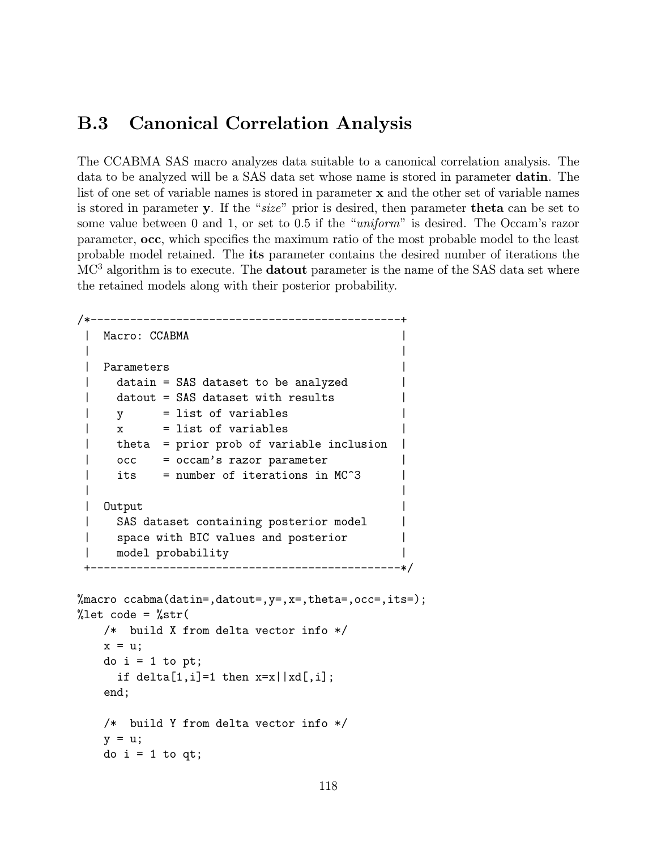### B.3 Canonical Correlation Analysis

The CCABMA SAS macro analyzes data suitable to a canonical correlation analysis. The data to be analyzed will be a SAS data set whose name is stored in parameter datin. The list of one set of variable names is stored in parameter x and the other set of variable names is stored in parameter y. If the "size" prior is desired, then parameter theta can be set to some value between 0 and 1, or set to 0.5 if the "*uniform*" is desired. The Occam's razor parameter, occ, which specifies the maximum ratio of the most probable model to the least probable model retained. The its parameter contains the desired number of iterations the MC<sup>3</sup> algorithm is to execute. The **datout** parameter is the name of the SAS data set where the retained models along with their posterior probability.

```
/*-----------------------------------------------+
| Macro: CCABMA |
| |
| Parameters |
| datain = SAS dataset to be analyzed |
| datout = SAS dataset with results
| y = list of variables |
\frac{1}{x} = list of variables
| theta = prior prob of variable inclusion
| occ = occam's razor parameter
| its = number of iterations in MC<sup>\hat{ }</sup>3
| |
| Output |
| SAS dataset containing posterior model
| space with BIC values and posterior |
| model probability |
  +-----------------------------------------------*/
```

```
%macro ccabma(datin=,datout=,y=,x=,theta=,occ=,its=);
%let code = %str(/* build X from delta vector info */
    x = u:
    do i = 1 to pt;
      if delta[1,i]=1 then x=x \mid xd,j;end;
    /* build Y from delta vector info */
    y = u;do i = 1 to qt;
```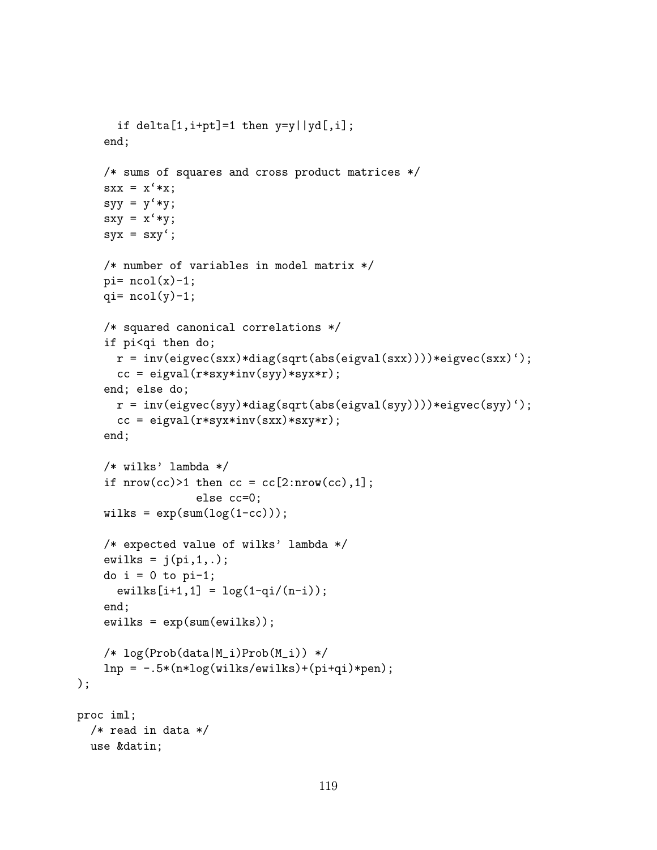```
if delta[1,i+pt]=1 then y=y \mid yd[, i];
    end;
    /* sums of squares and cross product matrices */
    sxx = x' * x;sys = y' * y;sxy = x' * y;sys = sxy;
    /* number of variables in model matrix */
    pi= ncol(x)-1;
    qi= ncol(y)-1;
    /* squared canonical correlations */
    if pi<qi then do;
      r = inv(eigvec(sxx)*diag(sqrt(abs(eigval(sxx))))*eigvec(sxx)');
      cc = eigval(r*sxy*inv(syy)*syxx*);
    end; else do;
      r = inv(eigvec(syy)*diag(sqrt(abs(eigval(syy))))*eigvec(syy)');
      cc = eigval(r*syx*inv(sxx)*sxy*r);end;
    /* wilks' lambda */
    if nrow(cc)>1 then cc = cc[2:nrow(cc),1];else cc=0;
    wilks = exp(sum(log(1-cc)));
    /* expected value of wilks' lambda */
    ewilks = j(p_i,1,.);
    do i = 0 to pi-1;
      ewilks[i+1,1] = log(1-qi/(n-i));end;
    ewilks = exp(sum(ewilks));
    /* log(Prob(data|M_i)Prob(M_i)) */
    lnp = -.5*(n * log(wilks/ewilks) + (pi+qi) *pen););
proc iml;
  /* read in data */use &datin;
```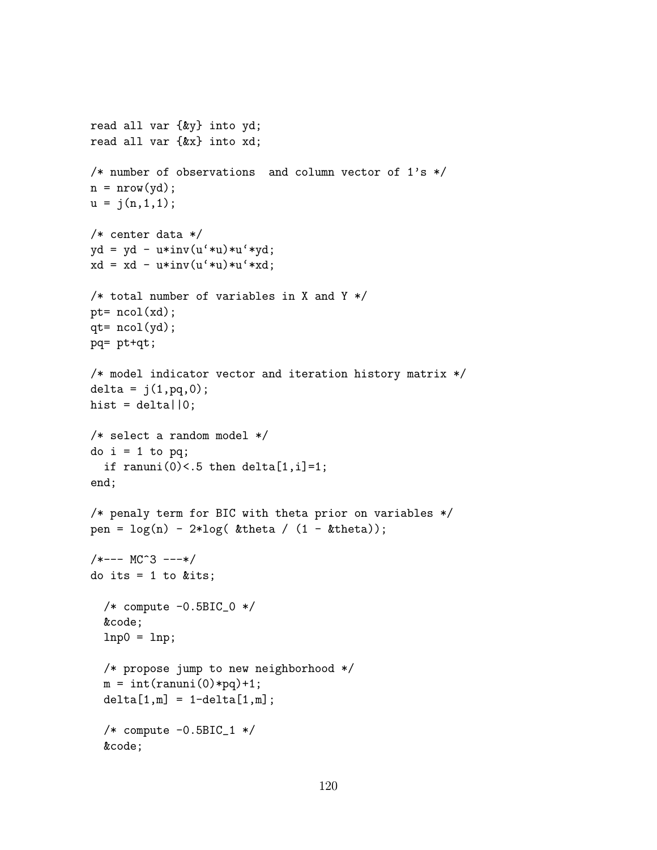```
read all var {&y} into yd;
read all var {&x} into xd;
/* number of observations and column vector of 1's */
n = nrow(yd);u = j(n,1,1);/* center data */
yd = yd - u*inv(u'*u)*u'*yd;xd = xd - u*inv(u'*u)*u'*xd;/* total number of variables in X and Y */
pt= ncol(xd);
qt= ncol(yd);
pq= pt+qt;
/* model indicator vector and iteration history matrix */
delta = j(1, pq, 0);hist = dela||0;/* select a random model */
do i = 1 to pq;
  if ranuni(0)<.5 then delta[1,i]=1;
end;
/* penaly term for BIC with theta prior on variables */
pen = \log(n) - 2*log( &theta / (1 - &theta));
/*--- MC<sup>^</sup>3 ---*/
do its = 1 to &its;
  /* compute -0.5BIC_0 * /&code;
  lnp0 = lnp;/* propose jump to new neighborhood */
  m = int(rannu(0) * pq) + 1;delta[1,m] = 1-delta[1,m];/* compute -0.5BIC_1 */
  &code;
```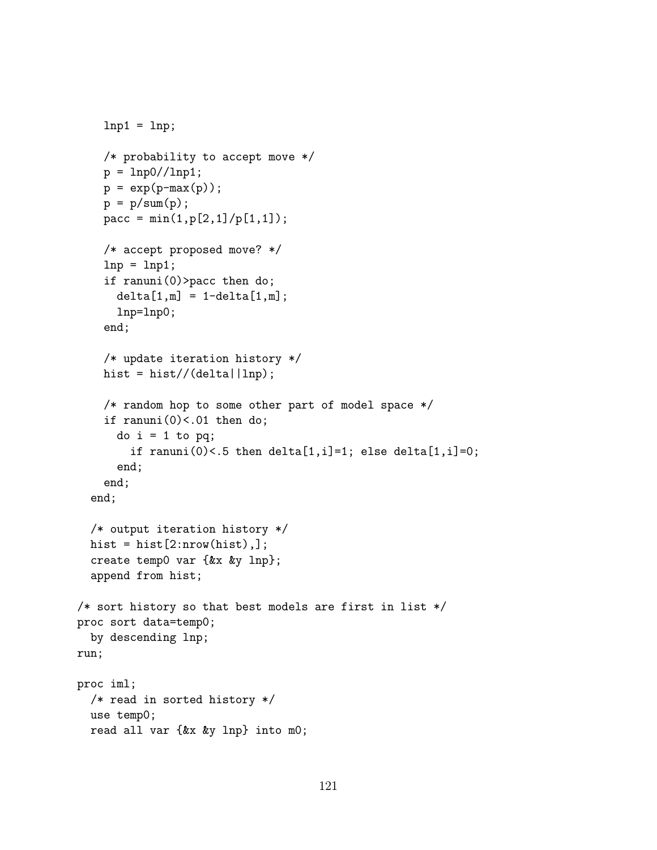```
lnp1 = lnp;/* probability to accept move */
    p = \text{lnp0}/\text{/lnp1};
    p = exp(p-max(p));p = p/sum(p);
    pacc = min(1, p[2, 1]/p[1, 1]);
    /* accept proposed move? */
    lnp = lnp1;if ranuni(0)>pacc then do;
      delta[1,m] = 1-delta[1,m];lnp=lnp0;
    end;
    /* update iteration history */
    hist = hist//(delta\vert lnp);
    /* random hop to some other part of model space */
    if ranuni(0)<.01 then do;
      do i = 1 to pq;
        if ranuni(0)<.5 then delta[1,i]=1; else delta[1,i]=0;
      end;
    end;
  end;
  /* output iteration history */
  hist = hist[2:nnow(hist),];
  create temp0 var {&x &y lnp};
  append from hist;
/* sort history so that best models are first in list */
proc sort data=temp0;
  by descending lnp;
run;
proc iml;
  /* read in sorted history */
  use temp0;
  read all var {&x &y lnp} into m0;
```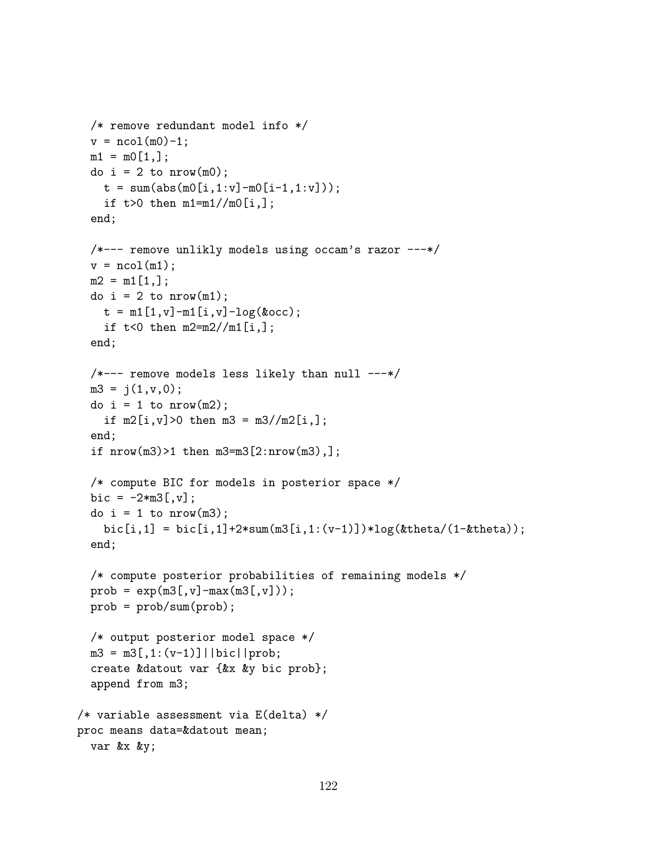```
/* remove redundant model info */
  v = ncol(m0)-1;
 m1 = m0[1,];do i = 2 to nrow(m0);
    t = sum(abs(m0[i,1:v]-m0[i-1,1:v]));
    if t>0 then m1=m1//m0[i,];
  end;
  /*--- remove unlikly models using occam's razor ---*/
  v = \text{ncol}(m1);m2 = m1[1,];do i = 2 to nrow(m1);
    t = m1[1, v] - m1[i, v] - log(kocc);if t < 0 then m2 = m2 / m1[i, ];
  end;
  /*--- remove models less likely than null ---*/m3 = j(1, v, 0);do i = 1 to nrow(m2);
    if m2[i, v] > 0 then m3 = m3 / m2[i, ];
  end;
  if nrow(m3) > 1 then m3 = m3[2:nrow(m3),];
  /* compute BIC for models in posterior space */
  bic = -2*m3[,v];
  do i = 1 to nrow(m3);
    bic[i,1] = bic[i,1]+2*sum(m3[i,1:(v-1)])*log(ktheta/(1-ktheta));end;
  /* compute posterior probabilities of remaining models */
  prob = exp(m3[, v] - max(m3[, v]);
  prob = prob/sum(prob);
  /* output posterior model space */
  m3 = m3[, 1:(v-1)]||bic||prob;
  create &datout var {&x &y bic prob};
  append from m3;
/* variable assessment via E(delta) */
proc means data=&datout mean;
  var &x &y;
```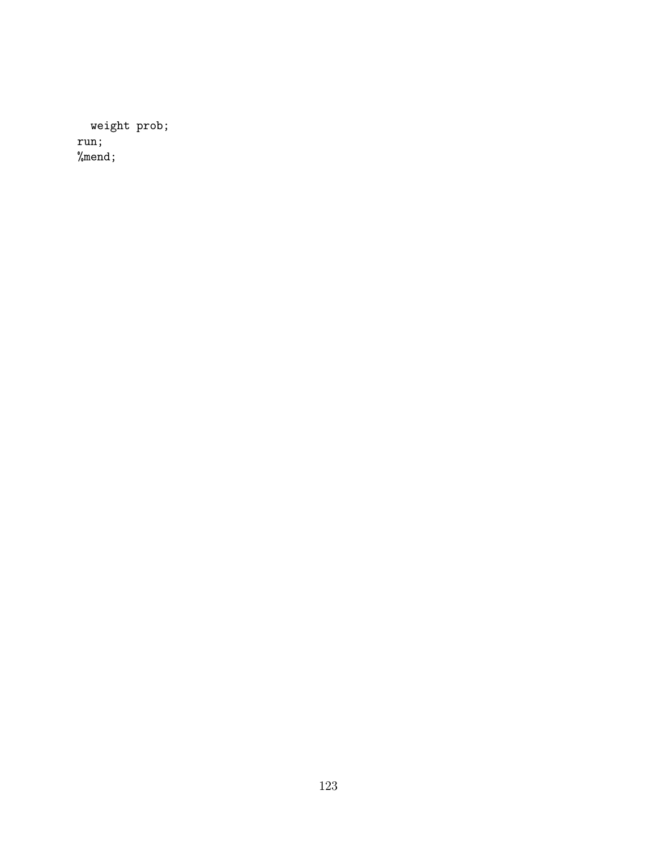weight prob; run; %mend;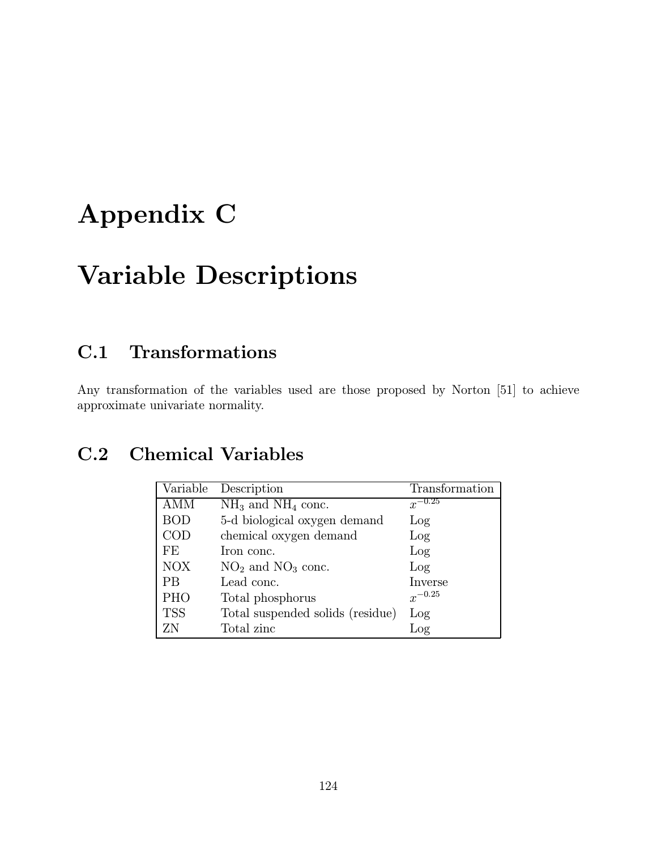# Appendix C

# Variable Descriptions

# C.1 Transformations

Any transformation of the variables used are those proposed by Norton [51] to achieve approximate univariate normality.

## C.2 Chemical Variables

| Variable                | Description                      | Transformation |
|-------------------------|----------------------------------|----------------|
| AMM                     | $NH_3$ and $NH_4$ conc.          | $x^{-0.25}$    |
| <b>BOD</b>              | 5-d biological oxygen demand     | Log            |
| $\mathop{\mathrm{COD}}$ | chemical oxygen demand           | Log            |
| FE                      | Iron conc.                       | Log            |
| <b>NOX</b>              | $NO2$ and $NO3$ conc.            | Log            |
| PВ                      | Lead conc.                       | Inverse        |
| PHO                     | Total phosphorus                 | $x^{-0.25}$    |
| <b>TSS</b>              | Total suspended solids (residue) | Log            |
| ΖN                      | Total zinc                       | Log            |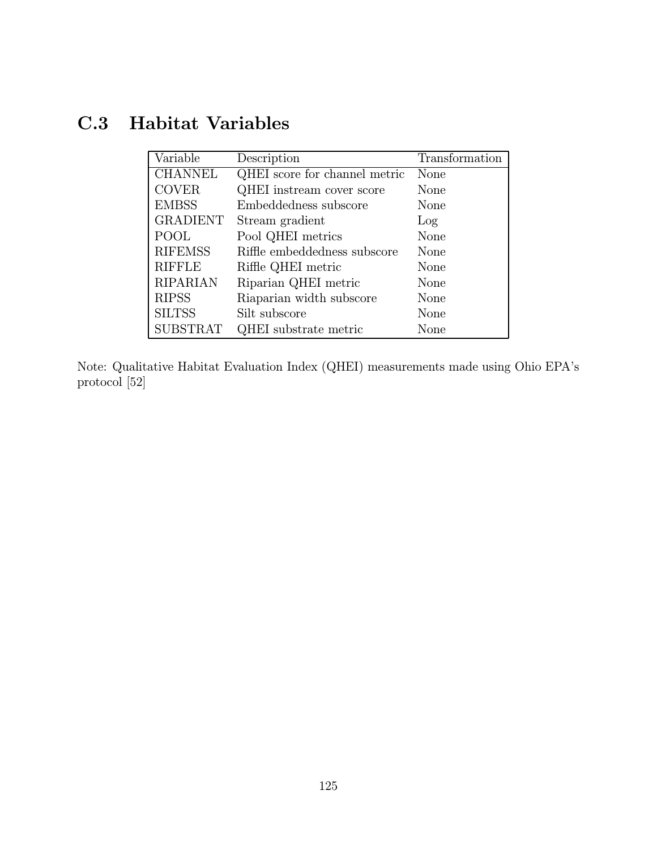# C.3 Habitat Variables

| Variable        | Description                   | Transformation |
|-----------------|-------------------------------|----------------|
| <b>CHANNEL</b>  | QHEI score for channel metric | None           |
| <b>COVER</b>    | QHEI instream cover score     | None           |
| <b>EMBSS</b>    | Embeddedness subscore         | None           |
| <b>GRADIENT</b> | Stream gradient               | Log            |
| POOL            | Pool QHEI metrics             | None           |
| <b>RIFEMSS</b>  | Riffle embeddedness subscore  | None           |
| <b>RIFFLE</b>   | Riffle QHEI metric            | None           |
| <b>RIPARIAN</b> | Riparian QHEI metric          | None           |
| <b>RIPSS</b>    | Riaparian width subscore      | None           |
| <b>SILTSS</b>   | Silt subscore                 | None           |
| <b>SUBSTRAT</b> | QHEI substrate metric         | None           |

Note: Qualitative Habitat Evaluation Index (QHEI) measurements made using Ohio EPA's protocol [52]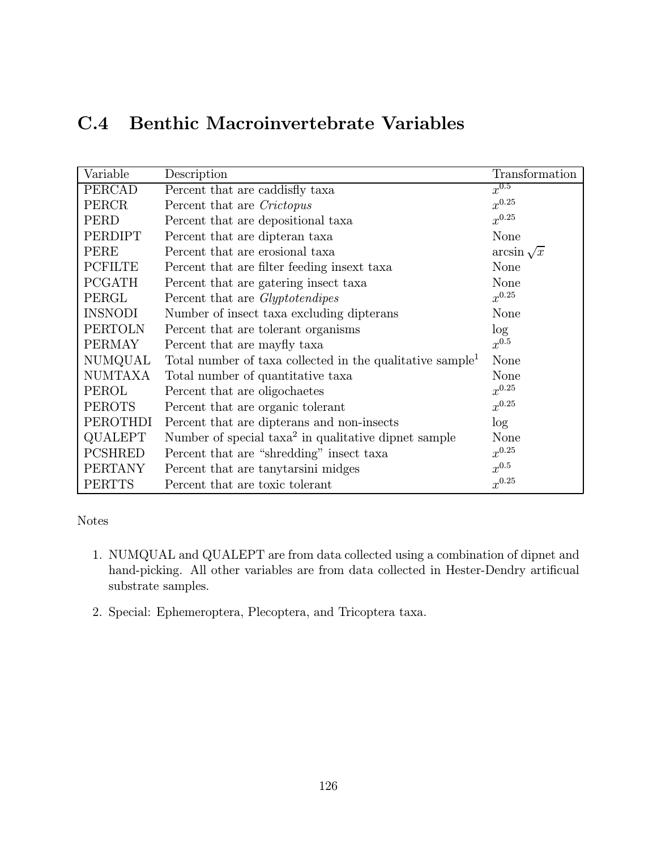## C.4 Benthic Macroinvertebrate Variables

| Variable       | Description                                                           | Transformation    |
|----------------|-----------------------------------------------------------------------|-------------------|
| PERCAD         | Percent that are caddisfly taxa                                       | $x^{0.5}$         |
| PERCR          | Percent that are Crictopus                                            | $x^{0.25}$        |
| PERD           | Percent that are depositional taxa                                    | $x^{0.25}$        |
| PERDIPT        | Percent that are dipteran taxa                                        | None              |
| PERE           | Percent that are erosional taxa                                       | $arcsin \sqrt{x}$ |
| <b>PCFILTE</b> | Percent that are filter feeding insext taxa                           | None              |
| <b>PCGATH</b>  | Percent that are gatering insect taxa                                 | None              |
| PERGL          | Percent that are <i>Glyptotendipes</i>                                | $x^{0.25}$        |
| <b>INSNODI</b> | Number of insect taxa excluding dipterans                             | None              |
| <b>PERTOLN</b> | Percent that are tolerant organisms                                   | log               |
| <b>PERMAY</b>  | Percent that are mayfly taxa                                          | $x^{0.5}$         |
| NUMQUAL        | Total number of taxa collected in the qualitative sample <sup>1</sup> | None              |
| <b>NUMTAXA</b> | Total number of quantitative taxa                                     | None              |
| PEROL          | Percent that are oligochaetes                                         | $x^{0.25}$        |
| <b>PEROTS</b>  | Percent that are organic tolerant                                     | $x^{0.25}$        |
| PEROTHDI       | Percent that are dipterans and non-insects                            | log               |
| QUALEPT        | Number of special $\text{taxa}^2$ in qualitative dipnet sample        | None              |
| <b>PCSHRED</b> | Percent that are "shredding" insect taxa                              | $x^{0.25}$        |
| <b>PERTANY</b> | Percent that are tanytarsini midges                                   | $x^{0.5}$         |
| <b>PERTTS</b>  | Percent that are toxic tolerant                                       | $x^{0.25}$        |

#### Notes

- 1. NUMQUAL and QUALEPT are from data collected using a combination of dipnet and hand-picking. All other variables are from data collected in Hester-Dendry artificual substrate samples.
- 2. Special: Ephemeroptera, Plecoptera, and Tricoptera taxa.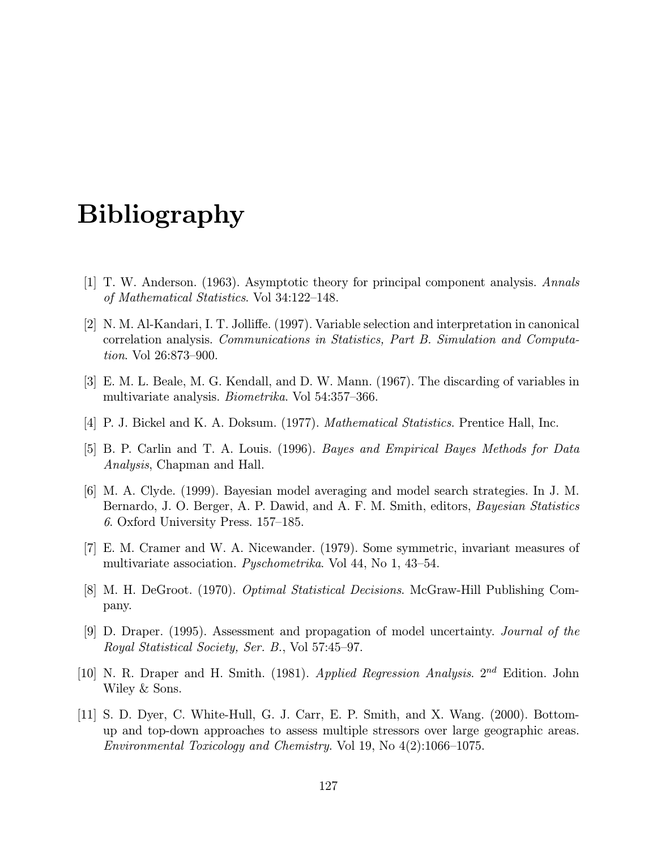# Bibliography

- [1] T. W. Anderson. (1963). Asymptotic theory for principal component analysis. Annals of Mathematical Statistics. Vol 34:122—148.
- [2] N. M. Al-Kandari, I. T. Jolliffe. (1997). Variable selection and interpretation in canonical correlation analysis. Communications in Statistics, Part B. Simulation and Computation. Vol 26:873—900.
- [3] E. M. L. Beale, M. G. Kendall, and D. W. Mann. (1967). The discarding of variables in multivariate analysis. Biometrika. Vol 54:357—366.
- [4] P. J. Bickel and K. A. Doksum. (1977). Mathematical Statistics. Prentice Hall, Inc.
- [5] B. P. Carlin and T. A. Louis. (1996). Bayes and Empirical Bayes Methods for Data Analysis, Chapman and Hall.
- [6] M. A. Clyde. (1999). Bayesian model averaging and model search strategies. In J. M. Bernardo, J. O. Berger, A. P. Dawid, and A. F. M. Smith, editors, *Bayesian Statistics* 6. Oxford University Press. 157—185.
- [7] E. M. Cramer and W. A. Nicewander. (1979). Some symmetric, invariant measures of multivariate association. *Pyschometrika*. Vol 44, No 1, 43–54.
- [8] M. H. DeGroot. (1970). Optimal Statistical Decisions. McGraw-Hill Publishing Company.
- [9] D. Draper. (1995). Assessment and propagation of model uncertainty. Journal of the Royal Statistical Society, Ser. B., Vol 57:45—97.
- [10] N. R. Draper and H. Smith. (1981). Applied Regression Analysis.  $2^{nd}$  Edition. John Wiley & Sons.
- [11] S. D. Dyer, C. White-Hull, G. J. Carr, E. P. Smith, and X. Wang. (2000). Bottomup and top-down approaches to assess multiple stressors over large geographic areas. Environmental Toxicology and Chemistry. Vol 19, No 4(2):1066—1075.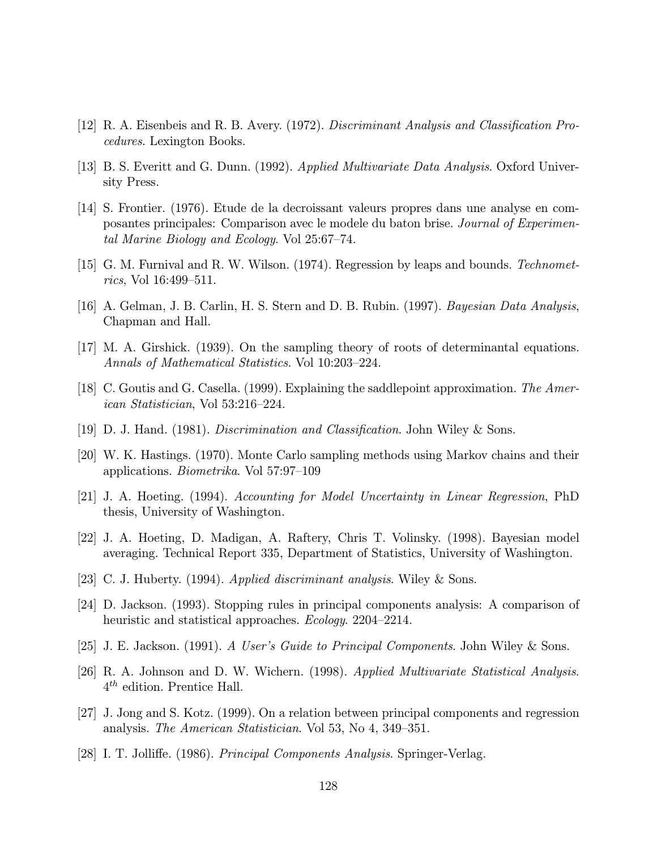- [12] R. A. Eisenbeis and R. B. Avery. (1972). Discriminant Analysis and Classification Procedures. Lexington Books.
- [13] B. S. Everitt and G. Dunn. (1992). Applied Multivariate Data Analysis. Oxford University Press.
- [14] S. Frontier. (1976). Etude de la decroissant valeurs propres dans une analyse en composantes principales: Comparison avec le modele du baton brise. Journal of Experimental Marine Biology and Ecology. Vol 25:67—74.
- [15] G. M. Furnival and R. W. Wilson. (1974). Regression by leaps and bounds. Technometrics, Vol 16:499—511.
- [16] A. Gelman, J. B. Carlin, H. S. Stern and D. B. Rubin. (1997). Bayesian Data Analysis, Chapman and Hall.
- [17] M. A. Girshick. (1939). On the sampling theory of roots of determinantal equations. Annals of Mathematical Statistics. Vol 10:203—224.
- [18] C. Goutis and G. Casella. (1999). Explaining the saddlepoint approximation. The American Statistician, Vol 53:216—224.
- [19] D. J. Hand. (1981). Discrimination and Classification. John Wiley & Sons.
- [20] W. K. Hastings. (1970). Monte Carlo sampling methods using Markov chains and their applications. Biometrika. Vol 57:97—109
- [21] J. A. Hoeting. (1994). Accounting for Model Uncertainty in Linear Regression, PhD thesis, University of Washington.
- [22] J. A. Hoeting, D. Madigan, A. Raftery, Chris T. Volinsky. (1998). Bayesian model averaging. Technical Report 335, Department of Statistics, University of Washington.
- [23] C. J. Huberty. (1994). Applied discriminant analysis. Wiley & Sons.
- [24] D. Jackson. (1993). Stopping rules in principal components analysis: A comparison of heuristic and statistical approaches. *Ecology*. 2204–2214.
- [25] J. E. Jackson. (1991). A User's Guide to Principal Components. John Wiley & Sons.
- [26] R. A. Johnson and D. W. Wichern. (1998). Applied Multivariate Statistical Analysis. 4th edition. Prentice Hall.
- [27] J. Jong and S. Kotz. (1999). On a relation between principal components and regression analysis. The American Statistician. Vol 53, No 4, 349—351.
- [28] I. T. Jolliffe. (1986). Principal Components Analysis. Springer-Verlag.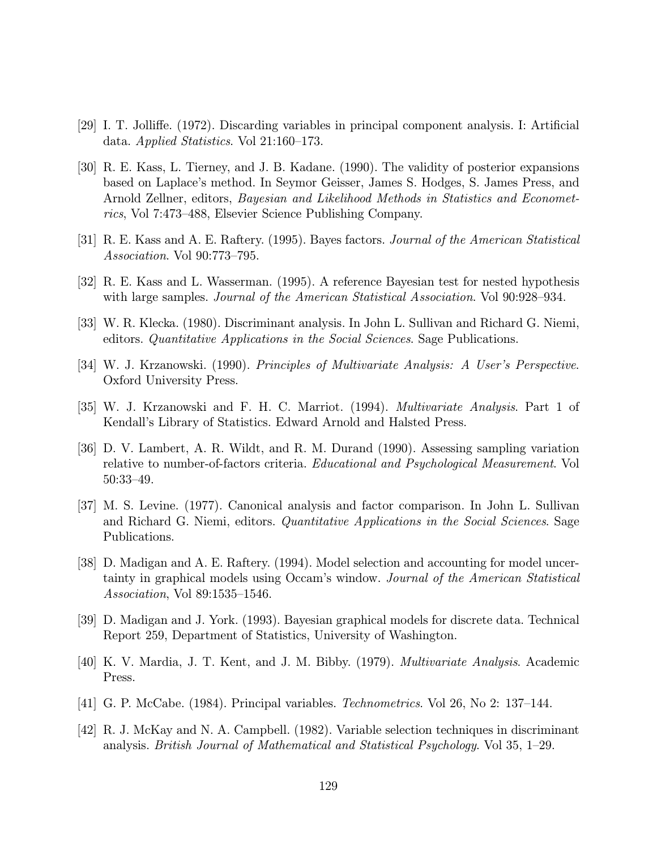- [29] I. T. Jolliffe. (1972). Discarding variables in principal component analysis. I: Artificial data. Applied Statistics. Vol 21:160—173.
- [30] R. E. Kass, L. Tierney, and J. B. Kadane. (1990). The validity of posterior expansions based on Laplace's method. In Seymor Geisser, James S. Hodges, S. James Press, and Arnold Zellner, editors, Bayesian and Likelihood Methods in Statistics and Econometrics, Vol 7:473—488, Elsevier Science Publishing Company.
- [31] R. E. Kass and A. E. Raftery. (1995). Bayes factors. Journal of the American Statistical Association. Vol 90:773—795.
- [32] R. E. Kass and L. Wasserman. (1995). A reference Bayesian test for nested hypothesis with large samples. *Journal of the American Statistical Association*. Vol 90:928–934.
- [33] W. R. Klecka. (1980). Discriminant analysis. In John L. Sullivan and Richard G. Niemi, editors. Quantitative Applications in the Social Sciences. Sage Publications.
- [34] W. J. Krzanowski. (1990). Principles of Multivariate Analysis: A User's Perspective. Oxford University Press.
- [35] W. J. Krzanowski and F. H. C. Marriot. (1994). Multivariate Analysis. Part 1 of Kendall's Library of Statistics. Edward Arnold and Halsted Press.
- [36] D. V. Lambert, A. R. Wildt, and R. M. Durand (1990). Assessing sampling variation relative to number-of-factors criteria. Educational and Psychological Measurement. Vol 50:33—49.
- [37] M. S. Levine. (1977). Canonical analysis and factor comparison. In John L. Sullivan and Richard G. Niemi, editors. Quantitative Applications in the Social Sciences. Sage Publications.
- [38] D. Madigan and A. E. Raftery. (1994). Model selection and accounting for model uncertainty in graphical models using Occam's window. Journal of the American Statistical Association, Vol 89:1535—1546.
- [39] D. Madigan and J. York. (1993). Bayesian graphical models for discrete data. Technical Report 259, Department of Statistics, University of Washington.
- [40] K. V. Mardia, J. T. Kent, and J. M. Bibby. (1979). Multivariate Analysis. Academic Press.
- [41] G. P. McCabe. (1984). Principal variables. Technometrics. Vol 26, No 2: 137—144.
- [42] R. J. McKay and N. A. Campbell. (1982). Variable selection techniques in discriminant analysis. British Journal of Mathematical and Statistical Psychology. Vol 35, 1—29.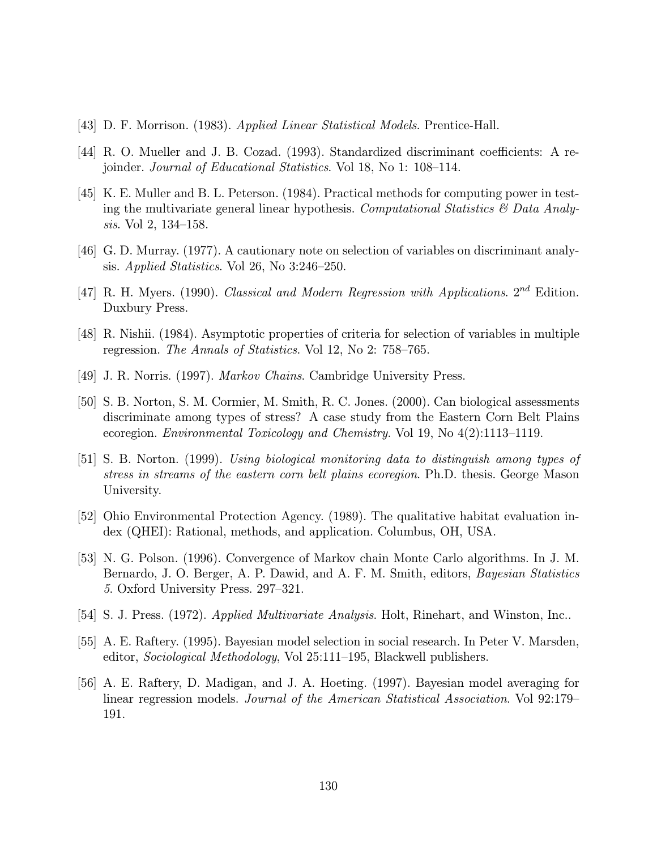- [43] D. F. Morrison. (1983). Applied Linear Statistical Models. Prentice-Hall.
- [44] R. O. Mueller and J. B. Cozad. (1993). Standardized discriminant coefficients: A rejoinder. Journal of Educational Statistics. Vol 18, No 1: 108—114.
- [45] K. E. Muller and B. L. Peterson. (1984). Practical methods for computing power in testing the multivariate general linear hypothesis. Computational Statistics  $\mathcal{C}$  Data Analysis. Vol 2, 134—158.
- [46] G. D. Murray. (1977). A cautionary note on selection of variables on discriminant analysis. Applied Statistics. Vol 26, No 3:246—250.
- [47] R. H. Myers. (1990). Classical and Modern Regression with Applications.  $2^{nd}$  Edition. Duxbury Press.
- [48] R. Nishii. (1984). Asymptotic properties of criteria for selection of variables in multiple regression. The Annals of Statistics. Vol 12, No 2: 758—765.
- [49] J. R. Norris. (1997). Markov Chains. Cambridge University Press.
- [50] S. B. Norton, S. M. Cormier, M. Smith, R. C. Jones. (2000). Can biological assessments discriminate among types of stress? A case study from the Eastern Corn Belt Plains ecoregion. Environmental Toxicology and Chemistry. Vol 19, No 4(2):1113—1119.
- [51] S. B. Norton. (1999). Using biological monitoring data to distinguish among types of stress in streams of the eastern corn belt plains ecoregion. Ph.D. thesis. George Mason University.
- [52] Ohio Environmental Protection Agency. (1989). The qualitative habitat evaluation index (QHEI): Rational, methods, and application. Columbus, OH, USA.
- [53] N. G. Polson. (1996). Convergence of Markov chain Monte Carlo algorithms. In J. M. Bernardo, J. O. Berger, A. P. Dawid, and A. F. M. Smith, editors, *Bayesian Statistics* 5. Oxford University Press. 297—321.
- [54] S. J. Press. (1972). Applied Multivariate Analysis. Holt, Rinehart, and Winston, Inc..
- [55] A. E. Raftery. (1995). Bayesian model selection in social research. In Peter V. Marsden, editor, Sociological Methodology, Vol 25:111—195, Blackwell publishers.
- [56] A. E. Raftery, D. Madigan, and J. A. Hoeting. (1997). Bayesian model averaging for linear regression models. Journal of the American Statistical Association. Vol 92:179— 191.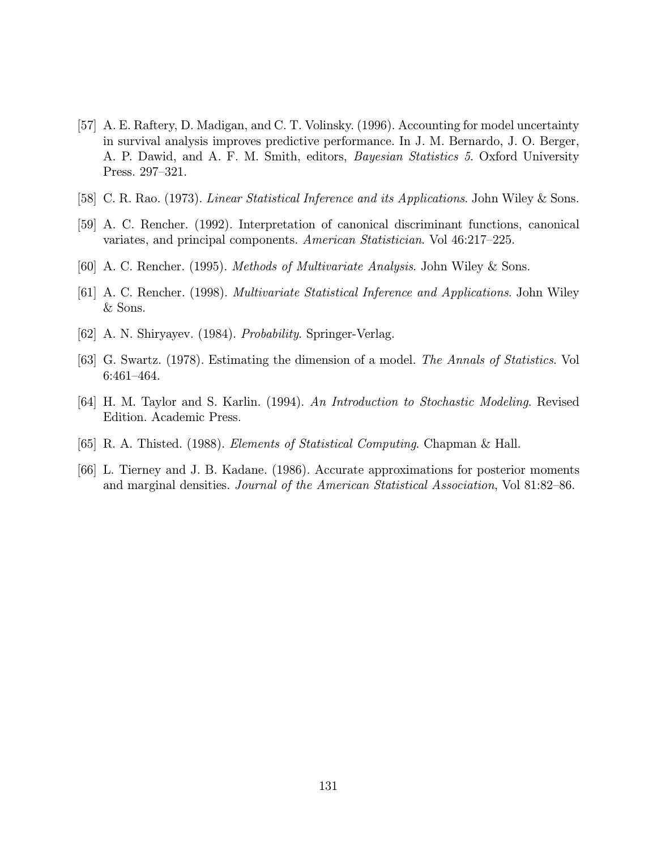- [57] A. E. Raftery, D. Madigan, and C. T. Volinsky. (1996). Accounting for model uncertainty in survival analysis improves predictive performance. In J. M. Bernardo, J. O. Berger, A. P. Dawid, and A. F. M. Smith, editors, *Bayesian Statistics 5*. Oxford University Press. 297—321.
- [58] C. R. Rao. (1973). *Linear Statistical Inference and its Applications*. John Wiley & Sons.
- [59] A. C. Rencher. (1992). Interpretation of canonical discriminant functions, canonical variates, and principal components. American Statistician. Vol 46:217—225.
- [60] A. C. Rencher. (1995). Methods of Multivariate Analysis. John Wiley & Sons.
- [61] A. C. Rencher. (1998). Multivariate Statistical Inference and Applications. John Wiley & Sons.
- [62] A. N. Shiryayev. (1984). *Probability*. Springer-Verlag.
- [63] G. Swartz. (1978). Estimating the dimension of a model. The Annals of Statistics. Vol 6:461—464.
- [64] H. M. Taylor and S. Karlin. (1994). An Introduction to Stochastic Modeling. Revised Edition. Academic Press.
- [65] R. A. Thisted. (1988). Elements of Statistical Computing. Chapman & Hall.
- [66] L. Tierney and J. B. Kadane. (1986). Accurate approximations for posterior moments and marginal densities. Journal of the American Statistical Association, Vol 81:82—86.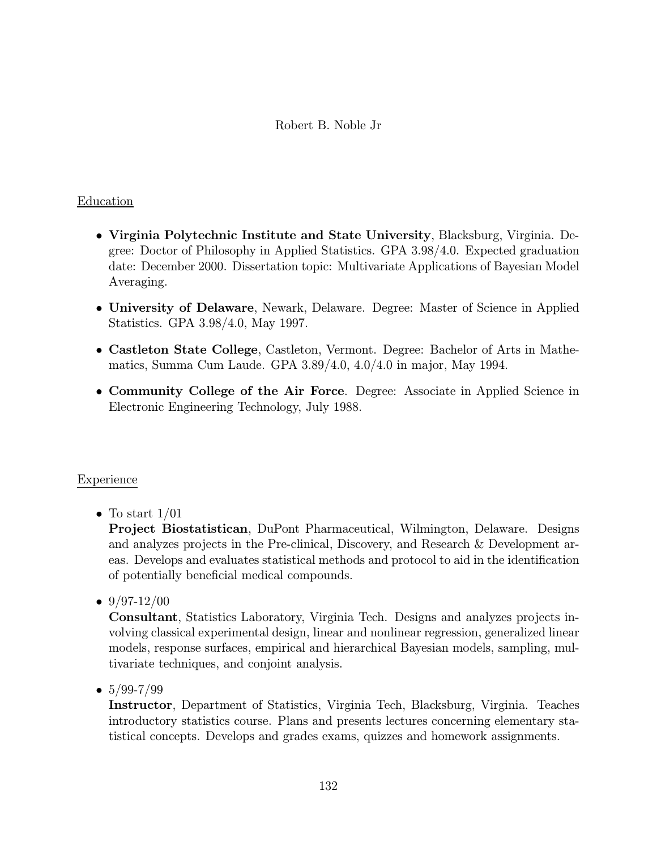#### Robert B. Noble Jr

#### Education

- Virginia Polytechnic Institute and State University, Blacksburg, Virginia. Degree: Doctor of Philosophy in Applied Statistics. GPA 3.98/4.0. Expected graduation date: December 2000. Dissertation topic: Multivariate Applications of Bayesian Model Averaging.
- University of Delaware, Newark, Delaware. Degree: Master of Science in Applied Statistics. GPA 3.98/4.0, May 1997.
- Castleton State College, Castleton, Vermont. Degree: Bachelor of Arts in Mathematics, Summa Cum Laude. GPA 3.89/4.0, 4.0/4.0 in major, May 1994.
- Community College of the Air Force. Degree: Associate in Applied Science in Electronic Engineering Technology, July 1988.

#### Experience

• To start  $1/01$ 

Project Biostatistican, DuPont Pharmaceutical, Wilmington, Delaware. Designs and analyzes projects in the Pre-clinical, Discovery, and Research & Development areas. Develops and evaluates statistical methods and protocol to aid in the identification of potentially beneficial medical compounds.

•  $9/97-12/00$ 

Consultant, Statistics Laboratory, Virginia Tech. Designs and analyzes projects involving classical experimental design, linear and nonlinear regression, generalized linear models, response surfaces, empirical and hierarchical Bayesian models, sampling, multivariate techniques, and conjoint analysis.

•  $5/99 - 7/99$ 

Instructor, Department of Statistics, Virginia Tech, Blacksburg, Virginia. Teaches introductory statistics course. Plans and presents lectures concerning elementary statistical concepts. Develops and grades exams, quizzes and homework assignments.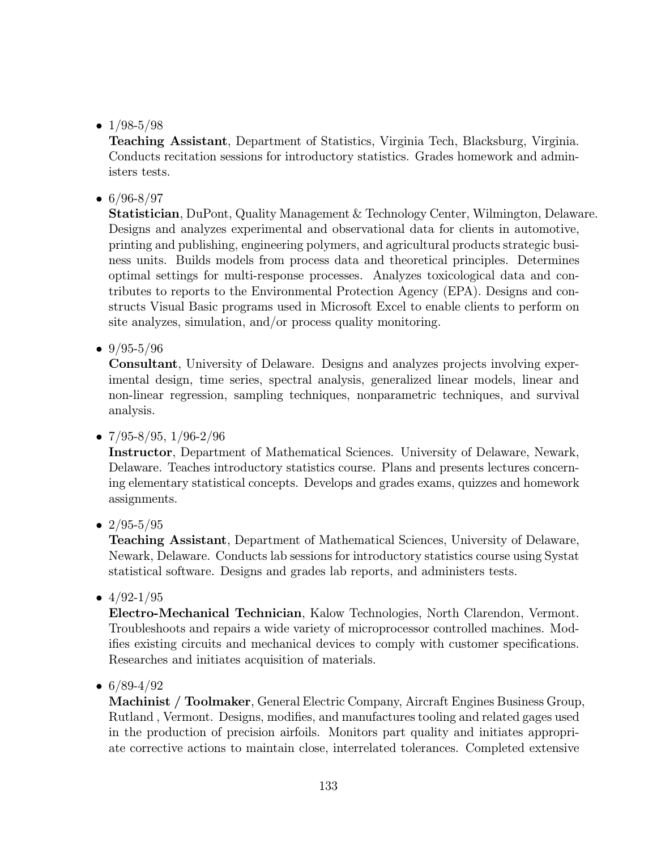•  $1/98-5/98$ 

Teaching Assistant, Department of Statistics, Virginia Tech, Blacksburg, Virginia. Conducts recitation sessions for introductory statistics. Grades homework and administers tests.

 $• 6/96 - 8/97$ 

Statistician, DuPont, Quality Management & Technology Center, Wilmington, Delaware. Designs and analyzes experimental and observational data for clients in automotive, printing and publishing, engineering polymers, and agricultural products strategic business units. Builds models from process data and theoretical principles. Determines optimal settings for multi-response processes. Analyzes toxicological data and contributes to reports to the Environmental Protection Agency (EPA). Designs and constructs Visual Basic programs used in Microsoft Excel to enable clients to perform on site analyzes, simulation, and/or process quality monitoring.

•  $9/95-5/96$ 

Consultant, University of Delaware. Designs and analyzes projects involving experimental design, time series, spectral analysis, generalized linear models, linear and non-linear regression, sampling techniques, nonparametric techniques, and survival analysis.

•  $7/95 - 8/95$ ,  $1/96 - 2/96$ 

Instructor, Department of Mathematical Sciences. University of Delaware, Newark, Delaware. Teaches introductory statistics course. Plans and presents lectures concerning elementary statistical concepts. Develops and grades exams, quizzes and homework assignments.

•  $2/95 - 5/95$ 

Teaching Assistant, Department of Mathematical Sciences, University of Delaware, Newark, Delaware. Conducts lab sessions for introductory statistics course using Systat statistical software. Designs and grades lab reports, and administers tests.

•  $4/92 - 1/95$ 

Electro-Mechanical Technician, Kalow Technologies, North Clarendon, Vermont. Troubleshoots and repairs a wide variety of microprocessor controlled machines. Modifies existing circuits and mechanical devices to comply with customer specifications. Researches and initiates acquisition of materials.

•  $6/89-4/92$ 

Machinist / Toolmaker, General Electric Company, Aircraft Engines Business Group, Rutland , Vermont. Designs, modifies, and manufactures tooling and related gages used in the production of precision airfoils. Monitors part quality and initiates appropriate corrective actions to maintain close, interrelated tolerances. Completed extensive